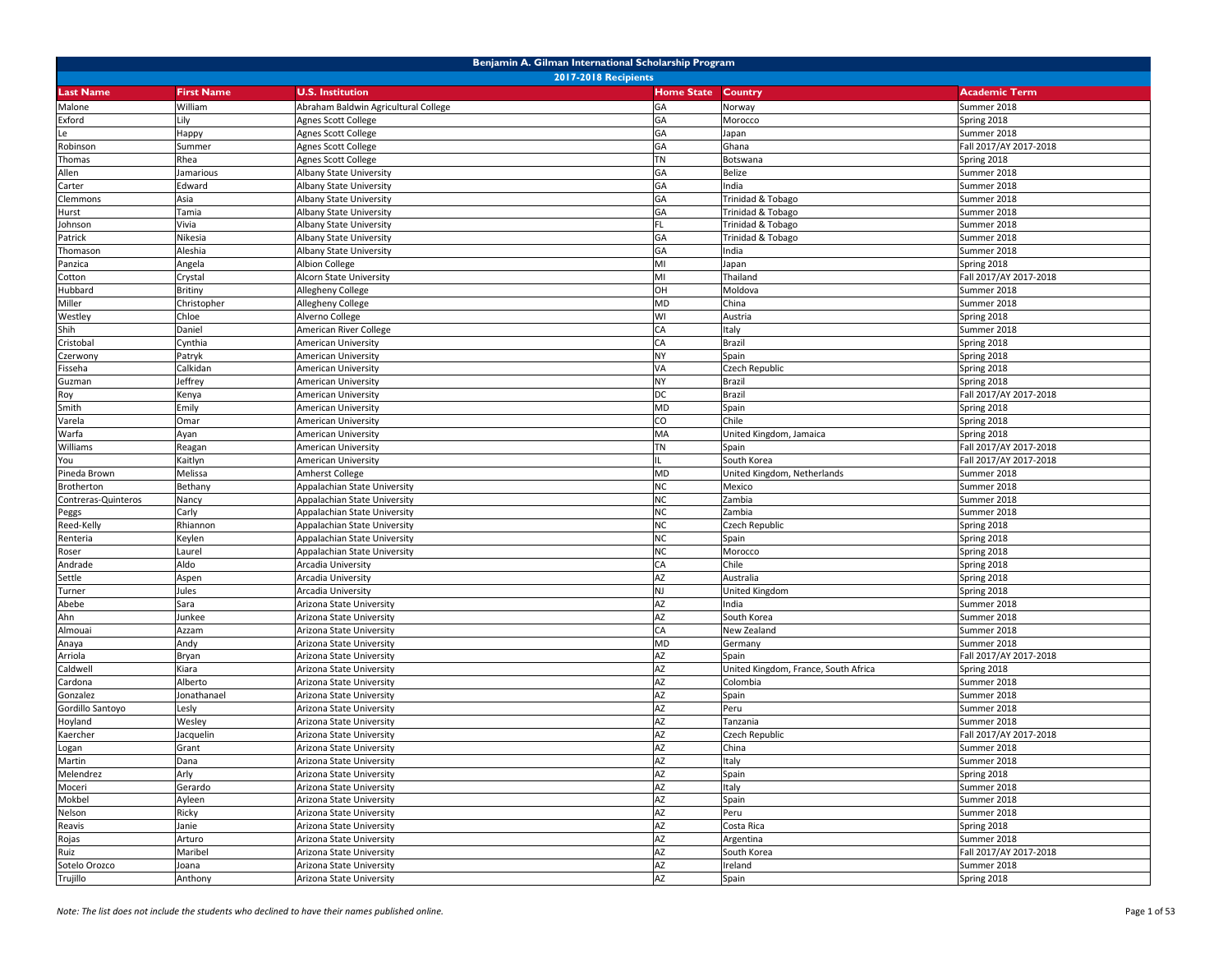| Benjamin A. Gilman International Scholarship Program |                             |                                      |                   |                                      |                        |  |  |  |
|------------------------------------------------------|-----------------------------|--------------------------------------|-------------------|--------------------------------------|------------------------|--|--|--|
|                                                      | <b>2017-2018 Recipients</b> |                                      |                   |                                      |                        |  |  |  |
| <b>Last Name</b>                                     | <b>First Name</b>           | <b>U.S. Institution</b>              | <b>Home State</b> | Country                              | <b>Academic Term</b>   |  |  |  |
| Malone                                               | William                     | Abraham Baldwin Agricultural College | GA                | Norway                               | Summer 2018            |  |  |  |
| Exford                                               | Lily                        | Agnes Scott College                  | GA                | Morocco                              | Spring 2018            |  |  |  |
| Le                                                   | Happy                       | Agnes Scott College                  | GA                | Japan                                | Summer 2018            |  |  |  |
| Robinson                                             | Summer                      | Agnes Scott College                  | GA                | Ghana                                | Fall 2017/AY 2017-2018 |  |  |  |
| Thomas                                               | Rhea                        | Agnes Scott College                  | <b>TN</b>         | Botswana                             | Spring 2018            |  |  |  |
| Allen                                                | Jamarious                   | Albany State University              | GA                | Belize                               | Summer 2018            |  |  |  |
| Carter                                               | Edward                      | Albany State University              | GA                | India                                | Summer 2018            |  |  |  |
| Clemmons                                             | Asia                        | Albany State University              | GA                | Trinidad & Tobago                    | Summer 2018            |  |  |  |
| Hurst                                                | Tamia                       | Albany State University              | GA                | Trinidad & Tobago                    | Summer 2018            |  |  |  |
| Johnson                                              | Vivia                       | Albany State University              | FL                | Trinidad & Tobago                    | Summer 2018            |  |  |  |
| Patrick                                              | Nikesia                     | Albany State University              | GA                | Trinidad & Tobago                    | Summer 2018            |  |  |  |
| Thomason                                             | Aleshia                     | Albany State University              | GA                | India                                | Summer 2018            |  |  |  |
| Panzica                                              | Angela                      | Albion College                       | MI                | Japan                                | Spring 2018            |  |  |  |
| Cotton                                               | Crystal                     | Alcorn State University              | MI                | Thailand                             | Fall 2017/AY 2017-2018 |  |  |  |
| Hubbard                                              | Britiny                     | Allegheny College                    | OH                | Moldova                              | Summer 2018            |  |  |  |
| Miller                                               | Christopher                 | Allegheny College                    | <b>MD</b>         | China                                | Summer 2018            |  |  |  |
| Westley                                              | Chloe                       | Alverno College                      | WI                | Austria                              | Spring 2018            |  |  |  |
| Shih                                                 | Daniel                      | American River College               | CA                | Italy                                | Summer 2018            |  |  |  |
| Cristobal                                            | Cynthia                     | American University                  | CA                | Brazil                               | Spring 2018            |  |  |  |
| Czerwony                                             | Patryk                      | American University                  | <b>NY</b>         | Spain                                | Spring 2018            |  |  |  |
| Fisseha                                              | Calkidan                    | American University                  | VA                | Czech Republic                       | Spring 2018            |  |  |  |
| Guzman                                               | Jeffrey                     | American University                  | <b>NY</b>         | Brazil                               | Spring 2018            |  |  |  |
| Roy                                                  | Kenya                       | American University                  | DC                | Brazil                               | Fall 2017/AY 2017-2018 |  |  |  |
| Smith                                                | Emily                       | American University                  | <b>MD</b>         | Spain                                | Spring 2018            |  |  |  |
| Varela                                               | Omar                        | American University                  | CO                | Chile                                | Spring 2018            |  |  |  |
| Warfa                                                | Ayan                        | American University                  | MA                | United Kingdom, Jamaica              | Spring 2018            |  |  |  |
| Williams                                             | Reagan                      | American University                  | <b>TN</b>         | Spain                                | Fall 2017/AY 2017-2018 |  |  |  |
| You                                                  | Kaitlyn                     | American University                  |                   | South Korea                          | Fall 2017/AY 2017-2018 |  |  |  |
| Pineda Brown                                         | Melissa                     | Amherst College                      | <b>MD</b>         | United Kingdom, Netherlands          | Summer 2018            |  |  |  |
| Brotherton                                           | Bethany                     | Appalachian State University         | <b>NC</b>         | Mexico                               | Summer 2018            |  |  |  |
| Contreras-Quinteros                                  | Nancy                       | Appalachian State University         | <b>NC</b>         | Zambia                               | Summer 2018            |  |  |  |
| Peggs                                                | Carly                       | Appalachian State University         | <b>NC</b>         | Zambia                               | Summer 2018            |  |  |  |
| Reed-Kelly                                           | Rhiannon                    | Appalachian State University         | <b>NC</b>         | Czech Republic                       | Spring 2018            |  |  |  |
| Renteria                                             | Keylen                      | Appalachian State University         | <b>NC</b>         | Spain                                | Spring 2018            |  |  |  |
| Roser                                                | Laurel                      | Appalachian State University         | <b>NC</b>         | Morocco                              | Spring 2018            |  |  |  |
| Andrade                                              | Aldo                        | Arcadia University                   | CA                | Chile                                | Spring 2018            |  |  |  |
| Settle                                               | Aspen                       | Arcadia University                   | AZ                | Australia                            | Spring 2018            |  |  |  |
| Turner                                               | Jules                       | Arcadia University                   | <b>NJ</b>         | <b>United Kingdom</b>                | Spring 2018            |  |  |  |
| Abebe                                                | Sara                        | Arizona State University             | AZ                | India                                | Summer 2018            |  |  |  |
| Ahn                                                  | Junkee                      | Arizona State University             | AZ                | South Korea                          | Summer 2018            |  |  |  |
| Almouai                                              | Azzam                       | Arizona State University             | CA                | New Zealand                          | Summer 2018            |  |  |  |
| Anaya                                                | Andy                        | Arizona State University             | <b>MD</b>         | Germany                              | Summer 2018            |  |  |  |
| Arriola                                              | Bryan                       | Arizona State University             | AZ                | Spain                                | Fall 2017/AY 2017-2018 |  |  |  |
| Caldwell                                             | Kiara                       | Arizona State University             | AZ                | United Kingdom, France, South Africa | Spring 2018            |  |  |  |
| Cardona                                              | Alberto                     | Arizona State University             | AZ                | Colombia                             | Summer 2018            |  |  |  |
| Gonzalez                                             | Jonathanael                 | Arizona State University             | AZ                | Spain                                | Summer 2018            |  |  |  |
| Gordillo Santoyo                                     | Lesly                       | Arizona State University             | AZ                | Peru                                 | Summer 2018            |  |  |  |
| Hoyland                                              | Wesley                      | Arizona State University             | <b>AZ</b>         | Tanzania                             | Summer 2018            |  |  |  |
| Kaercher                                             | Jacquelin                   | Arizona State University             | AZ                | Czech Republic                       | Fall 2017/AY 2017-2018 |  |  |  |
| Logan                                                | Grant                       | Arizona State University             | AZ                | China                                | Summer 2018            |  |  |  |
| Martin                                               | Dana                        | Arizona State University             | AZ                | Italy                                | Summer 2018            |  |  |  |
| Melendrez                                            | Arly                        | Arizona State University             | AZ                | Spain                                | Spring 2018            |  |  |  |
| Moceri                                               | Gerardo                     | Arizona State University             | <b>AZ</b>         | Italy                                | Summer 2018            |  |  |  |
| Mokbel                                               | Ayleen                      | Arizona State University             | AZ                | Spain                                | Summer 2018            |  |  |  |
| Nelson                                               | Ricky                       | Arizona State University             | AZ                | Peru                                 | Summer 2018            |  |  |  |
| Reavis                                               | Janie                       | Arizona State University             | AZ                | Costa Rica                           | Spring 2018            |  |  |  |
| Rojas                                                | Arturo                      | Arizona State University             | AZ                | Argentina                            | Summer 2018            |  |  |  |
| Ruiz                                                 | Maribel                     | Arizona State University             | AZ                | South Korea                          | Fall 2017/AY 2017-2018 |  |  |  |
| Sotelo Orozco                                        | Joana                       | Arizona State University             | AZ                | Ireland                              | Summer 2018            |  |  |  |
| Trujillo                                             | Anthony                     | Arizona State University             | AZ                | Spain                                | Spring 2018            |  |  |  |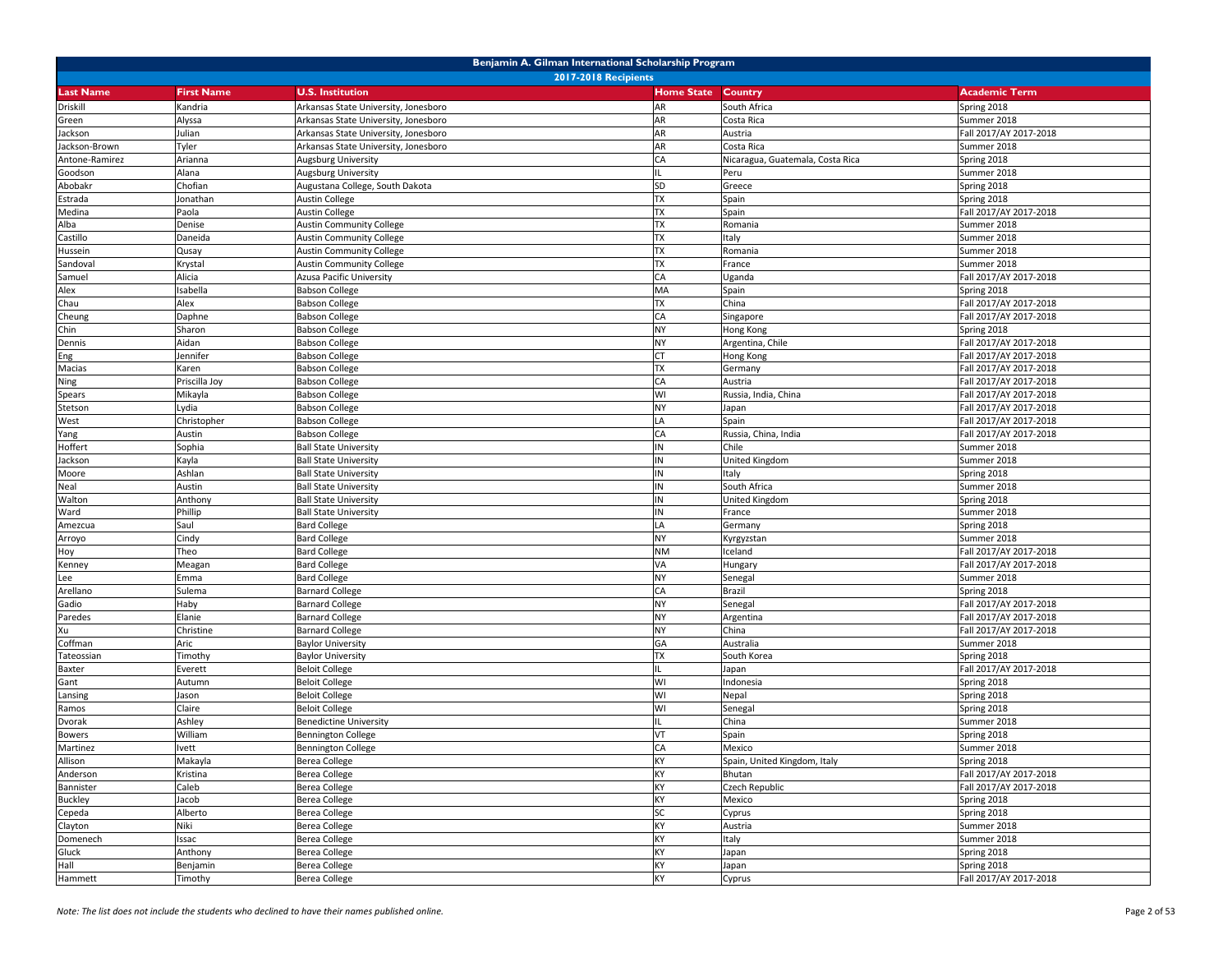|                  | Benjamin A. Gilman International Scholarship Program |                                      |                   |                                  |                        |  |  |  |
|------------------|------------------------------------------------------|--------------------------------------|-------------------|----------------------------------|------------------------|--|--|--|
|                  | <b>2017-2018 Recipients</b>                          |                                      |                   |                                  |                        |  |  |  |
| <b>Last Name</b> | <b>First Name</b>                                    | <b>U.S. Institution</b>              | <b>Home State</b> | <b>Country</b>                   | <b>Academic Term</b>   |  |  |  |
| Driskill         | Kandria                                              | Arkansas State University, Jonesboro | AR                | South Africa                     | Spring 2018            |  |  |  |
| Green            | Alyssa                                               | Arkansas State University, Jonesboro | AR                | Costa Rica                       | Summer 2018            |  |  |  |
| Jackson          | Julian                                               | Arkansas State University, Jonesboro | AR                | Austria                          | Fall 2017/AY 2017-2018 |  |  |  |
| Jackson-Brown    | Tyler                                                | Arkansas State University, Jonesboro | AR                | Costa Rica                       | Summer 2018            |  |  |  |
| Antone-Ramirez   | Arianna                                              | Augsburg University                  | CA                | Nicaragua, Guatemala, Costa Rica | Spring 2018            |  |  |  |
| Goodson          | Alana                                                | Augsburg University                  | IL                | Peru                             | Summer 2018            |  |  |  |
| Abobakr          | Chofian                                              | Augustana College, South Dakota      | SD                | Greece                           | Spring 2018            |  |  |  |
| Estrada          | Jonathan                                             | <b>Austin College</b>                | <b>TX</b>         | Spain                            | Spring 2018            |  |  |  |
| Medina           | Paola                                                | <b>Austin College</b>                | <b>TX</b>         | Spain                            | Fall 2017/AY 2017-2018 |  |  |  |
| Alba             | Denise                                               | <b>Austin Community College</b>      | <b>TX</b>         | Romania                          | Summer 2018            |  |  |  |
| Castillo         | Daneida                                              | <b>Austin Community College</b>      | <b>TX</b>         | Italy                            | Summer 2018            |  |  |  |
| Hussein          | Qusay                                                | <b>Austin Community College</b>      | TX                | Romania                          | Summer 2018            |  |  |  |
| Sandoval         | Krystal                                              | <b>Austin Community College</b>      | <b>TX</b>         | France                           | Summer 2018            |  |  |  |
| Samuel           | Alicia                                               | <b>Azusa Pacific University</b>      | CA                | Uganda                           | Fall 2017/AY 2017-2018 |  |  |  |
| Alex             | Isabella                                             | <b>Babson College</b>                | MA                | Spain                            | Spring 2018            |  |  |  |
| Chau             | Alex                                                 | <b>Babson College</b>                | <b>TX</b>         | China                            | Fall 2017/AY 2017-2018 |  |  |  |
| Cheung           | Daphne                                               | <b>Babson College</b>                | CA                | Singapore                        | Fall 2017/AY 2017-2018 |  |  |  |
| Chin             | Sharon                                               | <b>Babson College</b>                | <b>NY</b>         | Hong Kong                        | Spring 2018            |  |  |  |
| Dennis           | Aidan                                                | <b>Babson College</b>                | <b>NY</b>         | Argentina, Chile                 | Fall 2017/AY 2017-2018 |  |  |  |
| Eng              | Jennifer                                             | <b>Babson College</b>                | <b>CT</b>         | Hong Kong                        | Fall 2017/AY 2017-2018 |  |  |  |
| Macias           | Karen                                                | <b>Babson College</b>                | <b>TX</b>         | Germany                          | Fall 2017/AY 2017-2018 |  |  |  |
| Ning             | Priscilla Joy                                        | <b>Babson College</b>                | CA                | Austria                          | Fall 2017/AY 2017-2018 |  |  |  |
| Spears           | Mikayla                                              | <b>Babson College</b>                | WI                | Russia, India, China             | Fall 2017/AY 2017-2018 |  |  |  |
| Stetson          | .ydia                                                | <b>Babson College</b>                | <b>NY</b>         | Japan                            | Fall 2017/AY 2017-2018 |  |  |  |
| West             | Christopher                                          | <b>Babson College</b>                | LA                | Spain                            | Fall 2017/AY 2017-2018 |  |  |  |
| Yang             | Austin                                               | <b>Babson College</b>                | CA                | Russia, China, India             | Fall 2017/AY 2017-2018 |  |  |  |
| Hoffert          | Sophia                                               | <b>Ball State University</b>         | IN                | Chile                            | Summer 2018            |  |  |  |
| Jackson          | Kayla                                                | <b>Ball State University</b>         | IN                | United Kingdom                   | Summer 2018            |  |  |  |
| Moore            | Ashlan                                               | <b>Ball State University</b>         | IN                | Italy                            | Spring 2018            |  |  |  |
| Neal             | Austin                                               | <b>Ball State University</b>         | IN                | South Africa                     | Summer 2018            |  |  |  |
| Walton           | Anthony                                              | <b>Ball State University</b>         | IN                | United Kingdom                   | Spring 2018            |  |  |  |
| Ward             | Phillip                                              | <b>Ball State University</b>         | IN                | France                           | Summer 2018            |  |  |  |
| Amezcua          | Saul                                                 | <b>Bard College</b>                  | LA                | Germany                          | Spring 2018            |  |  |  |
| Arroyo           | Cindy                                                | <b>Bard College</b>                  | <b>NY</b>         | Kyrgyzstan                       | Summer 2018            |  |  |  |
| Hoy              | Theo                                                 | <b>Bard College</b>                  | <b>NM</b>         | Iceland                          | Fall 2017/AY 2017-2018 |  |  |  |
| Kenney           | Meagan                                               | <b>Bard College</b>                  | VA                | Hungary                          | Fall 2017/AY 2017-2018 |  |  |  |
| Lee              | Emma                                                 | <b>Bard College</b>                  | <b>NY</b>         | Senegal                          | Summer 2018            |  |  |  |
| Arellano         | Sulema                                               | <b>Barnard College</b>               | CA                | Brazil                           | Spring 2018            |  |  |  |
| Gadio            | Haby                                                 | <b>Barnard College</b>               | <b>NY</b>         | Senegal                          | Fall 2017/AY 2017-2018 |  |  |  |
| Paredes          | Elanie                                               | <b>Barnard College</b>               | <b>NY</b>         | Argentina                        | Fall 2017/AY 2017-2018 |  |  |  |
| Xu               | Christine                                            | Barnard College                      | <b>NY</b>         | China                            | Fall 2017/AY 2017-2018 |  |  |  |
| Coffman          | Aric                                                 | <b>Baylor University</b>             | GA                | Australia                        | Summer 2018            |  |  |  |
| Tateossian       | Timothy                                              | <b>Baylor University</b>             | <b>TX</b>         | South Korea                      | Spring 2018            |  |  |  |
| Baxter           | Everett                                              | <b>Beloit College</b>                |                   | Japan                            | Fall 2017/AY 2017-2018 |  |  |  |
| Gant             | Autumn                                               | <b>Beloit College</b>                | WI                | Indonesia                        | Spring 2018            |  |  |  |
| Lansing          | lason                                                | <b>Beloit College</b>                | WI                | Nepal                            | Spring 2018            |  |  |  |
| Ramos            | Claire                                               | <b>Beloit College</b>                | WI                | Senegal                          | Spring 2018            |  |  |  |
| Dvorak           | Ashley                                               | <b>Benedictine University</b>        |                   | China                            | Summer 2018            |  |  |  |
| <b>Bowers</b>    | William                                              | <b>Bennington College</b>            | VT                | Spain                            | Spring 2018            |  |  |  |
| Martinez         | <b>Ivett</b>                                         | <b>Bennington College</b>            | CA                | Mexico                           | Summer 2018            |  |  |  |
| Allison          | Makayla                                              | <b>Berea College</b>                 | KY                | Spain, United Kingdom, Italy     | Spring 2018            |  |  |  |
| Anderson         | Kristina                                             | Berea College                        | KY                | Bhutan                           | Fall 2017/AY 2017-2018 |  |  |  |
| Bannister        | Caleb                                                | Berea College                        | KY                | Czech Republic                   | Fall 2017/AY 2017-2018 |  |  |  |
| <b>Buckley</b>   | Jacob                                                | Berea College                        | KY                | Mexico                           | Spring 2018            |  |  |  |
| Cepeda           | Alberto                                              | <b>Berea College</b>                 | SC                | Cyprus                           | Spring 2018            |  |  |  |
| Clayton          | Niki                                                 | Berea College                        | KY                | Austria                          | Summer 2018            |  |  |  |
| Domenech         | Issac                                                | Berea College                        | KY                | Italy                            | Summer 2018            |  |  |  |
| Gluck            | Anthony                                              | <b>Berea College</b>                 | KY                | Japan                            | Spring 2018            |  |  |  |
| Hall             | Benjamin                                             | <b>Berea College</b>                 | KY                | Japan                            | Spring 2018            |  |  |  |
| Hammett          | Timothy                                              | <b>Berea College</b>                 | KY                | Cyprus                           | Fall 2017/AY 2017-2018 |  |  |  |
|                  |                                                      |                                      |                   |                                  |                        |  |  |  |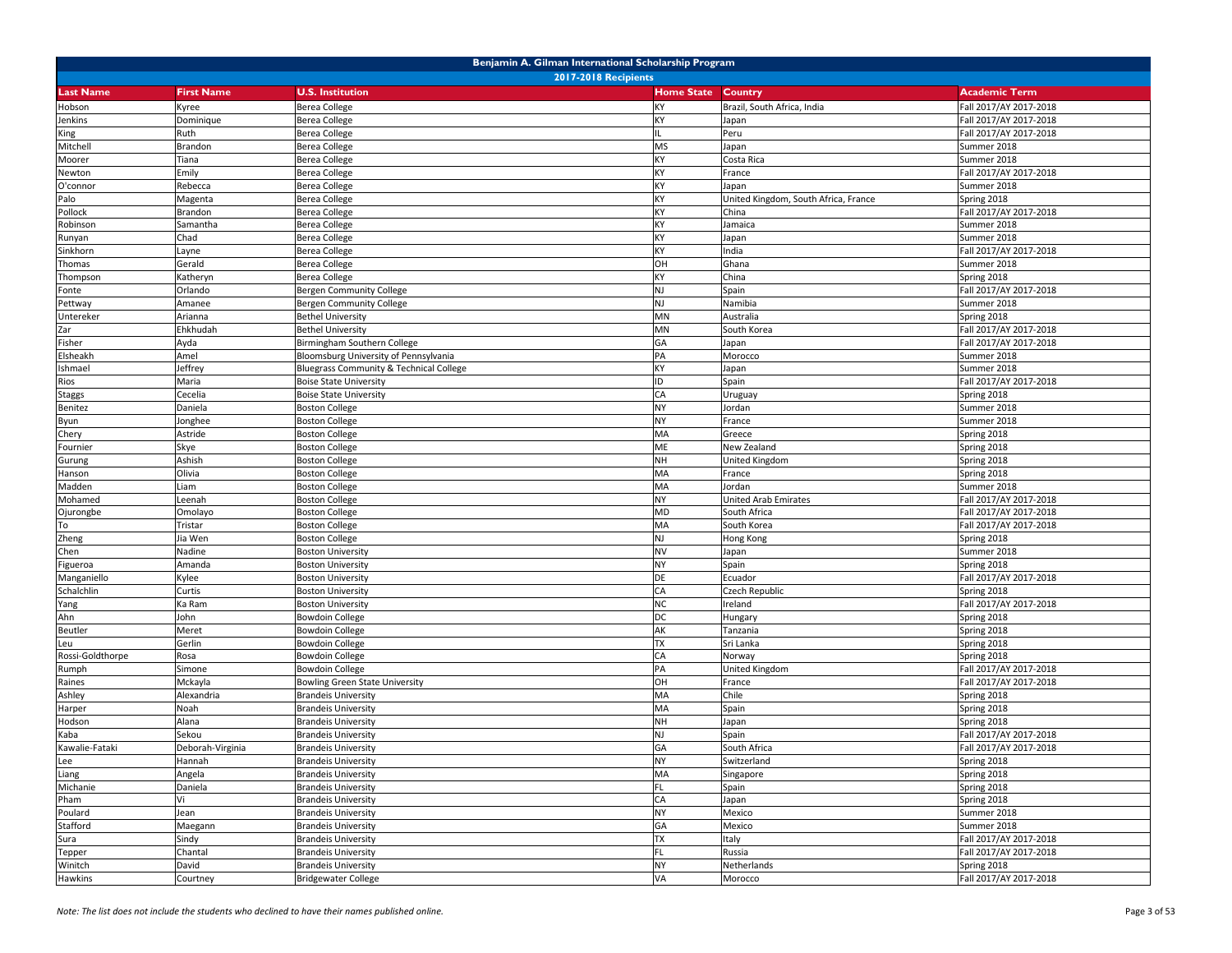| Benjamin A. Gilman International Scholarship Program |                   |                                                          |                           |                                      |                            |  |
|------------------------------------------------------|-------------------|----------------------------------------------------------|---------------------------|--------------------------------------|----------------------------|--|
|                                                      |                   | <b>2017-2018 Recipients</b>                              |                           |                                      |                            |  |
| <b>Last Name</b>                                     | <b>First Name</b> | <b>U.S. Institution</b>                                  | <b>Home State Country</b> |                                      | <b>Academic Term</b>       |  |
| Hobson                                               | Kyree             | Berea College                                            | KY                        | Brazil, South Africa, India          | Fall 2017/AY 2017-2018     |  |
| Jenkins                                              | Dominique         | Berea College                                            | KY                        | Japan                                | Fall 2017/AY 2017-2018     |  |
| King                                                 | Ruth              | Berea College                                            |                           | Peru                                 | Fall 2017/AY 2017-2018     |  |
| Mitchell                                             | Brandon           | Berea College                                            | <b>MS</b>                 | Japan                                | Summer 2018                |  |
| Moorer                                               | Tiana             | Berea College                                            | KY                        | Costa Rica                           | Summer 2018                |  |
| Newton                                               | Emily             | Berea College                                            | KY                        | France                               | Fall 2017/AY 2017-2018     |  |
| O'connor                                             | Rebecca           | Berea College                                            | KY                        | Japan                                | Summer 2018                |  |
| Palo                                                 | Magenta           | Berea College                                            | KY                        | United Kingdom, South Africa, France | Spring 2018                |  |
| Pollock                                              | Brandon           | Berea College                                            | KY                        | China                                | Fall 2017/AY 2017-2018     |  |
| Robinson                                             | Samantha          | Berea College                                            | KY                        | Jamaica                              | Summer 2018                |  |
| Runyan                                               | Chad              | Berea College                                            | KY                        | Japan                                | Summer 2018                |  |
| Sinkhorn                                             | Layne             | Berea College                                            | KY                        | India                                | Fall 2017/AY 2017-2018     |  |
| Thomas                                               | Gerald            | <b>Berea College</b>                                     | OH                        | Ghana                                | Summer 2018                |  |
| Thompson                                             | Katheryn          | Berea College                                            | KY                        | China                                | Spring 2018                |  |
| Fonte                                                | Orlando           | Bergen Community College                                 | NJ                        | Spain                                | Fall 2017/AY 2017-2018     |  |
| Pettway                                              | Amanee            | Bergen Community College                                 | NJ                        | Namibia                              | Summer 2018                |  |
| Untereker                                            | Arianna           | <b>Bethel University</b>                                 | MN                        | Australia                            | Spring 2018                |  |
| Zar                                                  | Ehkhudah          | <b>Bethel University</b>                                 | MN                        | South Korea                          | Fall 2017/AY 2017-2018     |  |
| Fisher                                               | Ayda              | Birmingham Southern College                              | GA                        | Japan                                | Fall 2017/AY 2017-2018     |  |
| Elsheakh                                             | Amel              | Bloomsburg University of Pennsylvania                    | PA                        | Morocco                              | Summer 2018                |  |
| Ishmael                                              | Jeffrey           | Bluegrass Community & Technical College                  | KY                        | Japan                                | Summer 2018                |  |
| Rios                                                 | Maria             | <b>Boise State University</b>                            | ID                        | Spain                                | Fall 2017/AY 2017-2018     |  |
| <b>Staggs</b>                                        | Cecelia           | <b>Boise State University</b>                            | CA                        | Uruguay                              | Spring 2018                |  |
| Benitez                                              | Daniela           | <b>Boston College</b>                                    | NY                        | Jordan                               | Summer 2018                |  |
| Byun                                                 | Jonghee           | <b>Boston College</b>                                    | NY                        | France                               | Summer 2018                |  |
| Chery                                                | Astride           | <b>Boston College</b>                                    | MA                        | Greece                               | Spring 2018                |  |
| Fournier                                             | Skye              | <b>Boston College</b>                                    | ME                        | New Zealand                          | Spring 2018                |  |
| Gurung                                               | Ashish            | <b>Boston College</b>                                    | <b>NH</b>                 | <b>United Kingdom</b>                | Spring 2018                |  |
| Hanson                                               | Olivia            | <b>Boston College</b>                                    | MA                        | France                               | Spring 2018                |  |
| Madden                                               | Liam              | <b>Boston College</b>                                    | MA                        | Jordan                               | Summer 2018                |  |
| Mohamed                                              | -eenah            | <b>Boston College</b>                                    | NY                        | <b>United Arab Emirates</b>          | Fall 2017/AY 2017-2018     |  |
| Ojurongbe                                            | Omolayo           | <b>Boston College</b>                                    | MD                        | South Africa                         | Fall 2017/AY 2017-2018     |  |
| To                                                   | Tristar           | <b>Boston College</b>                                    | MA                        | South Korea                          | Fall 2017/AY 2017-2018     |  |
| Zheng                                                | Jia Wen           | <b>Boston College</b>                                    | NJ                        | Hong Kong                            | Spring 2018                |  |
| Chen                                                 | Nadine            | <b>Boston University</b>                                 | <b>NV</b>                 | Japan                                | Summer 2018                |  |
| Figueroa                                             | Amanda            | <b>Boston University</b>                                 | <b>NY</b>                 | Spain                                | Spring 2018                |  |
| Manganiello                                          | Kylee             | <b>Boston University</b>                                 | DE                        | Ecuador                              | Fall 2017/AY 2017-2018     |  |
| Schalchlin                                           | Curtis            | <b>Boston University</b>                                 | CA                        | Czech Republic                       | Spring 2018                |  |
| Yang                                                 | Ka Ram            | <b>Boston University</b>                                 | NC                        | Ireland                              | Fall 2017/AY 2017-2018     |  |
| Ahn                                                  | John              | <b>Bowdoin College</b>                                   | DC                        | Hungary                              | Spring 2018                |  |
| Beutler                                              | Meret             | <b>Bowdoin College</b>                                   | AK                        | Tanzania                             | Spring 2018                |  |
| Leu                                                  | Gerlin            | <b>Bowdoin College</b>                                   | <b>TX</b>                 | Sri Lanka                            | Spring 2018                |  |
| Rossi-Goldthorpe                                     | Rosa              | <b>Bowdoin College</b>                                   | CA                        | Norway                               | Spring 2018                |  |
| Rumph                                                | Simone            | <b>Bowdoin College</b>                                   | PA                        | <b>United Kingdom</b>                | Fall 2017/AY 2017-2018     |  |
| Raines                                               | Mckayla           | <b>Bowling Green State University</b>                    | OH                        | France                               | Fall 2017/AY 2017-2018     |  |
| Ashley                                               | Alexandria        | <b>Brandeis University</b>                               | MA                        | Chile                                | Spring 2018                |  |
| Harper                                               | Noah              | <b>Brandeis University</b>                               | MA                        | Spain                                | Spring 2018                |  |
| Hodson                                               | Alana             | <b>Brandeis University</b>                               | <b>NH</b>                 | Japan                                | Spring 2018                |  |
| Kaba                                                 | Sekou             | <b>Brandeis University</b>                               | NJ                        | Spain                                | Fall 2017/AY 2017-2018     |  |
| Kawalie-Fataki                                       | Deborah-Virginia  | <b>Brandeis University</b>                               | GA                        | South Africa                         | Fall 2017/AY 2017-2018     |  |
|                                                      |                   |                                                          | <b>NY</b>                 |                                      |                            |  |
| Lee<br>Liang                                         | Hannah<br>Angela  | <b>Brandeis University</b><br><b>Brandeis University</b> | MA                        | Switzerland                          | Spring 2018<br>Spring 2018 |  |
| Michanie                                             |                   | <b>Brandeis University</b>                               | FL                        | Singapore                            |                            |  |
|                                                      | Daniela           |                                                          |                           | Spain                                | Spring 2018                |  |
| Pham                                                 | Vi                | <b>Brandeis University</b>                               | CA<br><b>NY</b>           | Japan                                | Spring 2018                |  |
| Poulard                                              | Jean              | <b>Brandeis University</b>                               |                           | Mexico                               | Summer 2018                |  |
| Stafford                                             | Maegann           | <b>Brandeis University</b>                               | GA                        | Mexico                               | Summer 2018                |  |
| Sura                                                 | Sindy             | <b>Brandeis University</b>                               | <b>TX</b>                 | Italy                                | Fall 2017/AY 2017-2018     |  |
| Tepper                                               | Chantal           | <b>Brandeis University</b>                               | FL.                       | Russia                               | Fall 2017/AY 2017-2018     |  |
| Winitch                                              | David             | <b>Brandeis University</b>                               | <b>NY</b>                 | Netherlands                          | Spring 2018                |  |
| Hawkins                                              | Courtney          | <b>Bridgewater College</b>                               | VA                        | Morocco                              | Fall 2017/AY 2017-2018     |  |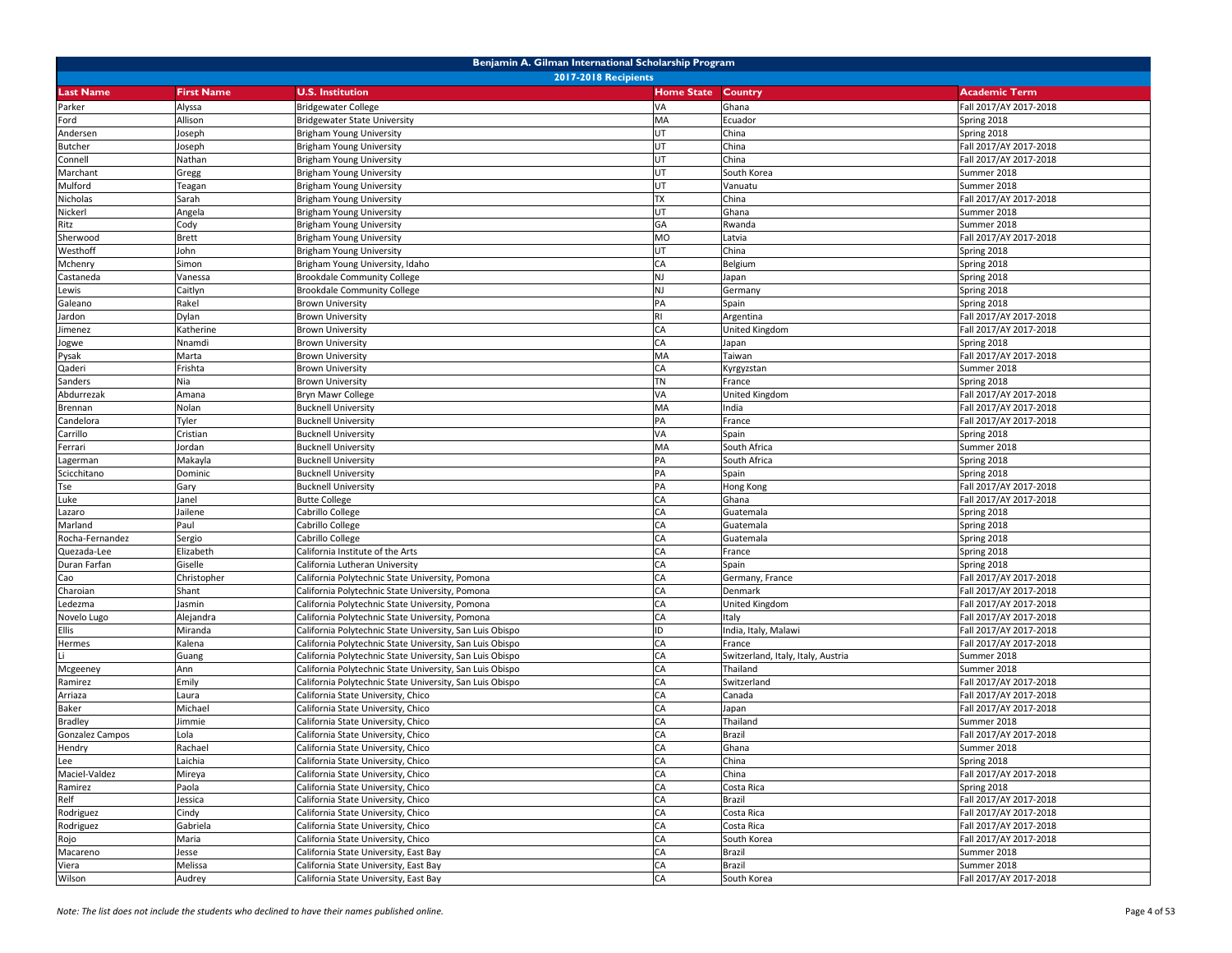| Benjamin A. Gilman International Scholarship Program<br><b>2017-2018 Recipients</b> |                   |                                                                   |                   |                                    |                                       |  |  |
|-------------------------------------------------------------------------------------|-------------------|-------------------------------------------------------------------|-------------------|------------------------------------|---------------------------------------|--|--|
| <b>Last Name</b>                                                                    | <b>First Name</b> | <b>U.S. Institution</b>                                           | <b>Home State</b> | <b>Country</b>                     | <b>Academic Term</b>                  |  |  |
|                                                                                     |                   |                                                                   | VA                | Ghana                              |                                       |  |  |
| Parker<br>Ford                                                                      | Alyssa<br>Allison | <b>Bridgewater College</b><br><b>Bridgewater State University</b> | MA                | Ecuador                            | Fall 2017/AY 2017-2018<br>Spring 2018 |  |  |
| Andersen                                                                            | loseph            | <b>Brigham Young University</b>                                   | UT                | China                              | Spring 2018                           |  |  |
| <b>Butcher</b>                                                                      | Joseph            | Brigham Young University                                          | UT                | China                              | Fall 2017/AY 2017-2018                |  |  |
| Connell                                                                             | Nathan            | Brigham Young University                                          | UT                | China                              | Fall 2017/AY 2017-2018                |  |  |
| Marchant                                                                            | Gregg             | <b>Brigham Young University</b>                                   | UT                | South Korea                        | Summer 2018                           |  |  |
| Mulford                                                                             | Teagan            | Brigham Young University                                          | UT                | Vanuatu                            | Summer 2018                           |  |  |
| Nicholas                                                                            | Sarah             | <b>Brigham Young University</b>                                   | <b>TX</b>         | China                              | Fall 2017/AY 2017-2018                |  |  |
| Nickerl                                                                             | Angela            | Brigham Young University                                          | UT                | Ghana                              | Summer 2018                           |  |  |
| Ritz                                                                                | Cody              | Brigham Young University                                          | GA                | Rwanda                             | Summer 2018                           |  |  |
| Sherwood                                                                            | <b>Brett</b>      | <b>Brigham Young University</b>                                   | <b>MO</b>         | Latvia                             | Fall 2017/AY 2017-2018                |  |  |
| Westhoff                                                                            | John              | Brigham Young University                                          | UT                | China                              | Spring 2018                           |  |  |
| Mchenry                                                                             | Simon             | Brigham Young University, Idaho                                   | CA                | Belgium                            | Spring 2018                           |  |  |
| Castaneda                                                                           | Vanessa           | <b>Brookdale Community College</b>                                | <b>NJ</b>         | Japan                              | Spring 2018                           |  |  |
| Lewis                                                                               | Caitlyn           | <b>Brookdale Community College</b>                                | <b>NJ</b>         | Germany                            | Spring 2018                           |  |  |
| Galeano                                                                             | Rakel             | <b>Brown University</b>                                           | PA                | Spain                              | Spring 2018                           |  |  |
| Jardon                                                                              | Dylan             | <b>Brown University</b>                                           | <b>RI</b>         | Argentina                          | Fall 2017/AY 2017-2018                |  |  |
| imenez                                                                              | Katherine         | <b>Brown University</b>                                           | CA                | United Kingdom                     | Fall 2017/AY 2017-2018                |  |  |
| Jogwe                                                                               | Nnamdi            | <b>Brown University</b>                                           | CA                | Japan                              | Spring 2018                           |  |  |
| Pysak                                                                               | Marta             | <b>Brown University</b>                                           | MA                | Taiwan                             | Fall 2017/AY 2017-2018                |  |  |
| Qaderi                                                                              | Frishta           | <b>Brown University</b>                                           | CA                | Kyrgyzstan                         | Summer 2018                           |  |  |
| Sanders                                                                             | Nia               | <b>Brown University</b>                                           | <b>TN</b>         | France                             | Spring 2018                           |  |  |
| Abdurrezak                                                                          | Amana             | Bryn Mawr College                                                 | VA                | United Kingdom                     | Fall 2017/AY 2017-2018                |  |  |
| Brennan                                                                             | Nolan             | <b>Bucknell University</b>                                        | MA                | India                              | Fall 2017/AY 2017-2018                |  |  |
| Candelora                                                                           | Tyler             | <b>Bucknell University</b>                                        | PA                | France                             | Fall 2017/AY 2017-2018                |  |  |
| Carrillo                                                                            | Cristian          | <b>Bucknell University</b>                                        | VA                | Spain                              | Spring 2018                           |  |  |
| Ferrari                                                                             | Jordan            | <b>Bucknell University</b>                                        | MA                | South Africa                       | Summer 2018                           |  |  |
| Lagerman                                                                            | Makayla           | <b>Bucknell University</b>                                        | PA                | South Africa                       | Spring 2018                           |  |  |
| Scicchitano                                                                         | Dominic           | <b>Bucknell University</b>                                        | PA                | Spain                              | Spring 2018                           |  |  |
| Tse                                                                                 | Gary              | <b>Bucknell University</b>                                        | PA                | Hong Kong                          | Fall 2017/AY 2017-2018                |  |  |
| Luke                                                                                | Janel             | <b>Butte College</b>                                              | CA                | Ghana                              | Fall 2017/AY 2017-2018                |  |  |
| Lazaro                                                                              | Jailene           | Cabrillo College                                                  | CA                | Guatemala                          | Spring 2018                           |  |  |
| Marland                                                                             | Paul              | Cabrillo College                                                  | CA                | Guatemala                          | Spring 2018                           |  |  |
| Rocha-Fernandez                                                                     | Sergio            | Cabrillo College                                                  | CA                | Guatemala                          | Spring 2018                           |  |  |
| Quezada-Lee                                                                         | Elizabeth         | California Institute of the Arts                                  | CA                | France                             | Spring 2018                           |  |  |
| Duran Farfan                                                                        | Giselle           | California Lutheran University                                    | CA                | Spain                              | Spring 2018                           |  |  |
| Cao                                                                                 | Christopher       | California Polytechnic State University, Pomona                   | CA                | Germany, France                    | Fall 2017/AY 2017-2018                |  |  |
| Charoian                                                                            | Shant             | California Polytechnic State University, Pomona                   | CA                | Denmark                            | Fall 2017/AY 2017-2018                |  |  |
| Ledezma                                                                             | Jasmin            | California Polytechnic State University, Pomona                   | CA                | United Kingdom                     | Fall 2017/AY 2017-2018                |  |  |
| Novelo Lugo                                                                         | Alejandra         | California Polytechnic State University, Pomona                   | CA                | Italy                              | Fall 2017/AY 2017-2018                |  |  |
| Ellis                                                                               | Miranda           | California Polytechnic State University, San Luis Obispo          | ID                | India, Italy, Malawi               | Fall 2017/AY 2017-2018                |  |  |
| Hermes                                                                              | Kalena            | California Polytechnic State University, San Luis Obispo          | CA                | France                             | Fall 2017/AY 2017-2018                |  |  |
|                                                                                     | Guang             | California Polytechnic State University, San Luis Obispo          | CA                | Switzerland, Italy, Italy, Austria | Summer 2018                           |  |  |
| Mcgeeney                                                                            | Ann               | California Polytechnic State University, San Luis Obispo          | CA                | Thailand                           | Summer 2018                           |  |  |
| Ramirez                                                                             | Emily             | California Polytechnic State University, San Luis Obispo          | CA                | Switzerland                        | Fall 2017/AY 2017-2018                |  |  |
| Arriaza                                                                             | Laura             | California State University, Chico                                | CA                | Canada                             | Fall 2017/AY 2017-2018                |  |  |
| Baker                                                                               | Michael           | California State University, Chico                                | CA                | Japan                              | Fall 2017/AY 2017-2018                |  |  |
| <b>Bradley</b>                                                                      | limmie            | California State University, Chico                                | CA                | Thailand                           | Summer 2018                           |  |  |
| Gonzalez Campos                                                                     | Lola              | California State University, Chico                                | CA                | Brazil                             | Fall 2017/AY 2017-2018                |  |  |
| Hendry                                                                              | Rachael           | California State University, Chico                                | CA                | Ghana                              | Summer 2018                           |  |  |
| Lee                                                                                 | Laichia           | California State University, Chico                                | CA                | China                              | Spring 2018                           |  |  |
| Maciel-Valdez                                                                       | Mireya            | California State University, Chico                                | CA                | China                              | Fall 2017/AY 2017-2018                |  |  |
| Ramirez                                                                             | Paola             | California State University, Chico                                | CA                | Costa Rica                         | Spring 2018                           |  |  |
| Relf                                                                                | Jessica           | California State University, Chico                                | CA                | Brazil                             | Fall 2017/AY 2017-2018                |  |  |
| Rodriguez                                                                           | Cindy             | California State University, Chico                                | CA                | Costa Rica                         | Fall 2017/AY 2017-2018                |  |  |
| Rodriguez                                                                           | Gabriela          | California State University, Chico                                | CA                | Costa Rica                         | Fall 2017/AY 2017-2018                |  |  |
| Rojo                                                                                | Maria             | California State University, Chico                                | CA                | South Korea                        | Fall 2017/AY 2017-2018                |  |  |
| Macareno                                                                            | Jesse             | California State University, East Bay                             | CA                | Brazil                             | Summer 2018                           |  |  |
| Viera                                                                               | Melissa           | California State University, East Bay                             | CA                | Brazil                             | Summer 2018                           |  |  |
| Wilson                                                                              | Audrey            | California State University, East Bay                             | CA                | South Korea                        | Fall 2017/AY 2017-2018                |  |  |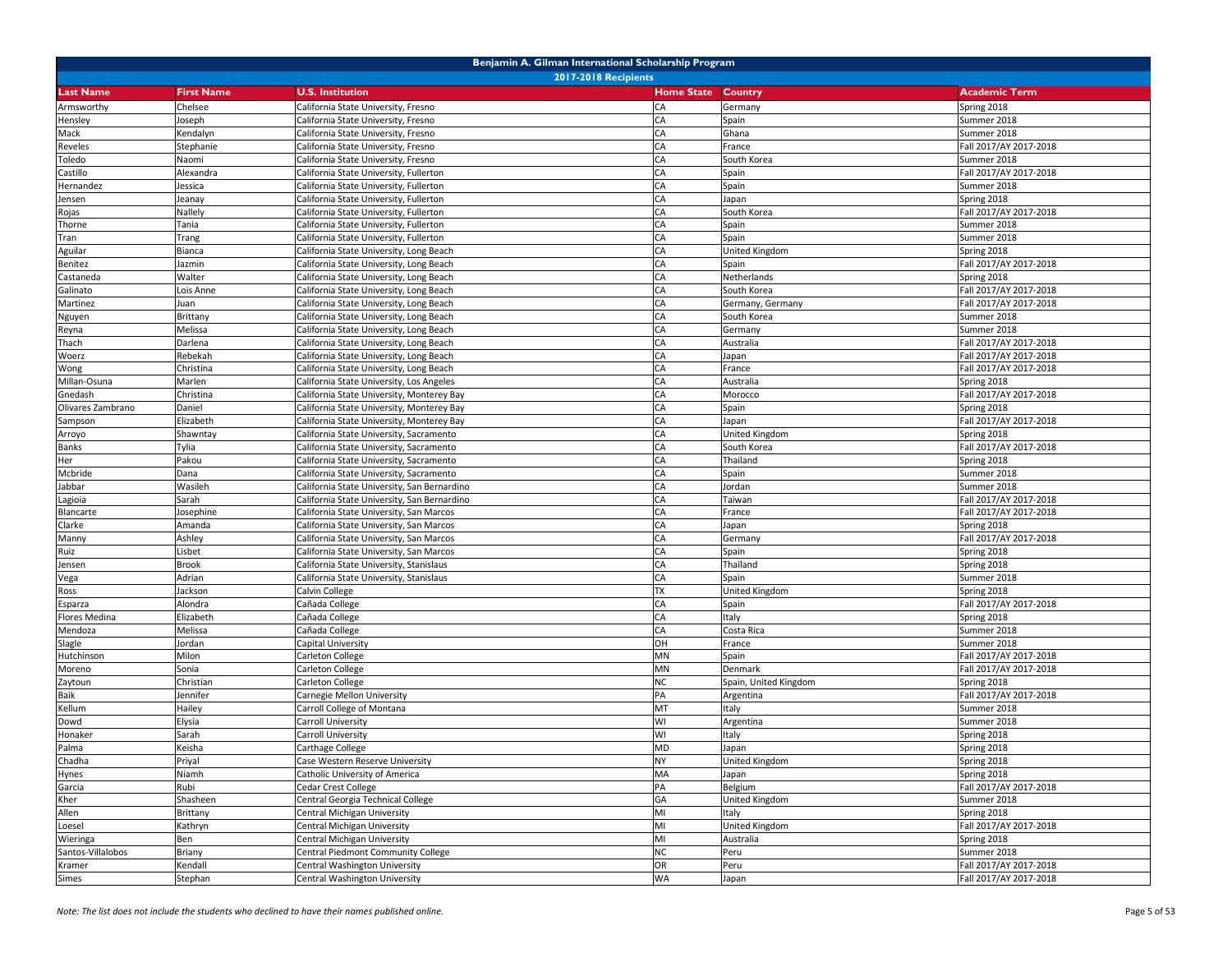| Benjamin A. Gilman International Scholarship Program |                   |                                             |                   |                       |                        |  |
|------------------------------------------------------|-------------------|---------------------------------------------|-------------------|-----------------------|------------------------|--|
| <b>2017-2018 Recipients</b>                          |                   |                                             |                   |                       |                        |  |
| <b>Last Name</b>                                     | <b>First Name</b> | <b>U.S. Institution</b>                     | <b>Home State</b> | Country               | <b>Academic Term</b>   |  |
| Armsworthy                                           | Chelsee           | California State University, Fresno         | CA                | Germany               | Spring 2018            |  |
| Hensley                                              | Joseph            | California State University, Fresno         | CA                | Spain                 | Summer 2018            |  |
| Mack                                                 | Kendalyn          | California State University, Fresno         | CA                | Ghana                 | Summer 2018            |  |
| Reveles                                              | Stephanie         | California State University, Fresno         | CA                | France                | Fall 2017/AY 2017-2018 |  |
| Toledo                                               | Naomi             | California State University, Fresno         | CA                | South Korea           | Summer 2018            |  |
| Castillo                                             | Alexandra         | California State University, Fullerton      | CA                | Spain                 | Fall 2017/AY 2017-2018 |  |
| Hernandez                                            | Jessica           | California State University, Fullerton      | CA                | Spain                 | Summer 2018            |  |
| Jensen                                               | Jeanay            | California State University, Fullerton      | CA                | Japan                 | Spring 2018            |  |
| Rojas                                                | Nallely           | California State University, Fullerton      | СA                | South Korea           | Fall 2017/AY 2017-2018 |  |
| Thorne                                               | Tania             | California State University, Fullerton      | CA                | Spain                 | Summer 2018            |  |
| Tran                                                 | Trang             | California State University, Fullerton      | CA                | Spain                 | Summer 2018            |  |
| Aguilar                                              | Bianca            | California State University, Long Beach     | CA                | <b>United Kingdom</b> | Spring 2018            |  |
| Benitez                                              | Jazmin            | California State University, Long Beach     | CA                | Spain                 | Fall 2017/AY 2017-2018 |  |
| Castaneda                                            | Walter            | California State University, Long Beach     | CA                | Netherlands           | Spring 2018            |  |
| Galinato                                             | Lois Anne         | California State University, Long Beach     | CA                | South Korea           | Fall 2017/AY 2017-2018 |  |
| Martinez                                             | Juan              | California State University, Long Beach     | CA                | Germany, Germany      | Fall 2017/AY 2017-2018 |  |
| Nguyen                                               | Brittany          | California State University, Long Beach     | CA                | South Korea           | Summer 2018            |  |
| Reyna                                                | Melissa           | California State University, Long Beach     | CA                | Germany               | Summer 2018            |  |
| Thach                                                | Darlena           | California State University, Long Beach     | CA                | Australia             | Fall 2017/AY 2017-2018 |  |
| Woerz                                                | Rebekah           | California State University, Long Beach     | CA                | Japan                 | Fall 2017/AY 2017-2018 |  |
| Wong                                                 | Christina         | California State University, Long Beach     | CA                | France                | Fall 2017/AY 2017-2018 |  |
| Millan-Osuna                                         | Marlen            | California State University, Los Angeles    | CA                | Australia             | Spring 2018            |  |
| Gnedash                                              | Christina         | California State University, Monterey Bay   | CA                | Morocco               | Fall 2017/AY 2017-2018 |  |
| Olivares Zambrano                                    | Daniel            | California State University, Monterey Bay   | СA                | Spain                 | Spring 2018            |  |
| Sampson                                              | Elizabeth         | California State University, Monterey Bay   | CA                | Japan                 | Fall 2017/AY 2017-2018 |  |
| Arroyo                                               | Shawntay          | California State University, Sacramento     | CA                | United Kingdom        | Spring 2018            |  |
| Banks                                                | Tylia             | California State University, Sacramento     | CA                | South Korea           | Fall 2017/AY 2017-2018 |  |
| Her                                                  | Pakou             | California State University, Sacramento     | CA                | Thailand              | Spring 2018            |  |
| Mcbride                                              | Dana              | California State University, Sacramento     | CA                | Spain                 | Summer 2018            |  |
| Jabbar                                               | Wasileh           | California State University, San Bernardino | CA                | Jordan                | Summer 2018            |  |
| Lagioia                                              | Sarah             | California State University, San Bernardino | CA                | Taiwan                | Fall 2017/AY 2017-2018 |  |
| Blancarte                                            | Josephine         | California State University, San Marcos     | CA                | France                | Fall 2017/AY 2017-2018 |  |
| Clarke                                               | Amanda            | California State University, San Marcos     | CA                | Japan                 | Spring 2018            |  |
| Manny                                                | Ashley            | California State University, San Marcos     | CA                | Germany               | Fall 2017/AY 2017-2018 |  |
| Ruiz                                                 | Lisbet            | California State University, San Marcos     | CA                | Spain                 | Spring 2018            |  |
| Jensen                                               | <b>Brook</b>      | California State University, Stanislaus     | CA                | Thailand              | Spring 2018            |  |
| Vega                                                 | Adrian            | California State University, Stanislaus     | CA                | Spain                 | Summer 2018            |  |
| Ross                                                 | Jackson           | Calvin College                              | <b>TX</b>         | United Kingdom        | Spring 2018            |  |
| Esparza                                              | Alondra           | Cañada College                              | СA                | Spain                 | Fall 2017/AY 2017-2018 |  |
| Flores Medina                                        | Elizabeth         | Cañada College                              | CA                | Italy                 | Spring 2018            |  |
| Mendoza                                              | Melissa           | Cañada College                              | CA                | Costa Rica            | Summer 2018            |  |
| Slagle                                               | Jordan            | Capital University                          | OH                | France                | Summer 2018            |  |
| Hutchinson                                           | Milon             | Carleton College                            | MN                | Spain                 | Fall 2017/AY 2017-2018 |  |
| Moreno                                               | Sonia             | Carleton College                            | MN                | Denmark               | Fall 2017/AY 2017-2018 |  |
| Zaytoun                                              | Christian         | Carleton College                            | <b>NC</b>         | Spain, United Kingdom | Spring 2018            |  |
| Baik                                                 | Jennifer          | Carnegie Mellon University                  | PA                | Argentina             | Fall 2017/AY 2017-2018 |  |
| Kellum                                               | Hailey            | Carroll College of Montana                  | MT                | Italy                 | Summer 2018            |  |
| Dowd                                                 | Elysia            | Carroll University                          | WI                | Argentina             | Summer 2018            |  |
| Honaker                                              | Sarah             | Carroll University                          | WI                | Italy                 | Spring 2018            |  |
| Palma                                                | Keisha            | Carthage College                            | <b>MD</b>         | Japan                 | Spring 2018            |  |
| Chadha                                               | Priyal            | Case Western Reserve University             | <b>NY</b>         | United Kingdom        | Spring 2018            |  |
| Hynes                                                | Niamh             | Catholic University of America              | MA                | Japan                 | Spring 2018            |  |
| Garcia                                               | Rubi              | Cedar Crest College                         | PA                | Belgium               | Fall 2017/AY 2017-2018 |  |
| Kher                                                 | Shasheen          | Central Georgia Technical College           | GA                | United Kingdom        | Summer 2018            |  |
| Allen                                                | Brittany          | Central Michigan University                 | MI                | Italy                 | Spring 2018            |  |
| Loesel                                               | Kathryn           | Central Michigan University                 | MI                | United Kingdom        | Fall 2017/AY 2017-2018 |  |
| Wieringa                                             | Ben               | Central Michigan University                 | MI                | Australia             | Spring 2018            |  |
| Santos-Villalobos                                    | Briany            | Central Piedmont Community College          | <b>NC</b>         | Peru                  | Summer 2018            |  |
| Kramer                                               | Kendall           | Central Washington University               | OR                | Peru                  | Fall 2017/AY 2017-2018 |  |
| Simes                                                | Stephan           | Central Washington University               | <b>WA</b>         | Japan                 | Fall 2017/AY 2017-2018 |  |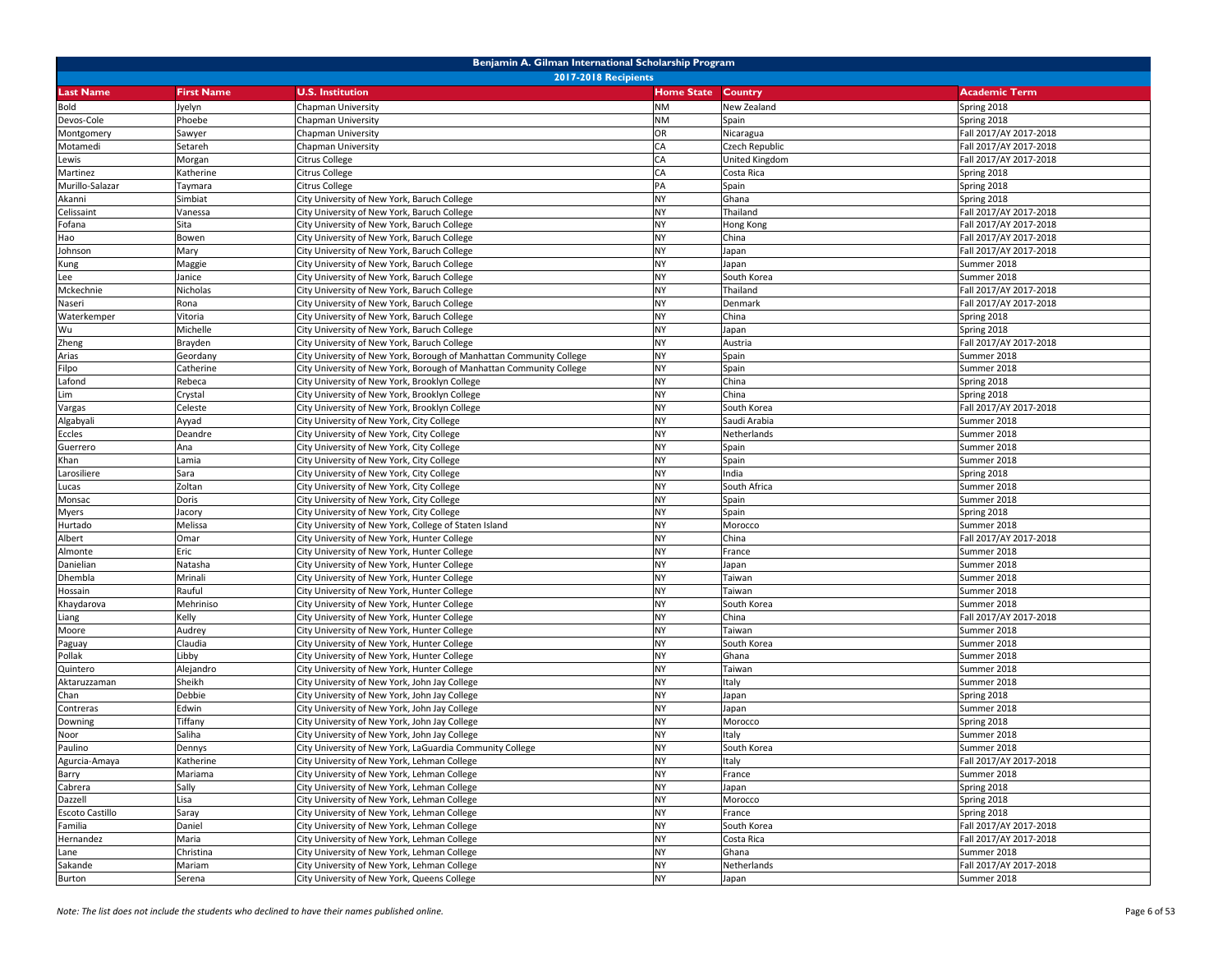| Benjamin A. Gilman International Scholarship Program |                             |                                                                                                |                        |                       |                                       |  |  |
|------------------------------------------------------|-----------------------------|------------------------------------------------------------------------------------------------|------------------------|-----------------------|---------------------------------------|--|--|
|                                                      | <b>2017-2018 Recipients</b> |                                                                                                |                        |                       |                                       |  |  |
| <b>Last Name</b>                                     | <b>First Name</b>           | <b>U.S. Institution</b>                                                                        | <b>Home State</b>      | <b>Country</b>        | <b>Academic Term</b>                  |  |  |
| <b>Bold</b>                                          | Jyelyn                      | Chapman University                                                                             | <b>NM</b>              | New Zealand           | Spring 2018                           |  |  |
| Devos-Cole                                           | Phoebe                      | Chapman University                                                                             | <b>NM</b>              | Spain                 | Spring 2018                           |  |  |
| Montgomery                                           | Sawyer                      | Chapman University                                                                             | OR                     | Nicaragua             | Fall 2017/AY 2017-2018                |  |  |
| Motamedi                                             | Setareh                     | Chapman University                                                                             | CA                     | Czech Republic        | Fall 2017/AY 2017-2018                |  |  |
| Lewis                                                | Morgan                      | Citrus College                                                                                 | CA                     | United Kingdom        | Fall 2017/AY 2017-2018                |  |  |
| Martinez                                             | Katherine                   | Citrus College                                                                                 | CA                     | Costa Rica            | Spring 2018                           |  |  |
| Murillo-Salazar                                      | Taymara                     | Citrus College                                                                                 | PA                     | Spain                 | Spring 2018                           |  |  |
| Akanni                                               | Simbiat                     | City University of New York, Baruch College                                                    | <b>NY</b>              | Ghana                 | Spring 2018                           |  |  |
| Celissaint                                           | Vanessa                     | City University of New York, Baruch College                                                    | <b>NY</b>              | Thailand              | Fall 2017/AY 2017-2018                |  |  |
| Fofana                                               | Sita                        | City University of New York, Baruch College                                                    | <b>NY</b>              | Hong Kong             | Fall 2017/AY 2017-2018                |  |  |
| Hao                                                  | Bowen                       | City University of New York, Baruch College                                                    | <b>NY</b>              | China                 | Fall 2017/AY 2017-2018                |  |  |
| Johnson                                              | Mary                        | City University of New York, Baruch College                                                    | <b>NY</b>              | Japan                 | Fall 2017/AY 2017-2018                |  |  |
| Kung                                                 | Maggie                      | City University of New York, Baruch College                                                    | <b>NY</b>              | Japan                 | Summer 2018                           |  |  |
| Lee                                                  | Janice                      | City University of New York, Baruch College                                                    | <b>NY</b>              | South Korea           | Summer 2018                           |  |  |
| Mckechnie                                            | Nicholas                    | City University of New York, Baruch College                                                    | <b>NY</b>              | Thailand              | Fall 2017/AY 2017-2018                |  |  |
| Naseri                                               | Rona                        | City University of New York, Baruch College                                                    | <b>NY</b>              | Denmark               | Fall 2017/AY 2017-2018                |  |  |
| Waterkemper                                          | Vitoria                     | City University of New York, Baruch College                                                    | <b>NY</b>              | China                 | Spring 2018                           |  |  |
| Wu                                                   | Michelle                    | City University of New York, Baruch College                                                    | <b>NY</b>              | Japan                 | Spring 2018                           |  |  |
| Zheng                                                | Brayden                     | City University of New York, Baruch College                                                    | <b>NY</b>              | Austria               | Fall 2017/AY 2017-2018                |  |  |
| Arias                                                | Geordany                    | City University of New York, Borough of Manhattan Community College                            | <b>NY</b>              | Spain                 | Summer 2018                           |  |  |
| Filpo                                                | Catherine                   | City University of New York, Borough of Manhattan Community College                            | <b>NY</b>              | Spain                 | Summer 2018                           |  |  |
| Lafond                                               | Rebeca                      | City University of New York, Brooklyn College                                                  | <b>NY</b>              | China                 | Spring 2018                           |  |  |
| Lim                                                  |                             |                                                                                                | <b>NY</b>              | China                 |                                       |  |  |
|                                                      | Crystal<br>Celeste          | City University of New York, Brooklyn College<br>City University of New York, Brooklyn College | <b>NY</b>              | South Korea           | Spring 2018<br>Fall 2017/AY 2017-2018 |  |  |
| Vargas                                               |                             | City University of New York, City College                                                      | <b>NY</b>              |                       | Summer 2018                           |  |  |
| Algabyali                                            | Ayyad                       |                                                                                                | <b>NY</b>              | Saudi Arabia          |                                       |  |  |
| Eccles                                               | Deandre                     | City University of New York, City College                                                      | <b>NY</b>              | Netherlands           | Summer 2018<br>Summer 2018            |  |  |
| Guerrero                                             | Ana                         | City University of New York, City College                                                      | <b>NY</b>              | Spain                 |                                       |  |  |
| Khan                                                 | Lamia                       | City University of New York, City College                                                      | <b>NY</b>              | Spain                 | Summer 2018                           |  |  |
| Larosiliere                                          | Sara                        | City University of New York, City College                                                      | <b>NY</b>              | India                 | Spring 2018                           |  |  |
| Lucas                                                | Zoltan<br>Doris             | City University of New York, City College                                                      | <b>NY</b>              | South Africa          | Summer 2018                           |  |  |
| Monsac                                               |                             | City University of New York, City College                                                      | <b>NY</b>              | Spain<br>Spain        | Summer 2018<br>Spring 2018            |  |  |
| Myers                                                | Jacory                      | City University of New York, City College                                                      | <b>NY</b>              |                       |                                       |  |  |
| Hurtado                                              | Melissa                     | City University of New York, College of Staten Island                                          | <b>NY</b>              | Morocco<br>China      | Summer 2018                           |  |  |
| Albert<br>Almonte                                    | Omar<br>Eric                | City University of New York, Hunter College<br>City University of New York, Hunter College     | <b>NY</b>              | France                | Fall 2017/AY 2017-2018<br>Summer 2018 |  |  |
| Danielian                                            |                             | City University of New York, Hunter College                                                    | <b>NY</b>              |                       | Summer 2018                           |  |  |
| Dhembla                                              | Natasha<br>Mrinali          | City University of New York, Hunter College                                                    | <b>NY</b>              | Japan<br>Taiwan       | Summer 2018                           |  |  |
|                                                      | Rauful                      |                                                                                                | <b>NY</b>              | Taiwan                | Summer 2018                           |  |  |
| Hossain                                              | Mehriniso                   | City University of New York, Hunter College<br>City University of New York, Hunter College     | <b>NY</b>              | South Korea           | Summer 2018                           |  |  |
| Khaydarova                                           | Kelly                       | City University of New York, Hunter College                                                    | <b>NY</b>              | China                 | Fall 2017/AY 2017-2018                |  |  |
| Liang                                                |                             |                                                                                                | <b>NY</b>              |                       |                                       |  |  |
| Moore                                                | Audrey<br>Claudia           | City University of New York, Hunter College                                                    | <b>NY</b>              | Taiwan<br>South Korea | Summer 2018<br>Summer 2018            |  |  |
| Paguay                                               |                             | City University of New York, Hunter College                                                    | <b>NY</b>              |                       |                                       |  |  |
| Pollak                                               | Libby                       | City University of New York, Hunter College                                                    | <b>NY</b>              | Ghana                 | Summer 2018                           |  |  |
| Quintero                                             | Alejandro                   | City University of New York, Hunter College                                                    | <b>NY</b>              | Taiwan                | Summer 2018<br>Summer 2018            |  |  |
| Aktaruzzaman                                         | Sheikh                      | City University of New York, John Jay College<br>City University of New York, John Jay College |                        | Italy                 |                                       |  |  |
| Chan                                                 | Debbie                      |                                                                                                | <b>NY</b><br><b>NY</b> | Japan                 | Spring 2018                           |  |  |
| Contreras                                            | Edwin                       | City University of New York, John Jay College                                                  | <b>NY</b>              | Japan                 | Summer 2018                           |  |  |
| Downing                                              | Tiffany                     | City University of New York, John Jay College                                                  |                        | Morocco               | Spring 2018                           |  |  |
| Noor                                                 | Saliha                      | City University of New York, John Jay College                                                  | <b>NY</b>              | Italy                 | Summer 2018                           |  |  |
| Paulino                                              | Dennys                      | City University of New York, LaGuardia Community College                                       | <b>NY</b>              | South Korea           | Summer 2018                           |  |  |
| Agurcia-Amaya                                        | Katherine                   | City University of New York, Lehman College                                                    | <b>NY</b><br><b>NY</b> | Italy                 | Fall 2017/AY 2017-2018                |  |  |
| Barry                                                | Mariama                     | City University of New York, Lehman College                                                    |                        | France                | Summer 2018                           |  |  |
| Cabrera                                              | Sally                       | City University of New York, Lehman College                                                    | <b>NY</b>              | Japan                 | Spring 2018                           |  |  |
| Dazzell                                              | Lisa                        | City University of New York, Lehman College                                                    | <b>NY</b>              | Morocco               | Spring 2018                           |  |  |
| Escoto Castillo                                      | Saray                       | City University of New York, Lehman College                                                    | <b>NY</b>              | France                | Spring 2018                           |  |  |
| Familia                                              | Daniel                      | City University of New York, Lehman College                                                    | <b>NY</b>              | South Korea           | Fall 2017/AY 2017-2018                |  |  |
| Hernandez                                            | Maria                       | City University of New York, Lehman College                                                    | <b>NY</b>              | Costa Rica            | Fall 2017/AY 2017-2018                |  |  |
| Lane                                                 | Christina                   | City University of New York, Lehman College                                                    | <b>NY</b>              | Ghana                 | Summer 2018                           |  |  |
| Sakande                                              | Mariam                      | City University of New York, Lehman College                                                    | <b>NY</b>              | Netherlands           | Fall 2017/AY 2017-2018                |  |  |
| Burton                                               | Serena                      | City University of New York, Queens College                                                    | <b>NY</b>              | Japan                 | Summer 2018                           |  |  |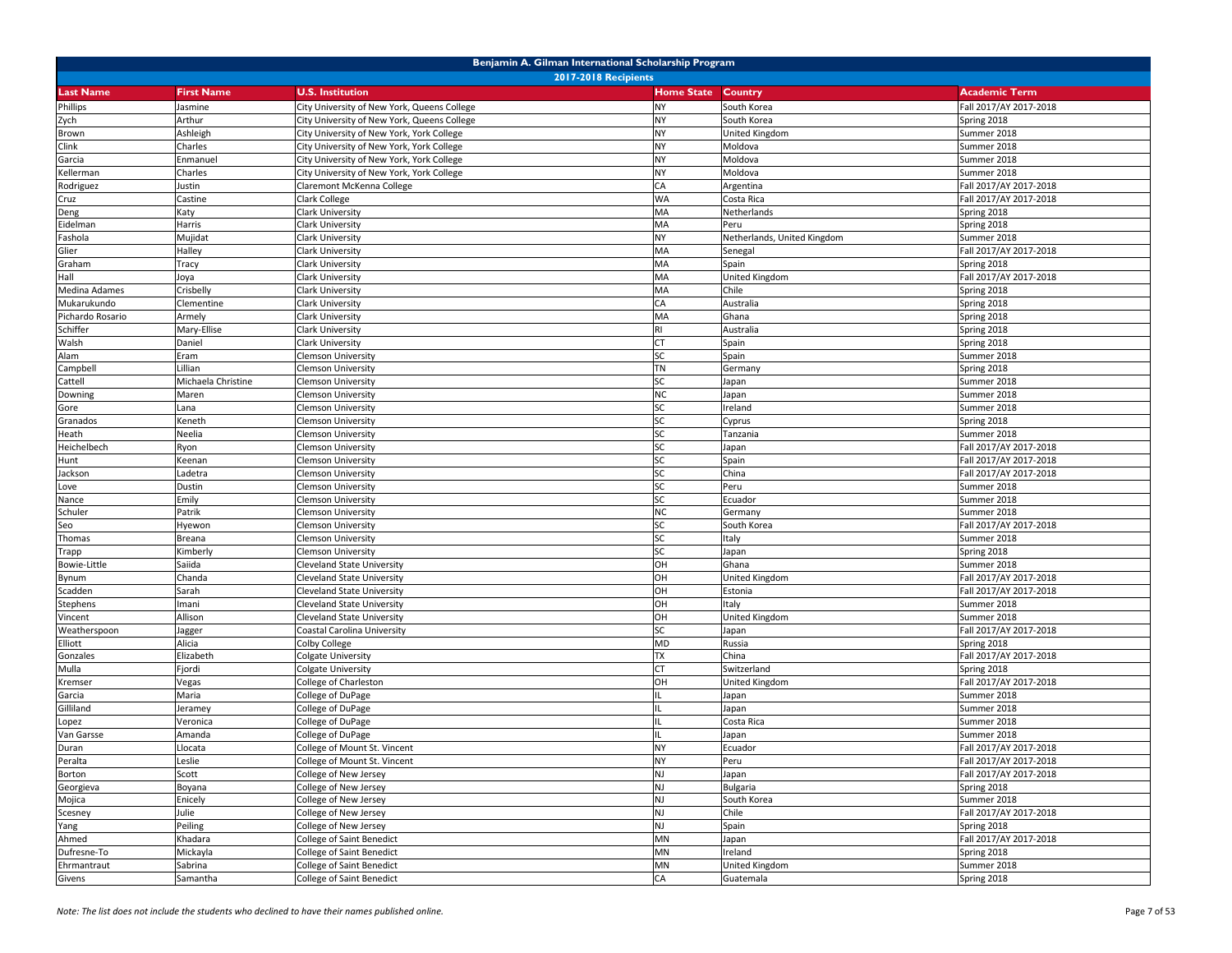| Benjamin A. Gilman International Scholarship Program |                             |                                             |                   |                             |                        |  |  |
|------------------------------------------------------|-----------------------------|---------------------------------------------|-------------------|-----------------------------|------------------------|--|--|
|                                                      | <b>2017-2018 Recipients</b> |                                             |                   |                             |                        |  |  |
| <b>Last Name</b>                                     | <b>First Name</b>           | <b>U.S. Institution</b>                     | <b>Home State</b> | <b>Country</b>              | <b>Academic Term</b>   |  |  |
| Phillips                                             | Jasmine                     | City University of New York, Queens College | <b>NY</b>         | South Korea                 | Fall 2017/AY 2017-2018 |  |  |
| Zych                                                 | Arthur                      | City University of New York, Queens College | <b>NY</b>         | South Korea                 | Spring 2018            |  |  |
| Brown                                                | Ashleigh                    | City University of New York, York College   | <b>NY</b>         | United Kingdom              | Summer 2018            |  |  |
| Clink                                                | Charles                     | City University of New York, York College   | <b>NY</b>         | Moldova                     | Summer 2018            |  |  |
| Garcia                                               | Enmanue                     | City University of New York, York College   | <b>NY</b>         | Moldova                     | Summer 2018            |  |  |
| Kellerman                                            | Charles                     | City University of New York, York College   | <b>NY</b>         | Moldova                     | Summer 2018            |  |  |
| Rodriguez                                            | Justin                      | Claremont McKenna College                   | CA                | Argentina                   | Fall 2017/AY 2017-2018 |  |  |
| Cruz                                                 | Castine                     | Clark College                               | <b>WA</b>         | Costa Rica                  | Fall 2017/AY 2017-2018 |  |  |
| Deng                                                 | Katy                        | Clark University                            | MA                | Netherlands                 | Spring 2018            |  |  |
| Eidelman                                             | Harris                      | Clark University                            | MA                | Peru                        | Spring 2018            |  |  |
| Fashola                                              | Mujidat                     | Clark University                            | <b>NY</b>         | Netherlands, United Kingdom | Summer 2018            |  |  |
| Glier                                                | Halley                      | Clark University                            | MA                | Senegal                     | Fall 2017/AY 2017-2018 |  |  |
| Graham                                               | Tracy                       | <b>Clark University</b>                     | MA                | Spain                       | Spring 2018            |  |  |
| Hall                                                 | Joya                        | Clark University                            | MA                | United Kingdom              | Fall 2017/AY 2017-2018 |  |  |
| <b>Medina Adames</b>                                 | Crisbelly                   | Clark University                            | MA                | Chile                       | Spring 2018            |  |  |
| Mukarukundo                                          | Clementine                  | Clark University                            | CA                | Australia                   | Spring 2018            |  |  |
| Pichardo Rosario                                     | Armely                      | Clark University                            | MA                | Ghana                       | Spring 2018            |  |  |
| Schiffer                                             | Mary-Ellise                 | <b>Clark University</b>                     | <b>RI</b>         | Australia                   | Spring 2018            |  |  |
| Walsh                                                | Daniel                      | <b>Clark University</b>                     | CT                | Spain                       | Spring 2018            |  |  |
| Alam                                                 | Eram                        | <b>Clemson University</b>                   | <b>SC</b>         | Spain                       | Summer 2018            |  |  |
| Campbell                                             | Lillian                     | <b>Clemson University</b>                   | TN                | Germany                     | Spring 2018            |  |  |
| Cattell                                              | Michaela Christine          | Clemson University                          | <b>SC</b>         | Japan                       | Summer 2018            |  |  |
| Downing                                              | Maren                       | <b>Clemson University</b>                   | <b>NC</b>         | Japan                       | Summer 2018            |  |  |
| Gore                                                 | Lana                        | Clemson University                          | SC                | Ireland                     | Summer 2018            |  |  |
| Granados                                             | Keneth                      | <b>Clemson University</b>                   | <b>SC</b>         | Cyprus                      | Spring 2018            |  |  |
| Heath                                                | Neelia                      | <b>Clemson University</b>                   | <b>SC</b>         | Tanzania                    | Summer 2018            |  |  |
| Heichelbech                                          | Ryon                        | <b>Clemson University</b>                   | <b>SC</b>         | Japan                       | Fall 2017/AY 2017-2018 |  |  |
| Hunt                                                 | Keenan                      | <b>Clemson University</b>                   | <b>SC</b>         | Spain                       | Fall 2017/AY 2017-2018 |  |  |
| Jackson                                              | adetra.                     | Clemson University                          | SC                | China                       | Fall 2017/AY 2017-2018 |  |  |
| Love                                                 | Dustin                      | <b>Clemson University</b>                   | SC                | Peru                        | Summer 2018            |  |  |
| Nance                                                | Emily                       | <b>Clemson University</b>                   | <b>SC</b>         | Ecuador                     | Summer 2018            |  |  |
| Schuler                                              | Patrik                      | <b>Clemson University</b>                   | <b>NC</b>         | Germany                     | Summer 2018            |  |  |
| Seo                                                  | Hyewon                      | <b>Clemson University</b>                   | <b>SC</b>         | South Korea                 | Fall 2017/AY 2017-2018 |  |  |
| Thomas                                               | Breana                      | <b>Clemson University</b>                   | SC                | Italy                       | Summer 2018            |  |  |
| Trapp                                                | Kimberly                    | <b>Clemson University</b>                   | SC                | Japan                       | Spring 2018            |  |  |
| <b>Bowie-Little</b>                                  | Saiida                      | <b>Cleveland State University</b>           | OH                | Ghana                       | Summer 2018            |  |  |
| Bynum                                                | Chanda                      | Cleveland State University                  | OH                | United Kingdom              | Fall 2017/AY 2017-2018 |  |  |
| Scadden                                              | Sarah                       | <b>Cleveland State University</b>           | OH                | Estonia                     | Fall 2017/AY 2017-2018 |  |  |
| Stephens                                             | lmani                       | <b>Cleveland State University</b>           | OH                | Italy                       | Summer 2018            |  |  |
| Vincent                                              | Allison                     | Cleveland State University                  | OH                | United Kingdom              | Summer 2018            |  |  |
| Weatherspoon                                         | Jagger                      | Coastal Carolina University                 | <b>SC</b>         | Japan                       | Fall 2017/AY 2017-2018 |  |  |
| Elliott                                              | Alicia                      | Colby College                               | <b>MD</b>         | Russia                      | Spring 2018            |  |  |
| Gonzales                                             | Elizabeth                   | Colgate University                          | <b>TX</b>         | China                       | Fall 2017/AY 2017-2018 |  |  |
| Mulla                                                | Fjordi                      | Colgate University                          | CT                | Switzerland                 | Spring 2018            |  |  |
| Kremser                                              | Vegas                       | College of Charleston                       | OH                | United Kingdom              | Fall 2017/AY 2017-2018 |  |  |
| Garcia                                               | Maria                       | College of DuPage                           |                   | Japan                       | Summer 2018            |  |  |
| Gilliland                                            | Jeramey                     | College of DuPage                           | $\mathsf{II}$     | Japan                       | Summer 2018            |  |  |
| Lopez                                                | Veronica                    | College of DuPage                           |                   | Costa Rica                  | Summer 2018            |  |  |
| Van Garsse                                           | Amanda                      | College of DuPage                           |                   | Japan                       | Summer 2018            |  |  |
| Duran                                                | Llocata                     | College of Mount St. Vincent                | <b>NY</b>         | Ecuador                     | Fall 2017/AY 2017-2018 |  |  |
| Peralta                                              | Leslie                      | College of Mount St. Vincent                | <b>NY</b>         | Peru                        | Fall 2017/AY 2017-2018 |  |  |
| Borton                                               | Scott                       | College of New Jersey                       | <b>NJ</b>         | Japan                       | Fall 2017/AY 2017-2018 |  |  |
| Georgieva                                            | Boyana                      | College of New Jersey                       | <b>NJ</b>         | <b>Bulgaria</b>             | Spring 2018            |  |  |
| Mojica                                               | Enicely                     | College of New Jersey                       | <b>NJ</b>         | South Korea                 | Summer 2018            |  |  |
| Scesney                                              | Julie                       | College of New Jersey                       | <b>NJ</b>         | Chile                       | Fall 2017/AY 2017-2018 |  |  |
| Yang                                                 | Peiling                     | College of New Jersey                       | <b>NJ</b>         | Spain                       | Spring 2018            |  |  |
| Ahmed                                                | Khadara                     | <b>College of Saint Benedict</b>            | MN                | Japan                       | Fall 2017/AY 2017-2018 |  |  |
| Dufresne-To                                          | Mickayla                    | College of Saint Benedict                   | MN                | Ireland                     | Spring 2018            |  |  |
| Ehrmantraut                                          | Sabrina                     | College of Saint Benedict                   | MN                | United Kingdom              | Summer 2018            |  |  |
| Givens                                               | Samantha                    | College of Saint Benedict                   | CA                | Guatemala                   | Spring 2018            |  |  |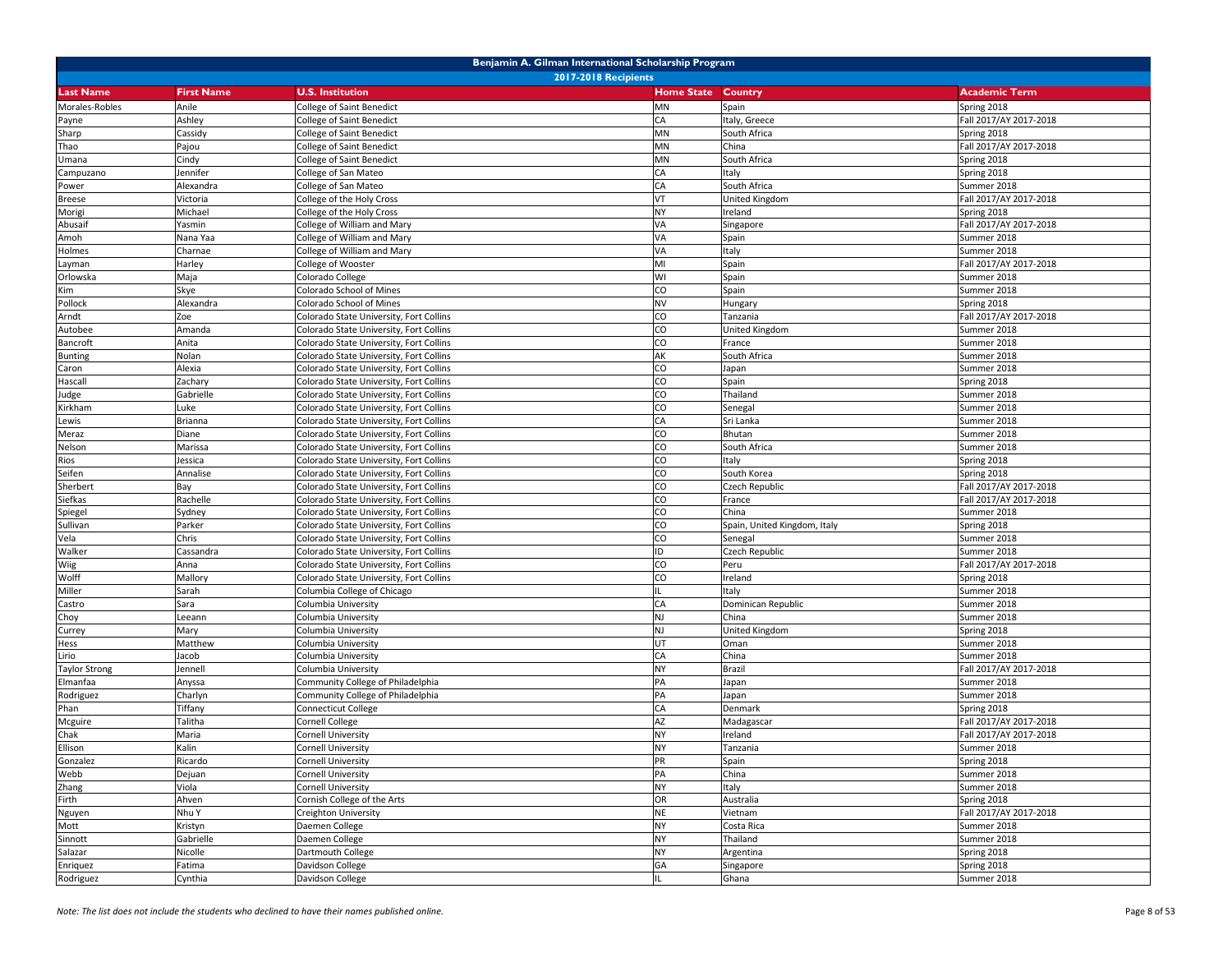|                      | Benjamin A. Gilman International Scholarship Program |                                         |                   |                              |                        |  |  |
|----------------------|------------------------------------------------------|-----------------------------------------|-------------------|------------------------------|------------------------|--|--|
|                      |                                                      | <b>2017-2018 Recipients</b>             |                   |                              |                        |  |  |
| <b>Last Name</b>     | <b>First Name</b>                                    | <b>U.S. Institution</b>                 | <b>Home State</b> | <b>Country</b>               | <b>Academic Term</b>   |  |  |
| Morales-Robles       | Anile                                                | College of Saint Benedict               | <b>MN</b>         | Spain                        | Spring 2018            |  |  |
| Payne                | Ashley                                               | College of Saint Benedict               | CA                | Italy, Greece                | Fall 2017/AY 2017-2018 |  |  |
| Sharp                | Cassidy                                              | College of Saint Benedict               | MN                | South Africa                 | Spring 2018            |  |  |
| Thao                 | Pajou                                                | College of Saint Benedict               | MN                | China                        | Fall 2017/AY 2017-2018 |  |  |
| Umana                | Cindy                                                | College of Saint Benedict               | MN                | South Africa                 | Spring 2018            |  |  |
| Campuzano            | Jennifer                                             | College of San Mateo                    | CA                | Italy                        | Spring 2018            |  |  |
| Power                | Alexandra                                            | College of San Mateo                    | CA                | South Africa                 | Summer 2018            |  |  |
| <b>Breese</b>        | Victoria                                             | College of the Holy Cross               | VT                | United Kingdom               | Fall 2017/AY 2017-2018 |  |  |
| Morigi               | Michael                                              | College of the Holy Cross               | <b>NY</b>         | Ireland                      | Spring 2018            |  |  |
| Abusaif              | Yasmin                                               | College of William and Mary             | VA                | Singapore                    | Fall 2017/AY 2017-2018 |  |  |
| Amoh                 | Nana Yaa                                             | College of William and Mary             | VA                | Spain                        | Summer 2018            |  |  |
| Holmes               | Charnae                                              | College of William and Mary             | VA                | Italy                        | Summer 2018            |  |  |
| Layman               | Harley                                               | College of Wooster                      | MI                | Spain                        | Fall 2017/AY 2017-2018 |  |  |
| Orlowska             | Maja                                                 | Colorado College                        | WI                | Spain                        | Summer 2018            |  |  |
| Kim                  | Skye                                                 | Colorado School of Mines                | CO                | Spain                        | Summer 2018            |  |  |
| Pollock              | Alexandra                                            | Colorado School of Mines                | <b>NV</b>         | Hungary                      | Spring 2018            |  |  |
| Arndt                | Zoe                                                  | Colorado State University, Fort Collins | CO                | Tanzania                     | Fall 2017/AY 2017-2018 |  |  |
| Autobee              | Amanda                                               | Colorado State University, Fort Collins | CO                | United Kingdom               | Summer 2018            |  |  |
| Bancroft             | Anita                                                | Colorado State University, Fort Collins | CO                | France                       | Summer 2018            |  |  |
| <b>Bunting</b>       | Nolan                                                | Colorado State University, Fort Collins | AK                | South Africa                 | Summer 2018            |  |  |
| Caron                | Alexia                                               | Colorado State University, Fort Collins | CO                | Japan                        | Summer 2018            |  |  |
| Hascall              | Zachary                                              | Colorado State University, Fort Collins | CO                | Spain                        | Spring 2018            |  |  |
| Judge                | Gabrielle                                            | Colorado State University, Fort Collins | CO                | Thailand                     | Summer 2018            |  |  |
| Kirkham              | Luke                                                 | Colorado State University, Fort Collins | CO                | Senegal                      | Summer 2018            |  |  |
| Lewis                | Brianna                                              | Colorado State University, Fort Collins | CA                | Sri Lanka                    | Summer 2018            |  |  |
| Meraz                | Diane                                                | Colorado State University, Fort Collins | CO                | Bhutan                       | Summer 2018            |  |  |
| Nelson               | Marissa                                              | Colorado State University, Fort Collins | CO                | South Africa                 | Summer 2018            |  |  |
| Rios                 | lessica                                              | Colorado State University, Fort Collins | CO                | Italy                        | Spring 2018            |  |  |
| Seifen               | Annalise                                             | Colorado State University, Fort Collins | CO                | South Korea                  | Spring 2018            |  |  |
| Sherbert             | Bay                                                  | Colorado State University, Fort Collins | CO                | Czech Republic               | Fall 2017/AY 2017-2018 |  |  |
| Siefkas              | Rachelle                                             | Colorado State University, Fort Collins | CO                | France                       | Fall 2017/AY 2017-2018 |  |  |
| Spiegel              | Sydney                                               | Colorado State University, Fort Collins | CO                | China                        | Summer 2018            |  |  |
| Sullivan             | Parker                                               | Colorado State University, Fort Collins | CO                | Spain, United Kingdom, Italy | Spring 2018            |  |  |
| Vela                 | Chris                                                | Colorado State University, Fort Collins | CO                | Senegal                      | Summer 2018            |  |  |
| Walker               | Cassandra                                            | Colorado State University, Fort Collins | ID                | Czech Republic               | Summer 2018            |  |  |
| Wiig                 | Anna                                                 | Colorado State University, Fort Collins | CO                | Peru                         | Fall 2017/AY 2017-2018 |  |  |
| Wolff                | Mallory                                              | Colorado State University, Fort Collins | CO                | Ireland                      | Spring 2018            |  |  |
| Miller               | Sarah                                                | Columbia College of Chicago             |                   | Italy                        | Summer 2018            |  |  |
| Castro               | Sara                                                 | Columbia University                     | CA                | Dominican Republic           | Summer 2018            |  |  |
| Choy                 | Leeann                                               | Columbia University                     | NJ                | China                        | Summer 2018            |  |  |
| Currey               | Mary                                                 | Columbia University                     | <b>NJ</b>         | United Kingdom               | Spring 2018            |  |  |
| Hess                 | Matthew                                              | Columbia University                     | UT                | Oman                         | Summer 2018            |  |  |
| Lirio                | Jacob                                                | Columbia University                     | CA                | China                        | Summer 2018            |  |  |
| <b>Taylor Strong</b> | Jennell                                              | Columbia University                     | <b>NY</b>         | Brazil                       | Fall 2017/AY 2017-2018 |  |  |
| Elmanfaa             | Anyssa                                               | Community College of Philadelphia       | PA                | Japan                        | Summer 2018            |  |  |
| Rodriguez            | Charlyn                                              | Community College of Philadelphia       | PA                | Japan                        | Summer 2018            |  |  |
| Phan                 | Tiffany                                              | Connecticut College                     | CA                | Denmark                      | Spring 2018            |  |  |
| <b>Mcguire</b>       | Talitha                                              | Cornell College                         | <b>AZ</b>         | Madagascar                   | Fall 2017/AY 2017-2018 |  |  |
| Chak                 | Maria                                                | Cornell University                      | <b>NY</b>         | Ireland                      | Fall 2017/AY 2017-2018 |  |  |
| Ellison              | Kalin                                                | <b>Cornell University</b>               | <b>NY</b>         | Tanzania                     | Summer 2018            |  |  |
| Gonzalez             | Ricardo                                              | Cornell University                      | PR                | Spain                        | Spring 2018            |  |  |
| Webb                 | Dejuan                                               | Cornell University                      | PA                | China                        | Summer 2018            |  |  |
| Zhang                | Viola                                                | Cornell University                      | <b>NY</b>         | Italy                        | Summer 2018            |  |  |
| Firth                | Ahven                                                | Cornish College of the Arts             | OR                | Australia                    | Spring 2018            |  |  |
| Nguyen               | Nhu Y                                                | Creighton University                    | <b>NE</b>         | Vietnam                      | Fall 2017/AY 2017-2018 |  |  |
| Mott                 | Kristyn                                              | Daemen College                          | <b>NY</b>         | Costa Rica                   | Summer 2018            |  |  |
| Sinnott              | Gabrielle                                            | Daemen College                          | <b>NY</b>         | Thailand                     | Summer 2018            |  |  |
| Salazar              | Nicolle                                              | Dartmouth College                       | <b>NY</b>         | Argentina                    | Spring 2018            |  |  |
| Enriquez             | Fatima                                               | Davidson College                        | GA                | Singapore                    | Spring 2018            |  |  |
| Rodriguez            | Cynthia                                              | Davidson College                        | IL                | Ghana                        | Summer 2018            |  |  |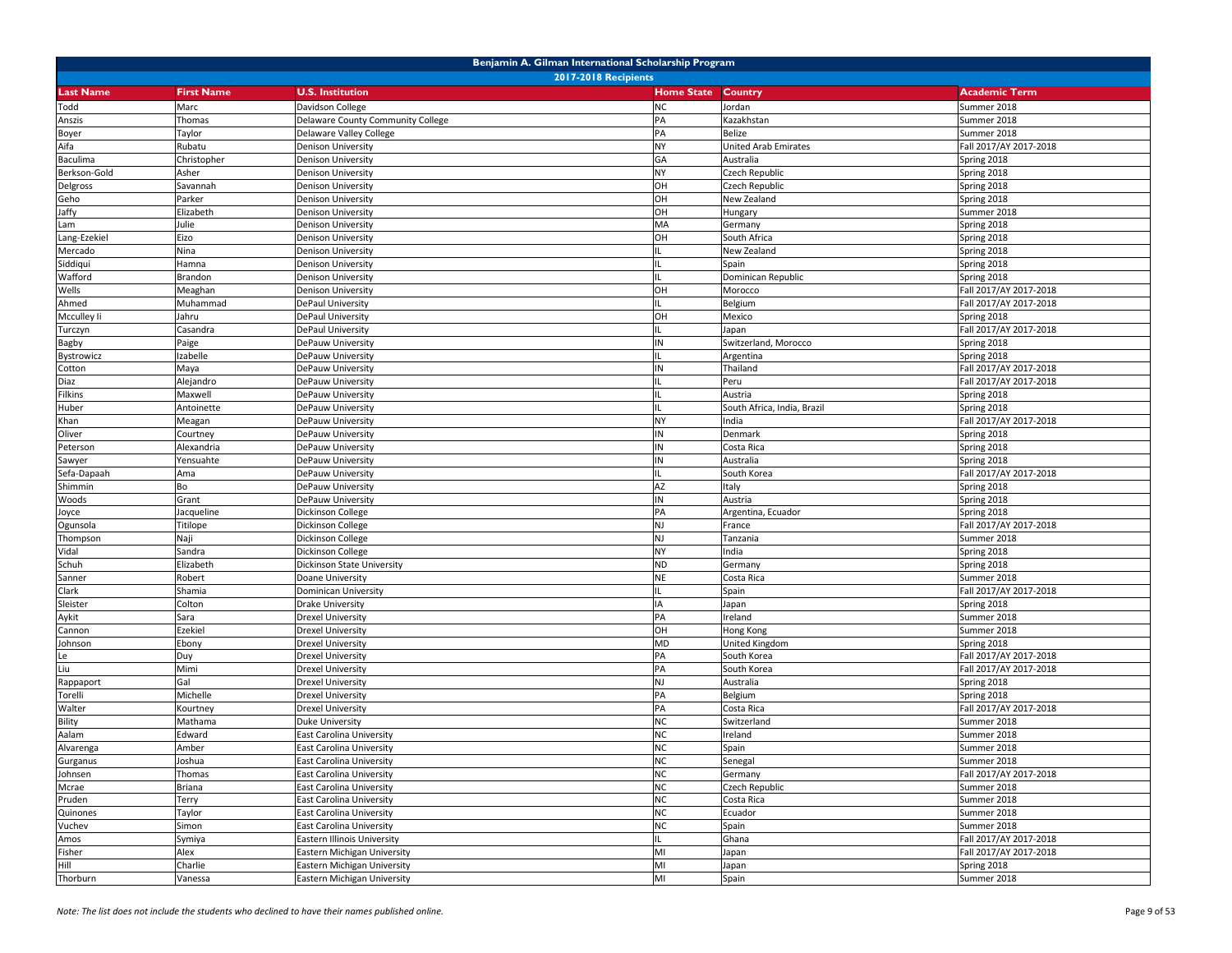| Benjamin A. Gilman International Scholarship Program |                   |                                   |                   |                             |                        |  |
|------------------------------------------------------|-------------------|-----------------------------------|-------------------|-----------------------------|------------------------|--|
|                                                      |                   | <b>2017-2018 Recipients</b>       |                   |                             |                        |  |
| <b>Last Name</b>                                     | <b>First Name</b> | <b>U.S. Institution</b>           | <b>Home State</b> | Country                     | <b>Academic Term</b>   |  |
| Todd                                                 | Marc              | Davidson College                  | <b>NC</b>         | Jordan                      | Summer 2018            |  |
| Anszis                                               | Thomas            | Delaware County Community College | PA                | Kazakhstan                  | Summer 2018            |  |
| Boyer                                                | Taylor            | Delaware Valley College           | PA                | Belize                      | Summer 2018            |  |
| Aifa                                                 | Rubatu            | Denison University                | <b>NY</b>         | United Arab Emirates        | Fall 2017/AY 2017-2018 |  |
| Baculima                                             | Christopher       | <b>Denison University</b>         | GA                | Australia                   | Spring 2018            |  |
| Berkson-Gold                                         | Asher             | Denison University                | <b>NY</b>         | Czech Republic              | Spring 2018            |  |
| Delgross                                             | Savannah          | Denison University                | OH                | Czech Republic              | Spring 2018            |  |
| Geho                                                 | Parker            | Denison University                | OH                | New Zealand                 | Spring 2018            |  |
| Jaffy                                                | Elizabeth         | Denison University                | OH                | Hungary                     | Summer 2018            |  |
| Lam                                                  | Julie             | Denison University                | MA                | Germany                     | Spring 2018            |  |
| Lang-Ezekiel                                         | Eizo              | Denison University                | OH                | South Africa                | Spring 2018            |  |
| Mercado                                              | Nina              | Denison University                | 11.               | New Zealand                 | Spring 2018            |  |
| Siddiqui                                             | Hamna             | Denison University                |                   | Spain                       | Spring 2018            |  |
| Wafford                                              | Brandon           | Denison University                |                   | Dominican Republic          | Spring 2018            |  |
| Wells                                                | Meaghan           | <b>Denison University</b>         | OH                | Morocco                     | Fall 2017/AY 2017-2018 |  |
| Ahmed                                                | Muhammad          | DePaul University                 |                   | Belgium                     | Fall 2017/AY 2017-2018 |  |
| Mcculley li                                          | Jahru             | DePaul University                 | OH                | Mexico                      | Spring 2018            |  |
| Turczyn                                              | Casandra          | DePaul University                 |                   | Japan                       | Fall 2017/AY 2017-2018 |  |
| Bagby                                                | Paige             | DePauw University                 | IN                | Switzerland, Morocco        | Spring 2018            |  |
| Bystrowicz                                           | Izabelle          | DePauw University                 | IL                | Argentina                   | Spring 2018            |  |
|                                                      | Maya              | DePauw University                 | IN                | Thailand                    | Fall 2017/AY 2017-2018 |  |
| Cotton                                               |                   | DePauw University                 | IL                | Peru                        | Fall 2017/AY 2017-2018 |  |
| Diaz                                                 | Alejandro         | DePauw University                 |                   |                             |                        |  |
| Filkins                                              | Maxwell           |                                   |                   | Austria                     | Spring 2018            |  |
| Huber                                                | Antoinette        | DePauw University                 |                   | South Africa, India, Brazil | Spring 2018            |  |
| Khan                                                 | Meagan            | DePauw University                 | <b>NY</b>         | India                       | Fall 2017/AY 2017-2018 |  |
| Oliver                                               | Courtney          | DePauw University                 | IN                | Denmark                     | Spring 2018            |  |
| Peterson                                             | Alexandria        | DePauw University                 | IN                | Costa Rica                  | Spring 2018            |  |
| Sawyer                                               | Yensuahte         | DePauw University                 | IN                | Australia                   | Spring 2018            |  |
| Sefa-Dapaah                                          | Ama               | DePauw University                 |                   | South Korea                 | Fall 2017/AY 2017-2018 |  |
| Shimmin                                              | Bo                | DePauw University                 | AZ                | Italy                       | Spring 2018            |  |
| Woods                                                | Grant             | DePauw University                 | IN                | Austria                     | Spring 2018            |  |
| Joyce                                                | Jacqueline        | Dickinson College                 | PA                | Argentina, Ecuador          | Spring 2018            |  |
| Ogunsola                                             | Titilope          | Dickinson College                 | <b>NJ</b>         | France                      | Fall 2017/AY 2017-2018 |  |
| Thompson                                             | Naji              | Dickinson College                 | <b>NJ</b>         | Tanzania                    | Summer 2018            |  |
| Vidal                                                | Sandra            | Dickinson College                 | <b>NY</b>         | India                       | Spring 2018            |  |
| Schuh                                                | Elizabeth         | Dickinson State University        | <b>ND</b>         | Germany                     | Spring 2018            |  |
| Sanner                                               | Robert            | Doane University                  | <b>NE</b>         | Costa Rica                  | Summer 2018            |  |
| Clark                                                | Shamia            | Dominican University              |                   | Spain                       | Fall 2017/AY 2017-2018 |  |
| Sleister                                             | Colton            | Orake University                  | IA                | Japan                       | Spring 2018            |  |
| Aykit                                                | Sara              | <b>Drexel University</b>          | PA                | Ireland                     | Summer 2018            |  |
| Cannon                                               | Ezekiel           | <b>Drexel University</b>          | OH                | Hong Kong                   | Summer 2018            |  |
| Johnson                                              | Ebony             | <b>Drexel University</b>          | <b>MD</b>         | United Kingdom              | Spring 2018            |  |
| Le                                                   | Duy               | Drexel University                 | PA                | South Korea                 | Fall 2017/AY 2017-2018 |  |
| Liu                                                  | Mimi              | Drexel University                 | PA                | South Korea                 | Fall 2017/AY 2017-2018 |  |
| Rappaport                                            | Gal               | <b>Drexel University</b>          | <b>NJ</b>         | Australia                   | Spring 2018            |  |
| Torelli                                              | Michelle          | <b>Drexel University</b>          | PA                | Belgium                     | Spring 2018            |  |
| Walter                                               | Kourtney          | <b>Drexel University</b>          | PA                | Costa Rica                  | Fall 2017/AY 2017-2018 |  |
| <b>Bility</b>                                        | Mathama           | Duke University                   | <b>NC</b>         | Switzerland                 | Summer 2018            |  |
| Aalam                                                | Edward            | East Carolina University          | <b>NC</b>         | Ireland                     | Summer 2018            |  |
| Alvarenga                                            | Amber             | East Carolina University          | <b>NC</b>         | Spain                       | Summer 2018            |  |
| Gurganus                                             | Joshua            | <b>East Carolina University</b>   | <b>NC</b>         | Senegal                     | Summer 2018            |  |
| Johnsen                                              | Thomas            | <b>East Carolina University</b>   | <b>NC</b>         | Germany                     | Fall 2017/AY 2017-2018 |  |
| Mcrae                                                | Briana            | East Carolina University          | <b>NC</b>         | Czech Republic              | Summer 2018            |  |
| Pruden                                               | Terry             | East Carolina University          | <b>NC</b>         | Costa Rica                  | Summer 2018            |  |
| Quinones                                             | Taylor            | East Carolina University          | <b>NC</b>         | Ecuador                     | Summer 2018            |  |
| Vuchev                                               | Simon             | East Carolina University          | <b>NC</b>         | Spain                       | Summer 2018            |  |
| Amos                                                 | Symiya            | Eastern Illinois University       | IL                | Ghana                       | Fall 2017/AY 2017-2018 |  |
| Fisher                                               | Alex              | Eastern Michigan University       | MI                | Japan                       | Fall 2017/AY 2017-2018 |  |
| Hill                                                 | Charlie           | Eastern Michigan University       | MI                | Japan                       | Spring 2018            |  |
| Thorburn                                             | Vanessa           | Eastern Michigan University       | MI                | Spain                       | Summer 2018            |  |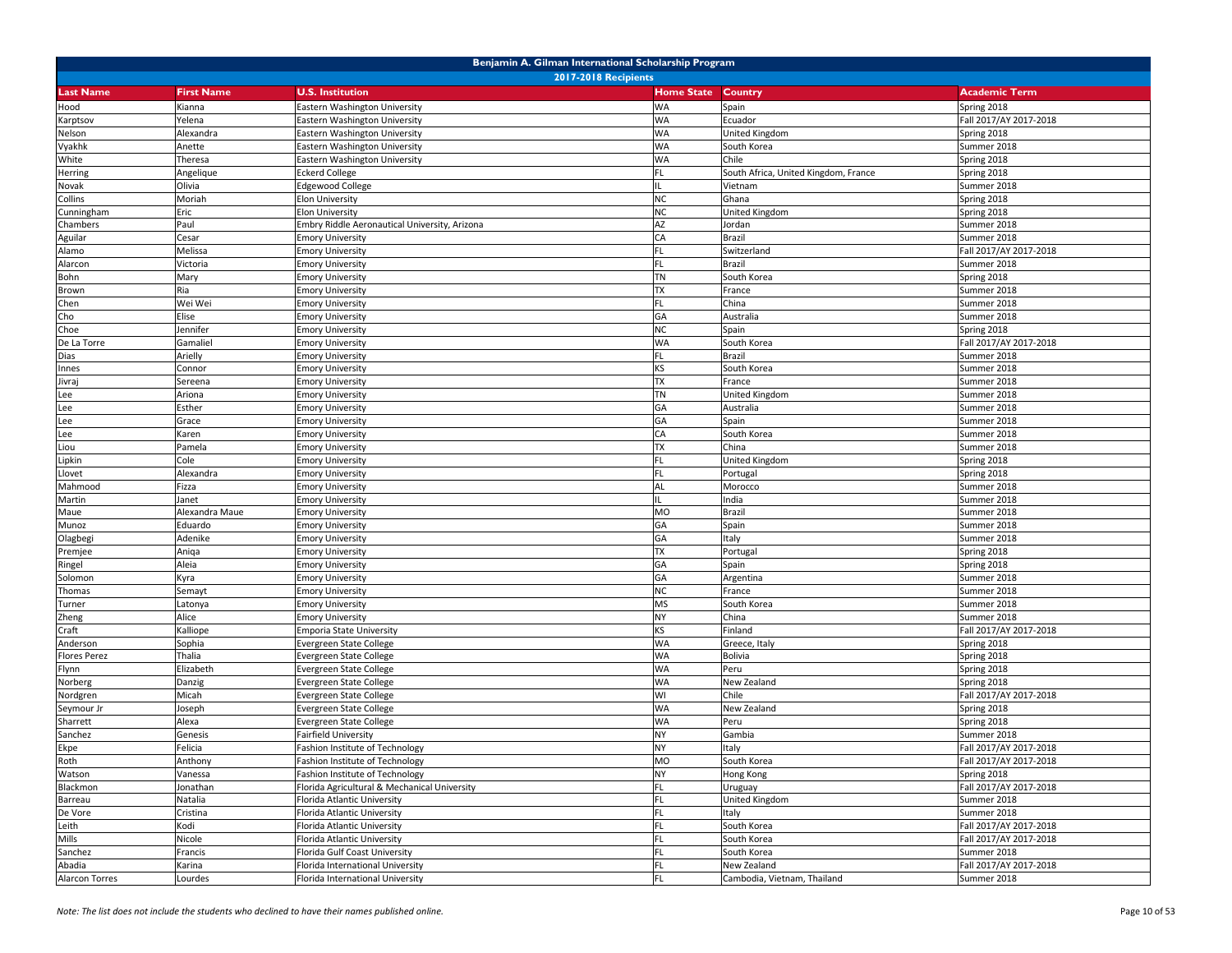| Benjamin A. Gilman International Scholarship Program |                   |                                               |                   |                                      |                        |  |
|------------------------------------------------------|-------------------|-----------------------------------------------|-------------------|--------------------------------------|------------------------|--|
| <b>2017-2018 Recipients</b>                          |                   |                                               |                   |                                      |                        |  |
| <b>Last Name</b>                                     | <b>First Name</b> | <b>U.S. Institution</b>                       | <b>Home State</b> | Country                              | <b>Academic Term</b>   |  |
| Hood                                                 | Kianna            | Eastern Washington University                 | <b>WA</b>         | Spain                                | Spring 2018            |  |
| Karptsov                                             | Yelena            | Eastern Washington University                 | <b>WA</b>         | Ecuador                              | Fall 2017/AY 2017-2018 |  |
| Nelson                                               | Alexandra         | Eastern Washington University                 | <b>WA</b>         | United Kingdom                       | Spring 2018            |  |
| Vyakhk                                               | Anette            | Eastern Washington University                 | <b>WA</b>         | South Korea                          | Summer 2018            |  |
| White                                                | Theresa           | <b>Eastern Washington University</b>          | <b>WA</b>         | Chile                                | Spring 2018            |  |
| Herring                                              | Angelique         | <b>Eckerd College</b>                         | <b>FL</b>         | South Africa, United Kingdom, France | Spring 2018            |  |
| Novak                                                | Olivia            | <b>Edgewood College</b>                       | IL                | Vietnam                              | Summer 2018            |  |
| Collins                                              | Moriah            | Elon University                               | <b>NC</b>         | Ghana                                | Spring 2018            |  |
| Cunningham                                           | Eric              | Elon University                               | <b>NC</b>         | United Kingdom                       | Spring 2018            |  |
| Chambers                                             | Paul              | Embry Riddle Aeronautical University, Arizona | AZ                | Jordan                               | Summer 2018            |  |
| Aguilar                                              | Cesar             | <b>Emory University</b>                       | CA                | Brazil                               | Summer 2018            |  |
| Alamo                                                | Melissa           | <b>Emory University</b>                       | FL                | Switzerland                          | Fall 2017/AY 2017-2018 |  |
| Alarcon                                              | Victoria          | <b>Emory University</b>                       | <b>FL</b>         | Brazil                               | Summer 2018            |  |
| Bohn                                                 | Mary              | <b>Emory University</b>                       | <b>TN</b>         | South Korea                          | Spring 2018            |  |
| Brown                                                | Ria               | <b>Emory University</b>                       | <b>TX</b>         | France                               | Summer 2018            |  |
| Chen                                                 | Wei Wei           | <b>Emory University</b>                       | <b>FL</b>         | China                                | Summer 2018            |  |
| Cho                                                  | Elise             | <b>Emory University</b>                       | GA                | Australia                            | Summer 2018            |  |
| Choe                                                 | Jennifer          | <b>Emory University</b>                       | <b>NC</b>         | Spain                                | Spring 2018            |  |
| De La Torre                                          | Gamaliel          | <b>Emory University</b>                       | <b>WA</b>         | South Korea                          | Fall 2017/AY 2017-2018 |  |
| Dias                                                 | Arielly           | <b>Emory University</b>                       | FL                | Brazil                               | Summer 2018            |  |
| Innes                                                | Connor            | <b>Emory University</b>                       | <b>KS</b>         | South Korea                          | Summer 2018            |  |
| Jivraj                                               | Sereena           | <b>Emory University</b>                       | <b>TX</b>         | France                               | Summer 2018            |  |
| Lee                                                  | Ariona            | <b>Emory University</b>                       | <b>TN</b>         | United Kingdom                       | Summer 2018            |  |
| Lee                                                  | Esther            | <b>Emory University</b>                       | GA                | Australia                            | Summer 2018            |  |
| Lee                                                  | Grace             | <b>Emory University</b>                       | GA                | Spain                                | Summer 2018            |  |
| Lee                                                  | Karen             | <b>Emory University</b>                       | CA                | South Korea                          | Summer 2018            |  |
| Liou                                                 | Pamela            | <b>Emory University</b>                       | <b>TX</b>         | China                                | Summer 2018            |  |
| Lipkin                                               | Cole              | <b>Emory University</b>                       |                   | United Kingdom                       | Spring 2018            |  |
| Llovet                                               | Alexandra         | <b>Emory University</b>                       | <b>FL</b>         | Portugal                             | Spring 2018            |  |
| Mahmood                                              | Fizza             | <b>Emory University</b>                       | AL                | Morocco                              | Summer 2018            |  |
| Martin                                               | Janet             | <b>Emory University</b>                       | IL                | India                                | Summer 2018            |  |
| Maue                                                 | Alexandra Maue    | <b>Emory University</b>                       | <b>MO</b>         | Brazil                               | Summer 2018            |  |
| Munoz                                                | Eduardo           | <b>Emory University</b>                       | GA                | Spain                                | Summer 2018            |  |
| Olagbegi                                             | Adenike           | <b>Emory University</b>                       | GA                | Italy                                | Summer 2018            |  |
| Premjee                                              | Aniqa             | <b>Emory University</b>                       | <b>TX</b>         | Portugal                             | Spring 2018            |  |
| Ringel                                               | Aleia             | <b>Emory University</b>                       | GA                | Spain                                | Spring 2018            |  |
| Solomon                                              | Kyra              | <b>Emory University</b>                       | GA                | Argentina                            | Summer 2018            |  |
| Thomas                                               | Semayt            | mory University                               | <b>NC</b>         | France                               | Summer 2018            |  |
| Turner                                               | Latonya           | <b>Emory University</b>                       | <b>MS</b>         | South Korea                          | Summer 2018            |  |
| Zheng                                                | Alice             | <b>Emory University</b>                       | <b>NY</b>         | China                                | Summer 2018            |  |
| Craft                                                | Kalliope          | Emporia State University                      | <b>KS</b>         | Finland                              | Fall 2017/AY 2017-2018 |  |
| Anderson                                             | Sophia            | Evergreen State College                       | <b>WA</b>         | Greece, Italy                        | Spring 2018            |  |
| <b>Flores Perez</b>                                  | Thalia            | vergreen State College                        | <b>WA</b>         | Bolivia                              | Spring 2018            |  |
| Flynn                                                | Elizabeth         | Evergreen State College                       | <b>WA</b>         | Peru                                 | Spring 2018            |  |
| Norberg                                              | Danzig            | Evergreen State College                       | <b>WA</b>         | New Zealand                          | Spring 2018            |  |
| Nordgren                                             | Micah             | Evergreen State College                       | WI                | Chile                                | Fall 2017/AY 2017-2018 |  |
| Seymour Jr                                           | Joseph            | Evergreen State College                       | <b>WA</b>         | New Zealand                          | Spring 2018            |  |
| Sharrett                                             | Alexa             | Evergreen State College                       | <b>WA</b>         | Peru                                 | Spring 2018            |  |
| Sanchez                                              | Genesis           | Fairfield University                          | <b>NY</b>         | Gambia                               | Summer 2018            |  |
| Ekpe                                                 | Felicia           | Fashion Institute of Technology               | <b>NY</b>         | Italy                                | Fall 2017/AY 2017-2018 |  |
| Roth                                                 | Anthony           | Fashion Institute of Technology               | MO                | South Korea                          | Fall 2017/AY 2017-2018 |  |
| Watson                                               | Vanessa           | Fashion Institute of Technology               | <b>NY</b>         | Hong Kong                            | Spring 2018            |  |
| Blackmon                                             | Jonathan          | Florida Agricultural & Mechanical University  | FL                | Uruguay                              | Fall 2017/AY 2017-2018 |  |
| Barreau                                              | Natalia           | Florida Atlantic University                   | FL                | United Kingdom                       | Summer 2018            |  |
| De Vore                                              | Cristina          | Florida Atlantic University                   | FL                | Italy                                | Summer 2018            |  |
| Leith                                                | Kodi              | Florida Atlantic University                   | FL                | South Korea                          | Fall 2017/AY 2017-2018 |  |
| Mills                                                | Nicole            | Florida Atlantic University                   | FL                | South Korea                          | Fall 2017/AY 2017-2018 |  |
| Sanchez                                              | Francis           | Florida Gulf Coast University                 | FL                | South Korea                          | Summer 2018            |  |
| Abadia                                               | Karina            | Florida International University              | FL                | New Zealand                          | Fall 2017/AY 2017-2018 |  |
| Alarcon Torres                                       | Lourdes           | Florida International University              | <b>FL</b>         | Cambodia, Vietnam, Thailand          | Summer 2018            |  |
|                                                      |                   |                                               |                   |                                      |                        |  |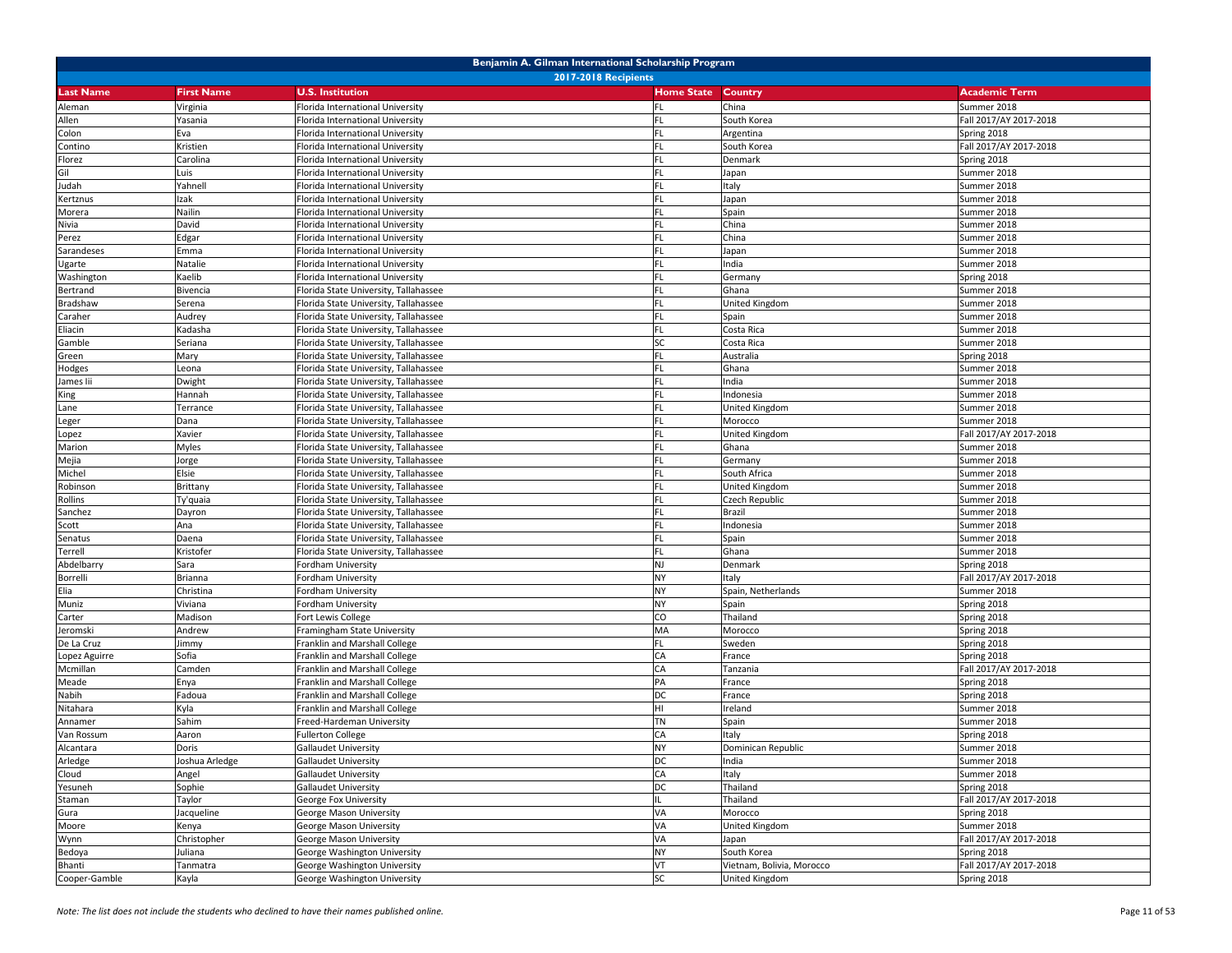| Benjamin A. Gilman International Scholarship Program |                      |                                                                |                   |                           |                                       |  |  |
|------------------------------------------------------|----------------------|----------------------------------------------------------------|-------------------|---------------------------|---------------------------------------|--|--|
| <b>2017-2018 Recipients</b>                          |                      |                                                                |                   |                           |                                       |  |  |
| <b>Last Name</b>                                     | <b>First Name</b>    | <b>U.S. Institution</b>                                        | <b>Home State</b> | <b>Country</b>            | <b>Academic Term</b>                  |  |  |
| Aleman                                               | Virginia             | Florida International University                               | FL                | China                     | Summer 2018                           |  |  |
| Allen                                                | Yasania              | Florida International University                               | FL                | South Korea               | Fall 2017/AY 2017-2018                |  |  |
| Colon                                                | Eva                  | Florida International University                               | <b>FL</b>         | Argentina                 | Spring 2018                           |  |  |
| Contino                                              | Kristien             | Florida International University                               | FL                | South Korea               | Fall 2017/AY 2017-2018                |  |  |
| Florez                                               | Carolina             | Florida International University                               | FL                | Denmark                   | Spring 2018                           |  |  |
| Gil                                                  | Luis                 | Florida International University                               | <b>FL</b>         | Japan                     | Summer 2018                           |  |  |
| Judah                                                | Yahnell              | Florida International University                               | FL                | Italy                     | Summer 2018                           |  |  |
| Kertznus                                             | Izak                 | Florida International University                               |                   | Japan                     | Summer 2018                           |  |  |
| Morera                                               | Nailin               | Iorida International University                                | FL                | Spain                     | Summer 2018                           |  |  |
| Nivia                                                | David                | Florida International University                               | FL                | China                     | Summer 2018                           |  |  |
| Perez                                                | Edgar                | Florida International University                               | <b>FL</b>         | China                     | Summer 2018                           |  |  |
| Sarandeses                                           | Emma                 | Florida International University                               | FL                | Japan                     | Summer 2018                           |  |  |
| Ugarte                                               | Natalie              | Florida International University                               | <b>FL</b>         | India                     | Summer 2018                           |  |  |
| Washington                                           | Kaelib               | Florida International University                               | <b>FL</b>         | Germany                   | Spring 2018                           |  |  |
| Bertrand                                             | Bivencia             | Florida State University, Tallahassee                          | FL                | Ghana                     | Summer 2018                           |  |  |
| Bradshaw                                             | Serena               | Florida State University, Tallahassee                          | <b>FL</b>         | United Kingdom            | Summer 2018                           |  |  |
| Caraher                                              | Audrey               | Florida State University, Tallahassee                          | FL                | Spain                     | Summer 2018                           |  |  |
| Eliacin                                              | Kadasha              | Florida State University, Tallahassee                          | <b>FL</b>         | Costa Rica                | Summer 2018                           |  |  |
| Gamble                                               | Seriana              | Florida State University, Tallahassee                          | <b>SC</b>         | Costa Rica                | Summer 2018                           |  |  |
| Green                                                | Mary                 | Florida State University, Tallahassee                          | FL                | Australia                 | Spring 2018                           |  |  |
| Hodges                                               | Leona                | Florida State University, Tallahassee                          | <b>FL</b>         | Ghana                     | Summer 2018                           |  |  |
| James lii                                            | Dwight               | Florida State University, Tallahassee                          | FL                | India                     | Summer 2018                           |  |  |
| King                                                 | Hannah               | Florida State University, Tallahassee                          |                   | Indonesia                 | Summer 2018                           |  |  |
| Lane                                                 | Terrance             | Iorida State University, Tallahassee                           | <b>FL</b>         | United Kingdom            | Summer 2018                           |  |  |
| Leger                                                | Dana                 | Florida State University, Tallahassee                          | FL                | Morocco                   | Summer 2018                           |  |  |
| Lopez                                                | Xavier               | Florida State University, Tallahassee                          | <b>FL</b>         | United Kingdom            | Fall 2017/AY 2017-2018                |  |  |
| Marion                                               | Myles                | Florida State University, Tallahassee                          | FL                | Ghana                     | Summer 2018                           |  |  |
| Mejia                                                | Jorge                | Florida State University, Tallahassee                          | <b>FL</b>         | Germany                   | Summer 2018                           |  |  |
| Michel                                               | Elsie                | Florida State University, Tallahassee                          | <b>FL</b>         | South Africa              | Summer 2018                           |  |  |
| Robinson                                             | Brittany             | Florida State University, Tallahassee                          | FL                | United Kingdom            | Summer 2018                           |  |  |
| Rollins                                              | Ty'quaia             | Florida State University, Tallahassee                          | FL                | Czech Republic            | Summer 2018                           |  |  |
| Sanchez                                              | Dayron               | Florida State University, Tallahassee                          | FL                | Brazil                    | Summer 2018                           |  |  |
| Scott                                                | Ana                  | Florida State University, Tallahassee                          | <b>FL</b>         | Indonesia                 | Summer 2018                           |  |  |
| Senatus                                              | Daena                | Florida State University, Tallahassee                          | FL                | Spain                     | Summer 2018                           |  |  |
| Terrell                                              | Kristofer            | Florida State University, Tallahassee                          | FL                | Ghana                     | Summer 2018                           |  |  |
| Abdelbarry                                           | Sara                 | Fordham University                                             | <b>NJ</b>         | Denmark                   | Spring 2018                           |  |  |
| Borrelli                                             | Brianna              | Fordham University                                             | <b>NY</b>         | Italy                     | Fall 2017/AY 2017-2018                |  |  |
| Elia                                                 | Christina            | ordham University                                              | <b>NY</b>         | Spain, Netherlands        | Summer 2018                           |  |  |
| Muniz                                                | Viviana              | ordham University <sup>-</sup>                                 | <b>NY</b>         | Spain                     | Spring 2018                           |  |  |
| Carter                                               | Madison              | Fort Lewis College                                             | CO                | Thailand                  | Spring 2018                           |  |  |
| Jeromski                                             | Andrew               | Framingham State University                                    | MA                | Morocco                   | Spring 2018                           |  |  |
| De La Cruz                                           | Jimmy                | Franklin and Marshall College                                  | FL                | Sweden                    | Spring 2018                           |  |  |
| Lopez Aguirre                                        | Sofia                | Franklin and Marshall College                                  | CA                | France                    | Spring 2018                           |  |  |
| Mcmillan                                             | Camden               | Franklin and Marshall College                                  | CA<br>PA          | Tanzania                  | Fall 2017/AY 2017-2018                |  |  |
| Meade                                                | Enya                 | Franklin and Marshall College                                  | DC                | France                    | Spring 2018                           |  |  |
| Nabih                                                | Fadoua               | Franklin and Marshall College<br>Franklin and Marshall College |                   | France                    | Spring 2018                           |  |  |
| Nitahara                                             | Kyla<br>Sahim        |                                                                | HI<br><b>TN</b>   | Ireland                   | Summer 2018                           |  |  |
| Annamer                                              |                      | reed-Hardeman University<br><b>Fullerton College</b>           | CA                | Spain                     | Summer 2018                           |  |  |
| Van Rossum<br>Alcantara                              | Aaron<br>Doris       | <b>Gallaudet University</b>                                    | <b>NY</b>         | Italy                     | Spring 2018<br>Summer 2018            |  |  |
|                                                      |                      |                                                                |                   | Dominican Republic        |                                       |  |  |
| Arledge<br>Cloud                                     | Joshua Arledge       | <b>Gallaudet University</b><br><b>Gallaudet University</b>     | DC<br>CA          | India<br>Italy            | Summer 2018<br>Summer 2018            |  |  |
|                                                      | Angel                |                                                                |                   |                           |                                       |  |  |
| Yesuneh<br>Staman                                    | Sophie               | <b>Gallaudet University</b><br>George Fox University           | DC                | Thailand<br>Thailand      | Spring 2018<br>Fall 2017/AY 2017-2018 |  |  |
|                                                      | Taylor<br>Jacqueline | George Mason University                                        | VA                |                           | Spring 2018                           |  |  |
| Gura<br>Moore                                        |                      | George Mason University                                        | VA                | Morocco<br>United Kingdom | Summer 2018                           |  |  |
|                                                      | Kenya<br>Christopher | George Mason University                                        | VA                | Japan                     | Fall 2017/AY 2017-2018                |  |  |
| Wynn<br>Bedoya                                       | Juliana              | George Washington University                                   | <b>NY</b>         | South Korea               | Spring 2018                           |  |  |
| Bhanti                                               | Tanmatra             | George Washington University                                   | VT                | Vietnam, Bolivia, Morocco | Fall 2017/AY 2017-2018                |  |  |
| Cooper-Gamble                                        | Kayla                | George Washington University                                   | <b>SC</b>         | United Kingdom            | Spring 2018                           |  |  |
|                                                      |                      |                                                                |                   |                           |                                       |  |  |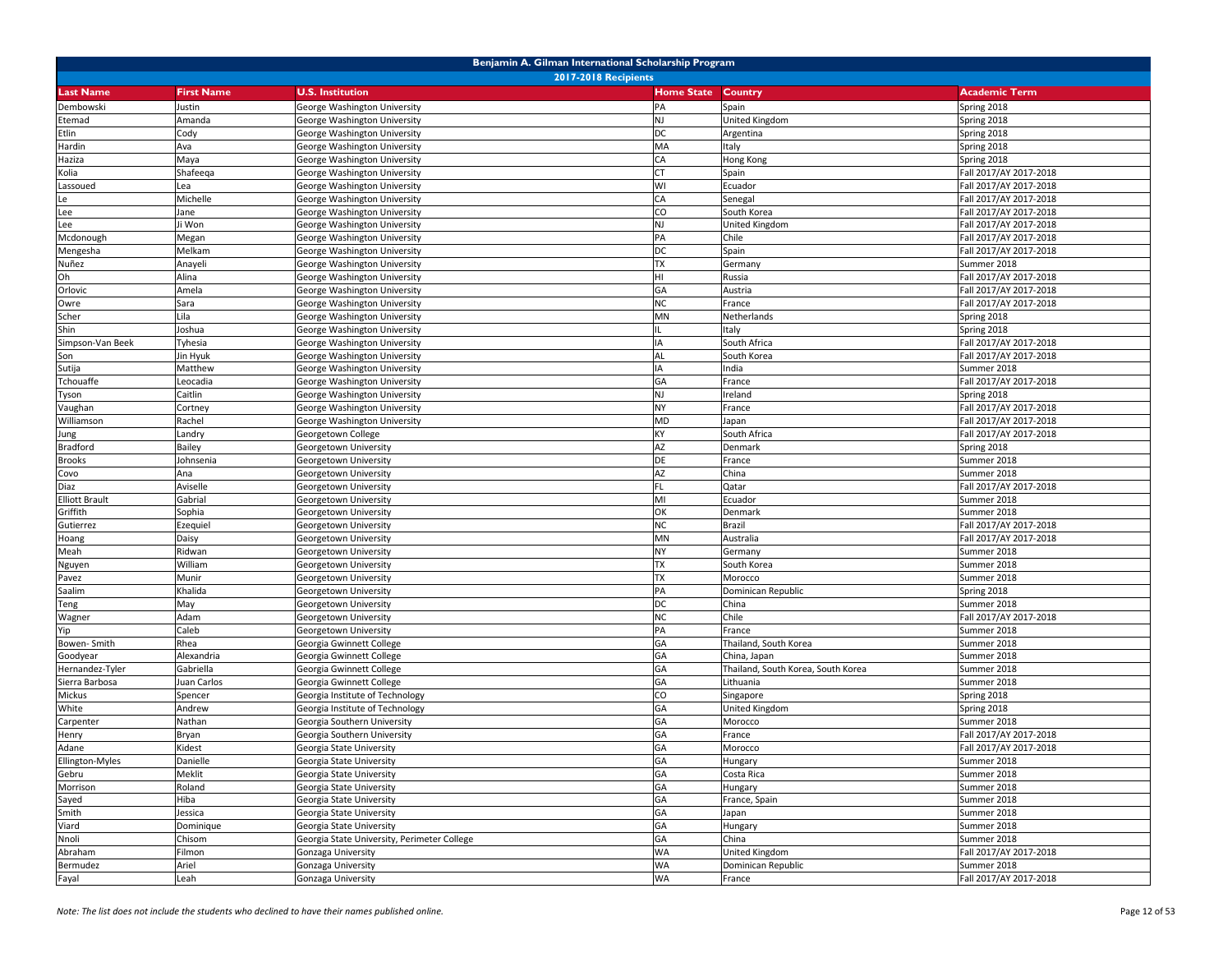| Benjamin A. Gilman International Scholarship Program |                   |                                             |                   |                                    |                        |  |
|------------------------------------------------------|-------------------|---------------------------------------------|-------------------|------------------------------------|------------------------|--|
| <b>2017-2018 Recipients</b>                          |                   |                                             |                   |                                    |                        |  |
| <b>Last Name</b>                                     | <b>First Name</b> | <b>U.S. Institution</b>                     | <b>Home State</b> | Country                            | <b>Academic Term</b>   |  |
| Dembowski                                            | Justin            | George Washington University                | PA                | Spain                              | Spring 2018            |  |
| Etemad                                               | Amanda            | George Washington University                | <b>NJ</b>         | United Kingdom                     | Spring 2018            |  |
| Etlin                                                | Cody              | George Washington University                | DC                | Argentina                          | Spring 2018            |  |
| Hardin                                               | Ava               | George Washington University                | MA                | Italy                              | Spring 2018            |  |
| Haziza                                               | Maya              | George Washington University                | CA                | Hong Kong                          | Spring 2018            |  |
| Kolia                                                | Shafeeqa          | George Washington University                | <b>CT</b>         | Spain                              | Fall 2017/AY 2017-2018 |  |
| Lassoued                                             | Lea               | George Washington University                | WI                | Ecuador                            | Fall 2017/AY 2017-2018 |  |
| Le                                                   | Michelle          | George Washington University                | CA                | Senegal                            | Fall 2017/AY 2017-2018 |  |
| Lee                                                  | Jane              | George Washington University                | CO                | South Korea                        | Fall 2017/AY 2017-2018 |  |
| Lee                                                  | Ji Won            | George Washington University                | NJ                | United Kingdom                     | Fall 2017/AY 2017-2018 |  |
| Mcdonough                                            | Megan             | George Washington University                | PA                | Chile                              | Fall 2017/AY 2017-2018 |  |
| Mengesha                                             | Melkam            | George Washington University                | <b>DC</b>         | Spain                              | Fall 2017/AY 2017-2018 |  |
| Nuñez                                                | Anayeli           | George Washington University                | <b>TX</b>         | Germany                            | Summer 2018            |  |
| Oh                                                   | Alina             | George Washington University                | HI                | Russia                             | Fall 2017/AY 2017-2018 |  |
| Orlovic                                              | Amela             | George Washington University                | GA                | Austria                            | Fall 2017/AY 2017-2018 |  |
| Owre                                                 | Sara              | George Washington University                | <b>NC</b>         | France                             | Fall 2017/AY 2017-2018 |  |
| Scher                                                | Lila              | George Washington University                | MN                | Netherlands                        | Spring 2018            |  |
| Shin                                                 | Joshua            | George Washington University                |                   | Italy                              | Spring 2018            |  |
| Simpson-Van Beek                                     | Tyhesia           | George Washington University                | IA                | South Africa                       | Fall 2017/AY 2017-2018 |  |
| Son                                                  | Jin Hyuk          | George Washington University                | AL                | South Korea                        | Fall 2017/AY 2017-2018 |  |
| Sutija                                               | Matthew           | George Washington University                | IA                | India                              | Summer 2018            |  |
| Tchouaffe                                            | Leocadia          | George Washington University                | GA                | France                             | Fall 2017/AY 2017-2018 |  |
| Tyson                                                | Caitlin           | George Washington University                | <b>NJ</b>         | Ireland                            | Spring 2018            |  |
| Vaughan                                              | Cortney           | George Washington University                | <b>NY</b>         | France                             | Fall 2017/AY 2017-2018 |  |
| Williamson                                           | Rachel            | George Washington University                | <b>MD</b>         | Japan                              | Fall 2017/AY 2017-2018 |  |
| Jung                                                 | Landry            | Georgetown College                          | KY                | South Africa                       | Fall 2017/AY 2017-2018 |  |
| <b>Bradford</b>                                      | Bailey            | Georgetown University                       | AZ                | Denmark                            | Spring 2018            |  |
| <b>Brooks</b>                                        | Johnsenia         | Georgetown University                       | DE                | France                             | Summer 2018            |  |
| Covo                                                 | Ana               | Georgetown University                       | AZ                | China                              | Summer 2018            |  |
| Diaz                                                 | Aviselle          | Georgetown University                       | FL                | Qatar                              | Fall 2017/AY 2017-2018 |  |
| <b>Elliott Brault</b>                                | Gabrial           | Georgetown University                       | MI                | Ecuador                            | Summer 2018            |  |
| Griffith                                             | Sophia            | Georgetown University                       | OK                | Denmark                            | Summer 2018            |  |
| Gutierrez                                            | Ezequiel          | Georgetown University                       | <b>NC</b>         | Brazil                             | Fall 2017/AY 2017-2018 |  |
| Hoang                                                | Daisy             | Georgetown University                       | MN                | Australia                          | Fall 2017/AY 2017-2018 |  |
| Meah                                                 | Ridwan            | Georgetown University                       | <b>NY</b>         | Germany                            | Summer 2018            |  |
| Nguyen                                               | William           | Georgetown University                       | <b>TX</b>         | South Korea                        | Summer 2018            |  |
| Pavez                                                | Munir             | Georgetown University                       | <b>TX</b>         | Morocco                            | Summer 2018            |  |
| Saalim                                               | Khalida           | Georgetown University                       | PA                | Dominican Republic                 | Spring 2018            |  |
| Teng                                                 | May               | Georgetown University                       | DC                | China                              | Summer 2018            |  |
| Wagner                                               | Adam              | Georgetown University                       | <b>NC</b>         | Chile                              | Fall 2017/AY 2017-2018 |  |
| Yip                                                  | Caleb             | Georgetown University                       | PA                | France                             | Summer 2018            |  |
| Bowen-Smith                                          | Rhea              | Georgia Gwinnett College                    | GA                | Thailand, South Korea              | Summer 2018            |  |
| Goodyear                                             | Alexandria        | Georgia Gwinnett College                    | GA                | China, Japan                       | Summer 2018            |  |
| Hernandez-Tyler                                      | Gabriella         | Georgia Gwinnett College                    | GA                | Thailand, South Korea, South Korea | Summer 2018            |  |
| Sierra Barbosa                                       | Juan Carlos       | Georgia Gwinnett College                    | GA                | Lithuania                          | Summer 2018            |  |
| Mickus                                               | Spencer           | Georgia Institute of Technology             | CO                | Singapore                          | Spring 2018            |  |
| White                                                | Andrew            | Georgia Institute of Technology             | GA                | United Kingdom                     | Spring 2018            |  |
| Carpenter                                            | Nathan            | Georgia Southern University                 | GA                | Morocco                            | Summer 2018            |  |
| Henry                                                | Bryan             | Georgia Southern University                 | GA                | France                             | Fall 2017/AY 2017-2018 |  |
| Adane                                                | Kidest            | Georgia State University                    | GA                | Morocco                            | Fall 2017/AY 2017-2018 |  |
| Ellington-Myles                                      | Danielle          | Georgia State University                    | GA                | Hungary                            | Summer 2018            |  |
| Gebru                                                | Meklit            | Georgia State University                    | GA                | Costa Rica                         | Summer 2018            |  |
| Morrison                                             | Roland            | Georgia State University                    | GA                | Hungary                            | Summer 2018            |  |
| Sayed                                                | Hiba              | Georgia State University                    | GA                | France, Spain                      | Summer 2018            |  |
| Smith                                                | Jessica           | Georgia State University                    | GA                | Japan                              | Summer 2018            |  |
| Viard                                                | Dominique         | Georgia State University                    | GA                | Hungary                            | Summer 2018            |  |
| Nnoli                                                | Chisom            | Georgia State University, Perimeter College | GA                | China                              | Summer 2018            |  |
| Abraham                                              | Filmon            | Gonzaga University                          | <b>WA</b>         | United Kingdom                     | Fall 2017/AY 2017-2018 |  |
| Bermudez                                             | Ariel             | Gonzaga University                          | <b>WA</b>         | Dominican Republic                 | Summer 2018            |  |
| Fayal                                                | Leah              | Gonzaga University                          | <b>WA</b>         | France                             | Fall 2017/AY 2017-2018 |  |
|                                                      |                   |                                             |                   |                                    |                        |  |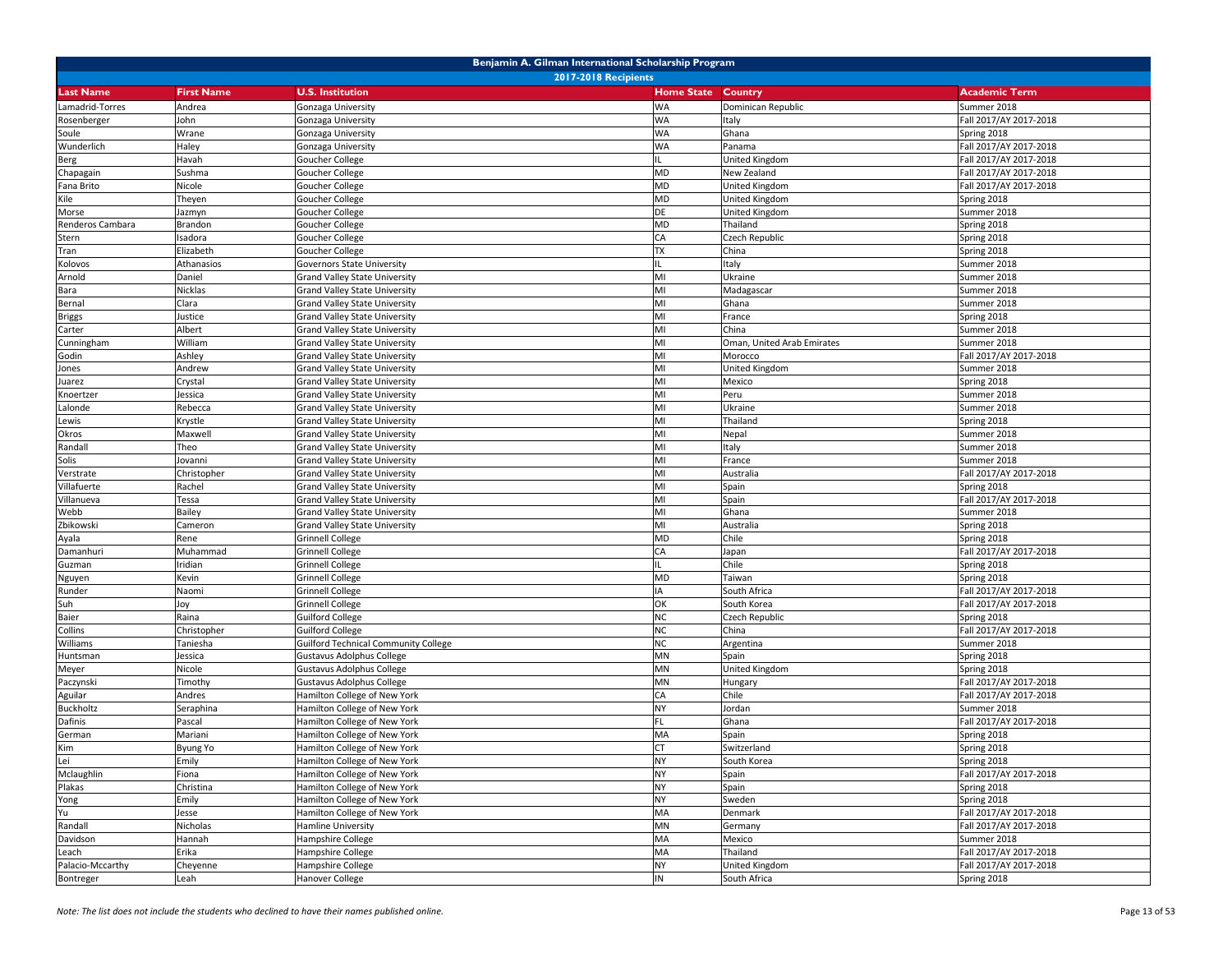|                  | Benjamin A. Gilman International Scholarship Program |                                             |                   |                            |                        |  |  |
|------------------|------------------------------------------------------|---------------------------------------------|-------------------|----------------------------|------------------------|--|--|
|                  |                                                      | <b>2017-2018 Recipients</b>                 |                   |                            |                        |  |  |
| <b>Last Name</b> | <b>First Name</b>                                    | <b>U.S. Institution</b>                     | <b>Home State</b> | <b>Country</b>             | <b>Academic Term</b>   |  |  |
| Lamadrid-Torres  | Andrea                                               | Gonzaga University                          | <b>WA</b>         | Dominican Republic         | Summer 2018            |  |  |
| Rosenberger      | John                                                 | Gonzaga University                          | <b>WA</b>         | Italy                      | Fall 2017/AY 2017-2018 |  |  |
| Soule            | Wrane                                                | Gonzaga University                          | <b>WA</b>         | Ghana                      | Spring 2018            |  |  |
| Wunderlich       | Haley                                                | Gonzaga University                          | <b>WA</b>         | Panama                     | Fall 2017/AY 2017-2018 |  |  |
| <b>Berg</b>      | Havah                                                | Goucher College                             | IL.               | United Kingdom             | Fall 2017/AY 2017-2018 |  |  |
| Chapagain        | Sushma                                               | <b>Goucher College</b>                      | MD                | New Zealand                | Fall 2017/AY 2017-2018 |  |  |
| Fana Brito       | Nicole                                               | Goucher College                             | <b>MD</b>         | United Kingdom             | Fall 2017/AY 2017-2018 |  |  |
| Kile             | Theyen                                               | <b>Goucher College</b>                      | <b>MD</b>         | United Kingdom             | Spring 2018            |  |  |
| Morse            | Jazmyn                                               | Goucher College                             | DE                | United Kingdom             | Summer 2018            |  |  |
| Renderos Cambara | Brandon                                              | Goucher College                             | <b>MD</b>         | Thailand                   | Spring 2018            |  |  |
| Stern            | Isadora                                              | Goucher College                             | CA                | Czech Republic             | Spring 2018            |  |  |
| Tran             | Elizabeth                                            | <b>Goucher College</b>                      | <b>TX</b>         | China                      | Spring 2018            |  |  |
| Kolovos          | Athanasios                                           | <b>Governors State University</b>           |                   | Italy                      | Summer 2018            |  |  |
| Arnold           | Daniel                                               | <b>Grand Valley State University</b>        | MI                | Ukraine                    | Summer 2018            |  |  |
| Bara             | Nicklas                                              | <b>Grand Valley State University</b>        | MI                | Madagascar                 | Summer 2018            |  |  |
| Bernal           | Clara                                                | <b>Grand Valley State University</b>        | MI                | Ghana                      | Summer 2018            |  |  |
| <b>Briggs</b>    | Justice                                              | <b>Grand Valley State University</b>        | MI                | France                     | Spring 2018            |  |  |
| Carter           | Albert                                               | <b>Grand Valley State University</b>        | MI                | China                      | Summer 2018            |  |  |
| Cunningham       | William                                              | <b>Grand Valley State University</b>        | MI                | Oman, United Arab Emirates | Summer 2018            |  |  |
| Godin            | Ashley                                               | <b>Grand Valley State University</b>        | MI                | Morocco                    | Fall 2017/AY 2017-2018 |  |  |
| Jones            | Andrew                                               | <b>Grand Valley State University</b>        | MI                | United Kingdom             | Summer 2018            |  |  |
| Juarez           | Crystal                                              | <b>Grand Valley State University</b>        | MI                | Mexico                     | Spring 2018            |  |  |
| Knoertzer        | lessica                                              | <b>Grand Valley State University</b>        | MI                | Peru                       | Summer 2018            |  |  |
| Lalonde          | Rebecca                                              | <b>Grand Valley State University</b>        | MI                | Ukraine                    | Summer 2018            |  |  |
| Lewis            | Krystle                                              | <b>Grand Valley State University</b>        | MI                | Thailand                   | Spring 2018            |  |  |
| Okros            | Maxwell                                              | Grand Valley State University               | MI                | Nepal                      | Summer 2018            |  |  |
| Randall          | Theo                                                 | <b>Grand Valley State University</b>        | MI                | Italy                      | Summer 2018            |  |  |
| Solis            | Jovanni                                              | <b>Grand Valley State University</b>        | MI                | France                     | Summer 2018            |  |  |
| Verstrate        | Christopher                                          | <b>Grand Valley State University</b>        | MI                | Australia                  | Fall 2017/AY 2017-2018 |  |  |
| Villafuerte      | Rachel                                               | <b>Grand Valley State University</b>        | MI                | Spain                      | Spring 2018            |  |  |
| Villanueva       | Tessa                                                | <b>Grand Valley State University</b>        | MI                | Spain                      | Fall 2017/AY 2017-2018 |  |  |
| Webb             | Bailey                                               | <b>Grand Valley State University</b>        | MI                | Ghana                      | Summer 2018            |  |  |
| Zbikowski        | Cameron                                              | <b>Grand Valley State University</b>        | MI                | Australia                  | Spring 2018            |  |  |
| Ayala            | Rene                                                 | <b>Grinnell College</b>                     | <b>MD</b>         | Chile                      | Spring 2018            |  |  |
| Damanhuri        | Muhammad                                             | Grinnell College                            | CA                | Japan                      | Fall 2017/AY 2017-2018 |  |  |
| Guzman           | Iridian                                              | <b>Grinnell College</b>                     |                   | Chile                      | Spring 2018            |  |  |
| Nguyen           | Kevin                                                | <b>Grinnell College</b>                     | <b>MD</b>         | Taiwan                     | Spring 2018            |  |  |
| Runder           | Naomi                                                | <b>Grinnell College</b>                     | IA                | South Africa               | Fall 2017/AY 2017-2018 |  |  |
| Suh              | Joy                                                  | Grinnell College                            | OK                | South Korea                | Fall 2017/AY 2017-2018 |  |  |
| <b>Baier</b>     | Raina                                                | <b>Guilford College</b>                     | <b>NC</b>         | Czech Republic             | Spring 2018            |  |  |
| Collins          | Christopher                                          | <b>Guilford College</b>                     | <b>NC</b>         | China                      | Fall 2017/AY 2017-2018 |  |  |
| Williams         | Taniesha                                             | <b>Guilford Technical Community College</b> | <b>NC</b>         | Argentina                  | Summer 2018            |  |  |
| Huntsman         | lessica                                              | <b>Gustavus Adolphus College</b>            | MN                | Spain                      | Spring 2018            |  |  |
| Meyer            | Nicole                                               | <b>Gustavus Adolphus College</b>            | MN                | United Kingdom             | Spring 2018            |  |  |
| Paczynski        | Timothy                                              | <b>Gustavus Adolphus College</b>            | <b>MN</b>         | Hungary                    | Fall 2017/AY 2017-2018 |  |  |
| Aguilar          | Andres                                               | Hamilton College of New York                | CA                | Chile                      | Fall 2017/AY 2017-2018 |  |  |
| <b>Buckholtz</b> | Seraphina                                            | Hamilton College of New York                | <b>NY</b>         | Jordan                     | Summer 2018            |  |  |
| Dafinis          | Pascal                                               | Hamilton College of New York                | <b>FL</b>         | Ghana                      | Fall 2017/AY 2017-2018 |  |  |
| German           | Mariani                                              | Hamilton College of New York                | MA                | Spain                      | Spring 2018            |  |  |
| Kim              | Byung Yo                                             | Hamilton College of New York                | <b>CT</b>         | Switzerland                | Spring 2018            |  |  |
| Lei              | Emily                                                | Hamilton College of New York                | <b>NY</b>         | South Korea                | Spring 2018            |  |  |
| Mclaughlin       | Fiona                                                | Hamilton College of New York                | <b>NY</b>         | Spain                      | Fall 2017/AY 2017-2018 |  |  |
| Plakas           | Christina                                            | Hamilton College of New York                | <b>NY</b>         | Spain                      | Spring 2018            |  |  |
| Yong             | Emily                                                | Hamilton College of New York                | <b>NY</b>         | Sweden                     | Spring 2018            |  |  |
| Yu               | Jesse                                                | Hamilton College of New York                | MA                | Denmark                    | Fall 2017/AY 2017-2018 |  |  |
| Randall          | Nicholas                                             | Hamline University                          | MN                | Germany                    | Fall 2017/AY 2017-2018 |  |  |
| Davidson         | Hannah                                               | Hampshire College                           | MA                | Mexico                     | Summer 2018            |  |  |
| Leach            | Erika                                                | Hampshire College                           | MA                | Thailand                   | Fall 2017/AY 2017-2018 |  |  |
| Palacio-Mccarthy | Cheyenne                                             | Hampshire College                           | <b>NY</b>         | United Kingdom             | Fall 2017/AY 2017-2018 |  |  |
| Bontreger        | Leah                                                 | Hanover College                             | IN                | South Africa               | Spring 2018            |  |  |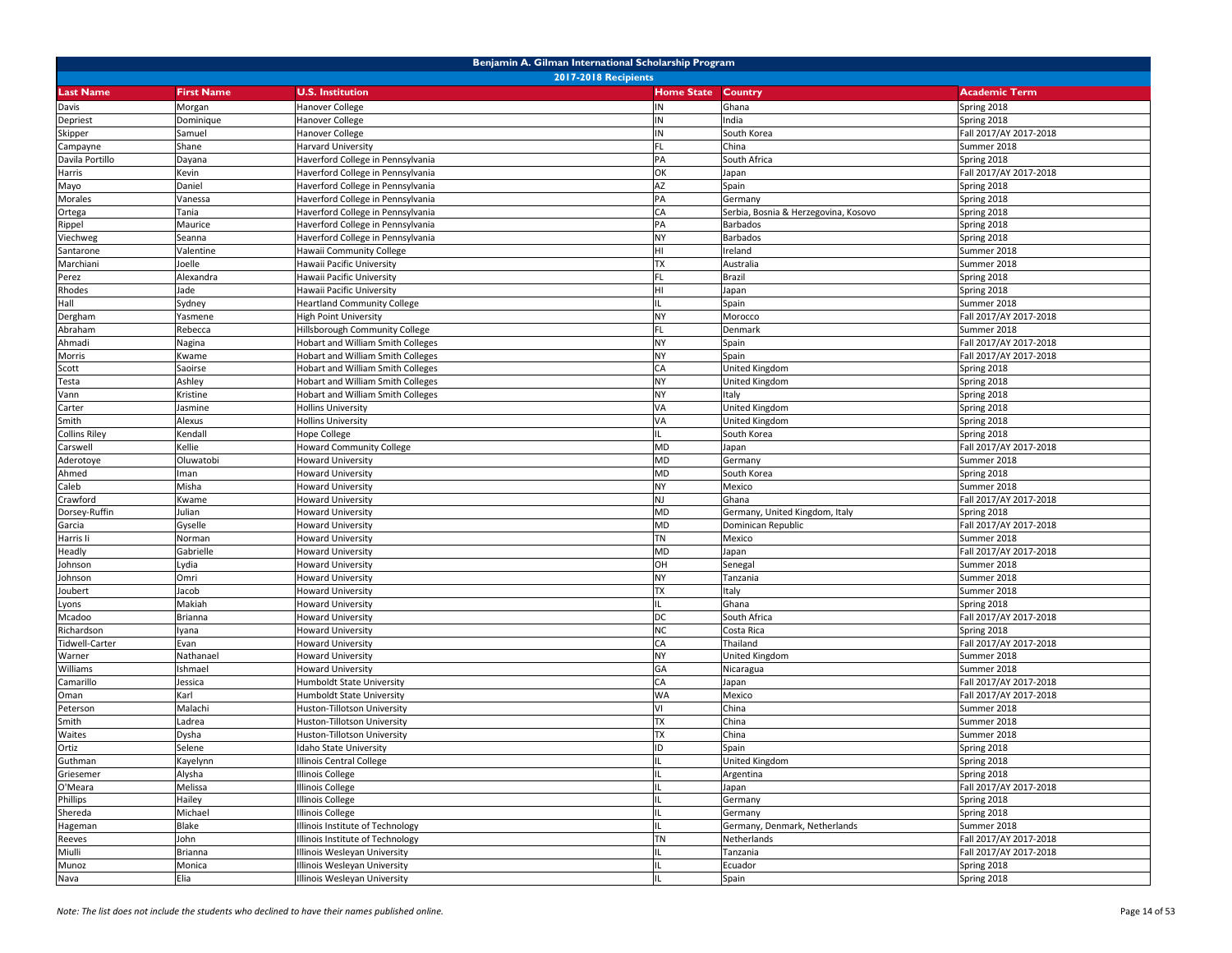| Benjamin A. Gilman International Scholarship Program |                   |                                          |                   |                                      |                        |  |
|------------------------------------------------------|-------------------|------------------------------------------|-------------------|--------------------------------------|------------------------|--|
|                                                      |                   | <b>2017-2018 Recipients</b>              |                   |                                      |                        |  |
| Last Name                                            | <b>First Name</b> | <b>U.S. Institution</b>                  | <b>Home State</b> | <b>Country</b>                       | <b>Academic Term</b>   |  |
| Davis                                                | Morgan            | <b>Hanover College</b>                   | ΙN                | Ghana                                | Spring 2018            |  |
| Depriest                                             | Dominique         | Hanover College                          | ΙN                | India                                | Spring 2018            |  |
| Skipper                                              | Samuel            | Hanover College                          | IN                | South Korea                          | Fall 2017/AY 2017-2018 |  |
| Campayne                                             | Shane             | Harvard University                       | FL                | China                                | Summer 2018            |  |
| Davila Portillo                                      | Dayana            | Haverford College in Pennsylvania        | PA                | South Africa                         | Spring 2018            |  |
| Harris                                               | Kevin             | Haverford College in Pennsylvania        | ОK                | Japan                                | Fall 2017/AY 2017-2018 |  |
| Mayo                                                 | Daniel            | Haverford College in Pennsylvania        | AZ                | Spain                                | Spring 2018            |  |
| Morales                                              | Vanessa           | Haverford College in Pennsylvania        | PA                | Germany                              | Spring 2018            |  |
| Ortega                                               | Tania             | Haverford College in Pennsylvania        | CA                | Serbia, Bosnia & Herzegovina, Kosovo | Spring 2018            |  |
| Rippel                                               | Maurice           | Haverford College in Pennsylvania        | PA                | <b>Barbados</b>                      | Spring 2018            |  |
| Viechweg                                             | Seanna            | Haverford College in Pennsylvania        | NΥ                | Barbados                             | Spring 2018            |  |
| Santarone                                            | Valentine         | Hawaii Community College                 | HI                | Ireland                              | Summer 2018            |  |
| Marchiani                                            | Joelle            | Hawaii Pacific University                | <b>TX</b>         | Australia                            | Summer 2018            |  |
| Perez                                                | Alexandra         | Hawaii Pacific University                | FL                | Brazil                               | Spring 2018            |  |
| Rhodes                                               | Jade              | Hawaii Pacific University                | HI                | Japan                                | Spring 2018            |  |
| Hall                                                 | Sydney            | <b>Heartland Community College</b>       |                   | Spain                                | Summer 2018            |  |
| Dergham                                              | Yasmene           | <b>High Point University</b>             | NY                | Morocco                              | Fall 2017/AY 2017-2018 |  |
| Abraham                                              | Rebecca           | Hillsborough Community College           | FL.               | Denmark                              | Summer 2018            |  |
| Ahmadi                                               | Nagina            | <b>Hobart and William Smith Colleges</b> | <b>NY</b>         | Spain                                | Fall 2017/AY 2017-2018 |  |
| Morris                                               | Kwame             | <b>Hobart and William Smith Colleges</b> | <b>NY</b>         | Spain                                | Fall 2017/AY 2017-2018 |  |
| Scott                                                | Saoirse           | <b>Hobart and William Smith Colleges</b> | CA                | United Kingdom                       | Spring 2018            |  |
| Testa                                                | Ashley            | <b>Hobart and William Smith Colleges</b> | NY                | United Kingdom                       | Spring 2018            |  |
| Vann                                                 | Kristine          | Hobart and William Smith Colleges        | NY.               | Italy                                | Spring 2018            |  |
| Carter                                               | Jasmine           | <b>Hollins University</b>                | VA                | <b>United Kingdom</b>                | Spring 2018            |  |
| Smith                                                | Alexus            | <b>Hollins University</b>                | VA                | United Kingdom                       | Spring 2018            |  |
| Collins Riley                                        | Kendall           | Hope College                             |                   | South Korea                          | Spring 2018            |  |
| Carswell                                             | Kellie            | <b>Howard Community College</b>          | MD                | Japan                                | Fall 2017/AY 2017-2018 |  |
| Aderotoye                                            | Oluwatobi         | <b>Howard University</b>                 | MD                | Germany                              | Summer 2018            |  |
| Ahmed                                                | man               | <b>Howard University</b>                 | MD                | South Korea                          | Spring 2018            |  |
| Caleb                                                | Misha             | <b>Howard University</b>                 | <b>NY</b>         | Mexico                               | Summer 2018            |  |
| Crawford                                             | Kwame             | <b>Howard University</b>                 | NJ                | Ghana                                | Fall 2017/AY 2017-2018 |  |
| Dorsey-Ruffin                                        | Julian            | Howard University                        | MD                | Germany, United Kingdom, Italy       | Spring 2018            |  |
| Garcia                                               | Gyselle           | <b>Howard University</b>                 | MD                | Dominican Republic                   | Fall 2017/AY 2017-2018 |  |
| Harris li                                            | Norman            | <b>Howard University</b>                 | TN                | Mexico                               | Summer 2018            |  |
| Headly                                               | Gabrielle         | <b>Howard University</b>                 | MD                | Japan                                | Fall 2017/AY 2017-2018 |  |
| Johnson                                              | Lydia             | <b>Howard University</b>                 | OH                | Senegal                              | Summer 2018            |  |
| Johnson                                              | Omri              | Howard University                        | NY                | Tanzania                             | Summer 2018            |  |
| Joubert                                              | Jacob             | <b>Howard University</b>                 | TΧ                | Italy                                | Summer 2018            |  |
| Lyons                                                | Makiah            | <b>Howard University</b>                 |                   | Ghana                                | Spring 2018            |  |
| Mcadoo                                               | Brianna           | <b>Howard University</b>                 | DC                | South Africa                         | Fall 2017/AY 2017-2018 |  |
| Richardson                                           | lyana             | Howard University                        | ΝC                | Costa Rica                           | Spring 2018            |  |
| Tidwell-Carter                                       | Evan              | Howard University                        | СA                | Thailand                             | Fall 2017/AY 2017-2018 |  |
| Warner                                               | Nathanael         | <b>Howard University</b>                 | NY.               | United Kingdom                       | Summer 2018            |  |
| Williams                                             | Ishmael           | <b>Howard University</b>                 | GA                | Nicaragua                            | Summer 2018            |  |
| Camarillo                                            | Jessica           | Humboldt State University                | CA                | Japan                                | Fall 2017/AY 2017-2018 |  |
| Oman                                                 | Karl              | Humboldt State University                | WA                | Mexico                               | Fall 2017/AY 2017-2018 |  |
| Peterson                                             | Malachi           | Huston-Tillotson University              | V١                | China                                | Summer 2018            |  |
| Smith                                                | Ladrea            | Huston-Tillotson University              | <b>TX</b>         | China                                | Summer 2018            |  |
| Waites                                               | Dysha             | Huston-Tillotson University              | <b>TX</b>         | China                                | Summer 2018            |  |
| Ortiz                                                | Selene            | Idaho State University                   | ID                | Spain                                | Spring 2018            |  |
| Guthman                                              | Kayelynn          | Illinois Central College                 | IL                | United Kingdom                       | Spring 2018            |  |
| Griesemer                                            | Alysha            | Illinois College                         |                   | Argentina                            | Spring 2018            |  |
| O'Meara                                              | Melissa           | Illinois College                         |                   | Japan                                | Fall 2017/AY 2017-2018 |  |
| Phillips                                             | Hailey            | Illinois College                         |                   | Germany                              | Spring 2018            |  |
| Shereda                                              | Michael           | <b>Illinois College</b>                  |                   | Germany                              | Spring 2018            |  |
| Hageman                                              | Blake             | Illinois Institute of Technology         |                   | Germany, Denmark, Netherlands        | Summer 2018            |  |
| Reeves                                               | John              | Illinois Institute of Technology         | <b>TN</b>         | Netherlands                          | Fall 2017/AY 2017-2018 |  |
| Miulli                                               | Brianna           | Illinois Wesleyan University             |                   | Tanzania                             | Fall 2017/AY 2017-2018 |  |
| Munoz                                                | Monica            | Illinois Wesleyan University             |                   | Ecuador                              | Spring 2018            |  |
| Nava                                                 | Elia              | Illinois Wesleyan University             |                   | Spain                                | Spring 2018            |  |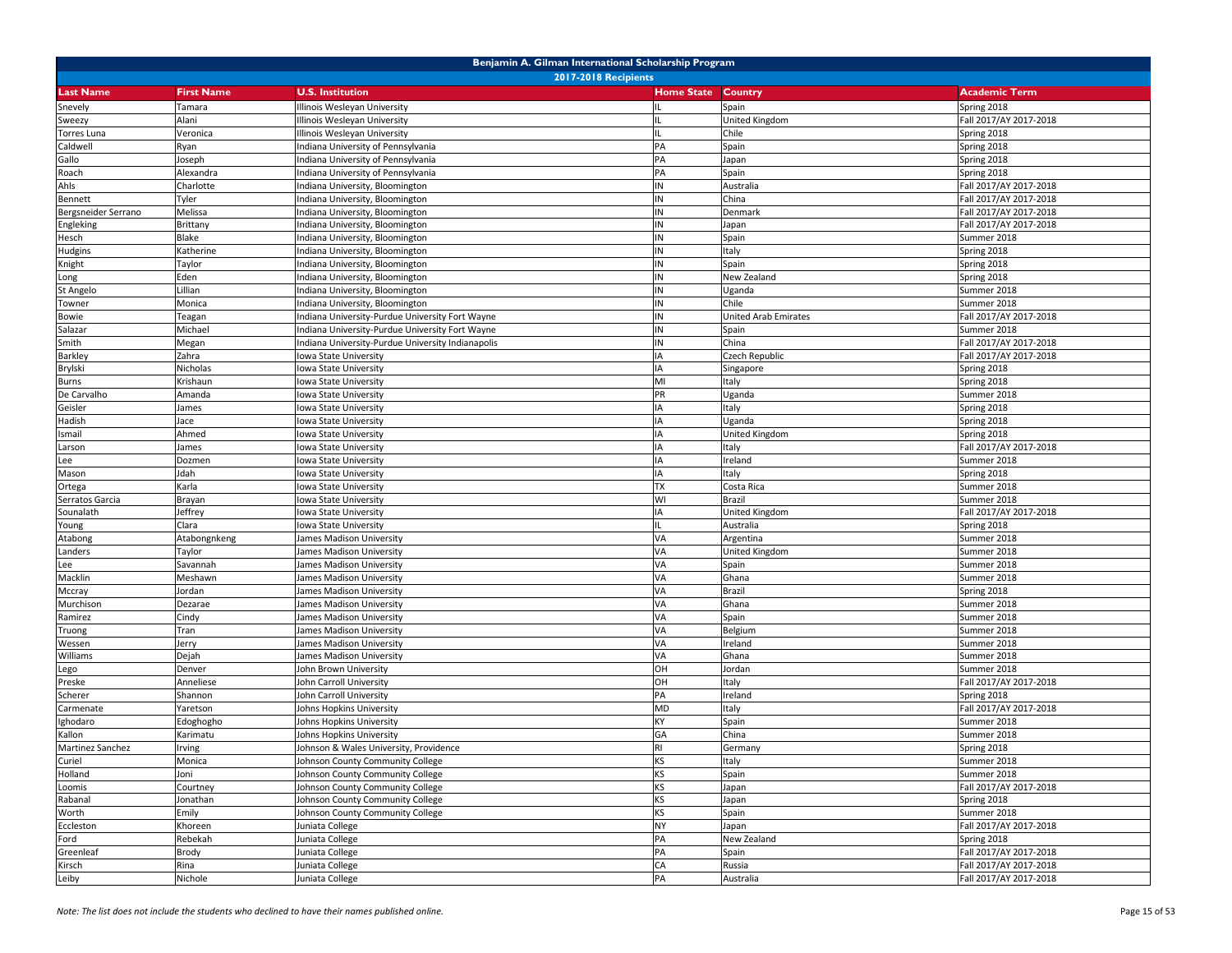|                       | Benjamin A. Gilman International Scholarship Program |                                                            |                   |                         |                                       |  |  |
|-----------------------|------------------------------------------------------|------------------------------------------------------------|-------------------|-------------------------|---------------------------------------|--|--|
| <b>Last Name</b>      | <b>First Name</b>                                    | <b>2017-2018 Recipients</b><br><b>U.S. Institution</b>     | <b>Home State</b> | <b>Country</b>          | <b>Academic Term</b>                  |  |  |
|                       |                                                      |                                                            |                   |                         |                                       |  |  |
| Snevely               | Tamara<br>Alani                                      | llinois Wesleyan University<br>llinois Wesleyan University | IL                | Spain<br>United Kingdom | Spring 2018<br>Fall 2017/AY 2017-2018 |  |  |
| Sweezy<br>Torres Luna | Veronica                                             | Ilinois Wesleyan University                                |                   | Chile                   | Spring 2018                           |  |  |
| Caldwell              | Ryan                                                 | ndiana University of Pennsylvania                          | PA                | Spain                   | Spring 2018                           |  |  |
| Gallo                 | Joseph                                               | ndiana University of Pennsylvania                          | PA                | Japan                   | Spring 2018                           |  |  |
| Roach                 | Alexandra                                            | ndiana University of Pennsylvania                          | PA                | Spain                   | Spring 2018                           |  |  |
| Ahls                  | Charlotte                                            | ndiana University, Bloomington                             | IN                | Australia               | Fall 2017/AY 2017-2018                |  |  |
| <b>Bennett</b>        | Tyler                                                | ndiana University, Bloomington                             | IN                | China                   | Fall 2017/AY 2017-2018                |  |  |
| Bergsneider Serrano   | Melissa                                              | ndiana University, Bloomington                             | IN                | Denmark                 | Fall 2017/AY 2017-2018                |  |  |
| Engleking             | Brittany                                             | ndiana University, Bloomington                             | IN                | Japan                   | Fall 2017/AY 2017-2018                |  |  |
| Hesch                 | Blake                                                | ndiana University, Bloomington                             | IN                | Spain                   | Summer 2018                           |  |  |
| Hudgins               | Katherine                                            | ndiana University, Bloomington                             | IN                | Italy                   | Spring 2018                           |  |  |
| Knight                | Taylor                                               | ndiana University, Bloomington                             | IN                | Spain                   | Spring 2018                           |  |  |
| Long                  | Eden                                                 | ndiana University, Bloomington                             | IN                | New Zealand             | Spring 2018                           |  |  |
| St Angelo             | Lillian                                              | ndiana University, Bloomington                             | IN                | Uganda                  | Summer 2018                           |  |  |
| Towner                | Monica                                               | ndiana University, Bloomington                             | IN                | Chile                   | Summer 2018                           |  |  |
| Bowie                 | Teagan                                               | ndiana University-Purdue University Fort Wayne             | IN                | United Arab Emirates    | Fall 2017/AY 2017-2018                |  |  |
| Salazar               | Michael                                              | ndiana University-Purdue University Fort Wayne             | IN                | Spain                   | Summer 2018                           |  |  |
| Smith                 | Megan                                                | ndiana University-Purdue University Indianapolis           | IN                | China                   | Fall 2017/AY 2017-2018                |  |  |
| Barkley               | Zahra                                                | owa State University                                       | IA                | Czech Republic          | Fall 2017/AY 2017-2018                |  |  |
| Brylski               | Nicholas                                             | owa State University                                       | IA                | Singapore               | Spring 2018                           |  |  |
| <b>Burns</b>          | Krishaun                                             | owa State University                                       | MI                | Italy                   | Spring 2018                           |  |  |
| De Carvalho           | Amanda                                               | owa State University                                       | PR                | Uganda                  | Summer 2018                           |  |  |
| Geisler               | James                                                | Iowa State University                                      | IA                | Italy                   | Spring 2018                           |  |  |
| Hadish                | Jace                                                 | lowa State University                                      | IA                | Uganda                  | Spring 2018                           |  |  |
| Ismail                | Ahmed                                                | owa State University                                       | IA                | United Kingdom          | Spring 2018                           |  |  |
| Larson                | James                                                | owa State University                                       | IA                | Italy                   | Fall 2017/AY 2017-2018                |  |  |
| Lee                   | Dozmen                                               | owa State University                                       |                   | Ireland                 | Summer 2018                           |  |  |
| Mason                 | Jdah                                                 | Iowa State University                                      | IA                | Italy                   | Spring 2018                           |  |  |
| Ortega                | Karla                                                | lowa State University                                      | <b>TX</b>         | Costa Rica              | Summer 2018                           |  |  |
| Serratos Garcia       | Brayan                                               | owa State University                                       | WI                | Brazil                  | Summer 2018                           |  |  |
| Sounalath             | Jeffrey<br>Clara                                     | owa State University                                       | IA                | United Kingdom          | Fall 2017/AY 2017-2018                |  |  |
| Young<br>Atabong      | Atabongnkeng                                         | owa State University<br>James Madison University           | VA                | Australia<br>Argentina  | Spring 2018<br>Summer 2018            |  |  |
| Landers               | Taylor                                               | James Madison University                                   | VA                | United Kingdom          | Summer 2018                           |  |  |
| Lee                   | Savannah                                             | James Madison University                                   | VA                | Spain                   | Summer 2018                           |  |  |
| Macklin               | Meshawn                                              | lames Madison University                                   | VA                | Ghana                   | Summer 2018                           |  |  |
| Mccray                | Jordan                                               | lames Madison University                                   | VA                | Brazil                  | Spring 2018                           |  |  |
| Murchison             | Dezarae                                              | James Madison University                                   | VA                | Ghana                   | Summer 2018                           |  |  |
| Ramirez               | Cindy                                                | James Madison University                                   | VA                | Spain                   | Summer 2018                           |  |  |
| Truong                | Tran                                                 | lames Madison University                                   | VA                | Belgium                 | Summer 2018                           |  |  |
| Wessen                | Jerry                                                | ames Madison University                                    | VA                | Ireland                 | Summer 2018                           |  |  |
| Williams              | Dejah                                                | James Madison University                                   | VA                | Ghana                   | Summer 2018                           |  |  |
| Lego                  | Denver                                               | John Brown University                                      | OH                | Jordan                  | Summer 2018                           |  |  |
| Preske                | Anneliese                                            | John Carroll University                                    | OH                | Italy                   | Fall 2017/AY 2017-2018                |  |  |
| Scherer               | Shannon                                              | John Carroll University                                    | PA                | Ireland                 | Spring 2018                           |  |  |
| Carmenate             | Yaretson                                             | ohns Hopkins University                                    | <b>MD</b>         | Italy                   | Fall 2017/AY 2017-2018                |  |  |
| Ighodaro              | Edoghogho                                            | <b>Johns Hopkins University</b>                            | KY                | Spain                   | Summer 2018                           |  |  |
| Kallon                | Karimatu                                             | Johns Hopkins University                                   | GA                | China                   | Summer 2018                           |  |  |
| Martinez Sanchez      | Irving                                               | Johnson & Wales University, Providence                     | <b>RI</b>         | Germany                 | Spring 2018                           |  |  |
| Curiel                | Monica                                               | Johnson County Community College                           | KS                | Italy                   | Summer 2018                           |  |  |
| Holland               | Joni                                                 | Johnson County Community College                           | <b>KS</b>         | Spain                   | Summer 2018                           |  |  |
| Loomis                | Courtney                                             | Johnson County Community College                           | KS                | Japan                   | Fall 2017/AY 2017-2018                |  |  |
| Rabanal               | Jonathan                                             | Johnson County Community College                           | <b>KS</b>         | Japan                   | Spring 2018                           |  |  |
| Worth                 | Emily                                                | Johnson County Community College                           | <b>KS</b>         | Spain                   | Summer 2018                           |  |  |
| Eccleston             | Khoreen                                              | Juniata College                                            | <b>NY</b>         | Japan                   | Fall 2017/AY 2017-2018                |  |  |
| Ford                  | Rebekah                                              | Juniata College                                            | PA                | New Zealand             | Spring 2018                           |  |  |
| Greenleaf             | Brody                                                | Juniata College                                            | PA                | Spain                   | Fall 2017/AY 2017-2018                |  |  |
| Kirsch                | Rina                                                 | Juniata College                                            | CA                | Russia                  | Fall 2017/AY 2017-2018                |  |  |
| Leiby                 | Nichole                                              | Juniata College                                            | PA                | Australia               | Fall 2017/AY 2017-2018                |  |  |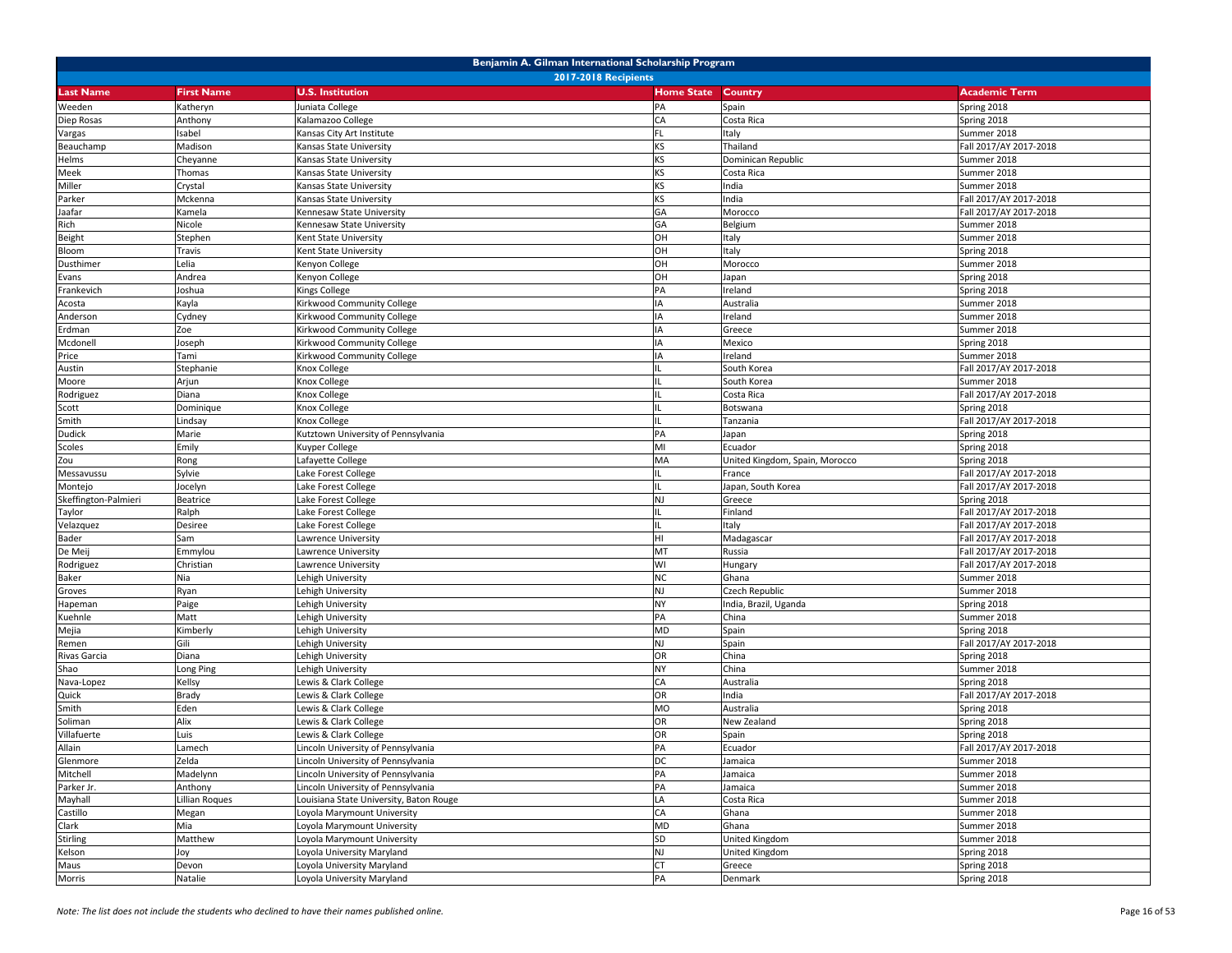| Benjamin A. Gilman International Scholarship Program |                                                                                                                     |                                                                                           |                   |                                |                                       |  |
|------------------------------------------------------|---------------------------------------------------------------------------------------------------------------------|-------------------------------------------------------------------------------------------|-------------------|--------------------------------|---------------------------------------|--|
|                                                      |                                                                                                                     | 2017-2018 Recipients                                                                      |                   |                                |                                       |  |
| Last Name                                            | <b>First Name</b>                                                                                                   | <b>U.S. Institution</b>                                                                   | <b>Home State</b> | Country                        | <b>Academic Term</b>                  |  |
| Weeden                                               | Katheryn                                                                                                            | Juniata College                                                                           | PA                | Spain                          | Spring 2018                           |  |
| Diep Rosas                                           | Anthony                                                                                                             | <alamazoo college<="" td=""><td>CA</td><td>Costa Rica</td><td>Spring 2018</td></alamazoo> | CA                | Costa Rica                     | Spring 2018                           |  |
| Vargas                                               | sabel                                                                                                               | Kansas City Art Institute                                                                 | FI                | Italy                          | Summer 2018                           |  |
| Beauchamp                                            | Madison                                                                                                             | Kansas State University                                                                   | KS                | Thailand                       | Fall 2017/AY 2017-2018                |  |
| Helms                                                | Cheyanne                                                                                                            | Kansas State University                                                                   | KS                | Dominican Republic             | Summer 2018                           |  |
| Meek                                                 | Thomas                                                                                                              | Kansas State University                                                                   | KS                | Costa Rica                     | Summer 2018                           |  |
| Miller                                               | Crystal                                                                                                             | Kansas State University                                                                   | KS                | India                          | Summer 2018                           |  |
| Parker                                               | Mckenna                                                                                                             | Kansas State University                                                                   | KS                | ndia                           | Fall 2017/AY 2017-2018                |  |
| Jaafar                                               | <amela< td=""><td>Kennesaw State University</td><td>GA</td><td>Morocco</td><td>Fall 2017/AY 2017-2018</td></amela<> | Kennesaw State University                                                                 | GA                | Morocco                        | Fall 2017/AY 2017-2018                |  |
| Rich                                                 | Nicole                                                                                                              | Kennesaw State University                                                                 | GA                | Belgium                        | Summer 2018                           |  |
| Beight                                               | Stephen                                                                                                             | Kent State University                                                                     | OH                | Italy                          | Summer 2018                           |  |
| Bloom                                                | Travis                                                                                                              | Kent State University                                                                     | OH                | Italy                          | Spring 2018                           |  |
| Dusthimer                                            | Lelia                                                                                                               | Kenyon College                                                                            | OH                | Morocco                        | Summer 2018                           |  |
| Evans                                                | Andrea                                                                                                              | Kenyon College                                                                            | OH                | Japan                          | Spring 2018                           |  |
| Frankevich                                           | Joshua                                                                                                              | Kings College                                                                             | PA                | Ireland                        | Spring 2018                           |  |
| Acosta                                               | Kayla                                                                                                               | Kirkwood Community College                                                                | IΑ                | Australia                      | Summer 2018                           |  |
| Anderson                                             | Cydney                                                                                                              | Kirkwood Community College                                                                | IA                | Ireland                        | Summer 2018                           |  |
| Erdman                                               | Zoe                                                                                                                 | Kirkwood Community College                                                                |                   | Greece                         | Summer 2018                           |  |
| Mcdonell                                             | Joseph                                                                                                              | Kirkwood Community College                                                                |                   | Mexico                         | Spring 2018                           |  |
| Price                                                | Tami                                                                                                                | Kirkwood Community College                                                                | IA                | Ireland                        | Summer 2018                           |  |
|                                                      | Stephanie                                                                                                           | Knox College                                                                              |                   | South Korea                    | Fall 2017/AY 2017-2018                |  |
| Austin                                               |                                                                                                                     | Knox College                                                                              |                   | South Korea                    | Summer 2018                           |  |
| Moore                                                | Arjun                                                                                                               |                                                                                           |                   |                                |                                       |  |
| Rodriguez                                            | Diana                                                                                                               | Knox College                                                                              |                   | Costa Rica                     | Fall 2017/AY 2017-2018                |  |
| Scott                                                | Dominique                                                                                                           | <b>Knox College</b>                                                                       |                   | Botswana                       | Spring 2018<br>Fall 2017/AY 2017-2018 |  |
| Smith                                                | Lindsay                                                                                                             | Knox College                                                                              |                   | Tanzania                       |                                       |  |
| Dudick                                               | Marie                                                                                                               | Kutztown University of Pennsylvania                                                       | PA                | Japan                          | Spring 2018                           |  |
| Scoles                                               | Emily                                                                                                               | <b>Kuyper College</b>                                                                     | MI                | Ecuador                        | Spring 2018                           |  |
| Zou                                                  | Rong                                                                                                                | Lafayette College                                                                         | MA                | United Kingdom, Spain, Morocco | Spring 2018                           |  |
| Messavussu                                           | Sylvie                                                                                                              | Lake Forest College                                                                       |                   | France                         | Fall 2017/AY 2017-2018                |  |
| Montejo                                              | Jocelyn                                                                                                             | Lake Forest College                                                                       |                   | Japan, South Korea             | Fall 2017/AY 2017-2018                |  |
| Skeffington-Palmieri                                 | Beatrice                                                                                                            | Lake Forest College                                                                       | <b>NJ</b>         | Greece                         | Spring 2018                           |  |
| Taylor                                               | Ralph                                                                                                               | Lake Forest College                                                                       |                   | Finland                        | Fall 2017/AY 2017-2018                |  |
| Velazquez                                            | Desiree                                                                                                             | Lake Forest College                                                                       |                   | Italy                          | Fall 2017/AY 2017-2018                |  |
| Bader                                                | Sam                                                                                                                 | Lawrence University                                                                       | HI                | Madagascar                     | Fall 2017/AY 2017-2018                |  |
| De Meij                                              | Emmylou                                                                                                             | Lawrence University                                                                       | MT                | Russia                         | Fall 2017/AY 2017-2018                |  |
| Rodriguez                                            | Christian                                                                                                           | Lawrence University                                                                       | WI                | Hungary                        | Fall 2017/AY 2017-2018                |  |
| Baker                                                | Nia                                                                                                                 | Lehigh University                                                                         | <b>NC</b>         | Ghana                          | Summer 2018                           |  |
| Groves                                               | Ryan                                                                                                                | Lehigh University                                                                         | NJ                | Czech Republic                 | Summer 2018                           |  |
| Hapeman                                              | Paige                                                                                                               | ehigh University                                                                          | NY                | ndia, Brazil, Uganda           | Spring 2018                           |  |
| Kuehnle                                              | Matt                                                                                                                | Lehigh University                                                                         | PA                | China                          | Summer 2018                           |  |
| Mejia                                                | Kimberly                                                                                                            | Lehigh University                                                                         | <b>MD</b>         | Spain                          | Spring 2018                           |  |
| Remen                                                | Gili                                                                                                                | Lehigh University                                                                         | <b>NJ</b>         | Spain                          | Fall 2017/AY 2017-2018                |  |
| Rivas Garcia                                         | Diana                                                                                                               | Lehigh University                                                                         | OR                | China                          | Spring 2018                           |  |
| Shao                                                 | Long Ping                                                                                                           | ehigh University                                                                          | NY                | China                          | Summer 2018                           |  |
| Nava-Lopez                                           | Kellsy                                                                                                              | Lewis & Clark College                                                                     | CA                | Australia                      | Spring 2018                           |  |
| Quick                                                | Brady                                                                                                               | ewis & Clark College                                                                      | OR                | ndia                           | Fall 2017/AY 2017-2018                |  |
| Smith                                                | Eden                                                                                                                | Lewis & Clark College                                                                     | <b>MO</b>         | Australia                      | Spring 2018                           |  |
| Soliman                                              | Alix                                                                                                                | Lewis & Clark College                                                                     | OR                | New Zealand                    | Spring 2018                           |  |
| Villafuerte                                          | Luis                                                                                                                | Lewis & Clark College                                                                     | OR                | Spain                          | Spring 2018                           |  |
| Allain                                               | Lamech                                                                                                              | Lincoln University of Pennsylvania                                                        | PA                | Ecuador                        | Fall 2017/AY 2017-2018                |  |
| Glenmore                                             | Zelda                                                                                                               | Lincoln University of Pennsylvania                                                        | DC                | Jamaica                        | Summer 2018                           |  |
| Mitchell                                             | Madelynn                                                                                                            | Lincoln University of Pennsylvania                                                        | PA                | Jamaica                        | Summer 2018                           |  |
| Parker Jr.                                           | Anthony                                                                                                             | Lincoln University of Pennsylvania                                                        | PA                | Jamaica                        | Summer 2018                           |  |
| Mayhall                                              | Lillian Roques                                                                                                      | Louisiana State University, Baton Rouge                                                   | LA                | Costa Rica                     | Summer 2018                           |  |
| Castillo                                             | Megan                                                                                                               | Loyola Marymount University                                                               | CA                | Ghana                          | Summer 2018                           |  |
| Clark                                                | Mia                                                                                                                 | Loyola Marymount University                                                               | <b>MD</b>         | Ghana                          | Summer 2018                           |  |
| <b>Stirling</b>                                      | Matthew                                                                                                             | Loyola Marymount University                                                               | SD                | United Kingdom                 | Summer 2018                           |  |
| Kelson                                               | Joy                                                                                                                 | Loyola University Maryland                                                                | NJ                | United Kingdom                 | Spring 2018                           |  |
| Maus                                                 | Devon                                                                                                               | oyola University Maryland                                                                 | CT                | Greece                         | Spring 2018                           |  |
| Morris                                               | Natalie                                                                                                             | Loyola University Maryland                                                                | PA                | Denmark                        | Spring 2018                           |  |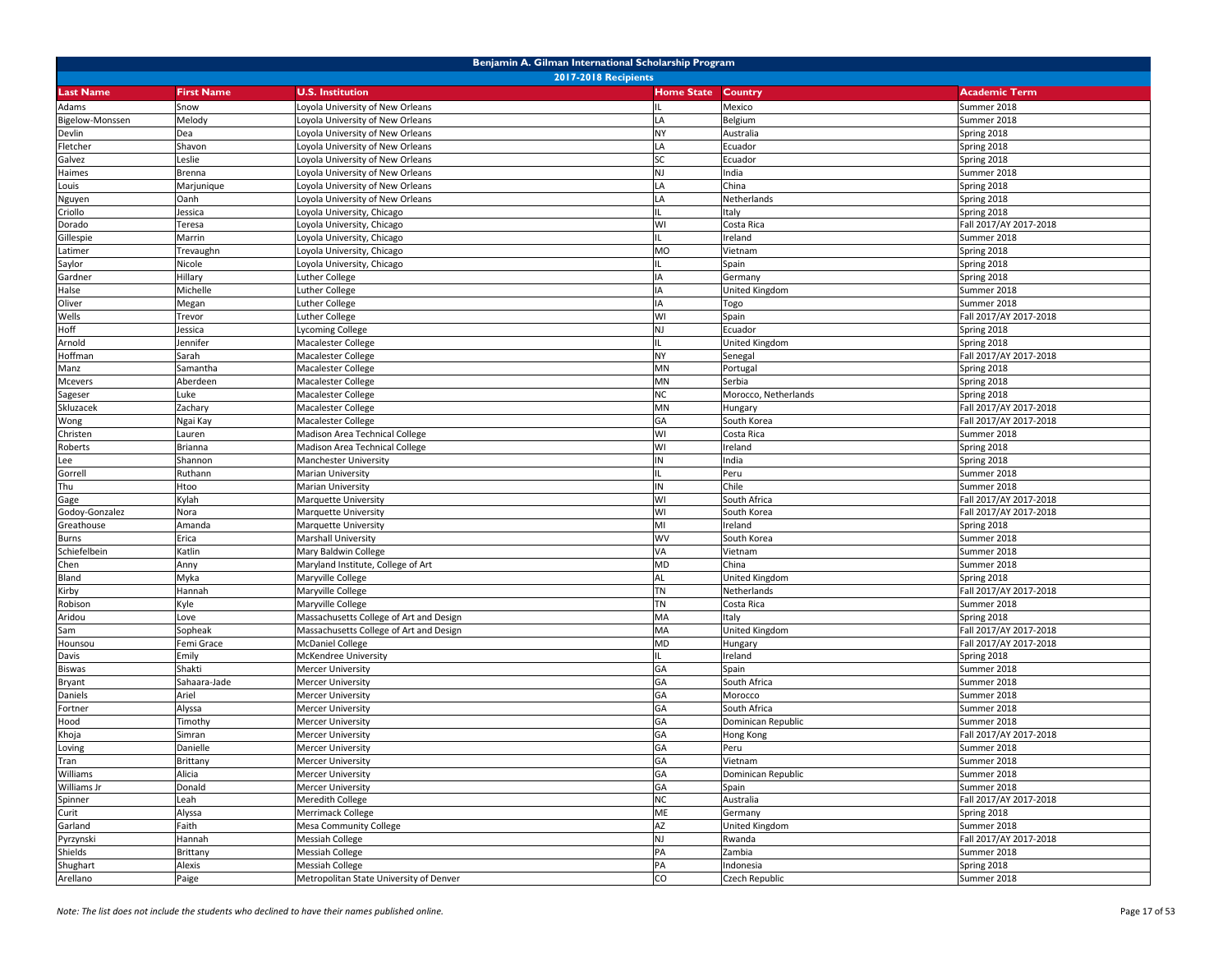|                  | Benjamin A. Gilman International Scholarship Program |                                         |                   |                      |                        |  |  |
|------------------|------------------------------------------------------|-----------------------------------------|-------------------|----------------------|------------------------|--|--|
|                  | <b>2017-2018 Recipients</b>                          |                                         |                   |                      |                        |  |  |
| <b>Last Name</b> | <b>First Name</b>                                    | <b>U.S. Institution</b>                 | <b>Home State</b> | Country              | <b>Academic Term</b>   |  |  |
| Adams            | Snow                                                 | oyola University of New Orleans         |                   | Mexico               | Summer 2018            |  |  |
| Bigelow-Monssen  | Melody                                               | oyola University of New Orleans         | LA                | Belgium              | Summer 2018            |  |  |
| Devlin           | Dea                                                  | oyola University of New Orleans         | <b>NY</b>         | Australia            | Spring 2018            |  |  |
| Fletcher         | Shavon                                               | oyola University of New Orleans         | LA                | Ecuador              | Spring 2018            |  |  |
| Galvez           | Leslie                                               | Loyola University of New Orleans        | <b>SC</b>         | Ecuador              | Spring 2018            |  |  |
| Haimes           | Brenna                                               | oyola University of New Orleans         | <b>NJ</b>         | India                | Summer 2018            |  |  |
| Louis            | Marjunique                                           | oyola University of New Orleans         | LA                | China                | Spring 2018            |  |  |
| Nguyen           | Oanh                                                 | oyola University of New Orleans         | LA                | Netherlands          | Spring 2018            |  |  |
| Criollo          | lessica                                              | oyola University, Chicago               |                   | Italy                | Spring 2018            |  |  |
| Dorado           | Teresa                                               | oyola University, Chicago               | WI                | Costa Rica           | Fall 2017/AY 2017-2018 |  |  |
| Gillespie        | Marrin                                               | oyola University, Chicago               | $\mathbf{H}$      | Ireland              | Summer 2018            |  |  |
| Latimer          | Trevaughn                                            | oyola University, Chicago               | <b>MO</b>         | Vietnam              | Spring 2018            |  |  |
| Saylor           | Nicole                                               | oyola University, Chicago               |                   | Spain                | Spring 2018            |  |  |
| Gardner          | Hillary                                              | uther College                           | IA                | Germany              | Spring 2018            |  |  |
| Halse            | Michelle                                             | uther College                           | IA                | United Kingdom       | Summer 2018            |  |  |
| Oliver           | Megan                                                | uther College                           | IA                | Togo                 | Summer 2018            |  |  |
| Wells            | Trevor                                               | uther College                           | WI                | Spain                | Fall 2017/AY 2017-2018 |  |  |
| Hoff             | lessica                                              | vcoming College                         | <b>NJ</b>         | Ecuador              | Spring 2018            |  |  |
| Arnold           | lennifer                                             | Macalester College                      |                   | United Kingdom       | Spring 2018            |  |  |
| Hoffman          | Sarah                                                | Macalester College                      | <b>NY</b>         | Senegal              | Fall 2017/AY 2017-2018 |  |  |
| Manz             | Samantha                                             | Macalester College                      | MN                | Portugal             | Spring 2018            |  |  |
| Mcevers          | Aberdeen                                             | Macalester College                      | MN                | Serbia               | Spring 2018            |  |  |
| Sageser          | uke.                                                 | Macalester College                      | <b>NC</b>         | Morocco, Netherlands | Spring 2018            |  |  |
| Skluzacek        | Zachary                                              | Macalester College                      | MN                | Hungary              | Fall 2017/AY 2017-2018 |  |  |
| Wong             | Ngai Kay                                             | Macalester College                      | GA                | South Korea          | Fall 2017/AY 2017-2018 |  |  |
| Christen         | Lauren                                               | Madison Area Technical College          | WI                | Costa Rica           | Summer 2018            |  |  |
| Roberts          | Brianna                                              | Madison Area Technical College          | WI                | Ireland              | Spring 2018            |  |  |
| Lee              | Shannon                                              | Manchester University                   | IN                | India                | Spring 2018            |  |  |
| Gorrell          | Ruthann                                              | Marian University                       |                   | Peru                 | Summer 2018            |  |  |
| Thu              | Htoo                                                 | Marian University                       | IN                | Chile                | Summer 2018            |  |  |
| Gage             | Kylah                                                | Marquette University                    | WI                | South Africa         | Fall 2017/AY 2017-2018 |  |  |
| Godoy-Gonzalez   | Nora                                                 | Marquette University                    | WI                | South Korea          | Fall 2017/AY 2017-2018 |  |  |
| Greathouse       | Amanda                                               | Marquette University                    | MI                | Ireland              | Spring 2018            |  |  |
| <b>Burns</b>     | Erica                                                | Marshall University                     | <b>WV</b>         | South Korea          | Summer 2018            |  |  |
| Schiefelbein     | Katlin                                               | Mary Baldwin College                    | VA                | Vietnam              | Summer 2018            |  |  |
| Chen             | Anny                                                 | Maryland Institute, College of Art      | <b>MD</b>         | China                | Summer 2018            |  |  |
| Bland            | Myka                                                 | Maryville College                       | AL                | United Kingdom       | Spring 2018            |  |  |
| Kirby            | Hannah                                               | Maryville College                       | <b>TN</b>         | Netherlands          | Fall 2017/AY 2017-2018 |  |  |
| Robison          | Kyle                                                 | Maryville College                       | <b>TN</b>         | Costa Rica           | Summer 2018            |  |  |
| Aridou           | Love                                                 | Massachusetts College of Art and Design | MA                | Italy                | Spring 2018            |  |  |
| Sam              | Sopheak                                              | Massachusetts College of Art and Design | MA                | United Kingdom       | Fall 2017/AY 2017-2018 |  |  |
| Hounsou          | Femi Grace                                           | <b>McDaniel College</b>                 | MD                | Hungary              | Fall 2017/AY 2017-2018 |  |  |
| Davis            | Emily                                                | McKendree University                    |                   | Ireland              | Spring 2018            |  |  |
| <b>Biswas</b>    | Shakti                                               | Mercer University                       | GA                | Spain                | Summer 2018            |  |  |
| <b>Bryant</b>    | Sahaara-Jade                                         | Mercer University                       | GA                | South Africa         | Summer 2018            |  |  |
| Daniels          | Ariel                                                | Mercer University                       | GA                | Morocco              | Summer 2018            |  |  |
| Fortner          | Alyssa                                               | Mercer University                       | GA                | South Africa         | Summer 2018            |  |  |
| Hood             | Timothy                                              | Mercer University                       | GA                | Dominican Republic   | Summer 2018            |  |  |
| Khoja            | Simran                                               | Mercer University                       | GA                | Hong Kong            | Fall 2017/AY 2017-2018 |  |  |
| Loving           | Danielle                                             | Mercer University                       | GA                | Peru                 | Summer 2018            |  |  |
| Tran             | Brittany                                             | <b>Mercer University</b>                | GA                | Vietnam              | Summer 2018            |  |  |
| Williams         | Alicia                                               | <b>Mercer University</b>                | GA                | Dominican Republic   | Summer 2018            |  |  |
| Williams Jr      | Donald                                               | <b>Mercer University</b>                | GA                | Spain                | Summer 2018            |  |  |
| Spinner          | Leah                                                 | Meredith College                        | <b>NC</b>         | Australia            | Fall 2017/AY 2017-2018 |  |  |
| Curit            | Alyssa                                               | Merrimack College                       | ME                | Germany              | Spring 2018            |  |  |
| Garland          | Faith                                                | Mesa Community College                  | AZ                | United Kingdom       | Summer 2018            |  |  |
| Pyrzynski        | Hannah                                               | <b>Messiah College</b>                  | <b>NJ</b>         | Rwanda               | Fall 2017/AY 2017-2018 |  |  |
| Shields          | Brittany                                             | Messiah College                         | PA                | Zambia               | Summer 2018            |  |  |
| Shughart         | Alexis                                               | Messiah College                         | PA                | Indonesia            | Spring 2018            |  |  |
| Arellano         | Paige                                                | Metropolitan State University of Denver | CO                | Czech Republic       | Summer 2018            |  |  |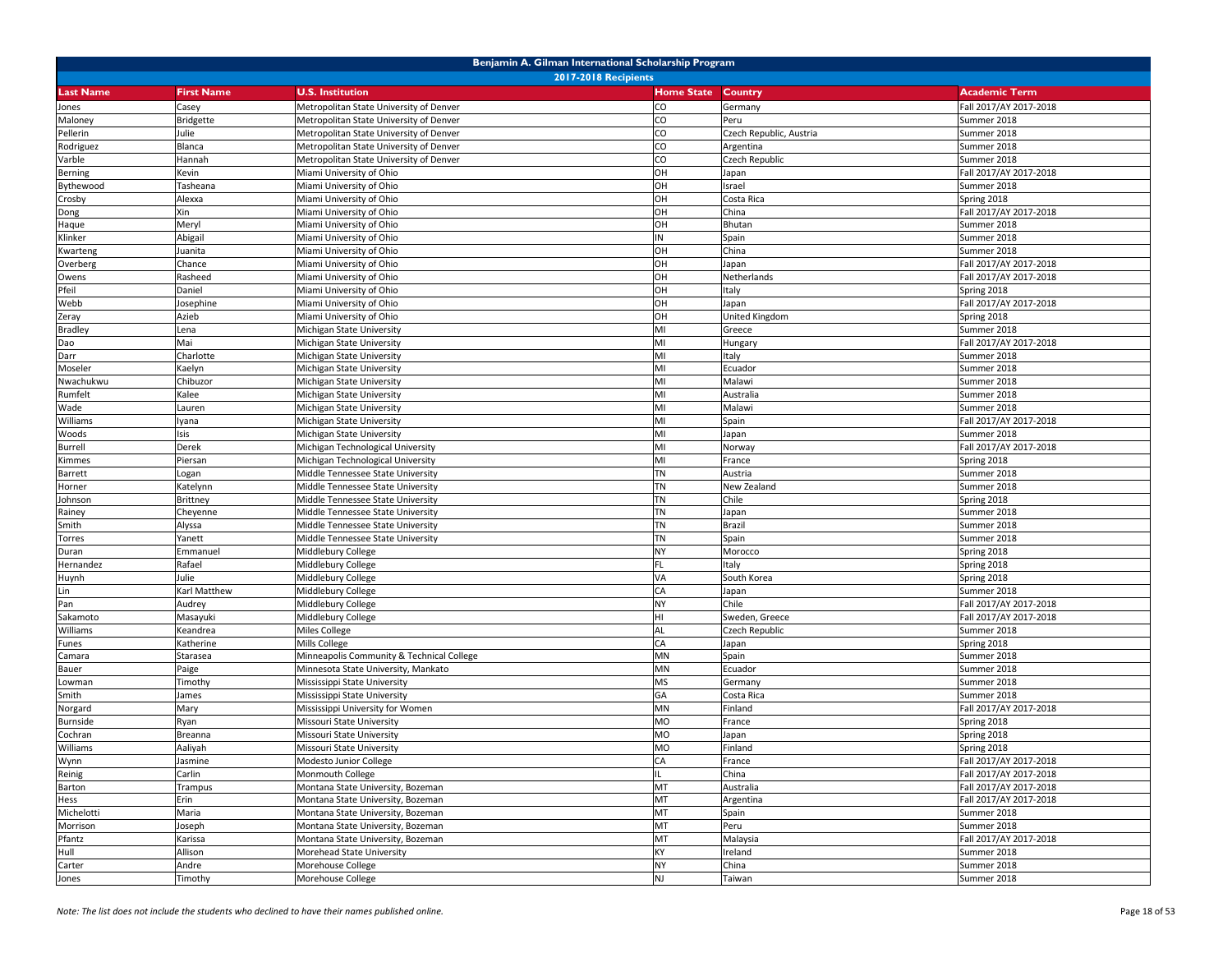|                             | Benjamin A. Gilman International Scholarship Program |                                                                        |                        |                         |                                       |  |  |
|-----------------------------|------------------------------------------------------|------------------------------------------------------------------------|------------------------|-------------------------|---------------------------------------|--|--|
| <b>2017-2018 Recipients</b> |                                                      |                                                                        |                        |                         |                                       |  |  |
| <b>Last Name</b>            | <b>First Name</b>                                    | <b>U.S. Institution</b>                                                | <b>Home State</b>      | Country                 | <b>Academic Term</b>                  |  |  |
| Jones                       | Casey                                                | Metropolitan State University of Denver                                | CO                     | Germany                 | Fall 2017/AY 2017-2018                |  |  |
| Maloney                     | <b>Bridgette</b>                                     | Metropolitan State University of Denver                                | CO                     | Peru                    | Summer 2018                           |  |  |
| Pellerin                    | Julie                                                | Metropolitan State University of Denver                                | CO                     | Czech Republic, Austria | Summer 2018                           |  |  |
| Rodriguez                   | Blanca                                               | Metropolitan State University of Denver                                | CO                     | Argentina               | Summer 2018                           |  |  |
| Varble                      | Hannah                                               | Metropolitan State University of Denver                                | CO                     | Czech Republic          | Summer 2018                           |  |  |
| Berning                     | Kevin                                                | Miami University of Ohio                                               | OH                     | Japan                   | Fall 2017/AY 2017-2018                |  |  |
| Bythewood                   | Tasheana                                             | Miami University of Ohio                                               | OH                     | Israel                  | Summer 2018                           |  |  |
| Crosby                      | Alexxa                                               | Miami University of Ohio                                               | OH                     | Costa Rica              | Spring 2018                           |  |  |
| Dong                        | Xin                                                  | Miami University of Ohio                                               | OH                     | China                   | Fall 2017/AY 2017-2018                |  |  |
| Haque                       | Meryl                                                | Miami University of Ohio                                               | OH                     | Bhutan                  | Summer 2018                           |  |  |
| Klinker                     | Abigail                                              | Miami University of Ohio                                               | IN                     | Spain                   | Summer 2018                           |  |  |
| Kwarteng                    | Juanita                                              | Miami University of Ohio                                               | OH                     | China                   | Summer 2018                           |  |  |
| Overberg                    | Chance                                               | Miami University of Ohio                                               | OH                     | Japan                   | Fall 2017/AY 2017-2018                |  |  |
| Owens                       | Rasheed                                              | Miami University of Ohio                                               | OH                     | Netherlands             | Fall 2017/AY 2017-2018                |  |  |
| Pfeil                       | Daniel                                               | Miami University of Ohio                                               | OH                     | Italy                   | Spring 2018                           |  |  |
| Webb                        | Josephine                                            | Miami University of Ohio                                               | OH                     | Japan                   | Fall 2017/AY 2017-2018                |  |  |
| Zeray                       | Azieb                                                | Miami University of Ohio                                               | OH                     | United Kingdom          | Spring 2018                           |  |  |
| <b>Bradley</b>              | Lena                                                 | Michigan State University                                              | MI                     | Greece                  | Summer 2018                           |  |  |
| Dao                         | Mai                                                  | Michigan State University                                              | MI                     | Hungary                 | Fall 2017/AY 2017-2018                |  |  |
| Darr                        | Charlotte                                            | Michigan State University                                              | MI                     | Italy                   | Summer 2018                           |  |  |
|                             | Kaelyn                                               | Michigan State University                                              | MI                     |                         | Summer 2018                           |  |  |
| Moseler                     |                                                      |                                                                        | MI                     | Ecuador<br>Malawi       |                                       |  |  |
| Nwachukwu                   | Chibuzor                                             | Michigan State University<br>Michigan State University                 |                        |                         | Summer 2018                           |  |  |
| Rumfelt                     | Kalee                                                |                                                                        | MI                     | Australia               | Summer 2018                           |  |  |
| Wade                        | auren.                                               | Michigan State University                                              | MI<br>MI               | Malawi                  | Summer 2018<br>Fall 2017/AY 2017-2018 |  |  |
| Williams                    | Iyana                                                | Michigan State University                                              |                        | Spain                   |                                       |  |  |
| Woods                       | Isis                                                 | Michigan State University<br>Michigan Technological University         | MI                     | Japan                   | Summer 2018                           |  |  |
| <b>Burrell</b>              | Derek                                                |                                                                        | MI                     | Norway                  | Fall 2017/AY 2017-2018                |  |  |
| Kimmes                      | Piersan                                              | Michigan Technological University                                      | MI                     | France                  | Spring 2018                           |  |  |
| Barrett                     | ogan                                                 | Middle Tennessee State University<br>Middle Tennessee State University | <b>TN</b><br><b>TN</b> | Austria                 | Summer 2018                           |  |  |
| Horner                      | Katelynn                                             |                                                                        |                        | New Zealand             | Summer 2018                           |  |  |
| Johnson                     | Brittney                                             | Middle Tennessee State University                                      | <b>TN</b><br><b>TN</b> | Chile                   | Spring 2018                           |  |  |
| Rainey                      | Cheyenne                                             | Middle Tennessee State University                                      |                        | Japan                   | Summer 2018                           |  |  |
| Smith                       | Alyssa                                               | Middle Tennessee State University                                      | <b>TN</b>              | Brazil                  | Summer 2018                           |  |  |
| Torres                      | Yanett                                               | Middle Tennessee State University                                      | <b>TN</b>              | Spain                   | Summer 2018                           |  |  |
| Duran                       | Emmanuel                                             | Middlebury College                                                     | <b>NY</b>              | Morocco                 | Spring 2018                           |  |  |
| Hernandez                   | Rafael                                               | Middlebury College                                                     | <b>FL</b>              | Italy                   | Spring 2018                           |  |  |
| Huynh                       | Julie                                                | Middlebury College                                                     | VA                     | South Korea             | Spring 2018                           |  |  |
| Lin                         | Karl Matthew                                         | Middlebury College                                                     | CA                     | Japan                   | Summer 2018                           |  |  |
| Pan                         | Audrey                                               | Middlebury College                                                     | <b>NY</b>              | Chile                   | Fall 2017/AY 2017-2018                |  |  |
| Sakamoto                    | Masayuki                                             | Middlebury College                                                     | HI                     | Sweden, Greece          | Fall 2017/AY 2017-2018                |  |  |
| Williams                    | Keandrea                                             | Miles College                                                          | AL                     | Czech Republic          | Summer 2018                           |  |  |
| Funes                       | Katherine                                            | Mills College                                                          | CA                     | Japan                   | Spring 2018                           |  |  |
| Camara                      | Starasea                                             | Minneapolis Community & Technical College                              | MN                     | Spain                   | Summer 2018                           |  |  |
| Bauer                       | Paige                                                | Minnesota State University, Mankato                                    | MN                     | Ecuador                 | Summer 2018                           |  |  |
| Lowman                      | Timothy                                              | Mississippi State University                                           | <b>MS</b>              | Germany                 | Summer 2018                           |  |  |
| Smith                       | James                                                | Mississippi State University                                           | GA                     | Costa Rica              | Summer 2018                           |  |  |
| Norgard                     | Mary                                                 | Mississippi University for Women                                       | MN                     | Finland                 | Fall 2017/AY 2017-2018                |  |  |
| Burnside                    | Ryan                                                 | Missouri State University                                              | <b>MO</b>              | France                  | Spring 2018                           |  |  |
| Cochran                     | Breanna                                              | Missouri State University                                              | <b>MO</b>              | Japan                   | Spring 2018                           |  |  |
| Williams                    | Aaliyah                                              | Missouri State University                                              | <b>MO</b>              | Finland                 | Spring 2018                           |  |  |
| Wynn                        | Jasmine                                              | Modesto Junior College                                                 | CA                     | France                  | Fall 2017/AY 2017-2018                |  |  |
| Reinig                      | Carlin                                               | Monmouth College                                                       | IL                     | China                   | Fall 2017/AY 2017-2018                |  |  |
| Barton                      | Trampus                                              | Montana State University, Bozeman                                      | MT                     | Australia               | Fall 2017/AY 2017-2018                |  |  |
| Hess                        | Erin                                                 | Montana State University, Bozeman                                      | MT                     | Argentina               | Fall 2017/AY 2017-2018                |  |  |
| Michelotti                  | Maria                                                | Montana State University, Bozeman                                      | MT                     | Spain                   | Summer 2018                           |  |  |
| Morrison                    | Joseph                                               | Montana State University, Bozeman                                      | MT                     | Peru                    | Summer 2018                           |  |  |
| Pfantz                      | Karissa                                              | Montana State University, Bozeman                                      | MT                     | Malaysia                | Fall 2017/AY 2017-2018                |  |  |
| Hull                        | Allison                                              | Morehead State University                                              | KY                     | Ireland                 | Summer 2018                           |  |  |
| Carter                      | Andre                                                | Morehouse College                                                      | <b>NY</b>              | China                   | Summer 2018                           |  |  |
| Jones                       | Timothy                                              | Morehouse College                                                      | <b>NJ</b>              | Taiwan                  | Summer 2018                           |  |  |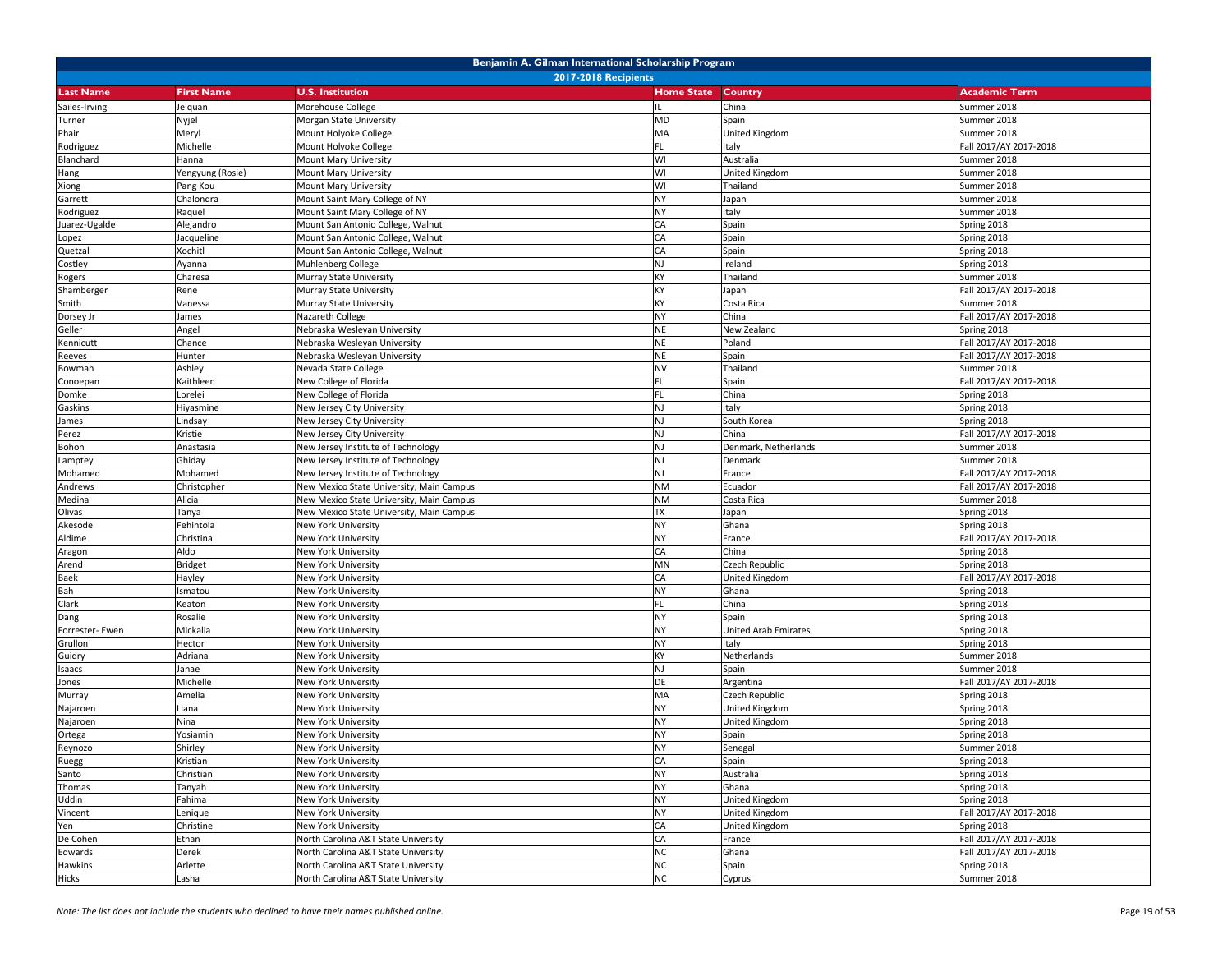| Benjamin A. Gilman International Scholarship Program |                             |                                          |                   |                      |                        |  |  |  |
|------------------------------------------------------|-----------------------------|------------------------------------------|-------------------|----------------------|------------------------|--|--|--|
|                                                      | <b>2017-2018 Recipients</b> |                                          |                   |                      |                        |  |  |  |
| <b>Last Name</b>                                     | <b>First Name</b>           | <b>U.S. Institution</b>                  | <b>Home State</b> | Country              | <b>Academic Term</b>   |  |  |  |
| Sailes-Irving                                        | Je'quan                     | Morehouse College                        | IL                | China                | Summer 2018            |  |  |  |
| Turner                                               | Nyjel                       | Morgan State University                  | <b>MD</b>         | Spain                | Summer 2018            |  |  |  |
| Phair                                                | Meryl                       | Mount Holyoke College                    | MA                | United Kingdom       | Summer 2018            |  |  |  |
| Rodriguez                                            | Michelle                    | Mount Holyoke College                    | FL                | Italy                | Fall 2017/AY 2017-2018 |  |  |  |
| Blanchard                                            | Hanna                       | Mount Mary University                    | WI                | Australia            | Summer 2018            |  |  |  |
| Hang                                                 | Yengyung (Rosie)            | Mount Mary University                    | WI                | United Kingdom       | Summer 2018            |  |  |  |
| Xiong                                                | Pang Kou                    | Mount Mary University                    | WI                | Thailand             | Summer 2018            |  |  |  |
| Garrett                                              | Chalondra                   | Mount Saint Mary College of NY           | <b>NY</b>         | Japan                | Summer 2018            |  |  |  |
| Rodriguez                                            | Raquel                      | Mount Saint Mary College of NY           | <b>NY</b>         | Italy                | Summer 2018            |  |  |  |
| Juarez-Ugalde                                        | Alejandro                   | Mount San Antonio College, Walnut        | CA                | Spain                | Spring 2018            |  |  |  |
| Lopez                                                | Jacqueline                  | Mount San Antonio College, Walnut        | CA                | Spain                | Spring 2018            |  |  |  |
| Quetzal                                              | Xochitl                     | Mount San Antonio College, Walnut        | CA                | Spain                | Spring 2018            |  |  |  |
| Costley                                              | Ayanna                      | Muhlenberg College                       | <b>NJ</b>         | Ireland              | Spring 2018            |  |  |  |
| Rogers                                               | Charesa                     | Murray State University                  | KY                | Thailand             | Summer 2018            |  |  |  |
| Shamberger                                           | Rene                        | Murray State University                  | KY                | Japan                | Fall 2017/AY 2017-2018 |  |  |  |
| Smith                                                | Vanessa                     | Murray State University                  | KY                | Costa Rica           | Summer 2018            |  |  |  |
| Dorsey Jr                                            | James                       | Nazareth College                         | <b>NY</b>         | China                | Fall 2017/AY 2017-2018 |  |  |  |
| Geller                                               | Angel                       | Nebraska Wesleyan University             | <b>NE</b>         | New Zealand          | Spring 2018            |  |  |  |
| Kennicutt                                            | Chance                      | Nebraska Wesleyan University             | <b>NE</b>         | Poland               | Fall 2017/AY 2017-2018 |  |  |  |
| Reeves                                               | Hunter                      | Nebraska Wesleyan University             | <b>NE</b>         | Spain                | Fall 2017/AY 2017-2018 |  |  |  |
| Bowman                                               | Ashley                      | Nevada State College                     | <b>NV</b>         | Thailand             | Summer 2018            |  |  |  |
| Conoepan                                             | Kaithleen                   | New College of Florida                   | FL                | Spain                | Fall 2017/AY 2017-2018 |  |  |  |
| Domke                                                | Lorelei                     | <b>New College of Florida</b>            | <b>FL</b>         | China                | Spring 2018            |  |  |  |
| Gaskins                                              | Hiyasmine                   | <b>New Jersey City University</b>        | <b>NJ</b>         | Italy                | Spring 2018            |  |  |  |
| James                                                | Lindsay                     | New Jersey City University               | <b>NJ</b>         | South Korea          | Spring 2018            |  |  |  |
| Perez                                                | Kristie                     | New Jersey City University               | <b>NJ</b>         | China                | Fall 2017/AY 2017-2018 |  |  |  |
| Bohon                                                | Anastasia                   | New Jersey Institute of Technology       | <b>NJ</b>         | Denmark, Netherlands | Summer 2018            |  |  |  |
| Lamptey                                              | Ghiday                      | New Jersey Institute of Technology       | <b>NJ</b>         | Denmark              | Summer 2018            |  |  |  |
| Mohamed                                              | Mohamed                     | New Jersey Institute of Technology       | <b>NJ</b>         | France               | Fall 2017/AY 2017-2018 |  |  |  |
| Andrews                                              | Christopher                 | New Mexico State University, Main Campus | <b>NM</b>         | Ecuador              | Fall 2017/AY 2017-2018 |  |  |  |
| Medina                                               | Alicia                      | New Mexico State University, Main Campus | <b>NM</b>         | Costa Rica           | Summer 2018            |  |  |  |
| Olivas                                               | Tanya                       | New Mexico State University, Main Campus | <b>TX</b>         | Japan                | Spring 2018            |  |  |  |
| Akesode                                              | Fehintola                   | New York University                      | <b>NY</b>         | Ghana                | Spring 2018            |  |  |  |
| Aldime                                               | Christina                   | New York University                      | <b>NY</b>         | France               | Fall 2017/AY 2017-2018 |  |  |  |
| Aragon                                               | Aldo                        | New York University                      | CA                | China                | Spring 2018            |  |  |  |
| Arend                                                | <b>Bridget</b>              | New York University                      | MN                | Czech Republic       | Spring 2018            |  |  |  |
| Baek                                                 | Hayley                      | New York University                      | CA                | United Kingdom       | Fall 2017/AY 2017-2018 |  |  |  |
| Bah                                                  | Ismatou                     | New York University                      | <b>NY</b>         | Ghana                | Spring 2018            |  |  |  |
| Clark                                                | Keaton                      | <b>New York University</b>               | FL                | China                | Spring 2018            |  |  |  |
| Dang                                                 | Rosalie                     | New York University                      | <b>NY</b>         | Spain                | Spring 2018            |  |  |  |
| Forrester- Ewen                                      | Mickalia                    | New York University                      | <b>NY</b>         | United Arab Emirates | Spring 2018            |  |  |  |
| Grullon                                              | Hector                      | New York University                      | <b>NY</b>         | Italy                | Spring 2018            |  |  |  |
| Guidry                                               | Adriana                     | <b>New York University</b>               | KY                | Netherlands          | Summer 2018            |  |  |  |
| Isaacs                                               | Janae                       | <b>New York University</b>               | <b>NJ</b>         | Spain                | Summer 2018            |  |  |  |
| Jones                                                | Michelle                    | New York University                      | DE                | Argentina            | Fall 2017/AY 2017-2018 |  |  |  |
| Murray                                               | Amelia                      | New York University                      | MA                | Czech Republic       | Spring 2018            |  |  |  |
| Najaroen                                             | Liana                       | New York University                      | <b>NY</b>         | United Kingdom       | Spring 2018            |  |  |  |
| Najaroen                                             | Nina                        | New York University                      | <b>NY</b>         | United Kingdom       | Spring 2018            |  |  |  |
| Ortega                                               | Yosiamin                    | New York University                      | <b>NY</b>         | Spain                | Spring 2018            |  |  |  |
| Reynozo                                              | Shirley                     | New York University                      | <b>NY</b>         | Senegal              | Summer 2018            |  |  |  |
| Ruegg                                                | Kristian                    | New York University                      | CA                | Spain                | Spring 2018            |  |  |  |
| Santo                                                | Christian                   | New York University                      | <b>NY</b>         | Australia            | Spring 2018            |  |  |  |
| Thomas                                               | Tanyah                      | New York University                      | <b>NY</b>         | Ghana                | Spring 2018            |  |  |  |
| Uddin                                                | Fahima                      | New York University                      | <b>NY</b>         | United Kingdom       | Spring 2018            |  |  |  |
| Vincent                                              | Lenique                     | New York University                      | <b>NY</b>         | United Kingdom       | Fall 2017/AY 2017-2018 |  |  |  |
| Yen                                                  | Christine                   | New York University                      | CA                | United Kingdom       | Spring 2018            |  |  |  |
| De Cohen                                             | Ethan                       | North Carolina A&T State University      | CA                | France               | Fall 2017/AY 2017-2018 |  |  |  |
| Edwards                                              | Derek                       | North Carolina A&T State University      | <b>NC</b>         | Ghana                | Fall 2017/AY 2017-2018 |  |  |  |
| Hawkins                                              | Arlette                     | North Carolina A&T State University      | <b>NC</b>         | Spain                | Spring 2018            |  |  |  |
| Hicks                                                | Lasha                       | North Carolina A&T State University      | <b>NC</b>         | Cyprus               | Summer 2018            |  |  |  |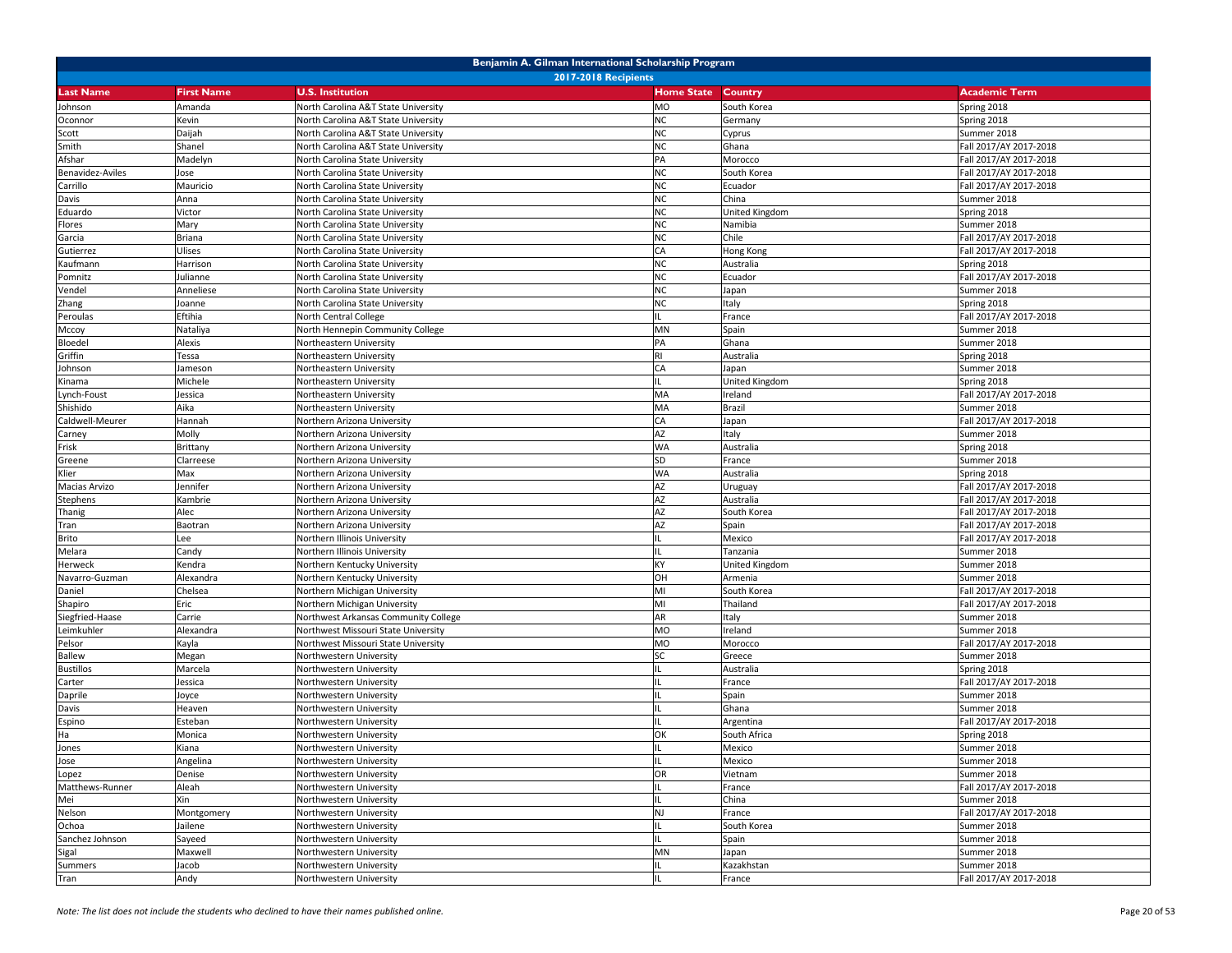|                             | Benjamin A. Gilman International Scholarship Program |                                                            |                   |                |                                       |  |  |
|-----------------------------|------------------------------------------------------|------------------------------------------------------------|-------------------|----------------|---------------------------------------|--|--|
| <b>2017-2018 Recipients</b> |                                                      |                                                            |                   |                |                                       |  |  |
| <b>Last Name</b>            | <b>First Name</b>                                    | <b>U.S. Institution</b>                                    | <b>Home State</b> | Country        | <b>Academic Term</b>                  |  |  |
| Johnson                     | Amanda                                               | North Carolina A&T State University                        | <b>MO</b>         | South Korea    | Spring 2018                           |  |  |
| Oconnor                     | Kevin                                                | North Carolina A&T State University                        | <b>NC</b>         | Germany        | Spring 2018                           |  |  |
| Scott                       | Daijah                                               | North Carolina A&T State University                        | <b>NC</b>         | Cyprus         | Summer 2018                           |  |  |
| Smith                       | Shanel                                               | North Carolina A&T State University                        | <b>NC</b>         | Ghana          | Fall 2017/AY 2017-2018                |  |  |
| Afshar                      | Madelyn                                              | North Carolina State University                            | PA                | Morocco        | Fall 2017/AY 2017-2018                |  |  |
| Benavidez-Aviles            | Jose                                                 | North Carolina State University                            | <b>NC</b>         | South Korea    | Fall 2017/AY 2017-2018                |  |  |
| Carrillo                    | Mauricio                                             | North Carolina State University                            | <b>NC</b>         | Ecuador        | Fall 2017/AY 2017-2018                |  |  |
| Davis                       | Anna                                                 | North Carolina State University                            | <b>NC</b>         | China          | Summer 2018                           |  |  |
| Eduardo                     | Victor                                               | <b>North Carolina State University</b>                     | <b>NC</b>         | United Kingdom | Spring 2018                           |  |  |
| Flores                      | Mary                                                 | North Carolina State University                            | <b>NC</b>         | Namibia        | Summer 2018                           |  |  |
| Garcia                      | Briana                                               | North Carolina State University                            | <b>NC</b>         | Chile          | Fall 2017/AY 2017-2018                |  |  |
| Gutierrez                   | Ulises                                               | North Carolina State University                            | CA                | Hong Kong      | Fall 2017/AY 2017-2018                |  |  |
| Kaufmann                    | Harrison                                             | <b>North Carolina State University</b>                     | <b>NC</b>         | Australia      | Spring 2018                           |  |  |
| Pomnitz                     | Julianne                                             | North Carolina State University                            | <b>NC</b>         | Ecuador        | Fall 2017/AY 2017-2018                |  |  |
| Vendel                      | Anneliese                                            | North Carolina State University                            | <b>NC</b>         | Japan          | Summer 2018                           |  |  |
| Zhang                       | Joanne                                               | North Carolina State University                            | <b>NC</b>         | Italy          | Spring 2018                           |  |  |
| Peroulas                    | Eftihia                                              | North Central College                                      | IL.               | France         | Fall 2017/AY 2017-2018                |  |  |
| Мссоу                       | Nataliya                                             | North Hennepin Community College                           | MN                | Spain          | Summer 2018                           |  |  |
| Bloedel                     | Alexis                                               | Northeastern University                                    | PA                | Ghana          | Summer 2018                           |  |  |
| Griffin                     | Tessa                                                | Northeastern University                                    | RI                | Australia      | Spring 2018                           |  |  |
| Johnson                     | Jameson                                              | Northeastern University                                    | CA                | Japan          | Summer 2018                           |  |  |
| Kinama                      | Michele                                              | Northeastern University                                    | IL                | United Kingdom | Spring 2018                           |  |  |
| Lynch-Foust                 | Jessica                                              | <b>Northeastern University</b>                             | MA                | Ireland        | Fall 2017/AY 2017-2018                |  |  |
| Shishido                    | Aika                                                 | Northeastern University                                    | MA                | Brazil         | Summer 2018                           |  |  |
| Caldwell-Meurer             | Hannah                                               | Northern Arizona University                                | CA                | Japan          | Fall 2017/AY 2017-2018                |  |  |
|                             | Molly                                                | Northern Arizona University                                | AZ                | Italy          | Summer 2018                           |  |  |
| Carney<br>Frisk             | Brittany                                             | Northern Arizona University                                | <b>WA</b>         | Australia      | Spring 2018                           |  |  |
|                             |                                                      |                                                            | SD                |                |                                       |  |  |
| Greene                      | Clarreese<br>Max                                     | Northern Arizona University                                | <b>WA</b>         | France         | Summer 2018                           |  |  |
| Klier                       |                                                      | Northern Arizona University<br>Northern Arizona University | AZ                | Australia      | Spring 2018<br>Fall 2017/AY 2017-2018 |  |  |
| Macias Arvizo               | Jennifer                                             |                                                            | AZ                | Uruguay        |                                       |  |  |
| Stephens                    | Kambrie                                              | Northern Arizona University                                | AZ                | Australia      | Fall 2017/AY 2017-2018                |  |  |
| Thanig                      | Alec                                                 | Northern Arizona University                                |                   | South Korea    | Fall 2017/AY 2017-2018                |  |  |
| Tran                        | Baotran                                              | Northern Arizona University                                | AZ                | Spain          | Fall 2017/AY 2017-2018                |  |  |
| Brito                       | Lee                                                  | Northern Illinois University                               |                   | Mexico         | Fall 2017/AY 2017-2018                |  |  |
| Melara                      | Candy                                                | Northern Illinois University                               | IL                | Tanzania       | Summer 2018                           |  |  |
| Herweck                     | Kendra                                               | Northern Kentucky University                               | KY                | United Kingdom | Summer 2018                           |  |  |
| Navarro-Guzman              | Alexandra                                            | Northern Kentucky University                               | OH                | Armenia        | Summer 2018                           |  |  |
| Daniel                      | Chelsea                                              | <b>Northern Michigan University</b>                        | MI                | South Korea    | Fall 2017/AY 2017-2018                |  |  |
| Shapiro                     | Eric                                                 | <b>Northern Michigan University</b>                        | MI                | Thailand       | Fall 2017/AY 2017-2018                |  |  |
| Siegfried-Haase             | Carrie                                               | Northwest Arkansas Community College                       | AR                | Italy          | Summer 2018                           |  |  |
| Leimkuhler                  | Alexandra                                            | Northwest Missouri State University                        | <b>MO</b>         | Ireland        | Summer 2018                           |  |  |
| Pelsor                      | Kayla                                                | Northwest Missouri State University                        | <b>MO</b>         | Morocco        | Fall 2017/AY 2017-2018                |  |  |
| <b>Ballew</b>               | Megan                                                | Northwestern University                                    |                   | Greece         | Summer 2018                           |  |  |
| <b>Bustillos</b>            | Marcela                                              | <b>Northwestern University</b>                             |                   | Australia      | Spring 2018                           |  |  |
| Carter                      | lessica                                              | Northwestern University                                    |                   | France         | Fall 2017/AY 2017-2018                |  |  |
| Daprile                     | Joyce                                                | Northwestern University                                    |                   | Spain          | Summer 2018                           |  |  |
| Davis                       | Heaven                                               | Northwestern University                                    | IL                | Ghana          | Summer 2018                           |  |  |
| Espino                      | Esteban                                              | Northwestern University                                    |                   | Argentina      | Fall 2017/AY 2017-2018                |  |  |
| Ha                          | Monica                                               | Northwestern University                                    | OK                | South Africa   | Spring 2018                           |  |  |
| Jones                       | Kiana                                                | Northwestern University                                    | Ш                 | Mexico         | Summer 2018                           |  |  |
| Jose                        | Angelina                                             | Northwestern University                                    | IL                | Mexico         | Summer 2018                           |  |  |
| Lopez                       | Denise                                               | Northwestern University                                    | OR                | Vietnam        | Summer 2018                           |  |  |
| Matthews-Runner             | Aleah                                                | Northwestern University                                    |                   | France         | Fall 2017/AY 2017-2018                |  |  |
| Mei                         | Xin                                                  | Northwestern University                                    |                   | China          | Summer 2018                           |  |  |
| Nelson                      | Montgomery                                           | Northwestern University                                    | <b>NJ</b>         | France         | Fall 2017/AY 2017-2018                |  |  |
| Ochoa                       | Jailene                                              | Northwestern University                                    | IL                | South Korea    | Summer 2018                           |  |  |
| Sanchez Johnson             | Sayeed                                               | Northwestern University                                    | IL                | Spain          | Summer 2018                           |  |  |
| Sigal                       | Maxwell                                              | Northwestern University                                    | MN                | Japan          | Summer 2018                           |  |  |
| Summers                     | Jacob                                                | Northwestern University                                    |                   | Kazakhstan     | Summer 2018                           |  |  |
| Tran                        | Andy                                                 | Northwestern University                                    | IL                | France         | Fall 2017/AY 2017-2018                |  |  |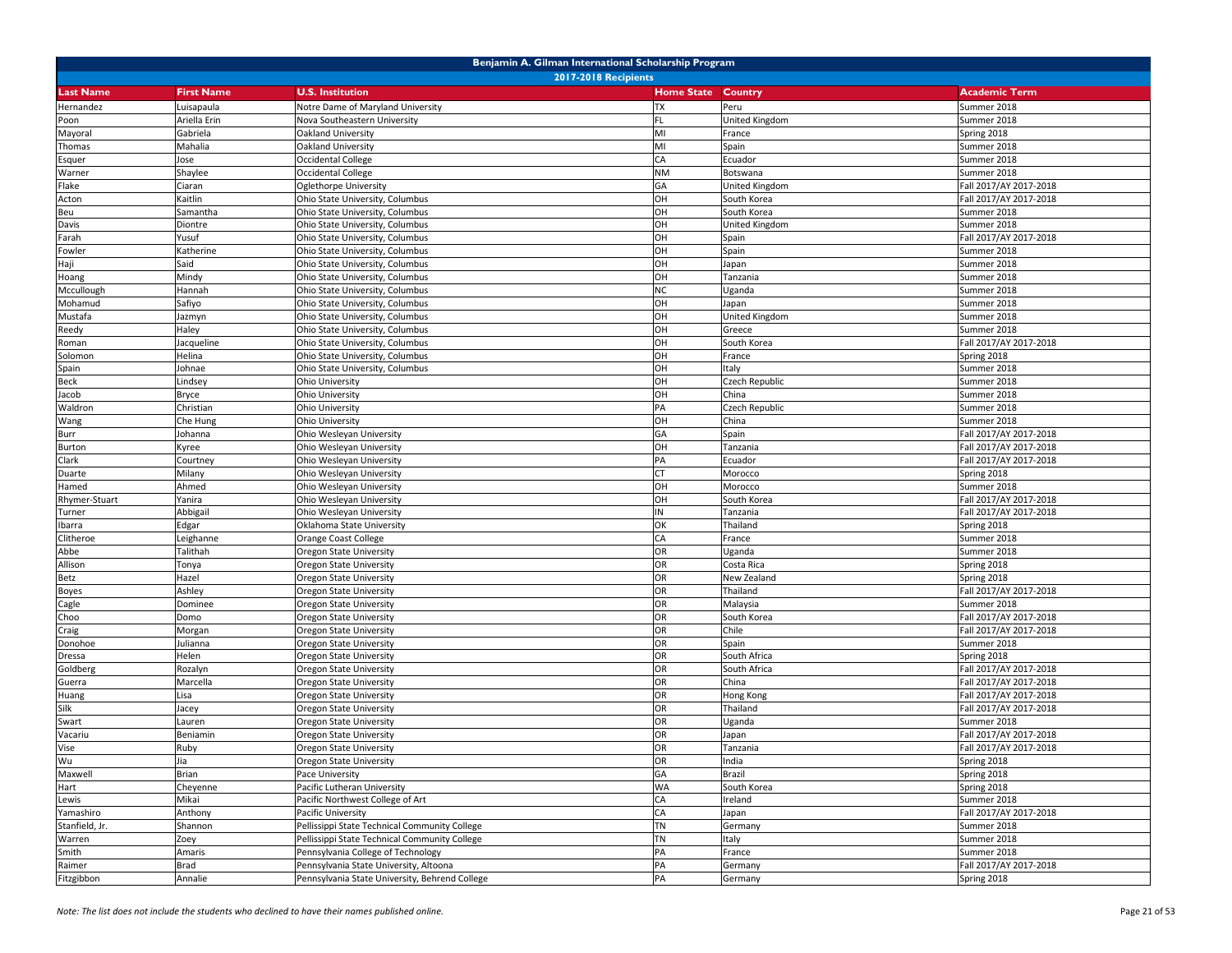| Benjamin A. Gilman International Scholarship Program |                   |                                                |                   |                         |                            |  |
|------------------------------------------------------|-------------------|------------------------------------------------|-------------------|-------------------------|----------------------------|--|
|                                                      |                   | <b>2017-2018 Recipients</b>                    |                   |                         |                            |  |
| <b>Last Name</b>                                     | <b>First Name</b> | <b>U.S. Institution</b>                        | <b>Home State</b> | Country                 | <b>Academic Term</b>       |  |
| Hernandez                                            | Luisapaula        | Notre Dame of Maryland University              | <b>TX</b>         | Peru                    | Summer 2018                |  |
| Poon                                                 | Ariella Erin      | Nova Southeastern University                   | FL                | United Kingdom          | Summer 2018                |  |
| Mayoral                                              | Gabriela          | Oakland University                             | MI                | France                  | Spring 2018                |  |
| Thomas                                               | Mahalia           | Oakland University                             | MI                | Spain                   | Summer 2018                |  |
| Esquer                                               | Jose              | Occidental College                             | CA                | Ecuador                 | Summer 2018                |  |
| Warner                                               | Shaylee           | Occidental College                             | <b>NM</b>         | Botswana                | Summer 2018                |  |
| Flake                                                | Ciaran            | Oglethorpe University                          | GA                | United Kingdom          | Fall 2017/AY 2017-2018     |  |
| Acton                                                | Kaitlin           | Ohio State University, Columbus                | OH                | South Korea             | Fall 2017/AY 2017-2018     |  |
| Beu                                                  | Samantha          | Ohio State University, Columbus                | OH                | South Korea             | Summer 2018                |  |
| Davis                                                | Diontre           | Ohio State University, Columbus                | OH                | United Kingdom          | Summer 2018                |  |
| Farah                                                | Yusuf             | Ohio State University, Columbus                | OH                | Spain                   | Fall 2017/AY 2017-2018     |  |
| Fowler                                               | Katherine         | Ohio State University, Columbus                | OH                | Spain                   | Summer 2018                |  |
| Haji                                                 | Said              | Ohio State University, Columbus                | OH                | Japan                   | Summer 2018                |  |
| Hoang                                                | Mindy             | Ohio State University, Columbus                | OH                | Tanzania                | Summer 2018                |  |
| Mccullough                                           | Hannah            | Ohio State University, Columbus                | <b>NC</b>         | Uganda                  | Summer 2018                |  |
| Mohamud                                              | Safiyo            | Ohio State University, Columbus                | OH                | Japan                   | Summer 2018                |  |
| Mustafa                                              | Jazmyn            | Ohio State University, Columbus                | OH                | United Kingdom          | Summer 2018                |  |
| Reedy                                                | Haley             | Ohio State University, Columbus                | OH                | Greece                  | Summer 2018                |  |
| Roman                                                | Jacqueline        | Ohio State University, Columbus                | OH<br>OH          | South Korea             | Fall 2017/AY 2017-2018     |  |
| Solomon                                              | Helina            | Ohio State University, Columbus                | OH                | France                  | Spring 2018                |  |
| Spain<br><b>Beck</b>                                 | Johnae            | Ohio State University, Columbus                | OH                | Italy<br>Czech Republic | Summer 2018<br>Summer 2018 |  |
| Jacob                                                | Lindsey<br>Bryce  | Ohio University<br>Ohio University             | OH                | China                   | Summer 2018                |  |
| Waldron                                              | Christian         | Ohio University                                | PA                | Czech Republic          | Summer 2018                |  |
| Wang                                                 | Che Hung          | Ohio University                                | OH                | China                   | Summer 2018                |  |
| Burr                                                 | Johanna           | Ohio Wesleyan University                       | GA                | Spain                   | Fall 2017/AY 2017-2018     |  |
| <b>Burton</b>                                        | Kyree             | Ohio Wesleyan University                       | OH                | Tanzania                | Fall 2017/AY 2017-2018     |  |
| Clark                                                | Courtney          | Ohio Wesleyan University                       | PA                | Ecuador                 | Fall 2017/AY 2017-2018     |  |
| Duarte                                               | Milany            | Ohio Wesleyan University                       | CT                | Morocco                 | Spring 2018                |  |
| Hamed                                                | Ahmed             | Ohio Wesleyan University                       | OH                | Morocco                 | Summer 2018                |  |
| Rhymer-Stuart                                        | Yanira            | Ohio Wesleyan University                       | OH                | South Korea             | Fall 2017/AY 2017-2018     |  |
| Turner                                               | Abbigail          | Ohio Wesleyan University                       | IN                | Tanzania                | Fall 2017/AY 2017-2018     |  |
| Ibarra                                               | Edgar             | Oklahoma State University                      | OK                | Thailand                | Spring 2018                |  |
| Clitheroe                                            | Leighanne         | Orange Coast College                           | CA                | France                  | Summer 2018                |  |
| Abbe                                                 | Talithah          | Oregon State University                        | OR                | Uganda                  | Summer 2018                |  |
| Allison                                              | Tonya             | Oregon State University                        | OR                | Costa Rica              | Spring 2018                |  |
| Betz                                                 | Hazel             | Oregon State University                        | OR                | New Zealand             | Spring 2018                |  |
| <b>Boyes</b>                                         | Ashley            | Oregon State University                        | OR                | Thailand                | Fall 2017/AY 2017-2018     |  |
| Cagle                                                | Dominee           | Oregon State University                        | OR                | Malaysia                | Summer 2018                |  |
| Choo                                                 | Domo              | Oregon State University                        | OR                | South Korea             | Fall 2017/AY 2017-2018     |  |
| Craig                                                | Morgan            | Oregon State University                        | OR                | Chile                   | Fall 2017/AY 2017-2018     |  |
| Donohoe                                              | Julianna          | Oregon State University                        | OR                | Spain                   | Summer 2018                |  |
| Dressa                                               | Helen             | Oregon State University                        | OR                | South Africa            | Spring 2018                |  |
| Goldberg                                             | Rozalyn           | Oregon State University                        | OR                | South Africa            | Fall 2017/AY 2017-2018     |  |
| Guerra                                               | Marcella          | Oregon State University                        | OR                | China                   | Fall 2017/AY 2017-2018     |  |
| Huang                                                | Lisa              | Oregon State University                        | OR                | Hong Kong               | Fall 2017/AY 2017-2018     |  |
| Silk                                                 | Jacey             | Oregon State University                        | OR                | Thailand                | Fall 2017/AY 2017-2018     |  |
| Swart                                                | Lauren            | Oregon State University                        | OR                | Uganda                  | Summer 2018                |  |
| Vacariu                                              | Beniamin          | Oregon State University                        | OR                | Japan                   | Fall 2017/AY 2017-2018     |  |
| Vise                                                 | Ruby              | Oregon State University                        | OR                | Tanzania                | Fall 2017/AY 2017-2018     |  |
| Wu                                                   | Jia               | Oregon State University                        | OR                | India                   | Spring 2018                |  |
| Maxwell                                              | Brian             | Pace University                                | GA                | Brazil                  | Spring 2018                |  |
| Hart                                                 | Cheyenne          | Pacific Lutheran University                    | <b>WA</b>         | South Korea             | Spring 2018                |  |
| Lewis                                                | Mikai             | Pacific Northwest College of Art               | CA                | Ireland                 | Summer 2018                |  |
| Yamashiro                                            | Anthony           | Pacific University                             | CA                | Japan                   | Fall 2017/AY 2017-2018     |  |
| Stanfield, Jr.                                       | Shannon           | Pellissippi State Technical Community College  | <b>TN</b>         | Germany                 | Summer 2018                |  |
| Warren                                               | Zoey              | Pellissippi State Technical Community College  | <b>TN</b>         | Italy                   | Summer 2018                |  |
| Smith                                                | Amaris            | Pennsylvania College of Technology             | PA                | France                  | Summer 2018                |  |
| Raimer                                               | Brad              | Pennsylvania State University, Altoona         | PA                | Germany                 | Fall 2017/AY 2017-2018     |  |
| Fitzgibbon                                           | Annalie           | Pennsylvania State University, Behrend College | PA                | Germany                 | Spring 2018                |  |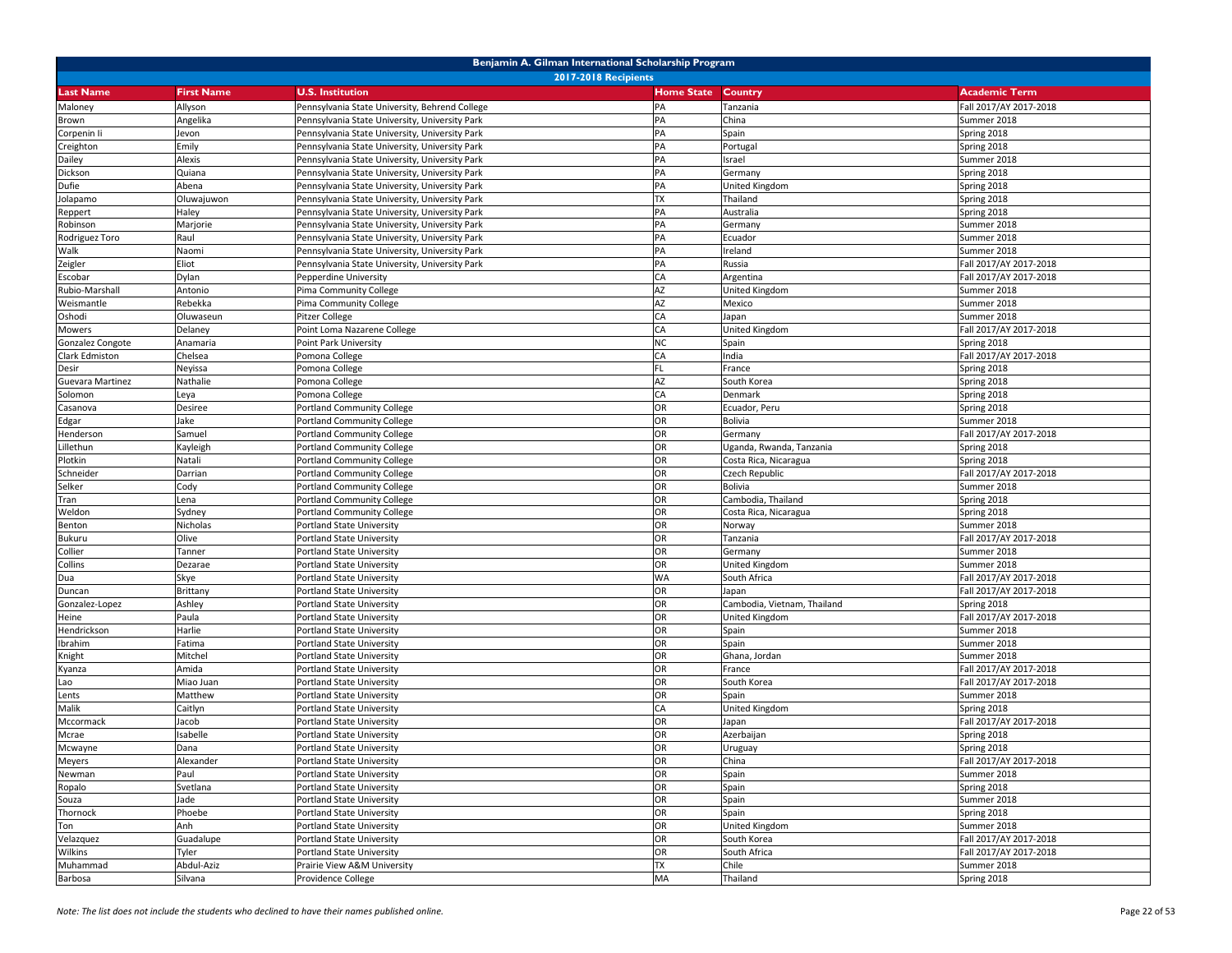| <b>2017-2018 Recipients</b><br><b>Last Name</b><br><b>First Name</b><br><b>U.S. Institution</b><br><b>Home State</b><br><b>Country</b><br><b>Academic Term</b><br>Maloney<br>Allyson<br>Pennsylvania State University, Behrend College<br>PA<br>Tanzania<br>Fall 2017/AY 2017-2018<br>Angelika<br>Pennsylvania State University, University Park<br>PA<br>China<br>Summer 2018<br>Brown<br>Pennsylvania State University, University Park<br>PA<br>Spain<br>Spring 2018<br>Corpenin li<br>Jevon<br>PA<br>Spring 2018<br>Creighton<br>Emily<br>Pennsylvania State University, University Park<br>Portugal<br>PA<br>Alexis<br>Pennsylvania State University, University Park<br>Israel<br>Summer 2018<br>Dailey<br>PA<br>Dickson<br>Quiana<br>Spring 2018<br>Pennsylvania State University, University Park<br>Germany<br>Abena<br>PA<br>Spring 2018<br>Dufie<br>Pennsylvania State University, University Park<br>United Kingdom<br>Oluwajuwon<br>Pennsylvania State University, University Park<br><b>TX</b><br>Spring 2018<br>Jolapamo<br>Thailand<br>PA<br>Australia<br>Spring 2018<br>Haley<br>Pennsylvania State University, University Park<br>Reppert<br>PA<br>Marjorie<br>Pennsylvania State University, University Park<br>Summer 2018<br>Robinson<br>Germany<br>PA<br>Rodriguez Toro<br>Raul<br>Pennsylvania State University, University Park<br>Summer 2018<br>Ecuador<br>Pennsylvania State University, University Park<br>PA<br>Ireland<br>Summer 2018<br>Walk<br>Naomi<br>Fall 2017/AY 2017-2018<br>Zeigler<br>Eliot<br>Pennsylvania State University, University Park<br>PA<br>Russia<br>Dylan<br>CA<br>Fall 2017/AY 2017-2018<br>Escobar<br>Pepperdine University<br>Argentina<br><b>AZ</b><br>Rubio-Marshall<br>Antonio<br>Pima Community College<br>United Kingdom<br>Summer 2018<br>AZ<br>Weismantle<br>Rebekka<br>Pima Community College<br>Summer 2018<br>Mexico<br>Oshodi<br>CA<br>Summer 2018<br>Oluwaseun<br>Pitzer College<br>Japan<br>Fall 2017/AY 2017-2018<br>Delaney<br>Point Loma Nazarene College<br>CA<br>Mowers<br>United Kingdom<br>Gonzalez Congote<br>Point Park University<br><b>NC</b><br>Spring 2018<br>Anamaria<br>Spain<br>Clark Edmiston<br>Chelsea<br>Pomona College<br>CA<br>India<br>Fall 2017/AY 2017-2018<br>Pomona College<br><b>FL</b><br>Spring 2018<br>Desir<br>Neyissa<br>France<br>Guevara Martinez<br>Nathalie<br>Pomona College<br>AZ<br>South Korea<br>Spring 2018<br>Pomona College<br>CA<br>Denmark<br>Spring 2018<br>Solomon<br>Leya<br>Portland Community College<br>OR<br>Spring 2018<br>Desiree<br>Ecuador, Peru<br>Casanova<br>OR<br>Jake<br>Portland Community College<br>Bolivia<br>Summer 2018<br>Edgar<br>OR<br>Samuel<br>Portland Community College<br>Fall 2017/AY 2017-2018<br>Henderson<br>Germany<br>OR<br>Portland Community College<br>Uganda, Rwanda, Tanzania<br>Spring 2018<br>Lillethun<br>Kayleigh<br>Plotkin<br>OR<br>Spring 2018<br>Natali<br>Portland Community College<br>Costa Rica, Nicaragua<br>Schneider<br>Portland Community College<br>OR<br>Fall 2017/AY 2017-2018<br>Darrian<br>Czech Republic<br>OR<br>Selker<br>Cody<br><b>Portland Community College</b><br>Bolivia<br>Summer 2018<br>OR<br>Lena<br>Portland Community College<br>Cambodia, Thailand<br>Spring 2018<br>Tran<br>OR<br>Weldon<br>Portland Community College<br>Spring 2018<br>Sydney<br>Costa Rica, Nicaragua<br>OR<br>Nicholas<br>Portland State University<br>Summer 2018<br>Benton<br>Norway<br>Bukuru<br>Olive<br>OR<br>Fall 2017/AY 2017-2018<br>Portland State University<br>Tanzania<br>OR<br>Collier<br>Summer 2018<br>Tanner<br>Portland State University<br>Germany<br>OR<br>Summer 2018<br>Collins<br>Dezarae<br>Portland State University<br>United Kingdom<br><b>WA</b><br>South Africa<br>Fall 2017/AY 2017-2018<br>Dua<br>Skye<br>Portland State University<br>Portland State University<br>OR<br>Japan<br>Fall 2017/AY 2017-2018<br>Duncan<br>Brittany<br>Ashley<br>OR<br>Cambodia, Vietnam, Thailand<br>Spring 2018<br>Gonzalez-Lopez<br>Portland State University<br>OR<br>Fall 2017/AY 2017-2018<br>Heine<br>Paula<br>Portland State University<br>United Kingdom<br>Harlie<br>OR<br>Summer 2018<br>Hendrickson<br>Portland State University<br>Spain<br>OR<br>Spain<br>Summer 2018<br>Ibrahim<br>Fatima<br>Portland State University<br>Knight<br>Mitchel<br>Portland State University<br>OR<br>Ghana, Jordan<br>Summer 2018<br>Amida<br>OR<br>Fall 2017/AY 2017-2018<br>Portland State University<br>France<br>Kyanza<br>OR<br>Fall 2017/AY 2017-2018<br>Miao Juan<br>Portland State University<br>South Korea<br>Lao<br>OR<br>Matthew<br>Summer 2018<br>Lents<br>Portland State University<br>Spain<br>Spring 2018<br>Malik<br>CA<br>Caitlyn<br>Portland State University<br>United Kingdom<br>Fall 2017/AY 2017-2018<br>Mccormack<br>Jacob<br>Portland State University<br>OR<br>Japan<br>Mcrae<br>OR<br>Azerbaijan<br>Isabelle<br>Portland State University<br>Spring 2018<br>OR<br>Mcwayne<br>Portland State University<br>Uruguay<br>Spring 2018<br>Dana<br><b>Meyers</b><br>OR<br>Alexander<br>Portland State University<br>China<br>Fall 2017/AY 2017-2018<br>OR<br>Newman<br>Paul<br>Portland State University<br>Spain<br>Summer 2018<br>Ropalo<br>OR<br>Spring 2018<br>Svetlana<br>Portland State University<br>Spain<br>OR<br>Jade<br>Portland State University<br>Summer 2018<br>Souza<br>Spain<br>OR<br>Thornock<br>Phoebe<br>Portland State University<br>Spain<br>Spring 2018<br>Anh<br>OR<br>Ton<br>Portland State University<br>United Kingdom<br>Summer 2018<br>OR<br>Fall 2017/AY 2017-2018<br>Velazquez<br>Guadalupe<br>Portland State University<br>South Korea<br>Wilkins<br>Tyler<br>OR<br>Fall 2017/AY 2017-2018<br>Portland State University<br>South Africa<br><b>TX</b><br>Muhammad<br>Abdul-Aziz<br>Prairie View A&M University<br>Chile<br>Summer 2018<br>MA |         | Benjamin A. Gilman International Scholarship Program |                    |  |          |             |  |  |  |
|-----------------------------------------------------------------------------------------------------------------------------------------------------------------------------------------------------------------------------------------------------------------------------------------------------------------------------------------------------------------------------------------------------------------------------------------------------------------------------------------------------------------------------------------------------------------------------------------------------------------------------------------------------------------------------------------------------------------------------------------------------------------------------------------------------------------------------------------------------------------------------------------------------------------------------------------------------------------------------------------------------------------------------------------------------------------------------------------------------------------------------------------------------------------------------------------------------------------------------------------------------------------------------------------------------------------------------------------------------------------------------------------------------------------------------------------------------------------------------------------------------------------------------------------------------------------------------------------------------------------------------------------------------------------------------------------------------------------------------------------------------------------------------------------------------------------------------------------------------------------------------------------------------------------------------------------------------------------------------------------------------------------------------------------------------------------------------------------------------------------------------------------------------------------------------------------------------------------------------------------------------------------------------------------------------------------------------------------------------------------------------------------------------------------------------------------------------------------------------------------------------------------------------------------------------------------------------------------------------------------------------------------------------------------------------------------------------------------------------------------------------------------------------------------------------------------------------------------------------------------------------------------------------------------------------------------------------------------------------------------------------------------------------------------------------------------------------------------------------------------------------------------------------------------------------------------------------------------------------------------------------------------------------------------------------------------------------------------------------------------------------------------------------------------------------------------------------------------------------------------------------------------------------------------------------------------------------------------------------------------------------------------------------------------------------------------------------------------------------------------------------------------------------------------------------------------------------------------------------------------------------------------------------------------------------------------------------------------------------------------------------------------------------------------------------------------------------------------------------------------------------------------------------------------------------------------------------------------------------------------------------------------------------------------------------------------------------------------------------------------------------------------------------------------------------------------------------------------------------------------------------------------------------------------------------------------------------------------------------------------------------------------------------------------------------------------------------------------------------------------------------------------------------------------------------------------------------------------------------------------------------------------------------------------------------------------------------------------------------------------------------------------------------------------------------------------------------------------------------------------------------------------------------------------------------------------------------------------------------------------------------------------------------------------------------------------------------------------------------------------------------------------------------------------------------------------------------------------------------------------------------------------------------------------------------------------------------------------------------------------------------------------------------------------------------------------------------------------------------------------------------------------------------------------------------------------------------------------------------------------------------|---------|------------------------------------------------------|--------------------|--|----------|-------------|--|--|--|
|                                                                                                                                                                                                                                                                                                                                                                                                                                                                                                                                                                                                                                                                                                                                                                                                                                                                                                                                                                                                                                                                                                                                                                                                                                                                                                                                                                                                                                                                                                                                                                                                                                                                                                                                                                                                                                                                                                                                                                                                                                                                                                                                                                                                                                                                                                                                                                                                                                                                                                                                                                                                                                                                                                                                                                                                                                                                                                                                                                                                                                                                                                                                                                                                                                                                                                                                                                                                                                                                                                                                                                                                                                                                                                                                                                                                                                                                                                                                                                                                                                                                                                                                                                                                                                                                                                                                                                                                                                                                                                                                                                                                                                                                                                                                                                                                                                                                                                                                                                                                                                                                                                                                                                                                                                                                                                                                                                                                                                                                                                                                                                                                                                                                                                                                                                                                                                                                             |         |                                                      |                    |  |          |             |  |  |  |
|                                                                                                                                                                                                                                                                                                                                                                                                                                                                                                                                                                                                                                                                                                                                                                                                                                                                                                                                                                                                                                                                                                                                                                                                                                                                                                                                                                                                                                                                                                                                                                                                                                                                                                                                                                                                                                                                                                                                                                                                                                                                                                                                                                                                                                                                                                                                                                                                                                                                                                                                                                                                                                                                                                                                                                                                                                                                                                                                                                                                                                                                                                                                                                                                                                                                                                                                                                                                                                                                                                                                                                                                                                                                                                                                                                                                                                                                                                                                                                                                                                                                                                                                                                                                                                                                                                                                                                                                                                                                                                                                                                                                                                                                                                                                                                                                                                                                                                                                                                                                                                                                                                                                                                                                                                                                                                                                                                                                                                                                                                                                                                                                                                                                                                                                                                                                                                                                             |         |                                                      |                    |  |          |             |  |  |  |
|                                                                                                                                                                                                                                                                                                                                                                                                                                                                                                                                                                                                                                                                                                                                                                                                                                                                                                                                                                                                                                                                                                                                                                                                                                                                                                                                                                                                                                                                                                                                                                                                                                                                                                                                                                                                                                                                                                                                                                                                                                                                                                                                                                                                                                                                                                                                                                                                                                                                                                                                                                                                                                                                                                                                                                                                                                                                                                                                                                                                                                                                                                                                                                                                                                                                                                                                                                                                                                                                                                                                                                                                                                                                                                                                                                                                                                                                                                                                                                                                                                                                                                                                                                                                                                                                                                                                                                                                                                                                                                                                                                                                                                                                                                                                                                                                                                                                                                                                                                                                                                                                                                                                                                                                                                                                                                                                                                                                                                                                                                                                                                                                                                                                                                                                                                                                                                                                             |         |                                                      |                    |  |          |             |  |  |  |
|                                                                                                                                                                                                                                                                                                                                                                                                                                                                                                                                                                                                                                                                                                                                                                                                                                                                                                                                                                                                                                                                                                                                                                                                                                                                                                                                                                                                                                                                                                                                                                                                                                                                                                                                                                                                                                                                                                                                                                                                                                                                                                                                                                                                                                                                                                                                                                                                                                                                                                                                                                                                                                                                                                                                                                                                                                                                                                                                                                                                                                                                                                                                                                                                                                                                                                                                                                                                                                                                                                                                                                                                                                                                                                                                                                                                                                                                                                                                                                                                                                                                                                                                                                                                                                                                                                                                                                                                                                                                                                                                                                                                                                                                                                                                                                                                                                                                                                                                                                                                                                                                                                                                                                                                                                                                                                                                                                                                                                                                                                                                                                                                                                                                                                                                                                                                                                                                             |         |                                                      |                    |  |          |             |  |  |  |
|                                                                                                                                                                                                                                                                                                                                                                                                                                                                                                                                                                                                                                                                                                                                                                                                                                                                                                                                                                                                                                                                                                                                                                                                                                                                                                                                                                                                                                                                                                                                                                                                                                                                                                                                                                                                                                                                                                                                                                                                                                                                                                                                                                                                                                                                                                                                                                                                                                                                                                                                                                                                                                                                                                                                                                                                                                                                                                                                                                                                                                                                                                                                                                                                                                                                                                                                                                                                                                                                                                                                                                                                                                                                                                                                                                                                                                                                                                                                                                                                                                                                                                                                                                                                                                                                                                                                                                                                                                                                                                                                                                                                                                                                                                                                                                                                                                                                                                                                                                                                                                                                                                                                                                                                                                                                                                                                                                                                                                                                                                                                                                                                                                                                                                                                                                                                                                                                             |         |                                                      |                    |  |          |             |  |  |  |
|                                                                                                                                                                                                                                                                                                                                                                                                                                                                                                                                                                                                                                                                                                                                                                                                                                                                                                                                                                                                                                                                                                                                                                                                                                                                                                                                                                                                                                                                                                                                                                                                                                                                                                                                                                                                                                                                                                                                                                                                                                                                                                                                                                                                                                                                                                                                                                                                                                                                                                                                                                                                                                                                                                                                                                                                                                                                                                                                                                                                                                                                                                                                                                                                                                                                                                                                                                                                                                                                                                                                                                                                                                                                                                                                                                                                                                                                                                                                                                                                                                                                                                                                                                                                                                                                                                                                                                                                                                                                                                                                                                                                                                                                                                                                                                                                                                                                                                                                                                                                                                                                                                                                                                                                                                                                                                                                                                                                                                                                                                                                                                                                                                                                                                                                                                                                                                                                             |         |                                                      |                    |  |          |             |  |  |  |
|                                                                                                                                                                                                                                                                                                                                                                                                                                                                                                                                                                                                                                                                                                                                                                                                                                                                                                                                                                                                                                                                                                                                                                                                                                                                                                                                                                                                                                                                                                                                                                                                                                                                                                                                                                                                                                                                                                                                                                                                                                                                                                                                                                                                                                                                                                                                                                                                                                                                                                                                                                                                                                                                                                                                                                                                                                                                                                                                                                                                                                                                                                                                                                                                                                                                                                                                                                                                                                                                                                                                                                                                                                                                                                                                                                                                                                                                                                                                                                                                                                                                                                                                                                                                                                                                                                                                                                                                                                                                                                                                                                                                                                                                                                                                                                                                                                                                                                                                                                                                                                                                                                                                                                                                                                                                                                                                                                                                                                                                                                                                                                                                                                                                                                                                                                                                                                                                             |         |                                                      |                    |  |          |             |  |  |  |
|                                                                                                                                                                                                                                                                                                                                                                                                                                                                                                                                                                                                                                                                                                                                                                                                                                                                                                                                                                                                                                                                                                                                                                                                                                                                                                                                                                                                                                                                                                                                                                                                                                                                                                                                                                                                                                                                                                                                                                                                                                                                                                                                                                                                                                                                                                                                                                                                                                                                                                                                                                                                                                                                                                                                                                                                                                                                                                                                                                                                                                                                                                                                                                                                                                                                                                                                                                                                                                                                                                                                                                                                                                                                                                                                                                                                                                                                                                                                                                                                                                                                                                                                                                                                                                                                                                                                                                                                                                                                                                                                                                                                                                                                                                                                                                                                                                                                                                                                                                                                                                                                                                                                                                                                                                                                                                                                                                                                                                                                                                                                                                                                                                                                                                                                                                                                                                                                             |         |                                                      |                    |  |          |             |  |  |  |
|                                                                                                                                                                                                                                                                                                                                                                                                                                                                                                                                                                                                                                                                                                                                                                                                                                                                                                                                                                                                                                                                                                                                                                                                                                                                                                                                                                                                                                                                                                                                                                                                                                                                                                                                                                                                                                                                                                                                                                                                                                                                                                                                                                                                                                                                                                                                                                                                                                                                                                                                                                                                                                                                                                                                                                                                                                                                                                                                                                                                                                                                                                                                                                                                                                                                                                                                                                                                                                                                                                                                                                                                                                                                                                                                                                                                                                                                                                                                                                                                                                                                                                                                                                                                                                                                                                                                                                                                                                                                                                                                                                                                                                                                                                                                                                                                                                                                                                                                                                                                                                                                                                                                                                                                                                                                                                                                                                                                                                                                                                                                                                                                                                                                                                                                                                                                                                                                             |         |                                                      |                    |  |          |             |  |  |  |
|                                                                                                                                                                                                                                                                                                                                                                                                                                                                                                                                                                                                                                                                                                                                                                                                                                                                                                                                                                                                                                                                                                                                                                                                                                                                                                                                                                                                                                                                                                                                                                                                                                                                                                                                                                                                                                                                                                                                                                                                                                                                                                                                                                                                                                                                                                                                                                                                                                                                                                                                                                                                                                                                                                                                                                                                                                                                                                                                                                                                                                                                                                                                                                                                                                                                                                                                                                                                                                                                                                                                                                                                                                                                                                                                                                                                                                                                                                                                                                                                                                                                                                                                                                                                                                                                                                                                                                                                                                                                                                                                                                                                                                                                                                                                                                                                                                                                                                                                                                                                                                                                                                                                                                                                                                                                                                                                                                                                                                                                                                                                                                                                                                                                                                                                                                                                                                                                             |         |                                                      |                    |  |          |             |  |  |  |
|                                                                                                                                                                                                                                                                                                                                                                                                                                                                                                                                                                                                                                                                                                                                                                                                                                                                                                                                                                                                                                                                                                                                                                                                                                                                                                                                                                                                                                                                                                                                                                                                                                                                                                                                                                                                                                                                                                                                                                                                                                                                                                                                                                                                                                                                                                                                                                                                                                                                                                                                                                                                                                                                                                                                                                                                                                                                                                                                                                                                                                                                                                                                                                                                                                                                                                                                                                                                                                                                                                                                                                                                                                                                                                                                                                                                                                                                                                                                                                                                                                                                                                                                                                                                                                                                                                                                                                                                                                                                                                                                                                                                                                                                                                                                                                                                                                                                                                                                                                                                                                                                                                                                                                                                                                                                                                                                                                                                                                                                                                                                                                                                                                                                                                                                                                                                                                                                             |         |                                                      |                    |  |          |             |  |  |  |
|                                                                                                                                                                                                                                                                                                                                                                                                                                                                                                                                                                                                                                                                                                                                                                                                                                                                                                                                                                                                                                                                                                                                                                                                                                                                                                                                                                                                                                                                                                                                                                                                                                                                                                                                                                                                                                                                                                                                                                                                                                                                                                                                                                                                                                                                                                                                                                                                                                                                                                                                                                                                                                                                                                                                                                                                                                                                                                                                                                                                                                                                                                                                                                                                                                                                                                                                                                                                                                                                                                                                                                                                                                                                                                                                                                                                                                                                                                                                                                                                                                                                                                                                                                                                                                                                                                                                                                                                                                                                                                                                                                                                                                                                                                                                                                                                                                                                                                                                                                                                                                                                                                                                                                                                                                                                                                                                                                                                                                                                                                                                                                                                                                                                                                                                                                                                                                                                             |         |                                                      |                    |  |          |             |  |  |  |
|                                                                                                                                                                                                                                                                                                                                                                                                                                                                                                                                                                                                                                                                                                                                                                                                                                                                                                                                                                                                                                                                                                                                                                                                                                                                                                                                                                                                                                                                                                                                                                                                                                                                                                                                                                                                                                                                                                                                                                                                                                                                                                                                                                                                                                                                                                                                                                                                                                                                                                                                                                                                                                                                                                                                                                                                                                                                                                                                                                                                                                                                                                                                                                                                                                                                                                                                                                                                                                                                                                                                                                                                                                                                                                                                                                                                                                                                                                                                                                                                                                                                                                                                                                                                                                                                                                                                                                                                                                                                                                                                                                                                                                                                                                                                                                                                                                                                                                                                                                                                                                                                                                                                                                                                                                                                                                                                                                                                                                                                                                                                                                                                                                                                                                                                                                                                                                                                             |         |                                                      |                    |  |          |             |  |  |  |
|                                                                                                                                                                                                                                                                                                                                                                                                                                                                                                                                                                                                                                                                                                                                                                                                                                                                                                                                                                                                                                                                                                                                                                                                                                                                                                                                                                                                                                                                                                                                                                                                                                                                                                                                                                                                                                                                                                                                                                                                                                                                                                                                                                                                                                                                                                                                                                                                                                                                                                                                                                                                                                                                                                                                                                                                                                                                                                                                                                                                                                                                                                                                                                                                                                                                                                                                                                                                                                                                                                                                                                                                                                                                                                                                                                                                                                                                                                                                                                                                                                                                                                                                                                                                                                                                                                                                                                                                                                                                                                                                                                                                                                                                                                                                                                                                                                                                                                                                                                                                                                                                                                                                                                                                                                                                                                                                                                                                                                                                                                                                                                                                                                                                                                                                                                                                                                                                             |         |                                                      |                    |  |          |             |  |  |  |
|                                                                                                                                                                                                                                                                                                                                                                                                                                                                                                                                                                                                                                                                                                                                                                                                                                                                                                                                                                                                                                                                                                                                                                                                                                                                                                                                                                                                                                                                                                                                                                                                                                                                                                                                                                                                                                                                                                                                                                                                                                                                                                                                                                                                                                                                                                                                                                                                                                                                                                                                                                                                                                                                                                                                                                                                                                                                                                                                                                                                                                                                                                                                                                                                                                                                                                                                                                                                                                                                                                                                                                                                                                                                                                                                                                                                                                                                                                                                                                                                                                                                                                                                                                                                                                                                                                                                                                                                                                                                                                                                                                                                                                                                                                                                                                                                                                                                                                                                                                                                                                                                                                                                                                                                                                                                                                                                                                                                                                                                                                                                                                                                                                                                                                                                                                                                                                                                             |         |                                                      |                    |  |          |             |  |  |  |
|                                                                                                                                                                                                                                                                                                                                                                                                                                                                                                                                                                                                                                                                                                                                                                                                                                                                                                                                                                                                                                                                                                                                                                                                                                                                                                                                                                                                                                                                                                                                                                                                                                                                                                                                                                                                                                                                                                                                                                                                                                                                                                                                                                                                                                                                                                                                                                                                                                                                                                                                                                                                                                                                                                                                                                                                                                                                                                                                                                                                                                                                                                                                                                                                                                                                                                                                                                                                                                                                                                                                                                                                                                                                                                                                                                                                                                                                                                                                                                                                                                                                                                                                                                                                                                                                                                                                                                                                                                                                                                                                                                                                                                                                                                                                                                                                                                                                                                                                                                                                                                                                                                                                                                                                                                                                                                                                                                                                                                                                                                                                                                                                                                                                                                                                                                                                                                                                             |         |                                                      |                    |  |          |             |  |  |  |
|                                                                                                                                                                                                                                                                                                                                                                                                                                                                                                                                                                                                                                                                                                                                                                                                                                                                                                                                                                                                                                                                                                                                                                                                                                                                                                                                                                                                                                                                                                                                                                                                                                                                                                                                                                                                                                                                                                                                                                                                                                                                                                                                                                                                                                                                                                                                                                                                                                                                                                                                                                                                                                                                                                                                                                                                                                                                                                                                                                                                                                                                                                                                                                                                                                                                                                                                                                                                                                                                                                                                                                                                                                                                                                                                                                                                                                                                                                                                                                                                                                                                                                                                                                                                                                                                                                                                                                                                                                                                                                                                                                                                                                                                                                                                                                                                                                                                                                                                                                                                                                                                                                                                                                                                                                                                                                                                                                                                                                                                                                                                                                                                                                                                                                                                                                                                                                                                             |         |                                                      |                    |  |          |             |  |  |  |
|                                                                                                                                                                                                                                                                                                                                                                                                                                                                                                                                                                                                                                                                                                                                                                                                                                                                                                                                                                                                                                                                                                                                                                                                                                                                                                                                                                                                                                                                                                                                                                                                                                                                                                                                                                                                                                                                                                                                                                                                                                                                                                                                                                                                                                                                                                                                                                                                                                                                                                                                                                                                                                                                                                                                                                                                                                                                                                                                                                                                                                                                                                                                                                                                                                                                                                                                                                                                                                                                                                                                                                                                                                                                                                                                                                                                                                                                                                                                                                                                                                                                                                                                                                                                                                                                                                                                                                                                                                                                                                                                                                                                                                                                                                                                                                                                                                                                                                                                                                                                                                                                                                                                                                                                                                                                                                                                                                                                                                                                                                                                                                                                                                                                                                                                                                                                                                                                             |         |                                                      |                    |  |          |             |  |  |  |
|                                                                                                                                                                                                                                                                                                                                                                                                                                                                                                                                                                                                                                                                                                                                                                                                                                                                                                                                                                                                                                                                                                                                                                                                                                                                                                                                                                                                                                                                                                                                                                                                                                                                                                                                                                                                                                                                                                                                                                                                                                                                                                                                                                                                                                                                                                                                                                                                                                                                                                                                                                                                                                                                                                                                                                                                                                                                                                                                                                                                                                                                                                                                                                                                                                                                                                                                                                                                                                                                                                                                                                                                                                                                                                                                                                                                                                                                                                                                                                                                                                                                                                                                                                                                                                                                                                                                                                                                                                                                                                                                                                                                                                                                                                                                                                                                                                                                                                                                                                                                                                                                                                                                                                                                                                                                                                                                                                                                                                                                                                                                                                                                                                                                                                                                                                                                                                                                             |         |                                                      |                    |  |          |             |  |  |  |
|                                                                                                                                                                                                                                                                                                                                                                                                                                                                                                                                                                                                                                                                                                                                                                                                                                                                                                                                                                                                                                                                                                                                                                                                                                                                                                                                                                                                                                                                                                                                                                                                                                                                                                                                                                                                                                                                                                                                                                                                                                                                                                                                                                                                                                                                                                                                                                                                                                                                                                                                                                                                                                                                                                                                                                                                                                                                                                                                                                                                                                                                                                                                                                                                                                                                                                                                                                                                                                                                                                                                                                                                                                                                                                                                                                                                                                                                                                                                                                                                                                                                                                                                                                                                                                                                                                                                                                                                                                                                                                                                                                                                                                                                                                                                                                                                                                                                                                                                                                                                                                                                                                                                                                                                                                                                                                                                                                                                                                                                                                                                                                                                                                                                                                                                                                                                                                                                             |         |                                                      |                    |  |          |             |  |  |  |
|                                                                                                                                                                                                                                                                                                                                                                                                                                                                                                                                                                                                                                                                                                                                                                                                                                                                                                                                                                                                                                                                                                                                                                                                                                                                                                                                                                                                                                                                                                                                                                                                                                                                                                                                                                                                                                                                                                                                                                                                                                                                                                                                                                                                                                                                                                                                                                                                                                                                                                                                                                                                                                                                                                                                                                                                                                                                                                                                                                                                                                                                                                                                                                                                                                                                                                                                                                                                                                                                                                                                                                                                                                                                                                                                                                                                                                                                                                                                                                                                                                                                                                                                                                                                                                                                                                                                                                                                                                                                                                                                                                                                                                                                                                                                                                                                                                                                                                                                                                                                                                                                                                                                                                                                                                                                                                                                                                                                                                                                                                                                                                                                                                                                                                                                                                                                                                                                             |         |                                                      |                    |  |          |             |  |  |  |
|                                                                                                                                                                                                                                                                                                                                                                                                                                                                                                                                                                                                                                                                                                                                                                                                                                                                                                                                                                                                                                                                                                                                                                                                                                                                                                                                                                                                                                                                                                                                                                                                                                                                                                                                                                                                                                                                                                                                                                                                                                                                                                                                                                                                                                                                                                                                                                                                                                                                                                                                                                                                                                                                                                                                                                                                                                                                                                                                                                                                                                                                                                                                                                                                                                                                                                                                                                                                                                                                                                                                                                                                                                                                                                                                                                                                                                                                                                                                                                                                                                                                                                                                                                                                                                                                                                                                                                                                                                                                                                                                                                                                                                                                                                                                                                                                                                                                                                                                                                                                                                                                                                                                                                                                                                                                                                                                                                                                                                                                                                                                                                                                                                                                                                                                                                                                                                                                             |         |                                                      |                    |  |          |             |  |  |  |
|                                                                                                                                                                                                                                                                                                                                                                                                                                                                                                                                                                                                                                                                                                                                                                                                                                                                                                                                                                                                                                                                                                                                                                                                                                                                                                                                                                                                                                                                                                                                                                                                                                                                                                                                                                                                                                                                                                                                                                                                                                                                                                                                                                                                                                                                                                                                                                                                                                                                                                                                                                                                                                                                                                                                                                                                                                                                                                                                                                                                                                                                                                                                                                                                                                                                                                                                                                                                                                                                                                                                                                                                                                                                                                                                                                                                                                                                                                                                                                                                                                                                                                                                                                                                                                                                                                                                                                                                                                                                                                                                                                                                                                                                                                                                                                                                                                                                                                                                                                                                                                                                                                                                                                                                                                                                                                                                                                                                                                                                                                                                                                                                                                                                                                                                                                                                                                                                             |         |                                                      |                    |  |          |             |  |  |  |
|                                                                                                                                                                                                                                                                                                                                                                                                                                                                                                                                                                                                                                                                                                                                                                                                                                                                                                                                                                                                                                                                                                                                                                                                                                                                                                                                                                                                                                                                                                                                                                                                                                                                                                                                                                                                                                                                                                                                                                                                                                                                                                                                                                                                                                                                                                                                                                                                                                                                                                                                                                                                                                                                                                                                                                                                                                                                                                                                                                                                                                                                                                                                                                                                                                                                                                                                                                                                                                                                                                                                                                                                                                                                                                                                                                                                                                                                                                                                                                                                                                                                                                                                                                                                                                                                                                                                                                                                                                                                                                                                                                                                                                                                                                                                                                                                                                                                                                                                                                                                                                                                                                                                                                                                                                                                                                                                                                                                                                                                                                                                                                                                                                                                                                                                                                                                                                                                             |         |                                                      |                    |  |          |             |  |  |  |
|                                                                                                                                                                                                                                                                                                                                                                                                                                                                                                                                                                                                                                                                                                                                                                                                                                                                                                                                                                                                                                                                                                                                                                                                                                                                                                                                                                                                                                                                                                                                                                                                                                                                                                                                                                                                                                                                                                                                                                                                                                                                                                                                                                                                                                                                                                                                                                                                                                                                                                                                                                                                                                                                                                                                                                                                                                                                                                                                                                                                                                                                                                                                                                                                                                                                                                                                                                                                                                                                                                                                                                                                                                                                                                                                                                                                                                                                                                                                                                                                                                                                                                                                                                                                                                                                                                                                                                                                                                                                                                                                                                                                                                                                                                                                                                                                                                                                                                                                                                                                                                                                                                                                                                                                                                                                                                                                                                                                                                                                                                                                                                                                                                                                                                                                                                                                                                                                             |         |                                                      |                    |  |          |             |  |  |  |
|                                                                                                                                                                                                                                                                                                                                                                                                                                                                                                                                                                                                                                                                                                                                                                                                                                                                                                                                                                                                                                                                                                                                                                                                                                                                                                                                                                                                                                                                                                                                                                                                                                                                                                                                                                                                                                                                                                                                                                                                                                                                                                                                                                                                                                                                                                                                                                                                                                                                                                                                                                                                                                                                                                                                                                                                                                                                                                                                                                                                                                                                                                                                                                                                                                                                                                                                                                                                                                                                                                                                                                                                                                                                                                                                                                                                                                                                                                                                                                                                                                                                                                                                                                                                                                                                                                                                                                                                                                                                                                                                                                                                                                                                                                                                                                                                                                                                                                                                                                                                                                                                                                                                                                                                                                                                                                                                                                                                                                                                                                                                                                                                                                                                                                                                                                                                                                                                             |         |                                                      |                    |  |          |             |  |  |  |
|                                                                                                                                                                                                                                                                                                                                                                                                                                                                                                                                                                                                                                                                                                                                                                                                                                                                                                                                                                                                                                                                                                                                                                                                                                                                                                                                                                                                                                                                                                                                                                                                                                                                                                                                                                                                                                                                                                                                                                                                                                                                                                                                                                                                                                                                                                                                                                                                                                                                                                                                                                                                                                                                                                                                                                                                                                                                                                                                                                                                                                                                                                                                                                                                                                                                                                                                                                                                                                                                                                                                                                                                                                                                                                                                                                                                                                                                                                                                                                                                                                                                                                                                                                                                                                                                                                                                                                                                                                                                                                                                                                                                                                                                                                                                                                                                                                                                                                                                                                                                                                                                                                                                                                                                                                                                                                                                                                                                                                                                                                                                                                                                                                                                                                                                                                                                                                                                             |         |                                                      |                    |  |          |             |  |  |  |
|                                                                                                                                                                                                                                                                                                                                                                                                                                                                                                                                                                                                                                                                                                                                                                                                                                                                                                                                                                                                                                                                                                                                                                                                                                                                                                                                                                                                                                                                                                                                                                                                                                                                                                                                                                                                                                                                                                                                                                                                                                                                                                                                                                                                                                                                                                                                                                                                                                                                                                                                                                                                                                                                                                                                                                                                                                                                                                                                                                                                                                                                                                                                                                                                                                                                                                                                                                                                                                                                                                                                                                                                                                                                                                                                                                                                                                                                                                                                                                                                                                                                                                                                                                                                                                                                                                                                                                                                                                                                                                                                                                                                                                                                                                                                                                                                                                                                                                                                                                                                                                                                                                                                                                                                                                                                                                                                                                                                                                                                                                                                                                                                                                                                                                                                                                                                                                                                             |         |                                                      |                    |  |          |             |  |  |  |
|                                                                                                                                                                                                                                                                                                                                                                                                                                                                                                                                                                                                                                                                                                                                                                                                                                                                                                                                                                                                                                                                                                                                                                                                                                                                                                                                                                                                                                                                                                                                                                                                                                                                                                                                                                                                                                                                                                                                                                                                                                                                                                                                                                                                                                                                                                                                                                                                                                                                                                                                                                                                                                                                                                                                                                                                                                                                                                                                                                                                                                                                                                                                                                                                                                                                                                                                                                                                                                                                                                                                                                                                                                                                                                                                                                                                                                                                                                                                                                                                                                                                                                                                                                                                                                                                                                                                                                                                                                                                                                                                                                                                                                                                                                                                                                                                                                                                                                                                                                                                                                                                                                                                                                                                                                                                                                                                                                                                                                                                                                                                                                                                                                                                                                                                                                                                                                                                             |         |                                                      |                    |  |          |             |  |  |  |
|                                                                                                                                                                                                                                                                                                                                                                                                                                                                                                                                                                                                                                                                                                                                                                                                                                                                                                                                                                                                                                                                                                                                                                                                                                                                                                                                                                                                                                                                                                                                                                                                                                                                                                                                                                                                                                                                                                                                                                                                                                                                                                                                                                                                                                                                                                                                                                                                                                                                                                                                                                                                                                                                                                                                                                                                                                                                                                                                                                                                                                                                                                                                                                                                                                                                                                                                                                                                                                                                                                                                                                                                                                                                                                                                                                                                                                                                                                                                                                                                                                                                                                                                                                                                                                                                                                                                                                                                                                                                                                                                                                                                                                                                                                                                                                                                                                                                                                                                                                                                                                                                                                                                                                                                                                                                                                                                                                                                                                                                                                                                                                                                                                                                                                                                                                                                                                                                             |         |                                                      |                    |  |          |             |  |  |  |
|                                                                                                                                                                                                                                                                                                                                                                                                                                                                                                                                                                                                                                                                                                                                                                                                                                                                                                                                                                                                                                                                                                                                                                                                                                                                                                                                                                                                                                                                                                                                                                                                                                                                                                                                                                                                                                                                                                                                                                                                                                                                                                                                                                                                                                                                                                                                                                                                                                                                                                                                                                                                                                                                                                                                                                                                                                                                                                                                                                                                                                                                                                                                                                                                                                                                                                                                                                                                                                                                                                                                                                                                                                                                                                                                                                                                                                                                                                                                                                                                                                                                                                                                                                                                                                                                                                                                                                                                                                                                                                                                                                                                                                                                                                                                                                                                                                                                                                                                                                                                                                                                                                                                                                                                                                                                                                                                                                                                                                                                                                                                                                                                                                                                                                                                                                                                                                                                             |         |                                                      |                    |  |          |             |  |  |  |
|                                                                                                                                                                                                                                                                                                                                                                                                                                                                                                                                                                                                                                                                                                                                                                                                                                                                                                                                                                                                                                                                                                                                                                                                                                                                                                                                                                                                                                                                                                                                                                                                                                                                                                                                                                                                                                                                                                                                                                                                                                                                                                                                                                                                                                                                                                                                                                                                                                                                                                                                                                                                                                                                                                                                                                                                                                                                                                                                                                                                                                                                                                                                                                                                                                                                                                                                                                                                                                                                                                                                                                                                                                                                                                                                                                                                                                                                                                                                                                                                                                                                                                                                                                                                                                                                                                                                                                                                                                                                                                                                                                                                                                                                                                                                                                                                                                                                                                                                                                                                                                                                                                                                                                                                                                                                                                                                                                                                                                                                                                                                                                                                                                                                                                                                                                                                                                                                             |         |                                                      |                    |  |          |             |  |  |  |
|                                                                                                                                                                                                                                                                                                                                                                                                                                                                                                                                                                                                                                                                                                                                                                                                                                                                                                                                                                                                                                                                                                                                                                                                                                                                                                                                                                                                                                                                                                                                                                                                                                                                                                                                                                                                                                                                                                                                                                                                                                                                                                                                                                                                                                                                                                                                                                                                                                                                                                                                                                                                                                                                                                                                                                                                                                                                                                                                                                                                                                                                                                                                                                                                                                                                                                                                                                                                                                                                                                                                                                                                                                                                                                                                                                                                                                                                                                                                                                                                                                                                                                                                                                                                                                                                                                                                                                                                                                                                                                                                                                                                                                                                                                                                                                                                                                                                                                                                                                                                                                                                                                                                                                                                                                                                                                                                                                                                                                                                                                                                                                                                                                                                                                                                                                                                                                                                             |         |                                                      |                    |  |          |             |  |  |  |
|                                                                                                                                                                                                                                                                                                                                                                                                                                                                                                                                                                                                                                                                                                                                                                                                                                                                                                                                                                                                                                                                                                                                                                                                                                                                                                                                                                                                                                                                                                                                                                                                                                                                                                                                                                                                                                                                                                                                                                                                                                                                                                                                                                                                                                                                                                                                                                                                                                                                                                                                                                                                                                                                                                                                                                                                                                                                                                                                                                                                                                                                                                                                                                                                                                                                                                                                                                                                                                                                                                                                                                                                                                                                                                                                                                                                                                                                                                                                                                                                                                                                                                                                                                                                                                                                                                                                                                                                                                                                                                                                                                                                                                                                                                                                                                                                                                                                                                                                                                                                                                                                                                                                                                                                                                                                                                                                                                                                                                                                                                                                                                                                                                                                                                                                                                                                                                                                             |         |                                                      |                    |  |          |             |  |  |  |
|                                                                                                                                                                                                                                                                                                                                                                                                                                                                                                                                                                                                                                                                                                                                                                                                                                                                                                                                                                                                                                                                                                                                                                                                                                                                                                                                                                                                                                                                                                                                                                                                                                                                                                                                                                                                                                                                                                                                                                                                                                                                                                                                                                                                                                                                                                                                                                                                                                                                                                                                                                                                                                                                                                                                                                                                                                                                                                                                                                                                                                                                                                                                                                                                                                                                                                                                                                                                                                                                                                                                                                                                                                                                                                                                                                                                                                                                                                                                                                                                                                                                                                                                                                                                                                                                                                                                                                                                                                                                                                                                                                                                                                                                                                                                                                                                                                                                                                                                                                                                                                                                                                                                                                                                                                                                                                                                                                                                                                                                                                                                                                                                                                                                                                                                                                                                                                                                             |         |                                                      |                    |  |          |             |  |  |  |
|                                                                                                                                                                                                                                                                                                                                                                                                                                                                                                                                                                                                                                                                                                                                                                                                                                                                                                                                                                                                                                                                                                                                                                                                                                                                                                                                                                                                                                                                                                                                                                                                                                                                                                                                                                                                                                                                                                                                                                                                                                                                                                                                                                                                                                                                                                                                                                                                                                                                                                                                                                                                                                                                                                                                                                                                                                                                                                                                                                                                                                                                                                                                                                                                                                                                                                                                                                                                                                                                                                                                                                                                                                                                                                                                                                                                                                                                                                                                                                                                                                                                                                                                                                                                                                                                                                                                                                                                                                                                                                                                                                                                                                                                                                                                                                                                                                                                                                                                                                                                                                                                                                                                                                                                                                                                                                                                                                                                                                                                                                                                                                                                                                                                                                                                                                                                                                                                             |         |                                                      |                    |  |          |             |  |  |  |
|                                                                                                                                                                                                                                                                                                                                                                                                                                                                                                                                                                                                                                                                                                                                                                                                                                                                                                                                                                                                                                                                                                                                                                                                                                                                                                                                                                                                                                                                                                                                                                                                                                                                                                                                                                                                                                                                                                                                                                                                                                                                                                                                                                                                                                                                                                                                                                                                                                                                                                                                                                                                                                                                                                                                                                                                                                                                                                                                                                                                                                                                                                                                                                                                                                                                                                                                                                                                                                                                                                                                                                                                                                                                                                                                                                                                                                                                                                                                                                                                                                                                                                                                                                                                                                                                                                                                                                                                                                                                                                                                                                                                                                                                                                                                                                                                                                                                                                                                                                                                                                                                                                                                                                                                                                                                                                                                                                                                                                                                                                                                                                                                                                                                                                                                                                                                                                                                             |         |                                                      |                    |  |          |             |  |  |  |
|                                                                                                                                                                                                                                                                                                                                                                                                                                                                                                                                                                                                                                                                                                                                                                                                                                                                                                                                                                                                                                                                                                                                                                                                                                                                                                                                                                                                                                                                                                                                                                                                                                                                                                                                                                                                                                                                                                                                                                                                                                                                                                                                                                                                                                                                                                                                                                                                                                                                                                                                                                                                                                                                                                                                                                                                                                                                                                                                                                                                                                                                                                                                                                                                                                                                                                                                                                                                                                                                                                                                                                                                                                                                                                                                                                                                                                                                                                                                                                                                                                                                                                                                                                                                                                                                                                                                                                                                                                                                                                                                                                                                                                                                                                                                                                                                                                                                                                                                                                                                                                                                                                                                                                                                                                                                                                                                                                                                                                                                                                                                                                                                                                                                                                                                                                                                                                                                             |         |                                                      |                    |  |          |             |  |  |  |
|                                                                                                                                                                                                                                                                                                                                                                                                                                                                                                                                                                                                                                                                                                                                                                                                                                                                                                                                                                                                                                                                                                                                                                                                                                                                                                                                                                                                                                                                                                                                                                                                                                                                                                                                                                                                                                                                                                                                                                                                                                                                                                                                                                                                                                                                                                                                                                                                                                                                                                                                                                                                                                                                                                                                                                                                                                                                                                                                                                                                                                                                                                                                                                                                                                                                                                                                                                                                                                                                                                                                                                                                                                                                                                                                                                                                                                                                                                                                                                                                                                                                                                                                                                                                                                                                                                                                                                                                                                                                                                                                                                                                                                                                                                                                                                                                                                                                                                                                                                                                                                                                                                                                                                                                                                                                                                                                                                                                                                                                                                                                                                                                                                                                                                                                                                                                                                                                             |         |                                                      |                    |  |          |             |  |  |  |
|                                                                                                                                                                                                                                                                                                                                                                                                                                                                                                                                                                                                                                                                                                                                                                                                                                                                                                                                                                                                                                                                                                                                                                                                                                                                                                                                                                                                                                                                                                                                                                                                                                                                                                                                                                                                                                                                                                                                                                                                                                                                                                                                                                                                                                                                                                                                                                                                                                                                                                                                                                                                                                                                                                                                                                                                                                                                                                                                                                                                                                                                                                                                                                                                                                                                                                                                                                                                                                                                                                                                                                                                                                                                                                                                                                                                                                                                                                                                                                                                                                                                                                                                                                                                                                                                                                                                                                                                                                                                                                                                                                                                                                                                                                                                                                                                                                                                                                                                                                                                                                                                                                                                                                                                                                                                                                                                                                                                                                                                                                                                                                                                                                                                                                                                                                                                                                                                             |         |                                                      |                    |  |          |             |  |  |  |
|                                                                                                                                                                                                                                                                                                                                                                                                                                                                                                                                                                                                                                                                                                                                                                                                                                                                                                                                                                                                                                                                                                                                                                                                                                                                                                                                                                                                                                                                                                                                                                                                                                                                                                                                                                                                                                                                                                                                                                                                                                                                                                                                                                                                                                                                                                                                                                                                                                                                                                                                                                                                                                                                                                                                                                                                                                                                                                                                                                                                                                                                                                                                                                                                                                                                                                                                                                                                                                                                                                                                                                                                                                                                                                                                                                                                                                                                                                                                                                                                                                                                                                                                                                                                                                                                                                                                                                                                                                                                                                                                                                                                                                                                                                                                                                                                                                                                                                                                                                                                                                                                                                                                                                                                                                                                                                                                                                                                                                                                                                                                                                                                                                                                                                                                                                                                                                                                             |         |                                                      |                    |  |          |             |  |  |  |
|                                                                                                                                                                                                                                                                                                                                                                                                                                                                                                                                                                                                                                                                                                                                                                                                                                                                                                                                                                                                                                                                                                                                                                                                                                                                                                                                                                                                                                                                                                                                                                                                                                                                                                                                                                                                                                                                                                                                                                                                                                                                                                                                                                                                                                                                                                                                                                                                                                                                                                                                                                                                                                                                                                                                                                                                                                                                                                                                                                                                                                                                                                                                                                                                                                                                                                                                                                                                                                                                                                                                                                                                                                                                                                                                                                                                                                                                                                                                                                                                                                                                                                                                                                                                                                                                                                                                                                                                                                                                                                                                                                                                                                                                                                                                                                                                                                                                                                                                                                                                                                                                                                                                                                                                                                                                                                                                                                                                                                                                                                                                                                                                                                                                                                                                                                                                                                                                             |         |                                                      |                    |  |          |             |  |  |  |
|                                                                                                                                                                                                                                                                                                                                                                                                                                                                                                                                                                                                                                                                                                                                                                                                                                                                                                                                                                                                                                                                                                                                                                                                                                                                                                                                                                                                                                                                                                                                                                                                                                                                                                                                                                                                                                                                                                                                                                                                                                                                                                                                                                                                                                                                                                                                                                                                                                                                                                                                                                                                                                                                                                                                                                                                                                                                                                                                                                                                                                                                                                                                                                                                                                                                                                                                                                                                                                                                                                                                                                                                                                                                                                                                                                                                                                                                                                                                                                                                                                                                                                                                                                                                                                                                                                                                                                                                                                                                                                                                                                                                                                                                                                                                                                                                                                                                                                                                                                                                                                                                                                                                                                                                                                                                                                                                                                                                                                                                                                                                                                                                                                                                                                                                                                                                                                                                             |         |                                                      |                    |  |          |             |  |  |  |
|                                                                                                                                                                                                                                                                                                                                                                                                                                                                                                                                                                                                                                                                                                                                                                                                                                                                                                                                                                                                                                                                                                                                                                                                                                                                                                                                                                                                                                                                                                                                                                                                                                                                                                                                                                                                                                                                                                                                                                                                                                                                                                                                                                                                                                                                                                                                                                                                                                                                                                                                                                                                                                                                                                                                                                                                                                                                                                                                                                                                                                                                                                                                                                                                                                                                                                                                                                                                                                                                                                                                                                                                                                                                                                                                                                                                                                                                                                                                                                                                                                                                                                                                                                                                                                                                                                                                                                                                                                                                                                                                                                                                                                                                                                                                                                                                                                                                                                                                                                                                                                                                                                                                                                                                                                                                                                                                                                                                                                                                                                                                                                                                                                                                                                                                                                                                                                                                             |         |                                                      |                    |  |          |             |  |  |  |
|                                                                                                                                                                                                                                                                                                                                                                                                                                                                                                                                                                                                                                                                                                                                                                                                                                                                                                                                                                                                                                                                                                                                                                                                                                                                                                                                                                                                                                                                                                                                                                                                                                                                                                                                                                                                                                                                                                                                                                                                                                                                                                                                                                                                                                                                                                                                                                                                                                                                                                                                                                                                                                                                                                                                                                                                                                                                                                                                                                                                                                                                                                                                                                                                                                                                                                                                                                                                                                                                                                                                                                                                                                                                                                                                                                                                                                                                                                                                                                                                                                                                                                                                                                                                                                                                                                                                                                                                                                                                                                                                                                                                                                                                                                                                                                                                                                                                                                                                                                                                                                                                                                                                                                                                                                                                                                                                                                                                                                                                                                                                                                                                                                                                                                                                                                                                                                                                             |         |                                                      |                    |  |          |             |  |  |  |
|                                                                                                                                                                                                                                                                                                                                                                                                                                                                                                                                                                                                                                                                                                                                                                                                                                                                                                                                                                                                                                                                                                                                                                                                                                                                                                                                                                                                                                                                                                                                                                                                                                                                                                                                                                                                                                                                                                                                                                                                                                                                                                                                                                                                                                                                                                                                                                                                                                                                                                                                                                                                                                                                                                                                                                                                                                                                                                                                                                                                                                                                                                                                                                                                                                                                                                                                                                                                                                                                                                                                                                                                                                                                                                                                                                                                                                                                                                                                                                                                                                                                                                                                                                                                                                                                                                                                                                                                                                                                                                                                                                                                                                                                                                                                                                                                                                                                                                                                                                                                                                                                                                                                                                                                                                                                                                                                                                                                                                                                                                                                                                                                                                                                                                                                                                                                                                                                             |         |                                                      |                    |  |          |             |  |  |  |
|                                                                                                                                                                                                                                                                                                                                                                                                                                                                                                                                                                                                                                                                                                                                                                                                                                                                                                                                                                                                                                                                                                                                                                                                                                                                                                                                                                                                                                                                                                                                                                                                                                                                                                                                                                                                                                                                                                                                                                                                                                                                                                                                                                                                                                                                                                                                                                                                                                                                                                                                                                                                                                                                                                                                                                                                                                                                                                                                                                                                                                                                                                                                                                                                                                                                                                                                                                                                                                                                                                                                                                                                                                                                                                                                                                                                                                                                                                                                                                                                                                                                                                                                                                                                                                                                                                                                                                                                                                                                                                                                                                                                                                                                                                                                                                                                                                                                                                                                                                                                                                                                                                                                                                                                                                                                                                                                                                                                                                                                                                                                                                                                                                                                                                                                                                                                                                                                             |         |                                                      |                    |  |          |             |  |  |  |
|                                                                                                                                                                                                                                                                                                                                                                                                                                                                                                                                                                                                                                                                                                                                                                                                                                                                                                                                                                                                                                                                                                                                                                                                                                                                                                                                                                                                                                                                                                                                                                                                                                                                                                                                                                                                                                                                                                                                                                                                                                                                                                                                                                                                                                                                                                                                                                                                                                                                                                                                                                                                                                                                                                                                                                                                                                                                                                                                                                                                                                                                                                                                                                                                                                                                                                                                                                                                                                                                                                                                                                                                                                                                                                                                                                                                                                                                                                                                                                                                                                                                                                                                                                                                                                                                                                                                                                                                                                                                                                                                                                                                                                                                                                                                                                                                                                                                                                                                                                                                                                                                                                                                                                                                                                                                                                                                                                                                                                                                                                                                                                                                                                                                                                                                                                                                                                                                             |         |                                                      |                    |  |          |             |  |  |  |
|                                                                                                                                                                                                                                                                                                                                                                                                                                                                                                                                                                                                                                                                                                                                                                                                                                                                                                                                                                                                                                                                                                                                                                                                                                                                                                                                                                                                                                                                                                                                                                                                                                                                                                                                                                                                                                                                                                                                                                                                                                                                                                                                                                                                                                                                                                                                                                                                                                                                                                                                                                                                                                                                                                                                                                                                                                                                                                                                                                                                                                                                                                                                                                                                                                                                                                                                                                                                                                                                                                                                                                                                                                                                                                                                                                                                                                                                                                                                                                                                                                                                                                                                                                                                                                                                                                                                                                                                                                                                                                                                                                                                                                                                                                                                                                                                                                                                                                                                                                                                                                                                                                                                                                                                                                                                                                                                                                                                                                                                                                                                                                                                                                                                                                                                                                                                                                                                             |         |                                                      |                    |  |          |             |  |  |  |
|                                                                                                                                                                                                                                                                                                                                                                                                                                                                                                                                                                                                                                                                                                                                                                                                                                                                                                                                                                                                                                                                                                                                                                                                                                                                                                                                                                                                                                                                                                                                                                                                                                                                                                                                                                                                                                                                                                                                                                                                                                                                                                                                                                                                                                                                                                                                                                                                                                                                                                                                                                                                                                                                                                                                                                                                                                                                                                                                                                                                                                                                                                                                                                                                                                                                                                                                                                                                                                                                                                                                                                                                                                                                                                                                                                                                                                                                                                                                                                                                                                                                                                                                                                                                                                                                                                                                                                                                                                                                                                                                                                                                                                                                                                                                                                                                                                                                                                                                                                                                                                                                                                                                                                                                                                                                                                                                                                                                                                                                                                                                                                                                                                                                                                                                                                                                                                                                             |         |                                                      |                    |  |          |             |  |  |  |
|                                                                                                                                                                                                                                                                                                                                                                                                                                                                                                                                                                                                                                                                                                                                                                                                                                                                                                                                                                                                                                                                                                                                                                                                                                                                                                                                                                                                                                                                                                                                                                                                                                                                                                                                                                                                                                                                                                                                                                                                                                                                                                                                                                                                                                                                                                                                                                                                                                                                                                                                                                                                                                                                                                                                                                                                                                                                                                                                                                                                                                                                                                                                                                                                                                                                                                                                                                                                                                                                                                                                                                                                                                                                                                                                                                                                                                                                                                                                                                                                                                                                                                                                                                                                                                                                                                                                                                                                                                                                                                                                                                                                                                                                                                                                                                                                                                                                                                                                                                                                                                                                                                                                                                                                                                                                                                                                                                                                                                                                                                                                                                                                                                                                                                                                                                                                                                                                             |         |                                                      |                    |  |          |             |  |  |  |
|                                                                                                                                                                                                                                                                                                                                                                                                                                                                                                                                                                                                                                                                                                                                                                                                                                                                                                                                                                                                                                                                                                                                                                                                                                                                                                                                                                                                                                                                                                                                                                                                                                                                                                                                                                                                                                                                                                                                                                                                                                                                                                                                                                                                                                                                                                                                                                                                                                                                                                                                                                                                                                                                                                                                                                                                                                                                                                                                                                                                                                                                                                                                                                                                                                                                                                                                                                                                                                                                                                                                                                                                                                                                                                                                                                                                                                                                                                                                                                                                                                                                                                                                                                                                                                                                                                                                                                                                                                                                                                                                                                                                                                                                                                                                                                                                                                                                                                                                                                                                                                                                                                                                                                                                                                                                                                                                                                                                                                                                                                                                                                                                                                                                                                                                                                                                                                                                             |         |                                                      |                    |  |          |             |  |  |  |
|                                                                                                                                                                                                                                                                                                                                                                                                                                                                                                                                                                                                                                                                                                                                                                                                                                                                                                                                                                                                                                                                                                                                                                                                                                                                                                                                                                                                                                                                                                                                                                                                                                                                                                                                                                                                                                                                                                                                                                                                                                                                                                                                                                                                                                                                                                                                                                                                                                                                                                                                                                                                                                                                                                                                                                                                                                                                                                                                                                                                                                                                                                                                                                                                                                                                                                                                                                                                                                                                                                                                                                                                                                                                                                                                                                                                                                                                                                                                                                                                                                                                                                                                                                                                                                                                                                                                                                                                                                                                                                                                                                                                                                                                                                                                                                                                                                                                                                                                                                                                                                                                                                                                                                                                                                                                                                                                                                                                                                                                                                                                                                                                                                                                                                                                                                                                                                                                             |         |                                                      |                    |  |          |             |  |  |  |
|                                                                                                                                                                                                                                                                                                                                                                                                                                                                                                                                                                                                                                                                                                                                                                                                                                                                                                                                                                                                                                                                                                                                                                                                                                                                                                                                                                                                                                                                                                                                                                                                                                                                                                                                                                                                                                                                                                                                                                                                                                                                                                                                                                                                                                                                                                                                                                                                                                                                                                                                                                                                                                                                                                                                                                                                                                                                                                                                                                                                                                                                                                                                                                                                                                                                                                                                                                                                                                                                                                                                                                                                                                                                                                                                                                                                                                                                                                                                                                                                                                                                                                                                                                                                                                                                                                                                                                                                                                                                                                                                                                                                                                                                                                                                                                                                                                                                                                                                                                                                                                                                                                                                                                                                                                                                                                                                                                                                                                                                                                                                                                                                                                                                                                                                                                                                                                                                             |         |                                                      |                    |  |          |             |  |  |  |
|                                                                                                                                                                                                                                                                                                                                                                                                                                                                                                                                                                                                                                                                                                                                                                                                                                                                                                                                                                                                                                                                                                                                                                                                                                                                                                                                                                                                                                                                                                                                                                                                                                                                                                                                                                                                                                                                                                                                                                                                                                                                                                                                                                                                                                                                                                                                                                                                                                                                                                                                                                                                                                                                                                                                                                                                                                                                                                                                                                                                                                                                                                                                                                                                                                                                                                                                                                                                                                                                                                                                                                                                                                                                                                                                                                                                                                                                                                                                                                                                                                                                                                                                                                                                                                                                                                                                                                                                                                                                                                                                                                                                                                                                                                                                                                                                                                                                                                                                                                                                                                                                                                                                                                                                                                                                                                                                                                                                                                                                                                                                                                                                                                                                                                                                                                                                                                                                             |         |                                                      |                    |  |          |             |  |  |  |
|                                                                                                                                                                                                                                                                                                                                                                                                                                                                                                                                                                                                                                                                                                                                                                                                                                                                                                                                                                                                                                                                                                                                                                                                                                                                                                                                                                                                                                                                                                                                                                                                                                                                                                                                                                                                                                                                                                                                                                                                                                                                                                                                                                                                                                                                                                                                                                                                                                                                                                                                                                                                                                                                                                                                                                                                                                                                                                                                                                                                                                                                                                                                                                                                                                                                                                                                                                                                                                                                                                                                                                                                                                                                                                                                                                                                                                                                                                                                                                                                                                                                                                                                                                                                                                                                                                                                                                                                                                                                                                                                                                                                                                                                                                                                                                                                                                                                                                                                                                                                                                                                                                                                                                                                                                                                                                                                                                                                                                                                                                                                                                                                                                                                                                                                                                                                                                                                             |         |                                                      |                    |  |          |             |  |  |  |
|                                                                                                                                                                                                                                                                                                                                                                                                                                                                                                                                                                                                                                                                                                                                                                                                                                                                                                                                                                                                                                                                                                                                                                                                                                                                                                                                                                                                                                                                                                                                                                                                                                                                                                                                                                                                                                                                                                                                                                                                                                                                                                                                                                                                                                                                                                                                                                                                                                                                                                                                                                                                                                                                                                                                                                                                                                                                                                                                                                                                                                                                                                                                                                                                                                                                                                                                                                                                                                                                                                                                                                                                                                                                                                                                                                                                                                                                                                                                                                                                                                                                                                                                                                                                                                                                                                                                                                                                                                                                                                                                                                                                                                                                                                                                                                                                                                                                                                                                                                                                                                                                                                                                                                                                                                                                                                                                                                                                                                                                                                                                                                                                                                                                                                                                                                                                                                                                             |         |                                                      |                    |  |          |             |  |  |  |
|                                                                                                                                                                                                                                                                                                                                                                                                                                                                                                                                                                                                                                                                                                                                                                                                                                                                                                                                                                                                                                                                                                                                                                                                                                                                                                                                                                                                                                                                                                                                                                                                                                                                                                                                                                                                                                                                                                                                                                                                                                                                                                                                                                                                                                                                                                                                                                                                                                                                                                                                                                                                                                                                                                                                                                                                                                                                                                                                                                                                                                                                                                                                                                                                                                                                                                                                                                                                                                                                                                                                                                                                                                                                                                                                                                                                                                                                                                                                                                                                                                                                                                                                                                                                                                                                                                                                                                                                                                                                                                                                                                                                                                                                                                                                                                                                                                                                                                                                                                                                                                                                                                                                                                                                                                                                                                                                                                                                                                                                                                                                                                                                                                                                                                                                                                                                                                                                             |         |                                                      |                    |  |          |             |  |  |  |
|                                                                                                                                                                                                                                                                                                                                                                                                                                                                                                                                                                                                                                                                                                                                                                                                                                                                                                                                                                                                                                                                                                                                                                                                                                                                                                                                                                                                                                                                                                                                                                                                                                                                                                                                                                                                                                                                                                                                                                                                                                                                                                                                                                                                                                                                                                                                                                                                                                                                                                                                                                                                                                                                                                                                                                                                                                                                                                                                                                                                                                                                                                                                                                                                                                                                                                                                                                                                                                                                                                                                                                                                                                                                                                                                                                                                                                                                                                                                                                                                                                                                                                                                                                                                                                                                                                                                                                                                                                                                                                                                                                                                                                                                                                                                                                                                                                                                                                                                                                                                                                                                                                                                                                                                                                                                                                                                                                                                                                                                                                                                                                                                                                                                                                                                                                                                                                                                             |         |                                                      |                    |  |          |             |  |  |  |
|                                                                                                                                                                                                                                                                                                                                                                                                                                                                                                                                                                                                                                                                                                                                                                                                                                                                                                                                                                                                                                                                                                                                                                                                                                                                                                                                                                                                                                                                                                                                                                                                                                                                                                                                                                                                                                                                                                                                                                                                                                                                                                                                                                                                                                                                                                                                                                                                                                                                                                                                                                                                                                                                                                                                                                                                                                                                                                                                                                                                                                                                                                                                                                                                                                                                                                                                                                                                                                                                                                                                                                                                                                                                                                                                                                                                                                                                                                                                                                                                                                                                                                                                                                                                                                                                                                                                                                                                                                                                                                                                                                                                                                                                                                                                                                                                                                                                                                                                                                                                                                                                                                                                                                                                                                                                                                                                                                                                                                                                                                                                                                                                                                                                                                                                                                                                                                                                             |         |                                                      |                    |  |          |             |  |  |  |
|                                                                                                                                                                                                                                                                                                                                                                                                                                                                                                                                                                                                                                                                                                                                                                                                                                                                                                                                                                                                                                                                                                                                                                                                                                                                                                                                                                                                                                                                                                                                                                                                                                                                                                                                                                                                                                                                                                                                                                                                                                                                                                                                                                                                                                                                                                                                                                                                                                                                                                                                                                                                                                                                                                                                                                                                                                                                                                                                                                                                                                                                                                                                                                                                                                                                                                                                                                                                                                                                                                                                                                                                                                                                                                                                                                                                                                                                                                                                                                                                                                                                                                                                                                                                                                                                                                                                                                                                                                                                                                                                                                                                                                                                                                                                                                                                                                                                                                                                                                                                                                                                                                                                                                                                                                                                                                                                                                                                                                                                                                                                                                                                                                                                                                                                                                                                                                                                             |         |                                                      |                    |  |          |             |  |  |  |
|                                                                                                                                                                                                                                                                                                                                                                                                                                                                                                                                                                                                                                                                                                                                                                                                                                                                                                                                                                                                                                                                                                                                                                                                                                                                                                                                                                                                                                                                                                                                                                                                                                                                                                                                                                                                                                                                                                                                                                                                                                                                                                                                                                                                                                                                                                                                                                                                                                                                                                                                                                                                                                                                                                                                                                                                                                                                                                                                                                                                                                                                                                                                                                                                                                                                                                                                                                                                                                                                                                                                                                                                                                                                                                                                                                                                                                                                                                                                                                                                                                                                                                                                                                                                                                                                                                                                                                                                                                                                                                                                                                                                                                                                                                                                                                                                                                                                                                                                                                                                                                                                                                                                                                                                                                                                                                                                                                                                                                                                                                                                                                                                                                                                                                                                                                                                                                                                             | Barbosa | Silvana                                              | Providence College |  | Thailand | Spring 2018 |  |  |  |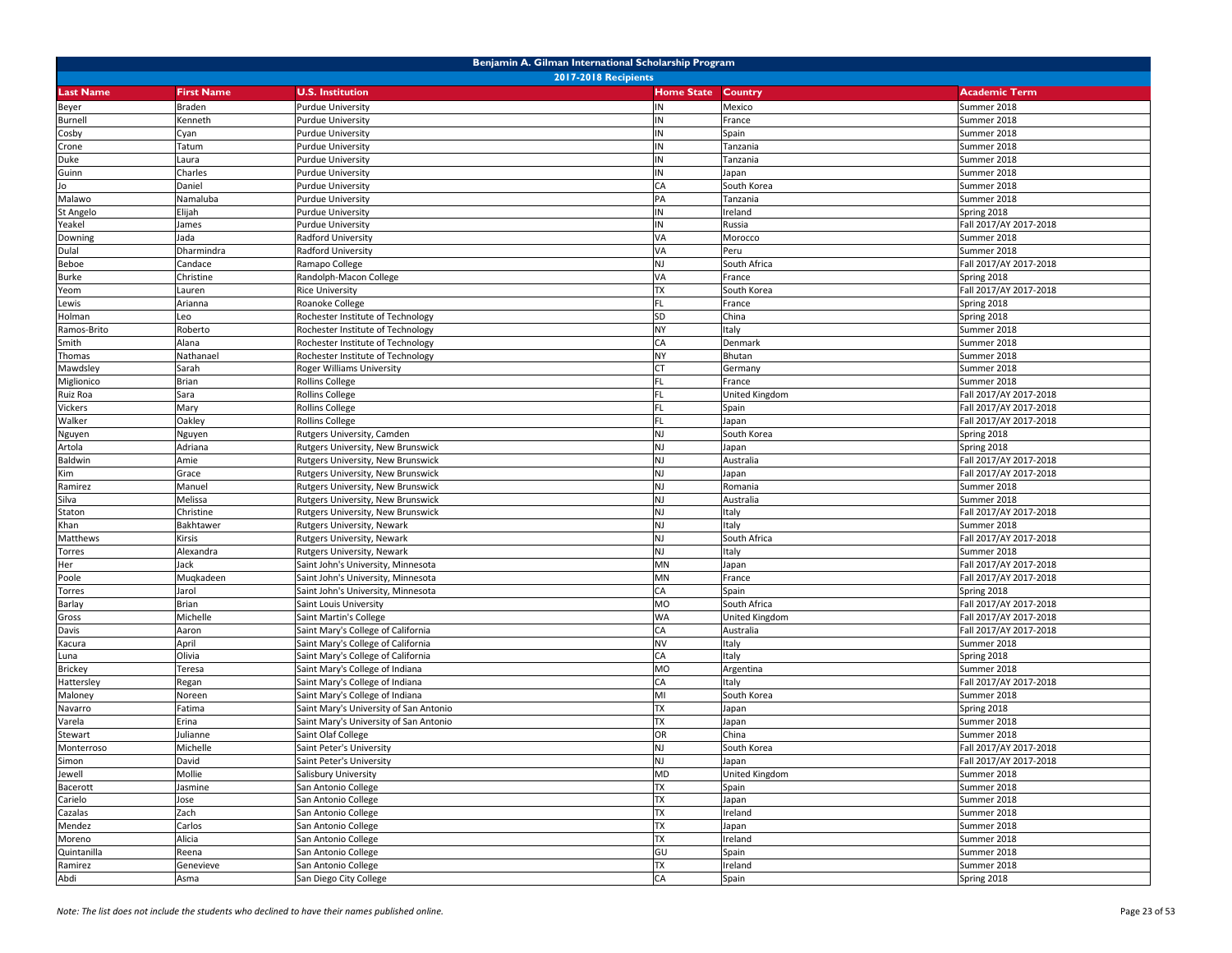| Benjamin A. Gilman International Scholarship Program |                   |                                          |                   |                |                        |  |  |
|------------------------------------------------------|-------------------|------------------------------------------|-------------------|----------------|------------------------|--|--|
| <b>2017-2018 Recipients</b>                          |                   |                                          |                   |                |                        |  |  |
| <b>Last Name</b>                                     | <b>First Name</b> | <b>U.S. Institution</b>                  | <b>Home State</b> | Country        | <b>Academic Term</b>   |  |  |
| Beyer                                                | Braden            | <b>Purdue University</b>                 | IN.               | Mexico         | Summer 2018            |  |  |
| Burnell                                              | Kenneth           | <b>Purdue University</b>                 | ΙN                | France         | Summer 2018            |  |  |
| Cosby                                                | Cyan              | <b>Purdue University</b>                 | IN                | Spain          | Summer 2018            |  |  |
| Crone                                                | Tatum             | Purdue University                        | IN                | Tanzania       | Summer 2018            |  |  |
| Duke                                                 | Laura             | <b>Purdue University</b>                 | ΙN                | Tanzania       | Summer 2018            |  |  |
| Guinn                                                | Charles           | <b>Purdue University</b>                 | IN                | Japan          | Summer 2018            |  |  |
| Jo                                                   | Daniel            | <b>Purdue University</b>                 | СA                | South Korea    | Summer 2018            |  |  |
| Malawo                                               | Namaluba          | <b>Purdue University</b>                 | PA                | Tanzania       | Summer 2018            |  |  |
| St Angelo                                            | Elijah            | Purdue University                        |                   | reland         | Spring 2018            |  |  |
| Yeakel                                               | James             | <b>Purdue University</b>                 | ΙN                | Russia         | Fall 2017/AY 2017-2018 |  |  |
| Downing                                              | Jada              | Radford University                       | VA                | Morocco        | Summer 2018            |  |  |
| Dulal                                                | Dharmindra        | Radford University                       | VA                | Peru           | Summer 2018            |  |  |
| Beboe                                                | Candace           | Ramapo College                           | NJ                | South Africa   | Fall 2017/AY 2017-2018 |  |  |
| Burke                                                | Christine         | Randolph-Macon College                   | VA                | France         | Spring 2018            |  |  |
| Yeom                                                 | Lauren            | <b>Rice University</b>                   | <b>TX</b>         | South Korea    | Fall 2017/AY 2017-2018 |  |  |
| Lewis                                                | Arianna           | Roanoke College                          | FL.               | France         | Spring 2018            |  |  |
| Holman                                               | Leo               | Rochester Institute of Technology        | <b>SD</b>         | China          | Spring 2018            |  |  |
| Ramos-Brito                                          | Roberto           | Rochester Institute of Technology        | NΥ                | Italy          | Summer 2018            |  |  |
| Smith                                                | Alana             | Rochester Institute of Technology        | СA                | Denmark        | Summer 2018            |  |  |
| Thomas                                               | Nathanael         | Rochester Institute of Technology        | NY                | Bhutan         | Summer 2018            |  |  |
| Mawdsley                                             | Sarah             | Roger Williams University                | <b>CT</b>         | Germany        | Summer 2018            |  |  |
| Miglionico                                           | Brian             | <b>Rollins College</b>                   | FL.               | France         | Summer 2018            |  |  |
| Ruiz Roa                                             | Sara              | Rollins College                          |                   | United Kingdom | Fall 2017/AY 2017-2018 |  |  |
| Vickers                                              | Mary              | Rollins College                          |                   | Spain          | Fall 2017/AY 2017-2018 |  |  |
| Walker                                               | Oakley            | <b>Rollins College</b>                   | FL.               | Japan          | Fall 2017/AY 2017-2018 |  |  |
| Nguyen                                               | Nguyen            | Rutgers University, Camden               | NJ                | South Korea    | Spring 2018            |  |  |
| Artola                                               | Adriana           | Rutgers University, New Brunswick        | NJ                | Japan          | Spring 2018            |  |  |
| Baldwin                                              | Amie              | Rutgers University, New Brunswick        | NJ                | Australia      | Fall 2017/AY 2017-2018 |  |  |
| Kim                                                  | Grace             | <b>Rutgers University, New Brunswick</b> | ΝJ                | Japan          | Fall 2017/AY 2017-2018 |  |  |
| Ramirez                                              | Manuel            | <b>Rutgers University, New Brunswick</b> | NJ                | Romania        | Summer 2018            |  |  |
| Silva                                                | Melissa           | Rutgers University, New Brunswick        | NJ                | Australia      | Summer 2018            |  |  |
| Staton                                               | Christine         | Rutgers University, New Brunswick        | NJ                | Italy          | Fall 2017/AY 2017-2018 |  |  |
| Khan                                                 | Bakhtawer         | Rutgers University, Newark               | NJ                | Italy          | Summer 2018            |  |  |
| Matthews                                             | Kirsis            | Rutgers University, Newark               | NJ                | South Africa   | Fall 2017/AY 2017-2018 |  |  |
| Torres                                               | Alexandra         | Rutgers University, Newark               | NJ                | Italy          | Summer 2018            |  |  |
| Her                                                  | Jack              | Saint John's University, Minnesota       | MN                | Japan          | Fall 2017/AY 2017-2018 |  |  |
| Poole                                                | Muqkadeen         | Saint John's University, Minnesota       | MN                | France         | Fall 2017/AY 2017-2018 |  |  |
| Torres                                               | Jarol             | Saint John's University, Minnesota       | СA                | Spain          | Spring 2018            |  |  |
| Barlay                                               | Brian             | Saint Louis University                   | МO                | South Africa   | Fall 2017/AY 2017-2018 |  |  |
| Gross                                                | Michelle          | Saint Martin's College                   | <b>WA</b>         | United Kingdom | Fall 2017/AY 2017-2018 |  |  |
| Davis                                                | Aaron             | Saint Mary's College of California       | CA                | Australia      | Fall 2017/AY 2017-2018 |  |  |
| Kacura                                               | April             | Saint Mary's College of California       | NV                | Italy          | Summer 2018            |  |  |
| Luna                                                 | Olivia            | Saint Mary's College of California       | CA                | Italy          | Spring 2018            |  |  |
| Brickey                                              | Teresa            | Saint Mary's College of Indiana          | MO                | Argentina      | Summer 2018            |  |  |
| Hattersley                                           | Regan             | Saint Mary's College of Indiana          | СA                | Italy          | Fall 2017/AY 2017-2018 |  |  |
| Maloney                                              | Noreen            | Saint Mary's College of Indiana          | MI                | South Korea    | Summer 2018            |  |  |
| Navarro                                              | Fatima            | Saint Mary's University of San Antonio   | <b>TX</b>         | Japan          | Spring 2018            |  |  |
| Varela                                               | Erina             | Saint Mary's University of San Antonio   | <b>TX</b>         | Japan          | Summer 2018            |  |  |
| Stewart                                              | Julianne          | Saint Olaf College                       | OR                | China          | Summer 2018            |  |  |
| Monterroso                                           | Michelle          | Saint Peter's University                 | <b>NJ</b>         | South Korea    | Fall 2017/AY 2017-2018 |  |  |
| Simon                                                | David             | Saint Peter's University                 | NJ                | Japan          | Fall 2017/AY 2017-2018 |  |  |
| Jewell                                               | Mollie            | Salisbury University                     | <b>MD</b>         | United Kingdom | Summer 2018            |  |  |
| Bacerott                                             | Jasmine           | San Antonio College                      | <b>TX</b>         | Spain          | Summer 2018            |  |  |
| Carielo                                              | Jose              | San Antonio College                      | <b>TX</b>         | Japan          | Summer 2018            |  |  |
| Cazalas                                              | Zach              | San Antonio College                      | TX                | Ireland        | Summer 2018            |  |  |
| Mendez                                               | Carlos            | San Antonio College                      | <b>TX</b>         | Japan          | Summer 2018            |  |  |
| Moreno                                               | Alicia            | San Antonio College                      | <b>TX</b>         | Ireland        | Summer 2018            |  |  |
| Quintanilla                                          | Reena             | San Antonio College                      | GU                | Spain          | Summer 2018            |  |  |
| Ramirez                                              | Genevieve         | San Antonio College                      | <b>TX</b>         | Ireland        | Summer 2018            |  |  |
| Abdi                                                 | Asma              | San Diego City College                   | CA                | Spain          | Spring 2018            |  |  |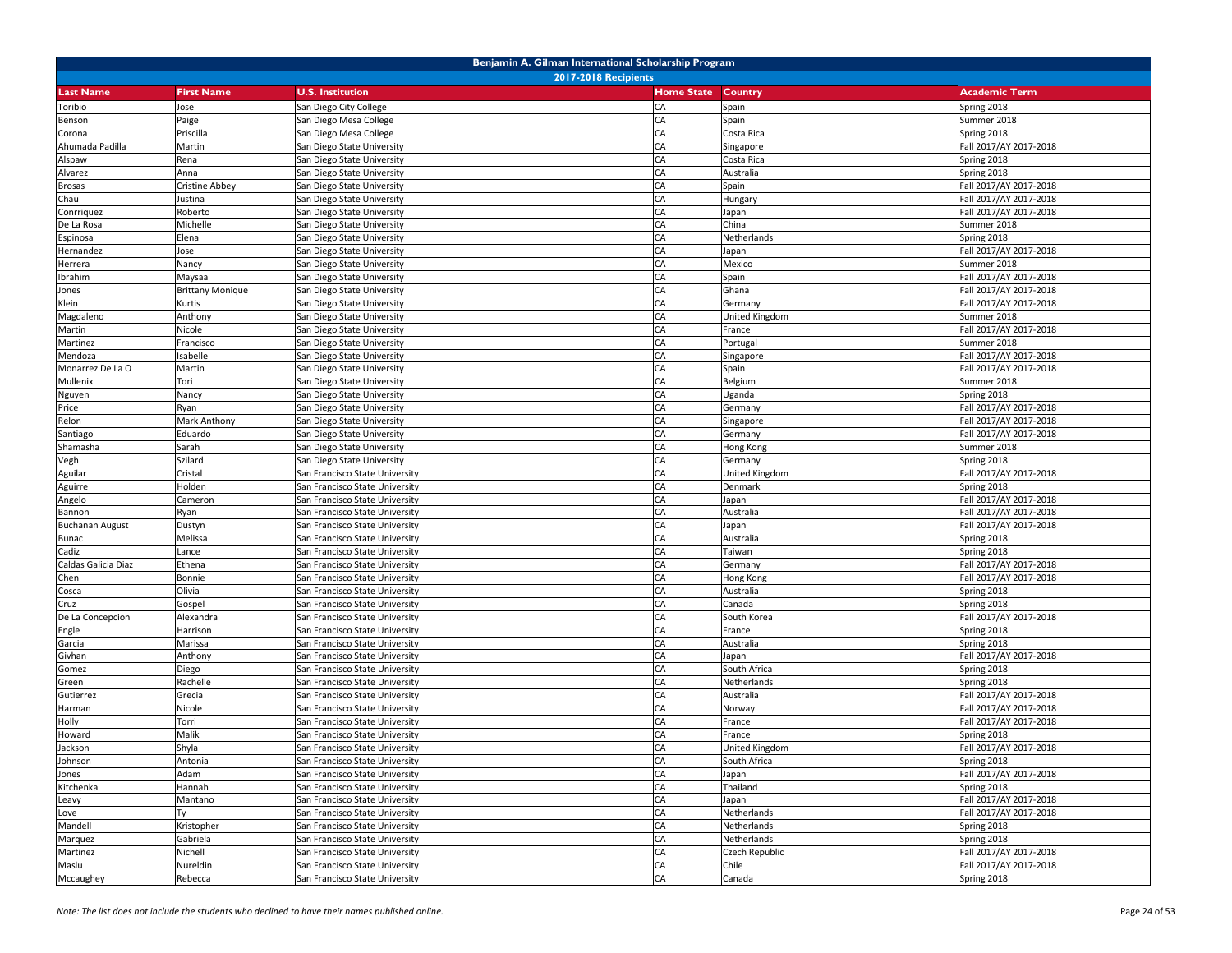|                        | Benjamin A. Gilman International Scholarship Program |                                |                   |                |                        |  |  |  |
|------------------------|------------------------------------------------------|--------------------------------|-------------------|----------------|------------------------|--|--|--|
|                        | <b>2017-2018 Recipients</b>                          |                                |                   |                |                        |  |  |  |
| <b>Last Name</b>       | <b>First Name</b>                                    | <b>U.S. Institution</b>        | <b>Home State</b> | Country        | <b>Academic Term</b>   |  |  |  |
| Toribio                | Jose                                                 | San Diego City College         | CA                | Spain          | Spring 2018            |  |  |  |
| Benson                 | Paige                                                | San Diego Mesa College         | CA                | Spain          | Summer 2018            |  |  |  |
| Corona                 | Priscilla                                            | San Diego Mesa College         | CA                | Costa Rica     | Spring 2018            |  |  |  |
| Ahumada Padilla        | Martin                                               | San Diego State University     | CA                | Singapore      | Fall 2017/AY 2017-2018 |  |  |  |
| Alspaw                 | Rena                                                 | San Diego State University     | CA                | Costa Rica     | Spring 2018            |  |  |  |
| Alvarez                | Anna                                                 | San Diego State University     | CA                | Australia      | Spring 2018            |  |  |  |
| <b>Brosas</b>          | Cristine Abbey                                       | San Diego State University     | CA                | Spain          | Fall 2017/AY 2017-2018 |  |  |  |
| Chau                   | Justina                                              | San Diego State University     | CA                | Hungary        | Fall 2017/AY 2017-2018 |  |  |  |
| Conrriquez             | Roberto                                              | San Diego State University     | CA                | Japan          | Fall 2017/AY 2017-2018 |  |  |  |
| De La Rosa             | Michelle                                             | San Diego State University     | CA                | China          | Summer 2018            |  |  |  |
| Espinosa               | Elena                                                | San Diego State University     | CA                | Netherlands    | Spring 2018            |  |  |  |
| Hernandez              | Jose                                                 | San Diego State University     | CA                | Japan          | Fall 2017/AY 2017-2018 |  |  |  |
| Herrera                | Nancy                                                | San Diego State University     | CA                | Mexico         | Summer 2018            |  |  |  |
| Ibrahim                | Maysaa                                               | San Diego State University     | CA                | Spain          | Fall 2017/AY 2017-2018 |  |  |  |
| Jones                  | <b>Brittany Monique</b>                              | San Diego State University     | CA                | Ghana          | Fall 2017/AY 2017-2018 |  |  |  |
| Klein                  | Kurtis                                               | San Diego State University     | CA                | Germany        | Fall 2017/AY 2017-2018 |  |  |  |
| Magdaleno              | Anthony                                              | San Diego State University     | CA                | United Kingdom | Summer 2018            |  |  |  |
| Martin                 | Nicole                                               | San Diego State University     | CA                | France         | Fall 2017/AY 2017-2018 |  |  |  |
| Martinez               | Francisco                                            | San Diego State University     | CA                | Portugal       | Summer 2018            |  |  |  |
| Mendoza                | Isabelle                                             | San Diego State University     | CA                | Singapore      | Fall 2017/AY 2017-2018 |  |  |  |
| Monarrez De La O       | Martin                                               | San Diego State University     | CA                | Spain          | Fall 2017/AY 2017-2018 |  |  |  |
| Mullenix               | Tori                                                 | San Diego State University     | CA                | Belgium        | Summer 2018            |  |  |  |
| Nguyen                 | Nancy                                                | San Diego State University     | CA                | Uganda         | Spring 2018            |  |  |  |
| Price                  | <b>Ryan</b>                                          | San Diego State University     | CA                | Germany        | Fall 2017/AY 2017-2018 |  |  |  |
| Relon                  | Mark Anthony                                         | San Diego State University     | CA                | Singapore      | Fall 2017/AY 2017-2018 |  |  |  |
| Santiago               | Eduardo                                              | San Diego State University     | CA                | Germany        | Fall 2017/AY 2017-2018 |  |  |  |
| Shamasha               | Sarah                                                | San Diego State University     | CA                | Hong Kong      | Summer 2018            |  |  |  |
| Vegh                   | Szilard                                              | San Diego State University     | CA                | Germany        | Spring 2018            |  |  |  |
| Aguilar                | Cristal                                              | San Francisco State University | CA                | United Kingdom | Fall 2017/AY 2017-2018 |  |  |  |
| Aguirre                | Holden                                               | San Francisco State University | CA                | Denmark        | Spring 2018            |  |  |  |
| Angelo                 | Cameron                                              | San Francisco State University | CA                | Japan          | Fall 2017/AY 2017-2018 |  |  |  |
| Bannon                 | Ryan                                                 | San Francisco State University | CA                | Australia      | Fall 2017/AY 2017-2018 |  |  |  |
| <b>Buchanan August</b> | Dustyn                                               | San Francisco State University | CA                | Japan          | Fall 2017/AY 2017-2018 |  |  |  |
| Bunac                  | Melissa                                              | San Francisco State University | CA                | Australia      | Spring 2018            |  |  |  |
| Cadiz                  | Lance                                                | San Francisco State University | CA                | Taiwan         | Spring 2018            |  |  |  |
| Caldas Galicia Diaz    | Ethena                                               | San Francisco State University | CA                | Germany        | Fall 2017/AY 2017-2018 |  |  |  |
| Chen                   | Bonnie                                               | San Francisco State University | CA                | Hong Kong      | Fall 2017/AY 2017-2018 |  |  |  |
| Cosca                  | Olivia                                               | San Francisco State University | CA                | Australia      | Spring 2018            |  |  |  |
| Cruz                   | Gospel                                               | San Francisco State University | CA                | Canada         | Spring 2018            |  |  |  |
| De La Concepcion       | Alexandra                                            | San Francisco State University | CA                | South Korea    | Fall 2017/AY 2017-2018 |  |  |  |
| Engle                  | Harrison                                             | San Francisco State University | CA                | France         | Spring 2018            |  |  |  |
| Garcia                 | Marissa                                              | San Francisco State University | CA                | Australia      | Spring 2018            |  |  |  |
| Givhan                 | Anthony                                              | San Francisco State University | CA                | Japan          | Fall 2017/AY 2017-2018 |  |  |  |
| Gomez                  | Diego                                                | San Francisco State University | CA                | South Africa   | Spring 2018            |  |  |  |
| Green                  | Rachelle                                             | San Francisco State University | CA                | Netherlands    | Spring 2018            |  |  |  |
| Gutierrez              | Grecia                                               | San Francisco State University | CA                | Australia      | Fall 2017/AY 2017-2018 |  |  |  |
| Harman                 | Nicole                                               | San Francisco State University | CA                | Norway         | Fall 2017/AY 2017-2018 |  |  |  |
| Holly                  | Torri                                                | San Francisco State University | CA                | France         | Fall 2017/AY 2017-2018 |  |  |  |
| Howard                 | Malik                                                | San Francisco State University | CA                | France         | Spring 2018            |  |  |  |
| Jackson                | Shyla                                                | San Francisco State University | <b>CA</b>         | United Kingdom | Fall 2017/AY 2017-2018 |  |  |  |
| Johnson                | Antonia                                              | San Francisco State University | CA                | South Africa   | Spring 2018            |  |  |  |
| Jones                  | Adam                                                 | San Francisco State University | CA                | Japan          | Fall 2017/AY 2017-2018 |  |  |  |
| Kitchenka              | Hannah                                               | San Francisco State University | CA                | Thailand       | Spring 2018            |  |  |  |
| Leavy                  | Mantano                                              | San Francisco State University | CA                | Japan          | Fall 2017/AY 2017-2018 |  |  |  |
| Love                   | Tν                                                   | San Francisco State University | CA                | Netherlands    | Fall 2017/AY 2017-2018 |  |  |  |
| Mandell                | Kristopher                                           | San Francisco State University | CA                | Netherlands    | Spring 2018            |  |  |  |
| Marquez                | Gabriela                                             | San Francisco State University | CA                | Netherlands    | Spring 2018            |  |  |  |
| Martinez               | Nichell                                              | San Francisco State University | CA                | Czech Republic | Fall 2017/AY 2017-2018 |  |  |  |
| Maslu                  | Nureldin                                             | San Francisco State University | CA                | Chile          | Fall 2017/AY 2017-2018 |  |  |  |
| Mccaughey              | Rebecca                                              | San Francisco State University | CA                | Canada         | Spring 2018            |  |  |  |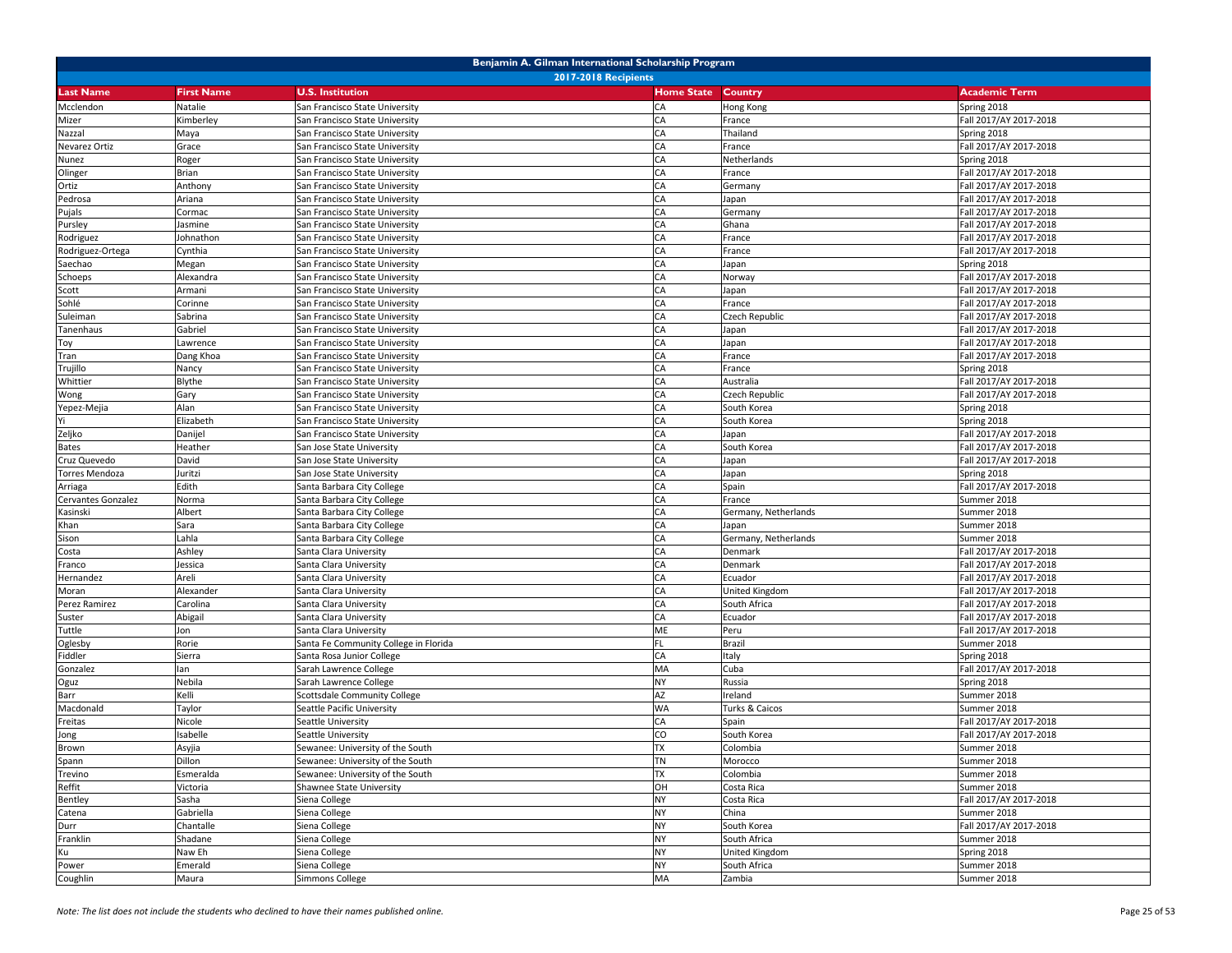|                       | Benjamin A. Gilman International Scholarship Program |                                       |                   |                      |                        |  |  |
|-----------------------|------------------------------------------------------|---------------------------------------|-------------------|----------------------|------------------------|--|--|
|                       |                                                      | <b>2017-2018 Recipients</b>           |                   |                      |                        |  |  |
| <b>Last Name</b>      | <b>First Name</b>                                    | <b>U.S. Institution</b>               | <b>Home State</b> | <b>Country</b>       | <b>Academic Term</b>   |  |  |
| Mcclendon             | Natalie                                              | San Francisco State University        | CA                | Hong Kong            | Spring 2018            |  |  |
| Mizer                 | Kimberley                                            | San Francisco State University        | CA                | France               | Fall 2017/AY 2017-2018 |  |  |
| Nazzal                | Maya                                                 | San Francisco State University        | CA                | Thailand             | Spring 2018            |  |  |
| Nevarez Ortiz         | Grace                                                | San Francisco State University        | CA                | France               | Fall 2017/AY 2017-2018 |  |  |
| Nunez                 | Roger                                                | San Francisco State University        | CA                | Netherlands          | Spring 2018            |  |  |
| Olinger               | Brian                                                | San Francisco State University        | CA                | France               | Fall 2017/AY 2017-2018 |  |  |
| Ortiz                 | Anthony                                              | San Francisco State University        | CA                | Germany              | Fall 2017/AY 2017-2018 |  |  |
| Pedrosa               | Ariana                                               | San Francisco State University        | CA                | Japan                | Fall 2017/AY 2017-2018 |  |  |
| Pujals                | Cormac                                               | San Francisco State University        | CA                | Germany              | Fall 2017/AY 2017-2018 |  |  |
| Pursley               | Jasmine                                              | San Francisco State University        | CA                | Ghana                | Fall 2017/AY 2017-2018 |  |  |
| Rodriguez             | Johnathon                                            | San Francisco State University        | CA                | France               | Fall 2017/AY 2017-2018 |  |  |
| Rodriguez-Ortega      | Cynthia                                              | San Francisco State University        | CA                | France               | Fall 2017/AY 2017-2018 |  |  |
| Saechao               | Megan                                                | San Francisco State University        | CA                | Japan                | Spring 2018            |  |  |
| Schoeps               | Alexandra                                            | San Francisco State University        | CA                | Norway               | Fall 2017/AY 2017-2018 |  |  |
| Scott                 | Armani                                               | San Francisco State University        | CA                | Japan                | Fall 2017/AY 2017-2018 |  |  |
| Sohlé                 | Corinne                                              | San Francisco State University        | CA                | France               | Fall 2017/AY 2017-2018 |  |  |
| Suleiman              | Sabrina                                              | San Francisco State University        | CA                | Czech Republic       | Fall 2017/AY 2017-2018 |  |  |
| Tanenhaus             | Gabriel                                              | San Francisco State University        | CA                | Japan                | Fall 2017/AY 2017-2018 |  |  |
| Toy                   | Lawrence                                             | San Francisco State University        | CA                | Japan                | Fall 2017/AY 2017-2018 |  |  |
| Tran                  | Dang Khoa                                            | San Francisco State University        | CA                | France               | Fall 2017/AY 2017-2018 |  |  |
| Trujillo              | Nancy                                                | San Francisco State University        | CA                | France               | Spring 2018            |  |  |
| Whittier              | Blythe                                               | San Francisco State University        | CA                | Australia            | Fall 2017/AY 2017-2018 |  |  |
| Wong                  | Gary                                                 | San Francisco State University        | CA                | Czech Republic       | Fall 2017/AY 2017-2018 |  |  |
| Yepez-Mejia           | Alan                                                 | San Francisco State University        | CA                | South Korea          | Spring 2018            |  |  |
| Yi                    | Elizabeth                                            | San Francisco State University        | CA                | South Korea          | Spring 2018            |  |  |
| Zeljko                | Danijel                                              | San Francisco State University        | CA                | Japan                | Fall 2017/AY 2017-2018 |  |  |
| <b>Bates</b>          | Heather                                              | San Jose State University             | CA                | South Korea          | Fall 2017/AY 2017-2018 |  |  |
| Cruz Quevedo          | David                                                | San Jose State University             | CA                | Japan                | Fall 2017/AY 2017-2018 |  |  |
| <b>Torres Mendoza</b> | Juritzi                                              | San Jose State University             | CA                | Japan                | Spring 2018            |  |  |
| Arriaga               | Edith                                                | Santa Barbara City College            | CA                | Spain                | Fall 2017/AY 2017-2018 |  |  |
| Cervantes Gonzalez    | Norma                                                | Santa Barbara City College            | CA                | France               | Summer 2018            |  |  |
| Kasinski              | Albert                                               | Santa Barbara City College            | CA                | Germany, Netherlands | Summer 2018            |  |  |
| Khan                  | Sara                                                 | Santa Barbara City College            | CA                | Japan                | Summer 2018            |  |  |
| Sison                 | Lahla                                                | Santa Barbara City College            | CA                | Germany, Netherlands | Summer 2018            |  |  |
| Costa                 | Ashley                                               | Santa Clara University                | CA                | Denmark              | Fall 2017/AY 2017-2018 |  |  |
| Franco                | Jessica                                              | Santa Clara University                | CA                | Denmark              | Fall 2017/AY 2017-2018 |  |  |
| Hernandez             | Areli                                                | Santa Clara University                | CA                | Ecuador              | Fall 2017/AY 2017-2018 |  |  |
| Moran                 | Alexander                                            | Santa Clara University                | CA                | United Kingdom       | Fall 2017/AY 2017-2018 |  |  |
| Perez Ramirez         | Carolina                                             | Santa Clara University                | CA                | South Africa         | Fall 2017/AY 2017-2018 |  |  |
| Suster                | Abigail                                              | Santa Clara University                | CA                | Ecuador              | Fall 2017/AY 2017-2018 |  |  |
| Tuttle                | Jon                                                  | Santa Clara University                | ME                | Peru                 | Fall 2017/AY 2017-2018 |  |  |
| Oglesby               | Rorie                                                | Santa Fe Community College in Florida | FL                | Brazil               | Summer 2018            |  |  |
| Fiddler               | Sierra                                               | Santa Rosa Junior College             | CA                | Italy                | Spring 2018            |  |  |
| Gonzalez              | lan                                                  | Sarah Lawrence College                | MA                | Cuba                 | Fall 2017/AY 2017-2018 |  |  |
| Oguz                  | Nebila                                               | Sarah Lawrence College                | <b>NY</b>         | Russia               | Spring 2018            |  |  |
| Barr                  | Kelli                                                | Scottsdale Community College          | AZ                | Ireland              | Summer 2018            |  |  |
| Macdonald             | Taylor                                               | Seattle Pacific University            | WA                | Turks & Caicos       | Summer 2018            |  |  |
| Freitas               | Nicole                                               | Seattle University                    | CA                | Spain                | Fall 2017/AY 2017-2018 |  |  |
| Jong                  | Isabelle                                             | Seattle University                    | CO                | South Korea          | Fall 2017/AY 2017-2018 |  |  |
| Brown                 | Asyjia                                               | Sewanee: University of the South      | <b>TX</b>         | Colombia             | Summer 2018            |  |  |
| Spann                 | Dillon                                               | Sewanee: University of the South      | <b>TN</b>         | Morocco              | Summer 2018            |  |  |
| Trevino               | Esmeralda                                            | Sewanee: University of the South      | <b>TX</b>         | Colombia             | Summer 2018            |  |  |
| Reffit                | Victoria                                             | Shawnee State University              | OH                | Costa Rica           | Summer 2018            |  |  |
| Bentley               | Sasha                                                | Siena College                         | <b>NY</b>         | Costa Rica           | Fall 2017/AY 2017-2018 |  |  |
| Catena                | Gabriella                                            | Siena College                         | <b>NY</b>         | China                | Summer 2018            |  |  |
| Durr                  | Chantalle                                            | Siena College                         | <b>NY</b>         | South Korea          | Fall 2017/AY 2017-2018 |  |  |
| Franklin              | Shadane                                              | Siena College                         | <b>NY</b>         | South Africa         | Summer 2018            |  |  |
| Ku                    | Naw Eh                                               | Siena College                         | <b>NY</b>         | United Kingdom       | Spring 2018            |  |  |
| Power                 | Emerald                                              | Siena College                         | <b>NY</b>         | South Africa         | Summer 2018            |  |  |
| Coughlin              | Maura                                                | Simmons College                       | MA                | Zambia               | Summer 2018            |  |  |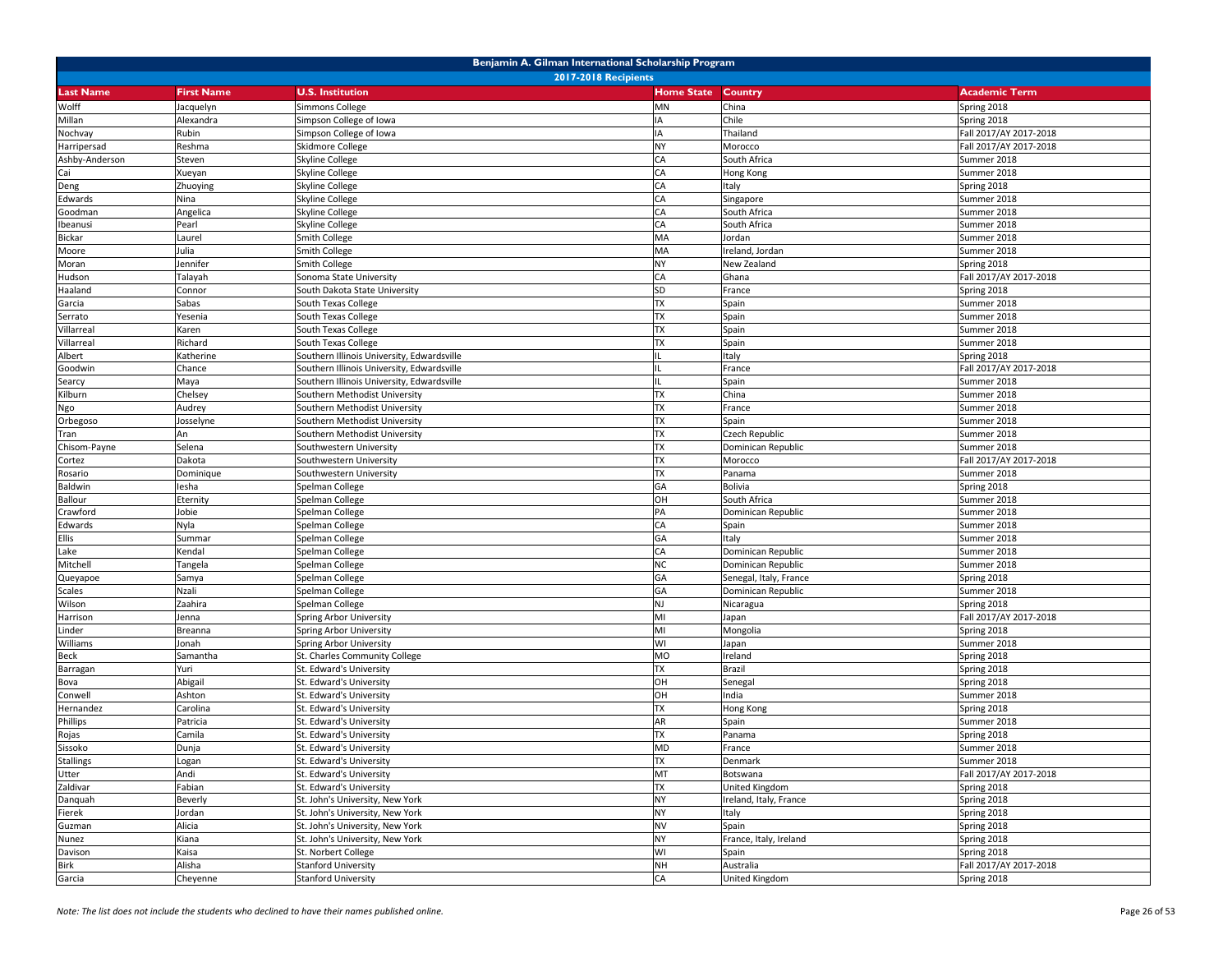| Benjamin A. Gilman International Scholarship Program |                             |                                            |                   |                        |                        |  |  |  |
|------------------------------------------------------|-----------------------------|--------------------------------------------|-------------------|------------------------|------------------------|--|--|--|
|                                                      | <b>2017-2018 Recipients</b> |                                            |                   |                        |                        |  |  |  |
| <b>Last Name</b>                                     | <b>First Name</b>           | <b>U.S. Institution</b>                    | <b>Home State</b> | Country                | <b>Academic Term</b>   |  |  |  |
| Wolff                                                | Jacquelyn                   | Simmons College                            | MN                | China                  | Spring 2018            |  |  |  |
| Millan                                               | Alexandra                   | Simpson College of Iowa                    | IA                | Chile                  | Spring 2018            |  |  |  |
| Nochvay                                              | Rubin                       | Simpson College of Iowa                    | IA                | Thailand               | Fall 2017/AY 2017-2018 |  |  |  |
| Harripersad                                          | Reshma                      | Skidmore College                           | <b>NY</b>         | Morocco                | Fall 2017/AY 2017-2018 |  |  |  |
| Ashby-Anderson                                       | Steven                      | Skyline College                            | CA                | South Africa           | Summer 2018            |  |  |  |
| Cai                                                  | Xueyan                      | Skyline College                            | CA                | Hong Kong              | Summer 2018            |  |  |  |
| Deng                                                 | Zhuoying                    | Skyline College                            | CA                | Italy                  | Spring 2018            |  |  |  |
| Edwards                                              | Nina                        | Skyline College                            | CA                | Singapore              | Summer 2018            |  |  |  |
| Goodman                                              | Angelica                    | Skyline College                            | CA                | South Africa           | Summer 2018            |  |  |  |
| Ibeanusi                                             | Pearl                       | Skyline College                            | CA                | South Africa           | Summer 2018            |  |  |  |
| Bickar                                               | Laurel                      | Smith College                              | MA                | Jordan                 | Summer 2018            |  |  |  |
| Moore                                                | Julia                       | Smith College                              | MA                | Ireland, Jordan        | Summer 2018            |  |  |  |
| Moran                                                | Jennifer                    | Smith College                              | <b>NY</b>         | New Zealand            | Spring 2018            |  |  |  |
| Hudson                                               | Talayah                     | Sonoma State University                    | CA                | Ghana                  | Fall 2017/AY 2017-2018 |  |  |  |
| Haaland                                              | Connor                      | South Dakota State University              | SD                | France                 | Spring 2018            |  |  |  |
| Garcia                                               | Sabas                       | South Texas College                        | <b>TX</b>         | Spain                  | Summer 2018            |  |  |  |
|                                                      | Yesenia                     | South Texas College                        | <b>TX</b>         | Spain                  | Summer 2018            |  |  |  |
| Serrato                                              |                             |                                            | <b>TX</b>         |                        |                        |  |  |  |
| Villarreal                                           | Karen<br>Richard            | South Texas College                        | <b>TX</b>         | Spain                  | Summer 2018            |  |  |  |
| Villarreal                                           |                             | South Texas College                        | $\mathbf{H}$      | Spain                  | Summer 2018            |  |  |  |
| Albert                                               | Katherine                   | Southern Illinois University, Edwardsville |                   | Italy                  | Spring 2018            |  |  |  |
| Goodwin                                              | Chance                      | Southern Illinois University, Edwardsville |                   | France                 | Fall 2017/AY 2017-2018 |  |  |  |
| Searcy                                               | Maya                        | Southern Illinois University, Edwardsville | IL                | Spain                  | Summer 2018            |  |  |  |
| Kilburn                                              | Chelsey                     | Southern Methodist University              | <b>TX</b>         | China                  | Summer 2018            |  |  |  |
| Ngo                                                  | Audrey                      | Southern Methodist University              | <b>TX</b>         | France                 | Summer 2018            |  |  |  |
| Orbegoso                                             | Josselyne                   | Southern Methodist University              | <b>TX</b>         | Spain                  | Summer 2018            |  |  |  |
| Tran                                                 | An                          | Southern Methodist University              | <b>TX</b>         | Czech Republic         | Summer 2018            |  |  |  |
| Chisom-Payne                                         | Selena                      | Southwestern University                    | <b>TX</b>         | Dominican Republic     | Summer 2018            |  |  |  |
| Cortez                                               | Dakota                      | Southwestern University                    | <b>TX</b>         | Morocco                | Fall 2017/AY 2017-2018 |  |  |  |
| Rosario                                              | Dominique                   | Southwestern University                    | <b>TX</b>         | Panama                 | Summer 2018            |  |  |  |
| Baldwin                                              | lesha                       | Spelman College                            | GA                | Bolivia                | Spring 2018            |  |  |  |
| <b>Ballour</b>                                       | Eternity                    | Spelman College                            | OH                | South Africa           | Summer 2018            |  |  |  |
| Crawford                                             | Jobie                       | Spelman College                            | PA                | Dominican Republic     | Summer 2018            |  |  |  |
| Edwards                                              | Nyla                        | Spelman College                            | CA                | Spain                  | Summer 2018            |  |  |  |
| <b>Ellis</b>                                         | Summar                      | Spelman College                            | GA                | Italy                  | Summer 2018            |  |  |  |
| Lake                                                 | Kendal                      | Spelman College                            | CA                | Dominican Republic     | Summer 2018            |  |  |  |
| Mitchell                                             | Tangela                     | Spelman College                            | <b>NC</b>         | Dominican Republic     | Summer 2018            |  |  |  |
| Queyapoe                                             | Samya                       | Spelman College                            | GA                | Senegal, Italy, France | Spring 2018            |  |  |  |
| Scales                                               | Nzali                       | Spelman College                            | GA                | Dominican Republic     | Summer 2018            |  |  |  |
| Wilson                                               | Zaahira                     | Spelman College                            | <b>NJ</b>         | Nicaragua              | Spring 2018            |  |  |  |
| Harrison                                             | Jenna                       | Spring Arbor University                    | MI                | Japan                  | Fall 2017/AY 2017-2018 |  |  |  |
| Linder                                               | Breanna                     | Spring Arbor University                    | MI                | Mongolia               | Spring 2018            |  |  |  |
| Williams                                             | Jonah                       | Spring Arbor University                    | WI                | Japan                  | Summer 2018            |  |  |  |
| Beck                                                 | Samantha                    | St. Charles Community College              | <b>MO</b>         | Ireland                | Spring 2018            |  |  |  |
| Barragan                                             | Yuri                        | St. Edward's University                    | <b>TX</b>         | Brazil                 | Spring 2018            |  |  |  |
| Bova                                                 | Abigail                     | St. Edward's University                    | OH                | Senegal                | Spring 2018            |  |  |  |
| Conwell                                              | Ashton                      | St. Edward's University                    | OH                | India                  | Summer 2018            |  |  |  |
| Hernandez                                            | Carolina                    | St. Edward's University                    | <b>TX</b>         | Hong Kong              | Spring 2018            |  |  |  |
| Phillips                                             | Patricia                    | St. Edward's University                    | AR                | Spain                  | Summer 2018            |  |  |  |
| Rojas                                                | Camila                      | St. Edward's University                    | <b>TX</b>         | Panama                 | Spring 2018            |  |  |  |
| Sissoko                                              | Dunja                       | St. Edward's University                    | <b>MD</b>         | France                 | Summer 2018            |  |  |  |
| <b>Stallings</b>                                     | Logan                       | St. Edward's University                    | <b>TX</b>         | Denmark                | Summer 2018            |  |  |  |
| Utter                                                | Andi                        | St. Edward's University                    | MT                | Botswana               | Fall 2017/AY 2017-2018 |  |  |  |
| Zaldivar                                             | Fabian                      | St. Edward's University                    | <b>TX</b>         | United Kingdom         | Spring 2018            |  |  |  |
| Danquah                                              | Beverly                     | St. John's University, New York            | <b>NY</b>         | Ireland, Italy, France | Spring 2018            |  |  |  |
| Fierek                                               | Jordan                      | St. John's University, New York            | <b>NY</b>         | Italy                  | Spring 2018            |  |  |  |
| Guzman                                               | Alicia                      | St. John's University, New York            | <b>NV</b>         | Spain                  | Spring 2018            |  |  |  |
| Nunez                                                | Kiana                       | St. John's University, New York            | <b>NY</b>         | France, Italy, Ireland | Spring 2018            |  |  |  |
| Davison                                              | Kaisa                       | St. Norbert College                        | WI                | Spain                  | Spring 2018            |  |  |  |
| <b>Birk</b>                                          | Alisha                      | <b>Stanford University</b>                 | <b>NH</b>         | Australia              | Fall 2017/AY 2017-2018 |  |  |  |
| Garcia                                               | Cheyenne                    | <b>Stanford University</b>                 | CA                | United Kingdom         | Spring 2018            |  |  |  |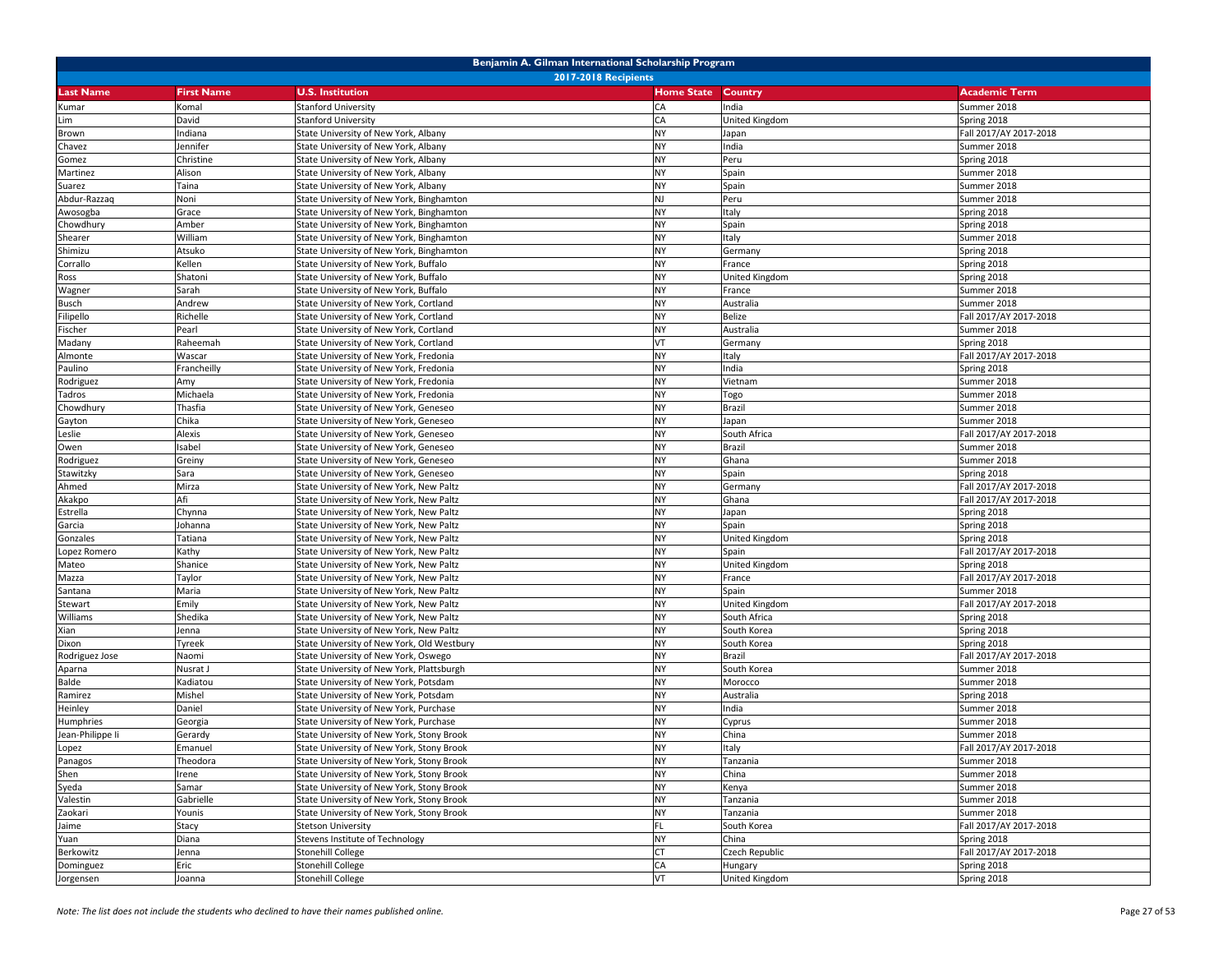| Benjamin A. Gilman International Scholarship Program |                             |                                            |                   |                |                        |  |  |
|------------------------------------------------------|-----------------------------|--------------------------------------------|-------------------|----------------|------------------------|--|--|
|                                                      | <b>2017-2018 Recipients</b> |                                            |                   |                |                        |  |  |
| <b>Last Name</b>                                     | <b>First Name</b>           | <b>U.S. Institution</b>                    | <b>Home State</b> | Country        | <b>Academic Term</b>   |  |  |
| Kumar                                                | Komal                       | <b>Stanford University</b>                 | CA                | India          | Summer 2018            |  |  |
| Lim                                                  | David                       | <b>Stanford University</b>                 | CA                | United Kingdom | Spring 2018            |  |  |
| Brown                                                | Indiana                     | State University of New York, Albany       | <b>NY</b>         | Japan          | Fall 2017/AY 2017-2018 |  |  |
| Chavez                                               | lennifer                    | State University of New York, Albany       | <b>NY</b>         | India          | Summer 2018            |  |  |
| Gomez                                                | Christine                   | State University of New York, Albany       | <b>NY</b>         | Peru           | Spring 2018            |  |  |
| Martinez                                             | Alison                      | State University of New York, Albany       | <b>NY</b>         | Spain          | Summer 2018            |  |  |
| Suarez                                               | Taina                       | State University of New York, Albany       | <b>NY</b>         | Spain          | Summer 2018            |  |  |
| Abdur-Razzaq                                         | Noni                        | State University of New York, Binghamton   | <b>NJ</b>         | Peru           | Summer 2018            |  |  |
| Awosogba                                             | Grace                       | State University of New York, Binghamton   | <b>NY</b>         | Italy          | Spring 2018            |  |  |
| Chowdhury                                            | Amber                       | State University of New York, Binghamton   | <b>NY</b>         | Spain          | Spring 2018            |  |  |
| Shearer                                              | William                     | State University of New York, Binghamton   | <b>NY</b>         | Italy          | Summer 2018            |  |  |
| Shimizu                                              | Atsuko                      | State University of New York, Binghamton   | <b>NY</b>         | Germany        | Spring 2018            |  |  |
| Corrallo                                             | Kellen                      | State University of New York, Buffalo      | <b>NY</b>         | France         | Spring 2018            |  |  |
| Ross                                                 | Shatoni                     | State University of New York, Buffalo      | <b>NY</b>         | United Kingdom | Spring 2018            |  |  |
| Wagner                                               | Sarah                       | State University of New York, Buffalo      | <b>NY</b>         | France         | Summer 2018            |  |  |
| <b>Busch</b>                                         | Andrew                      | State University of New York, Cortland     | <b>NY</b>         | Australia      | Summer 2018            |  |  |
| Filipello                                            | Richelle                    | State University of New York, Cortland     | <b>NY</b>         | Belize         | Fall 2017/AY 2017-2018 |  |  |
| Fischer                                              | Pearl                       | State University of New York, Cortland     | <b>NY</b>         | Australia      | Summer 2018            |  |  |
| Madany                                               | Raheemah                    | State University of New York, Cortland     | VT                | Germany        | Spring 2018            |  |  |
| Almonte                                              | Wascar                      | State University of New York, Fredonia     | <b>NY</b>         | Italy          | Fall 2017/AY 2017-2018 |  |  |
| Paulino                                              | Francheilly                 | State University of New York, Fredonia     | <b>NY</b>         | India          | Spring 2018            |  |  |
| Rodriguez                                            | Amy                         | State University of New York, Fredonia     | <b>NY</b>         | Vietnam        | Summer 2018            |  |  |
| Tadros                                               | Michaela                    | State University of New York, Fredonia     | <b>NY</b>         | Togo           | Summer 2018            |  |  |
| Chowdhury                                            | Thasfia                     | State University of New York, Geneseo      | <b>NY</b>         | Brazil         | Summer 2018            |  |  |
| Gayton                                               | Chika                       | State University of New York, Geneseo      | <b>NY</b>         | Japan          | Summer 2018            |  |  |
| Leslie                                               | Alexis                      | State University of New York, Geneseo      | <b>NY</b>         | South Africa   | Fall 2017/AY 2017-2018 |  |  |
| Owen                                                 | Isabel                      | State University of New York, Geneseo      | <b>NY</b>         | Brazil         | Summer 2018            |  |  |
| Rodriguez                                            | Greiny                      | State University of New York, Geneseo      | <b>NY</b>         | Ghana          | Summer 2018            |  |  |
| Stawitzky                                            | Sara                        | State University of New York, Geneseo      | <b>NY</b>         | Spain          | Spring 2018            |  |  |
| Ahmed                                                | Mirza                       | State University of New York, New Paltz    | <b>NY</b>         | Germany        | Fall 2017/AY 2017-2018 |  |  |
| Akakpo                                               | Afi                         | State University of New York, New Paltz    | <b>NY</b>         | Ghana          | Fall 2017/AY 2017-2018 |  |  |
| Estrella                                             | Chynna                      | State University of New York, New Paltz    | <b>NY</b>         | Japan          | Spring 2018            |  |  |
| Garcia                                               | Johanna                     | State University of New York, New Paltz    | <b>NY</b>         | Spain          | Spring 2018            |  |  |
| Gonzales                                             | Tatiana                     | State University of New York, New Paltz    | <b>NY</b>         | United Kingdom | Spring 2018            |  |  |
| Lopez Romero                                         | Kathy                       | State University of New York, New Paltz    | <b>NY</b>         | Spain          | Fall 2017/AY 2017-2018 |  |  |
| Mateo                                                | Shanice                     | State University of New York, New Paltz    | <b>NY</b>         | United Kingdom | Spring 2018            |  |  |
| Mazza                                                | Taylor                      | State University of New York, New Paltz    | <b>NY</b>         | France         | Fall 2017/AY 2017-2018 |  |  |
| Santana                                              | Maria                       | State University of New York, New Paltz    | <b>NY</b>         | Spain          | Summer 2018            |  |  |
| Stewart                                              | Emily                       | State University of New York, New Paltz    | <b>NY</b>         | United Kingdom | Fall 2017/AY 2017-2018 |  |  |
| Williams                                             | Shedika                     | State University of New York, New Paltz    | <b>NY</b>         | South Africa   | Spring 2018            |  |  |
| Xian                                                 | Jenna                       | State University of New York, New Paltz    | <b>NY</b>         | South Korea    | Spring 2018            |  |  |
| Dixon                                                | Tyreek                      | State University of New York, Old Westbury | <b>NY</b>         | South Korea    | Spring 2018            |  |  |
| Rodriguez Jose                                       | Naomi                       | State University of New York, Oswego       | <b>NY</b>         | Brazil         | Fall 2017/AY 2017-2018 |  |  |
| Aparna                                               | Nusrat J                    | State University of New York, Plattsburgh  | <b>NY</b>         | South Korea    | Summer 2018            |  |  |
| Balde                                                | Kadiatou                    | State University of New York, Potsdam      | <b>NY</b>         | Morocco        | Summer 2018            |  |  |
| Ramirez                                              | Mishel                      | State University of New York, Potsdam      | <b>NY</b>         | Australia      | Spring 2018            |  |  |
| Heinley                                              | Daniel                      | State University of New York, Purchase     | <b>NY</b>         | India          | Summer 2018            |  |  |
| Humphries                                            | Georgia                     | State University of New York, Purchase     | <b>NY</b>         | Cyprus         | Summer 2018            |  |  |
| Jean-Philippe li                                     | Gerardy                     | State University of New York, Stony Brook  | <b>NY</b>         | China          | Summer 2018            |  |  |
| Lopez                                                | Emanuel                     | State University of New York, Stony Brook  | <b>NY</b>         | Italy          | Fall 2017/AY 2017-2018 |  |  |
| Panagos                                              | Theodora                    | State University of New York, Stony Brook  | <b>NY</b>         | Tanzania       | Summer 2018            |  |  |
| Shen                                                 | Irene                       | State University of New York, Stony Brook  | <b>NY</b>         | China          | Summer 2018            |  |  |
| Syeda                                                | Samar                       | State University of New York, Stony Brook  | <b>NY</b>         | Kenya          | Summer 2018            |  |  |
| Valestin                                             | Gabrielle                   | State University of New York, Stony Brook  | <b>NY</b>         | Tanzania       | Summer 2018            |  |  |
| Zaokari                                              | Younis                      | State University of New York, Stony Brook  | <b>NY</b>         | Tanzania       | Summer 2018            |  |  |
| Jaime                                                | Stacy                       | <b>Stetson University</b>                  | FL                | South Korea    | Fall 2017/AY 2017-2018 |  |  |
| Yuan                                                 | Diana                       | Stevens Institute of Technology            | <b>NY</b>         | China          | Spring 2018            |  |  |
| Berkowitz                                            | Jenna                       | <b>Stonehill College</b>                   | <b>CT</b>         | Czech Republic | Fall 2017/AY 2017-2018 |  |  |
| Dominguez                                            | Eric                        | <b>Stonehill College</b>                   | CA                | Hungary        | Spring 2018            |  |  |
| Jorgensen                                            | Joanna                      | <b>Stonehill College</b>                   | VT                | United Kingdom | Spring 2018            |  |  |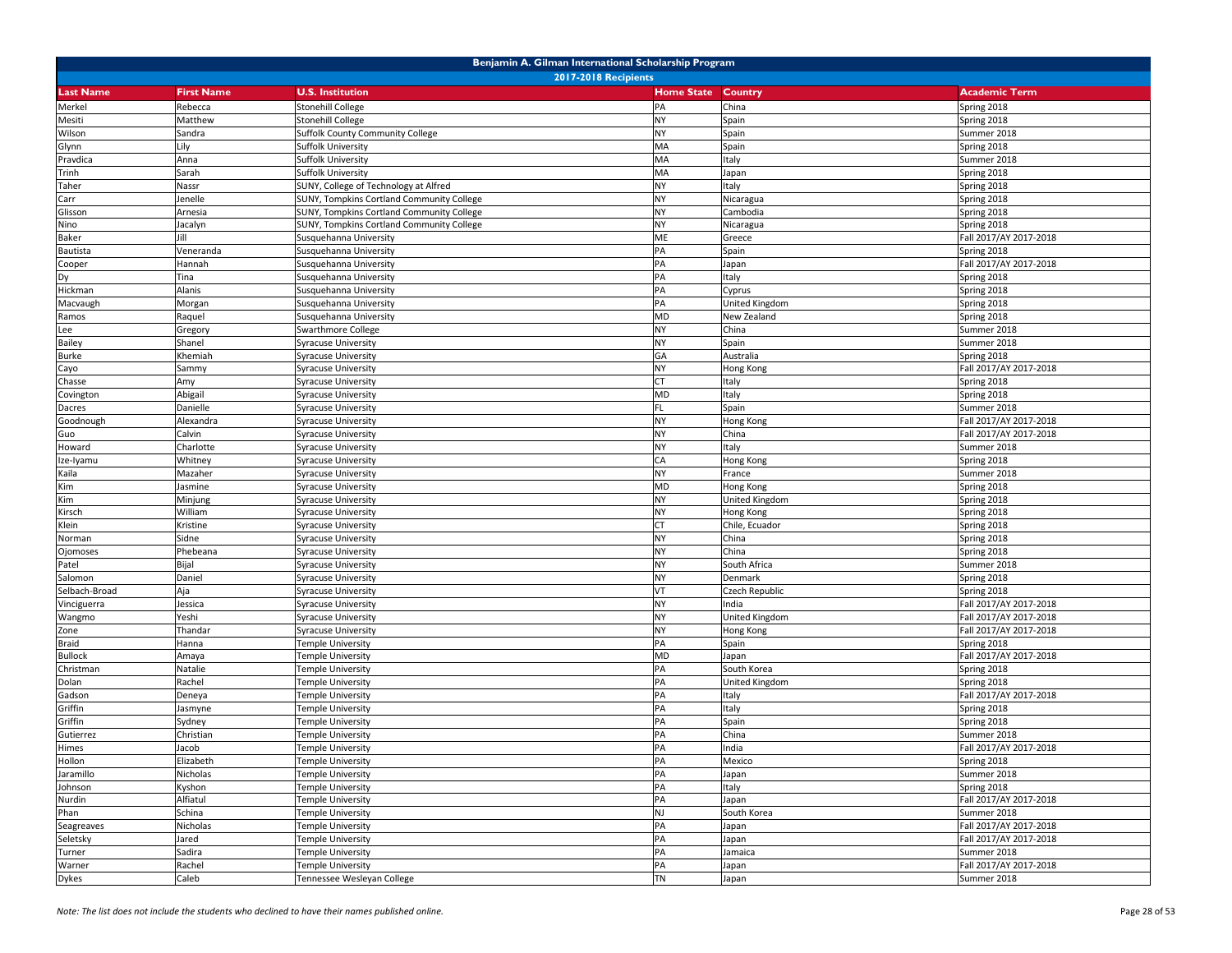|                  | Benjamin A. Gilman International Scholarship Program |                                                  |                   |                |                        |  |  |
|------------------|------------------------------------------------------|--------------------------------------------------|-------------------|----------------|------------------------|--|--|
|                  | <b>2017-2018 Recipients</b>                          |                                                  |                   |                |                        |  |  |
| <b>Last Name</b> | <b>First Name</b>                                    | <b>U.S. Institution</b>                          | <b>Home State</b> | Country        | <b>Academic Term</b>   |  |  |
| Merkel           | Rebecca                                              | <b>Stonehill College</b>                         | PA                | China          | Spring 2018            |  |  |
| Mesiti           | Matthew                                              | <b>Stonehill College</b>                         | <b>NY</b>         | Spain          | Spring 2018            |  |  |
| Wilson           | Sandra                                               | Suffolk County Community College                 | <b>NY</b>         | Spain          | Summer 2018            |  |  |
| Glynn            | Lily                                                 | Suffolk University                               | MA                | Spain          | Spring 2018            |  |  |
| Pravdica         | Anna                                                 | Suffolk University                               | MA                | Italy          | Summer 2018            |  |  |
| Trinh            | Sarah                                                | Suffolk University                               | MA                | Japan          | Spring 2018            |  |  |
| Taher            | Nassr                                                | SUNY, College of Technology at Alfred            | <b>NY</b>         | Italy          | Spring 2018            |  |  |
| Carr             | lenelle                                              | <b>SUNY, Tompkins Cortland Community College</b> | <b>NY</b>         | Nicaragua      | Spring 2018            |  |  |
| Glisson          | Arnesia                                              | <b>SUNY, Tompkins Cortland Community College</b> | <b>NY</b>         | Cambodia       | Spring 2018            |  |  |
| Nino             | Jacalyn                                              | <b>SUNY, Tompkins Cortland Community College</b> | <b>NY</b>         | Nicaragua      | Spring 2018            |  |  |
| <b>Baker</b>     | Jill                                                 | Susquehanna University                           | ME                | Greece         | Fall 2017/AY 2017-2018 |  |  |
| Bautista         | Veneranda                                            | Susquehanna University                           | PA                | Spain          | Spring 2018            |  |  |
| Cooper           | Hannah                                               | Susquehanna University                           | PA                | Japan          | Fall 2017/AY 2017-2018 |  |  |
| Dy               | Tina                                                 | Susquehanna University                           | PA                | Italy          | Spring 2018            |  |  |
| Hickman          | Alanis                                               | Susquehanna University                           | PA                | Cyprus         | Spring 2018            |  |  |
| Macvaugh         | Morgan                                               | Susquehanna University                           | PA                | United Kingdom | Spring 2018            |  |  |
| Ramos            | Raquel                                               | Susquehanna University                           | <b>MD</b>         | New Zealand    | Spring 2018            |  |  |
| Lee              | Gregory                                              | Swarthmore College                               | <b>NY</b>         | China          | Summer 2018            |  |  |
| <b>Bailey</b>    | Shanel                                               | Syracuse University                              | <b>NY</b>         | Spain          | Summer 2018            |  |  |
| <b>Burke</b>     | Khemiah                                              | Syracuse University                              | GA                | Australia      | Spring 2018            |  |  |
| Cayo             | Sammy                                                | Syracuse University                              | <b>NY</b>         | Hong Kong      | Fall 2017/AY 2017-2018 |  |  |
| Chasse           | Amy                                                  | Syracuse University                              | <b>CT</b>         | Italy          | Spring 2018            |  |  |
| Covington        | Abigail                                              | Syracuse University                              | <b>MD</b>         | Italy          | Spring 2018            |  |  |
| Dacres           | Danielle                                             | Syracuse University                              | FL                | Spain          | Summer 2018            |  |  |
| Goodnough        | Alexandra                                            | <b>Syracuse University</b>                       | <b>NY</b>         | Hong Kong      | Fall 2017/AY 2017-2018 |  |  |
| Guo              | Calvin                                               | Syracuse University                              | <b>NY</b>         | China          | Fall 2017/AY 2017-2018 |  |  |
| Howard           | Charlotte                                            | <b>Syracuse University</b>                       | <b>NY</b>         | Italy          | Summer 2018            |  |  |
| Ize-Iyamu        | Whitney                                              | Syracuse University                              | CA                | Hong Kong      | Spring 2018            |  |  |
| Kaila            | Mazaher                                              | Syracuse University                              | <b>NY</b>         | France         | Summer 2018            |  |  |
| Kim              | Jasmine                                              | <b>Syracuse University</b>                       | <b>MD</b>         | Hong Kong      | Spring 2018            |  |  |
| Kim              | Minjung                                              | Syracuse University                              | <b>NY</b>         | United Kingdom | Spring 2018            |  |  |
| Kirsch           | William                                              | <b>Syracuse University</b>                       | <b>NY</b>         | Hong Kong      | Spring 2018            |  |  |
| Klein            | Kristine                                             | <b>Syracuse University</b>                       | <b>CT</b>         | Chile, Ecuador | Spring 2018            |  |  |
| Norman           | Sidne                                                | Syracuse University                              | <b>NY</b>         | China          | Spring 2018            |  |  |
| Ojomoses         | Phebeana                                             | Syracuse University                              | <b>NY</b>         | China          | Spring 2018            |  |  |
| Patel            | Bijal                                                | Syracuse University                              | <b>NY</b>         | South Africa   | Summer 2018            |  |  |
| Salomon          | Daniel                                               | Syracuse University                              | <b>NY</b>         | Denmark        | Spring 2018            |  |  |
| Selbach-Broad    | Aja                                                  | Syracuse University                              | VT                | Czech Republic | Spring 2018            |  |  |
| Vinciguerra      | lessica                                              | Syracuse University                              | <b>NY</b>         | India          | Fall 2017/AY 2017-2018 |  |  |
| Wangmo           | Yeshi                                                | Syracuse University                              | <b>NY</b>         | United Kingdom | Fall 2017/AY 2017-2018 |  |  |
| Zone             | Thandar                                              | Syracuse University                              | <b>NY</b>         | Hong Kong      | Fall 2017/AY 2017-2018 |  |  |
| <b>Braid</b>     | Hanna                                                | Temple University                                | PA                | Spain          | Spring 2018            |  |  |
| <b>Bullock</b>   | Amaya                                                | Femple University                                | <b>MD</b>         | Japan          | Fall 2017/AY 2017-2018 |  |  |
| Christman        | Natalie                                              | Femple University                                | PA                | South Korea    | Spring 2018            |  |  |
| Dolan            | Rachel                                               | Femple University                                | PA                | United Kingdom | Spring 2018            |  |  |
| Gadson           | Deneya                                               | Femple University                                | PA                | Italy          | Fall 2017/AY 2017-2018 |  |  |
| Griffin          | Jasmyne                                              | Femple University                                | PA                | Italy          | Spring 2018            |  |  |
| Griffin          | Sydney                                               | Femple University                                | PA                | Spain          | Spring 2018            |  |  |
| Gutierrez        | Christian                                            | Temple University                                | PA                | China          | Summer 2018            |  |  |
| Himes            | Jacob                                                | <b>Temple University</b>                         | PA                | India          | Fall 2017/AY 2017-2018 |  |  |
| Hollon           | Elizabeth                                            | Temple University                                | PA                | Mexico         | Spring 2018            |  |  |
| Jaramillo        | Nicholas                                             | Temple University                                | PA                | Japan          | Summer 2018            |  |  |
| Johnson          | Kyshon                                               | Temple University                                | PA                | Italy          | Spring 2018            |  |  |
| Nurdin           | Alfiatul                                             | Temple University                                | PA                | Japan          | Fall 2017/AY 2017-2018 |  |  |
| Phan             | Schina                                               | Temple University                                | <b>NJ</b>         | South Korea    | Summer 2018            |  |  |
| Seagreaves       | Nicholas                                             | Temple University                                | PA                | Japan          | Fall 2017/AY 2017-2018 |  |  |
| Seletsky         | Jared                                                | Temple University                                | PA                | Japan          | Fall 2017/AY 2017-2018 |  |  |
| Turner           | Sadira                                               | Temple University                                | PA                | Jamaica        | Summer 2018            |  |  |
| Warner           | Rachel                                               | Temple University                                | PA                | Japan          | Fall 2017/AY 2017-2018 |  |  |
| <b>Dykes</b>     | Caleb                                                | Tennessee Wesleyan College                       | <b>TN</b>         | Japan          | Summer 2018            |  |  |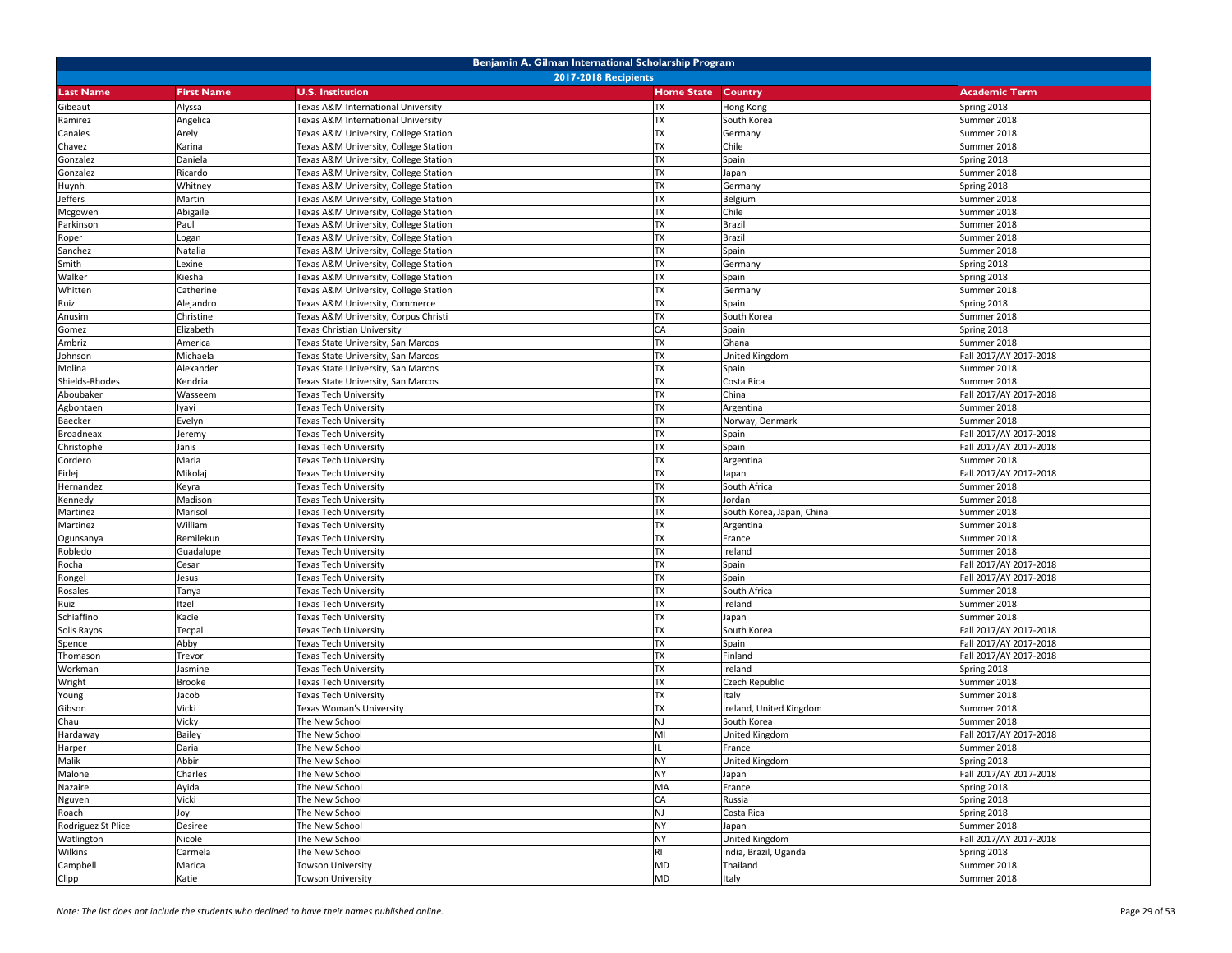| Benjamin A. Gilman International Scholarship Program |                        |                                                                             |                        |                           |                            |  |
|------------------------------------------------------|------------------------|-----------------------------------------------------------------------------|------------------------|---------------------------|----------------------------|--|
|                                                      |                        | <b>2017-2018 Recipients</b>                                                 |                        |                           |                            |  |
| <b>Last Name</b>                                     | <b>First Name</b>      | <b>U.S. Institution</b>                                                     | <b>Home State</b>      | <b>Country</b>            | <b>Academic Term</b>       |  |
| Gibeaut                                              | Alyssa                 | Texas A&M International University                                          | TX                     | Hong Kong                 | Spring 2018                |  |
| Ramirez<br>Canales                                   | Angelica<br>Arely      | Texas A&M International University<br>Texas A&M University, College Station | <b>TX</b><br><b>TX</b> | South Korea<br>Germany    | Summer 2018<br>Summer 2018 |  |
| Chavez                                               | Karina                 | Texas A&M University, College Station                                       | <b>TX</b>              | Chile                     | Summer 2018                |  |
| Gonzalez                                             | Daniela                | Texas A&M University, College Station                                       | <b>TX</b>              | Spain                     | Spring 2018                |  |
| Gonzalez                                             | Ricardo                | Texas A&M University, College Station                                       | <b>TX</b>              | Japan                     | Summer 2018                |  |
| Huynh                                                | Whitney                | Texas A&M University, College Station                                       | <b>TX</b>              | Germany                   | Spring 2018                |  |
| Jeffers                                              | Martin                 | Texas A&M University, College Station                                       | <b>TX</b>              | Belgium                   | Summer 2018                |  |
| Mcgowen                                              | Abigaile               | Texas A&M University, College Station                                       | <b>TX</b>              | Chile                     | Summer 2018                |  |
| Parkinson                                            | Paul                   | Texas A&M University, College Station                                       | <b>TX</b>              | Brazil                    | Summer 2018                |  |
| Roper                                                | Logan                  | Texas A&M University, College Station                                       | <b>TX</b>              | Brazil                    | Summer 2018                |  |
| Sanchez                                              | Natalia                | Texas A&M University, College Station                                       | <b>TX</b>              | Spain                     | Summer 2018                |  |
| Smith                                                | Lexine                 | Texas A&M University, College Station                                       | <b>TX</b>              | Germany                   | Spring 2018                |  |
| Walker                                               | Kiesha                 | Texas A&M University, College Station                                       | <b>TX</b>              | Spain                     | Spring 2018                |  |
| Whitten                                              | Catherine              | Texas A&M University, College Station                                       | <b>TX</b>              | Germany                   | Summer 2018                |  |
| Ruiz                                                 | Alejandro              | Texas A&M University, Commerce                                              | <b>TX</b>              | Spain                     | Spring 2018                |  |
| Anusim                                               | Christine              | Texas A&M University, Corpus Christi                                        | <b>TX</b>              | South Korea               | Summer 2018                |  |
| Gomez                                                | Elizabeth              | Texas Christian University                                                  | CA                     | Spain                     | Spring 2018                |  |
| Ambriz                                               | America                | Texas State University, San Marcos                                          | <b>TX</b>              | Ghana                     | Summer 2018                |  |
| Johnson                                              | Michaela               | Texas State University, San Marcos                                          | <b>TX</b>              | United Kingdom            | Fall 2017/AY 2017-2018     |  |
| Molina                                               | Alexander              | Texas State University, San Marcos                                          | <b>TX</b>              | Spain                     | Summer 2018                |  |
| Shields-Rhodes                                       | Kendria                | Texas State University, San Marcos                                          | <b>TX</b>              | Costa Rica                | Summer 2018                |  |
| Aboubaker                                            | Wasseem                | Texas Tech University                                                       | <b>TX</b>              | China                     | Fall 2017/AY 2017-2018     |  |
| Agbontaen                                            | lyayi                  | Texas Tech University                                                       | <b>TX</b>              | Argentina                 | Summer 2018                |  |
| Baecker                                              | Evelyn                 | Texas Tech University                                                       | <b>TX</b>              | Norway, Denmark           | Summer 2018                |  |
| Broadneax                                            | Jeremy                 | Texas Tech University                                                       | <b>TX</b>              | Spain                     | Fall 2017/AY 2017-2018     |  |
| Christophe                                           | Janis                  | <b>Fexas Tech University</b>                                                | <b>TX</b>              | Spain                     | Fall 2017/AY 2017-2018     |  |
| Cordero                                              | Maria                  | Texas Tech University                                                       | <b>TX</b>              | Argentina                 | Summer 2018                |  |
| Firlej                                               | Mikolaj                | Texas Tech University                                                       | <b>TX</b>              | Japan                     | Fall 2017/AY 2017-2018     |  |
| Hernandez                                            | Keyra                  | Texas Tech University                                                       | <b>TX</b>              | South Africa              | Summer 2018                |  |
| Kennedy                                              | Madison                | Texas Tech University                                                       | <b>TX</b>              | Jordan                    | Summer 2018                |  |
| Martinez                                             | Marisol                | Texas Tech University                                                       | <b>TX</b>              | South Korea, Japan, China | Summer 2018                |  |
| Martinez                                             | William                | Texas Tech University                                                       | TX<br><b>TX</b>        | Argentina                 | Summer 2018                |  |
| Ogunsanya                                            | Remilekun<br>Guadalupe | Texas Tech University<br>Texas Tech University                              | <b>TX</b>              | France<br>Ireland         | Summer 2018<br>Summer 2018 |  |
| Robledo<br>Rocha                                     | Cesar                  | Texas Tech University                                                       | <b>TX</b>              | Spain                     | Fall 2017/AY 2017-2018     |  |
| Rongel                                               | lesus                  | Texas Tech University                                                       | <b>TX</b>              | Spain                     | Fall 2017/AY 2017-2018     |  |
| Rosales                                              | Tanya                  | Texas Tech University                                                       | <b>TX</b>              | South Africa              | Summer 2018                |  |
| Ruiz                                                 | Itzel                  | Texas Tech University                                                       | <b>TX</b>              | Ireland                   | Summer 2018                |  |
| Schiaffino                                           | Kacie                  | Texas Tech University                                                       | <b>TX</b>              | Japan                     | Summer 2018                |  |
| Solis Rayos                                          | Tecpal                 | Texas Tech University                                                       | <b>TX</b>              | South Korea               | Fall 2017/AY 2017-2018     |  |
| Spence                                               | Abby                   | <b>Fexas Tech University</b>                                                | <b>TX</b>              | Spain                     | Fall 2017/AY 2017-2018     |  |
| Thomason                                             | Trevor                 | <b>Texas Tech University</b>                                                | <b>TX</b>              | Finland                   | Fall 2017/AY 2017-2018     |  |
| Workman                                              | Jasmine                | Texas Tech University                                                       | <b>TX</b>              | Ireland                   | Spring 2018                |  |
| Wright                                               | <b>Brooke</b>          | Texas Tech University                                                       | <b>TX</b>              | Czech Republic            | Summer 2018                |  |
| Young                                                | Jacob                  | Texas Tech University                                                       | <b>TX</b>              | Italy                     | Summer 2018                |  |
| Gibson                                               | Vicki                  | Fexas Woman's University                                                    | <b>TX</b>              | Ireland, United Kingdom   | Summer 2018                |  |
| Chau                                                 | Vicky                  | The New School                                                              | NJ                     | South Korea               | Summer 2018                |  |
| Hardaway                                             | Bailey                 | The New School                                                              | MI                     | United Kingdom            | Fall 2017/AY 2017-2018     |  |
| Harper                                               | Daria                  | The New School                                                              | $\mathbf{H}$           | France                    | Summer 2018                |  |
| Malik                                                | Abbir                  | The New School                                                              | <b>NY</b>              | <b>United Kingdom</b>     | Spring 2018                |  |
| Malone                                               | Charles                | The New School                                                              | <b>NY</b>              | Japan                     | Fall 2017/AY 2017-2018     |  |
| Nazaire                                              | Ayida                  | The New School                                                              | MA                     | France                    | Spring 2018                |  |
| Nguyen                                               | Vicki                  | The New School                                                              | CA                     | Russia                    | Spring 2018                |  |
| Roach                                                | Joy                    | The New School                                                              | <b>NJ</b>              | Costa Rica                | Spring 2018                |  |
| Rodriguez St Plice                                   | Desiree                | The New School                                                              | <b>NY</b>              | Japan                     | Summer 2018                |  |
| Watlington                                           | Nicole                 | The New School                                                              | <b>NY</b>              | United Kingdom            | Fall 2017/AY 2017-2018     |  |
| Wilkins                                              | Carmela                | The New School                                                              | <b>RI</b>              | India, Brazil, Uganda     | Spring 2018                |  |
| Campbell                                             | Marica                 | Towson University                                                           | MD                     | Thailand                  | Summer 2018                |  |
| Clipp                                                | Katie                  | Towson University                                                           | <b>MD</b>              | Italy                     | Summer 2018                |  |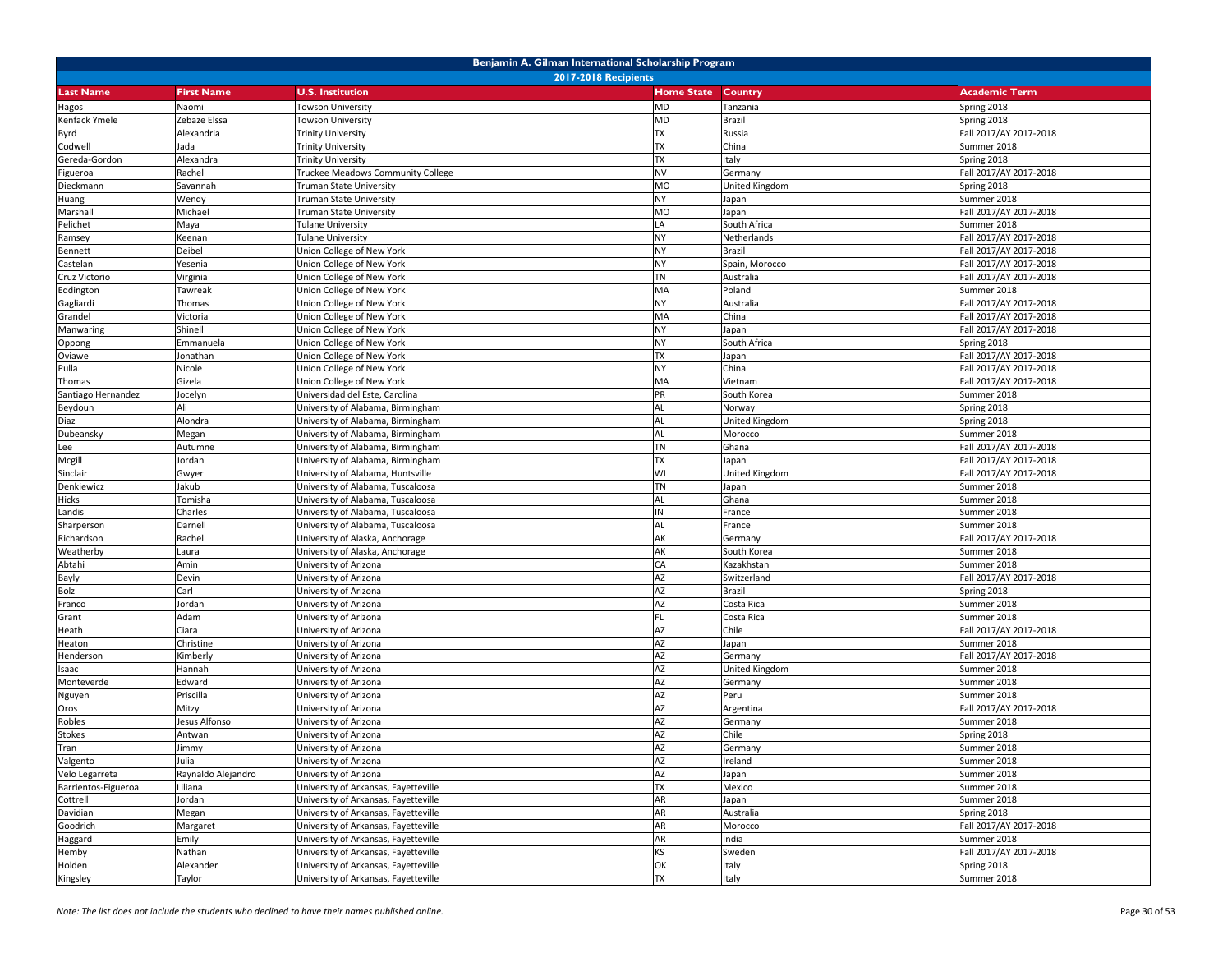| Benjamin A. Gilman International Scholarship Program |                    |                                                |                   |                       |                            |  |
|------------------------------------------------------|--------------------|------------------------------------------------|-------------------|-----------------------|----------------------------|--|
|                                                      |                    | <b>2017-2018 Recipients</b>                    |                   |                       |                            |  |
| <b>Last Name</b>                                     | <b>First Name</b>  | <b>U.S. Institution</b>                        | <b>Home State</b> | <b>Country</b>        | <b>Academic Term</b>       |  |
| Hagos                                                | Naomi              | Towson University                              | MD                | Tanzania              | Spring 2018                |  |
| Kenfack Ymele                                        | Zebaze Elssa       | Towson University                              | MD                | Brazil                | Spring 2018                |  |
| Byrd                                                 | Alexandria         | <b>Trinity University</b>                      | <b>TX</b>         | Russia                | Fall 2017/AY 2017-2018     |  |
| Codwell                                              | Jada               | <b>Trinity University</b>                      | <b>TX</b>         | China                 | Summer 2018                |  |
| Gereda-Gordon                                        | Alexandra          | <b>Trinity University</b>                      | <b>TX</b>         | Italy                 | Spring 2018                |  |
| Figueroa                                             | Rachel             | Truckee Meadows Community College              | NV                | Germany               | Fall 2017/AY 2017-2018     |  |
| Dieckmann                                            | Savannah           | Truman State University                        | MO                | United Kingdom        | Spring 2018                |  |
| Huang                                                | Wendy              | Truman State University                        | NY.               | Japan                 | Summer 2018                |  |
| Marshall                                             | Michael            | Truman State University                        | <b>MO</b>         | Japan                 | Fall 2017/AY 2017-2018     |  |
| Pelichet                                             | Maya               | <b>Tulane University</b>                       | LA                | South Africa          | Summer 2018                |  |
| Ramsey                                               | Keenan             | Tulane University                              | NY                | Netherlands           | Fall 2017/AY 2017-2018     |  |
| Bennett                                              | Deibel             | Jnion College of New York                      | NΥ                | Brazil                | Fall 2017/AY 2017-2018     |  |
| Castelan                                             | Yesenia            | Union College of New York                      | NY.               | Spain, Morocco        | Fall 2017/AY 2017-2018     |  |
| Cruz Victorio                                        | Virginia           | Union College of New York                      | <b>TN</b>         | Australia             | Fall 2017/AY 2017-2018     |  |
| Eddington                                            | Tawreak            | Union College of New York                      | MA                | Poland                | Summer 2018                |  |
| Gagliardi                                            | Thomas             | Union College of New York                      | <b>NY</b>         | Australia             | Fall 2017/AY 2017-2018     |  |
| Grandel                                              | Victoria           | Union College of New York                      | MA                | China                 | Fall 2017/AY 2017-2018     |  |
| Manwaring                                            | Shinell            | Union College of New York                      | NY.               | Japan                 | Fall 2017/AY 2017-2018     |  |
| Oppong                                               | Emmanuela          | Union College of New York                      | NY                | South Africa          | Spring 2018                |  |
| Oviawe                                               | Jonathan           | Union College of New York                      | <b>TX</b>         | Japan                 | Fall 2017/AY 2017-2018     |  |
| Pulla                                                | Nicole             | Union College of New York                      | <b>NY</b>         | China                 | Fall 2017/AY 2017-2018     |  |
| Thomas                                               | Gizela             | Union College of New York                      | MA                | Vietnam               | Fall 2017/AY 2017-2018     |  |
| Santiago Hernandez                                   | Jocelyn            | Universidad del Este, Carolina                 | PR                | South Korea           | Summer 2018                |  |
| Beydoun                                              | Ali                | University of Alabama, Birmingham              | AL                | Norway                | Spring 2018                |  |
| Diaz                                                 | Alondra            | University of Alabama, Birmingham              | AL                | <b>United Kingdom</b> | Spring 2018                |  |
| Dubeansky                                            | Megan              | University of Alabama, Birmingham              | <b>AL</b>         | Morocco               | Summer 2018                |  |
| Lee                                                  | Autumne            | University of Alabama, Birmingham              | TN                | Ghana                 | Fall 2017/AY 2017-2018     |  |
| Mcgill                                               | Jordan             | University of Alabama, Birmingham              | <b>TX</b>         | Japan                 | Fall 2017/AY 2017-2018     |  |
| Sinclair                                             | Gwyer              | University of Alabama, Huntsville              | WI                | United Kingdom        | Fall 2017/AY 2017-2018     |  |
| Denkiewicz                                           | Jakub              | University of Alabama, Tuscaloosa              | <b>TN</b>         | Japan                 | Summer 2018                |  |
| Hicks                                                | Tomisha            | University of Alabama, Tuscaloosa              | AL                | Ghana                 | Summer 2018                |  |
| Landis                                               | Charles            | University of Alabama, Tuscaloosa              | ΙN                | France                | Summer 2018                |  |
| Sharperson                                           | Darnell            | Jniversity of Alabama, Tuscaloosa              | AL                | France                | Summer 2018                |  |
| Richardson                                           | Rachel             | University of Alaska, Anchorage                | AK                | Germany               | Fall 2017/AY 2017-2018     |  |
| Weatherby                                            | Laura              | University of Alaska, Anchorage                | AK                | South Korea           | Summer 2018                |  |
| Abtahi                                               | Amin               | University of Arizona                          | CA                | Kazakhstan            | Summer 2018                |  |
| Bayly                                                | Devin              | University of Arizona                          | AZ                | Switzerland           | Fall 2017/AY 2017-2018     |  |
| Bolz                                                 | Carl               | University of Arizona                          | AZ                | Brazil                | Spring 2018                |  |
| Franco                                               | Jordan             | University of Arizona                          | AZ<br><b>FL</b>   | Costa Rica            | Summer 2018                |  |
| Grant                                                | Adam               | University of Arizona                          |                   | Costa Rica            | Summer 2018                |  |
| Heath                                                | Ciara              | University of Arizona                          | AZ                | Chile                 | Fall 2017/AY 2017-2018     |  |
| Heaton                                               | Christine          | University of Arizona                          | AZ<br>AZ          | Japan                 | Summer 2018                |  |
| Henderson                                            | Kimberly           | University of Arizona                          | AZ                | Germany               | Fall 2017/AY 2017-2018     |  |
| Isaac                                                | Hannah<br>Edward   | University of Arizona                          | AZ                | <b>United Kingdom</b> | Summer 2018<br>Summer 2018 |  |
| Monteverde                                           | Priscilla          | University of Arizona                          | AZ                | Germany<br>Peru       | Summer 2018                |  |
| Nguyen                                               | Mitzy              | Jniversity of Arizona<br>University of Arizona | AZ                |                       | Fall 2017/AY 2017-2018     |  |
| Oros<br>Robles                                       | lesus Alfonso      | University of Arizona                          | AZ                | Argentina             | Summer 2018                |  |
| <b>Stokes</b>                                        | Antwan             | University of Arizona                          | AZ                | Germany<br>Chile      | Spring 2018                |  |
| Tran                                                 | Jimmy              | University of Arizona                          | AZ                | Germany               | Summer 2018                |  |
|                                                      | Julia              |                                                | AZ                |                       |                            |  |
| Valgento<br>Velo Legarreta                           | Raynaldo Alejandro | University of Arizona<br>University of Arizona | AZ                | Ireland<br>Japan      | Summer 2018<br>Summer 2018 |  |
| Barrientos-Figueroa                                  | Liliana            | University of Arkansas, Fayetteville           | <b>TX</b>         | Mexico                | Summer 2018                |  |
| Cottrell                                             | Jordan             | University of Arkansas, Fayetteville           | AR                | Japan                 | Summer 2018                |  |
| Davidian                                             | Megan              | University of Arkansas, Fayetteville           | AR                | Australia             | Spring 2018                |  |
| Goodrich                                             | Margaret           | University of Arkansas, Fayetteville           | AR                | Morocco               | Fall 2017/AY 2017-2018     |  |
| Haggard                                              | Emily              | University of Arkansas, Fayetteville           | AR                | India                 | Summer 2018                |  |
| Hemby                                                | Nathan             | University of Arkansas, Fayetteville           | KS                | Sweden                | Fall 2017/AY 2017-2018     |  |
| Holden                                               | Alexander          | University of Arkansas, Fayetteville           | OK                | Italy                 | Spring 2018                |  |
| Kingsley                                             | Taylor             | University of Arkansas, Fayetteville           | <b>TX</b>         | Italy                 | Summer 2018                |  |
|                                                      |                    |                                                |                   |                       |                            |  |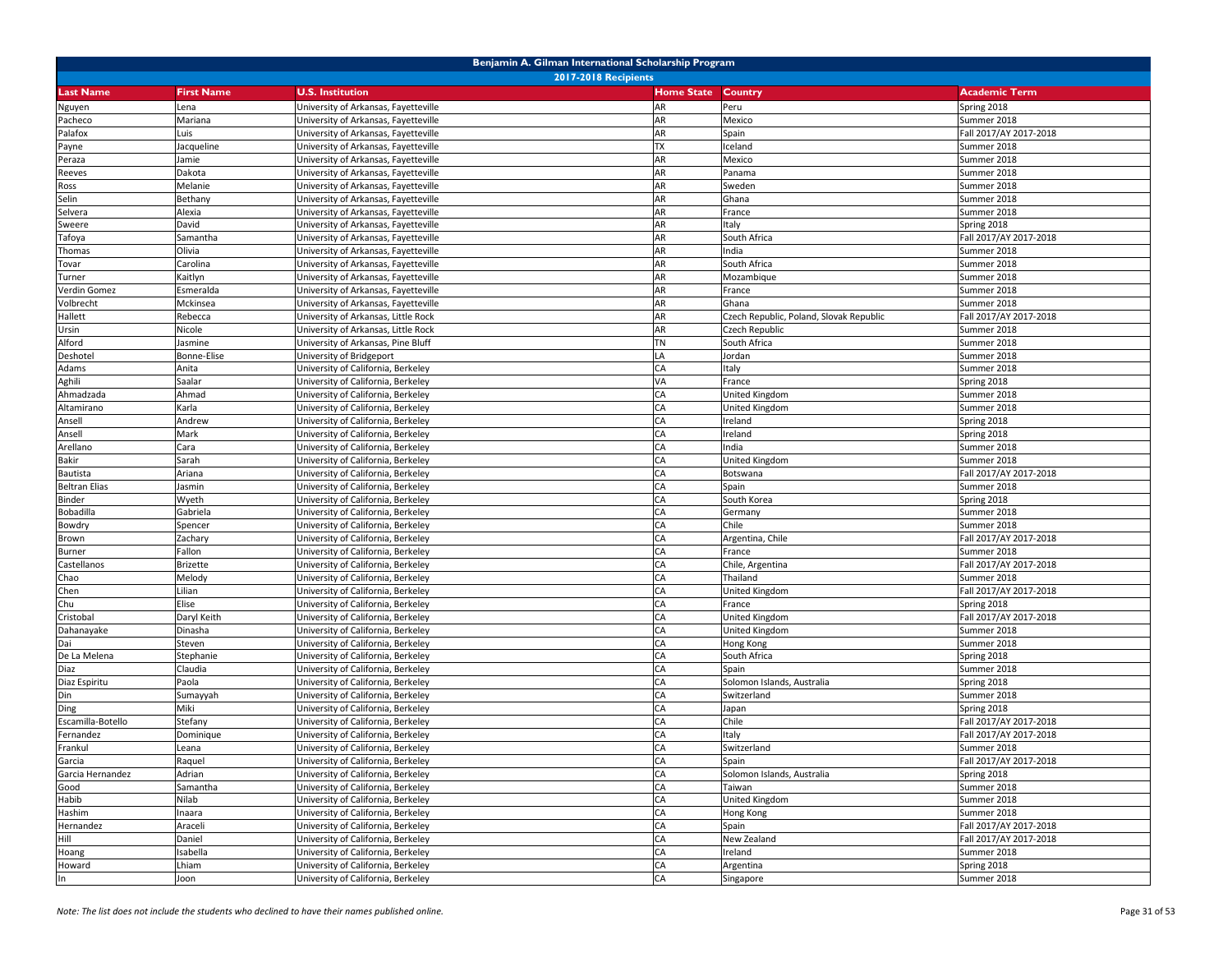| Benjamin A. Gilman International Scholarship Program |                             |                                      |                   |                                         |                        |  |  |
|------------------------------------------------------|-----------------------------|--------------------------------------|-------------------|-----------------------------------------|------------------------|--|--|
|                                                      | <b>2017-2018 Recipients</b> |                                      |                   |                                         |                        |  |  |
| <b>Last Name</b>                                     | <b>First Name</b>           | <b>U.S. Institution</b>              | <b>Home State</b> | <b>Country</b>                          | <b>Academic Term</b>   |  |  |
| Nguyen                                               | Lena                        | University of Arkansas, Fayetteville | AR                | Peru                                    | Spring 2018            |  |  |
| Pacheco                                              | Mariana                     | University of Arkansas, Fayetteville | AR                | Mexico                                  | Summer 2018            |  |  |
| Palafox                                              | Luis                        | University of Arkansas, Fayetteville | AR                | Spain                                   | Fall 2017/AY 2017-2018 |  |  |
| Payne                                                | Jacqueline                  | University of Arkansas, Fayetteville | TX                | Iceland                                 | Summer 2018            |  |  |
| Peraza                                               | Jamie                       | University of Arkansas, Fayetteville | AR                | Mexico                                  | Summer 2018            |  |  |
| Reeves                                               | Dakota                      | University of Arkansas, Fayetteville | AR                | Panama                                  | Summer 2018            |  |  |
| Ross                                                 | Melanie                     | University of Arkansas, Fayetteville | AR                | Sweden                                  | Summer 2018            |  |  |
| Selin                                                | Bethany                     | University of Arkansas, Fayetteville | AR                | Ghana                                   | Summer 2018            |  |  |
| Selvera                                              | Alexia                      | University of Arkansas, Fayetteville | AR                | France                                  | Summer 2018            |  |  |
| Sweere                                               | David                       | University of Arkansas, Fayetteville | AR                | Italy                                   | Spring 2018            |  |  |
| Tafoya                                               | Samantha                    | University of Arkansas, Fayetteville | AR                | South Africa                            | Fall 2017/AY 2017-2018 |  |  |
| Thomas                                               | Olivia                      | University of Arkansas, Fayetteville | AR                | India                                   | Summer 2018            |  |  |
| Tovar                                                | Carolina                    | University of Arkansas, Fayetteville | AR                | South Africa                            | Summer 2018            |  |  |
| Turner                                               | Kaitlyn                     | University of Arkansas, Fayetteville | AR                | Mozambique                              | Summer 2018            |  |  |
| Verdin Gomez                                         | Esmeralda                   | University of Arkansas, Fayetteville | AR                | France                                  | Summer 2018            |  |  |
| Volbrecht                                            | Mckinsea                    | University of Arkansas, Fayetteville | AR                | Ghana                                   | Summer 2018            |  |  |
| Hallett                                              | Rebecca                     | University of Arkansas, Little Rock  | AR                | Czech Republic, Poland, Slovak Republic | Fall 2017/AY 2017-2018 |  |  |
| Ursin                                                | Nicole                      | University of Arkansas, Little Rock  | AR                | Czech Republic                          | Summer 2018            |  |  |
| Alford                                               | Jasmine                     | University of Arkansas, Pine Bluff   | TN                | South Africa                            | Summer 2018            |  |  |
| Deshotel                                             | Bonne-Elise                 | University of Bridgeport             | LA                | Jordan                                  | Summer 2018            |  |  |
| Adams                                                | Anita                       | University of California, Berkeley   | CA                | Italy                                   | Summer 2018            |  |  |
| Aghili                                               | Saalar                      | University of California, Berkeley   | VA                | France                                  | Spring 2018            |  |  |
| Ahmadzada                                            | Ahmad                       | University of California, Berkeley   | CA                | United Kingdom                          | Summer 2018            |  |  |
| Altamirano                                           | Karla                       | University of California, Berkeley   | СA                | <b>United Kingdom</b>                   | Summer 2018            |  |  |
| Ansell                                               | Andrew                      | University of California, Berkeley   | CA                | Ireland                                 | Spring 2018            |  |  |
| Ansell                                               | Mark                        | University of California, Berkeley   | CA                | Ireland                                 | Spring 2018            |  |  |
| Arellano                                             | Cara                        | University of California, Berkeley   | CA                | India                                   | Summer 2018            |  |  |
| Bakir                                                | Sarah                       | University of California, Berkeley   | CA                | United Kingdom                          | Summer 2018            |  |  |
| Bautista                                             | Ariana                      | University of California, Berkeley   | CA                | Botswana                                | Fall 2017/AY 2017-2018 |  |  |
| <b>Beltran Elias</b>                                 | Jasmin                      | University of California, Berkeley   | CA                | Spain                                   | Summer 2018            |  |  |
| Binder                                               | Wyeth                       | University of California, Berkeley   | CA                | South Korea                             | Spring 2018            |  |  |
| Bobadilla                                            | Gabriela                    | University of California, Berkeley   | CA                | Germany                                 | Summer 2018            |  |  |
| Bowdry                                               | Spencer                     | University of California, Berkeley   | CA                | Chile                                   | Summer 2018            |  |  |
| Brown                                                | Zachary                     | University of California, Berkeley   | CA                | Argentina, Chile                        | Fall 2017/AY 2017-2018 |  |  |
| Burner                                               | Fallon                      | University of California, Berkeley   | CA                | France                                  | Summer 2018            |  |  |
| Castellanos                                          | <b>Brizette</b>             | University of California, Berkeley   | CA                | Chile, Argentina                        | Fall 2017/AY 2017-2018 |  |  |
| Chao                                                 | Melody                      | University of California, Berkeley   | CA                | Thailand                                | Summer 2018            |  |  |
| Chen                                                 | Lilian                      | University of California, Berkeley   | CA                | United Kingdom                          | Fall 2017/AY 2017-2018 |  |  |
| Chu                                                  | Elise                       | University of California, Berkeley   | СA                | France                                  | Spring 2018            |  |  |
| Cristobal                                            | Daryl Keith                 | University of California, Berkeley   | CA                | United Kingdom                          | Fall 2017/AY 2017-2018 |  |  |
| Dahanayake                                           | Dinasha                     | University of California, Berkeley   | CA                | United Kingdom                          | Summer 2018            |  |  |
| Dai                                                  | Steven                      | University of California, Berkeley   | CA                | Hong Kong                               | Summer 2018            |  |  |
| De La Melena                                         | Stephanie                   | University of California, Berkeley   | CA                | South Africa                            | Spring 2018            |  |  |
| Diaz                                                 | Claudia                     | University of California, Berkeley   | CA                | Spain                                   | Summer 2018            |  |  |
| Diaz Espiritu                                        | Paola                       | University of California, Berkeley   | CA                | Solomon Islands, Australia              | Spring 2018            |  |  |
| Din                                                  | Sumayyah                    | University of California, Berkeley   | CA                | Switzerland                             | Summer 2018            |  |  |
| Ding                                                 | Miki                        | University of California, Berkeley   | CA                | Japan                                   | Spring 2018            |  |  |
| Escamilla-Botello                                    | Stefany                     | University of California, Berkeley   | CA                | Chile                                   | Fall 2017/AY 2017-2018 |  |  |
| Fernandez                                            | Dominique                   | University of California, Berkeley   | CA                | Italy                                   | Fall 2017/AY 2017-2018 |  |  |
| Frankul                                              | Leana                       | University of California, Berkeley   | <b>CA</b>         | Switzerland                             | Summer 2018            |  |  |
| Garcia                                               | Raquel                      | University of California, Berkeley   | CA                | Spain                                   | Fall 2017/AY 2017-2018 |  |  |
| Garcia Hernandez                                     | Adrian                      | University of California, Berkeley   | CA                | Solomon Islands, Australia              | Spring 2018            |  |  |
| Good                                                 | Samantha                    | University of California, Berkeley   | CA                | Taiwan                                  | Summer 2018            |  |  |
| Habib                                                | Nilab                       | University of California, Berkeley   | CA                | <b>United Kingdom</b>                   | Summer 2018            |  |  |
| Hashim                                               | Inaara                      | University of California, Berkeley   | CA                | Hong Kong                               | Summer 2018            |  |  |
| Hernandez                                            | Araceli                     | University of California, Berkeley   | CA                | Spain                                   | Fall 2017/AY 2017-2018 |  |  |
| Hill                                                 | Daniel                      | University of California, Berkeley   | CA                | New Zealand                             | Fall 2017/AY 2017-2018 |  |  |
| Hoang                                                | Isabella                    | University of California, Berkeley   | CA                | Ireland                                 | Summer 2018            |  |  |
| Howard                                               | Lhiam                       | University of California, Berkeley   | CA                | Argentina                               | Spring 2018            |  |  |
| In                                                   | Joon                        | University of California, Berkeley   | CA                | Singapore                               | Summer 2018            |  |  |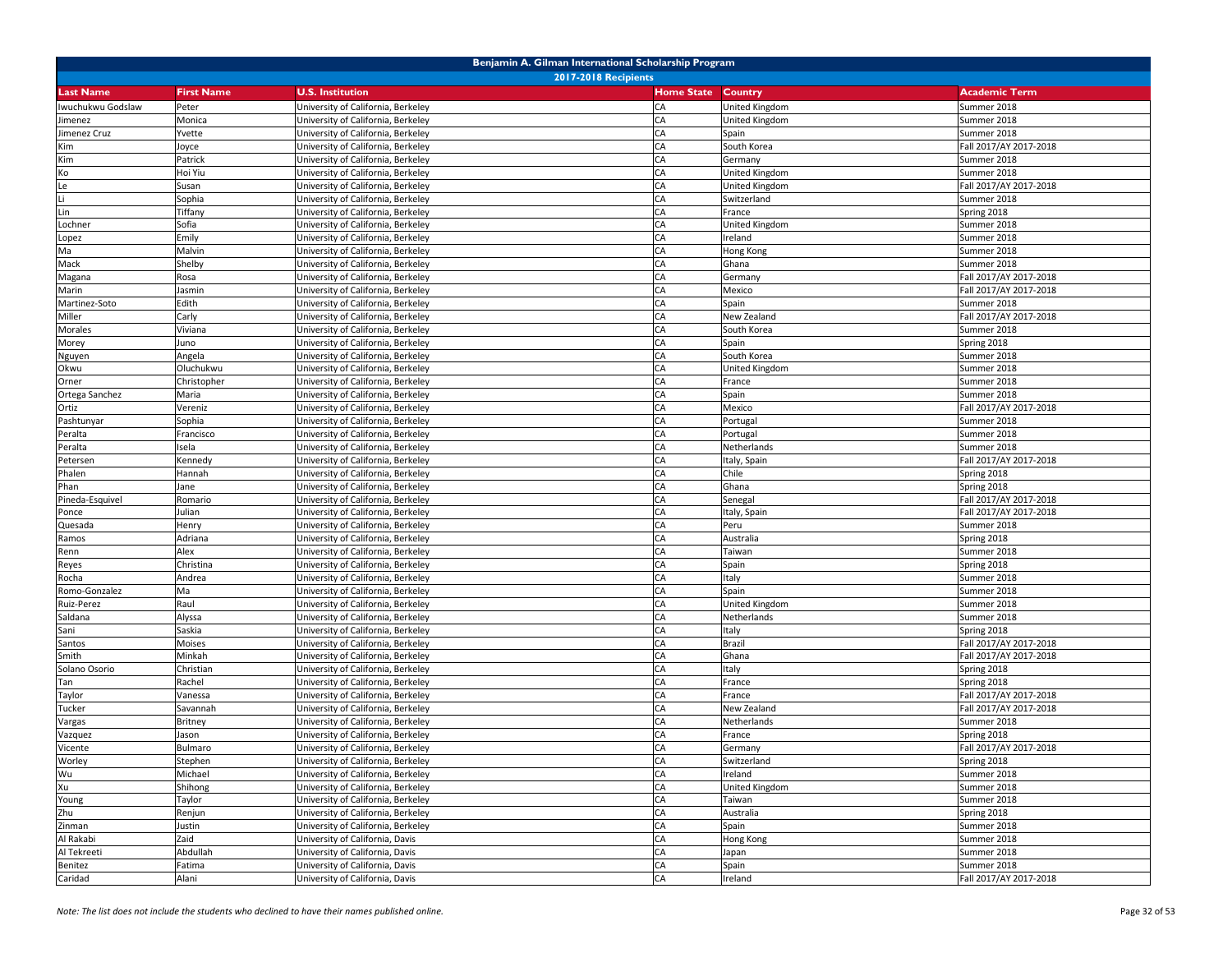| Benjamin A. Gilman International Scholarship Program |                             |                                    |                           |                       |                        |  |  |
|------------------------------------------------------|-----------------------------|------------------------------------|---------------------------|-----------------------|------------------------|--|--|
|                                                      | <b>2017-2018 Recipients</b> |                                    |                           |                       |                        |  |  |
| <b>Last Name</b>                                     | <b>First Name</b>           | <b>U.S. Institution</b>            | <b>Home State Country</b> |                       | <b>Academic Term</b>   |  |  |
| Iwuchukwu Godslaw                                    | Peter                       | University of California, Berkeley | CA                        | <b>United Kingdom</b> | Summer 2018            |  |  |
| Jimenez                                              | Monica                      | University of California, Berkeley | CA                        | United Kingdom        | Summer 2018            |  |  |
| Jimenez Cruz                                         | Yvette                      | University of California, Berkeley | CA                        | Spain                 | Summer 2018            |  |  |
| Kim                                                  | Joyce                       | University of California, Berkeley | CA                        | South Korea           | Fall 2017/AY 2017-2018 |  |  |
| Kim                                                  | Patrick                     | University of California, Berkeley | CA                        | Germany               | Summer 2018            |  |  |
| Ko                                                   | Hoi Yiu                     | University of California, Berkeley | CA                        | United Kingdom        | Summer 2018            |  |  |
| Le                                                   | Susan                       | University of California, Berkeley | CA                        | United Kingdom        | Fall 2017/AY 2017-2018 |  |  |
| Li                                                   | Sophia                      | University of California, Berkeley | CA                        | Switzerland           | Summer 2018            |  |  |
| Lin                                                  | Tiffany                     | University of California, Berkeley | CA                        | France                | Spring 2018            |  |  |
| Lochner                                              | Sofia                       | University of California, Berkeley | CA                        | United Kingdom        | Summer 2018            |  |  |
| Lopez                                                | Emily                       | University of California, Berkeley | CA                        | Ireland               | Summer 2018            |  |  |
| Ma                                                   | Malvin                      | University of California, Berkeley | CA                        | Hong Kong             | Summer 2018            |  |  |
| Mack                                                 | Shelby                      | University of California, Berkeley | CA                        | Ghana                 | Summer 2018            |  |  |
| Magana                                               | Rosa                        | University of California, Berkeley | CA                        | Germany               | Fall 2017/AY 2017-2018 |  |  |
| Marin                                                | Jasmin                      | University of California, Berkeley | CA                        | Mexico                | Fall 2017/AY 2017-2018 |  |  |
| Martinez-Soto                                        | Edith                       | University of California, Berkeley | CA                        | Spain                 | Summer 2018            |  |  |
| Miller                                               | Carly                       | University of California, Berkeley | CA                        | New Zealand           | Fall 2017/AY 2017-2018 |  |  |
| Morales                                              | Viviana                     | University of California, Berkeley | CA                        | South Korea           | Summer 2018            |  |  |
| Morey                                                | Juno                        | University of California, Berkeley | CA                        | Spain                 | Spring 2018            |  |  |
| Nguyen                                               | Angela                      | University of California, Berkeley | CA                        | South Korea           | Summer 2018            |  |  |
| Okwu                                                 | Oluchukwu                   | University of California, Berkeley | CA                        | <b>United Kingdom</b> | Summer 2018            |  |  |
| Orner                                                | Christopher                 | University of California, Berkeley | CA                        | France                | Summer 2018            |  |  |
| Ortega Sanchez                                       | Maria                       | University of California, Berkeley | CA                        | Spain                 | Summer 2018            |  |  |
| Ortiz                                                | Vereniz                     | University of California, Berkeley | CA                        | Mexico                | Fall 2017/AY 2017-2018 |  |  |
| Pashtunyar                                           | Sophia                      | University of California, Berkeley | CA                        | Portugal              | Summer 2018            |  |  |
| Peralta                                              | Francisco                   | University of California, Berkeley | CA                        | Portugal              | Summer 2018            |  |  |
| Peralta                                              | Isela                       | University of California, Berkeley | CA                        | Netherlands           | Summer 2018            |  |  |
| Petersen                                             | Kennedy                     | University of California, Berkeley | CA                        | Italy, Spain          | Fall 2017/AY 2017-2018 |  |  |
| Phalen                                               | Hannah                      | University of California, Berkeley | CA                        | Chile                 | Spring 2018            |  |  |
| Phan                                                 | Jane                        | University of California, Berkeley | CA                        | Ghana                 | Spring 2018            |  |  |
| Pineda-Esquivel                                      | Romario                     | University of California, Berkeley | CA                        | Senegal               | Fall 2017/AY 2017-2018 |  |  |
| Ponce                                                | Julian                      | University of California, Berkeley | CA                        | Italy, Spain          | Fall 2017/AY 2017-2018 |  |  |
| Quesada                                              | Henry                       | University of California, Berkeley | CA                        | Peru                  | Summer 2018            |  |  |
| Ramos                                                | Adriana                     | University of California, Berkeley | CA                        | Australia             | Spring 2018            |  |  |
| Renn                                                 | Alex                        | University of California, Berkeley | CA                        | Taiwan                | Summer 2018            |  |  |
| Reyes                                                | Christina                   | University of California, Berkeley | CA                        | Spain                 | Spring 2018            |  |  |
| Rocha                                                | Andrea                      | University of California, Berkeley | CA                        | Italy                 | Summer 2018            |  |  |
| Romo-Gonzalez                                        | Ma                          | University of California, Berkeley | CA                        | Spain                 | Summer 2018            |  |  |
| Ruiz-Perez                                           | Raul                        | University of California, Berkeley | CA                        | United Kingdom        | Summer 2018            |  |  |
| Saldana                                              | Alyssa                      | University of California, Berkeley | CA                        | Netherlands           | Summer 2018            |  |  |
| Sani                                                 | Saskia                      | University of California, Berkeley | CA                        | Italy                 | Spring 2018            |  |  |
| Santos                                               | Moises                      | University of California, Berkeley | CA                        | <b>Brazil</b>         | Fall 2017/AY 2017-2018 |  |  |
| Smith                                                | Minkah                      | University of California, Berkeley | CA                        | Ghana                 | Fall 2017/AY 2017-2018 |  |  |
| Solano Osorio                                        | Christian                   | University of California, Berkeley | CA                        | Italy                 | Spring 2018            |  |  |
| Tan                                                  | Rachel                      | University of California, Berkeley | CA                        | France                | Spring 2018            |  |  |
| Taylor                                               | Vanessa                     | University of California, Berkeley | CA                        | France                | Fall 2017/AY 2017-2018 |  |  |
| Tucker                                               | Savannah                    | University of California, Berkeley | CA                        | New Zealand           | Fall 2017/AY 2017-2018 |  |  |
| Vargas                                               | Britney                     | University of California, Berkeley | CA                        | Netherlands           | Summer 2018            |  |  |
| Vazquez                                              | Jason                       | University of California, Berkeley | CA                        | France                | Spring 2018            |  |  |
| Vicente                                              | Bulmaro                     | University of California, Berkeley | CA                        | Germany               | Fall 2017/AY 2017-2018 |  |  |
| Worley                                               | Stephen                     | University of California, Berkeley | CA                        | Switzerland           | Spring 2018            |  |  |
| Wu                                                   | Michael                     | University of California, Berkeley | CA                        | Ireland               | Summer 2018            |  |  |
| Xu                                                   | Shihong                     | University of California, Berkeley | CA                        | United Kingdom        | Summer 2018            |  |  |
| Young                                                | Taylor                      | University of California, Berkeley | CA                        | Taiwan                | Summer 2018            |  |  |
| Zhu                                                  | Renjun                      | University of California, Berkeley | CA                        | Australia             | Spring 2018            |  |  |
| Zinman                                               | Justin                      | University of California, Berkeley | CA                        | Spain                 | Summer 2018            |  |  |
| Al Rakabi                                            | Zaid                        | University of California, Davis    | CA                        | Hong Kong             | Summer 2018            |  |  |
| Al Tekreeti                                          | Abdullah                    | University of California, Davis    | CA                        | Japan                 | Summer 2018            |  |  |
| Benitez                                              | Fatima                      | University of California, Davis    | CA                        | Spain                 | Summer 2018            |  |  |
| Caridad                                              | Alani                       | University of California, Davis    | CA                        | Ireland               | Fall 2017/AY 2017-2018 |  |  |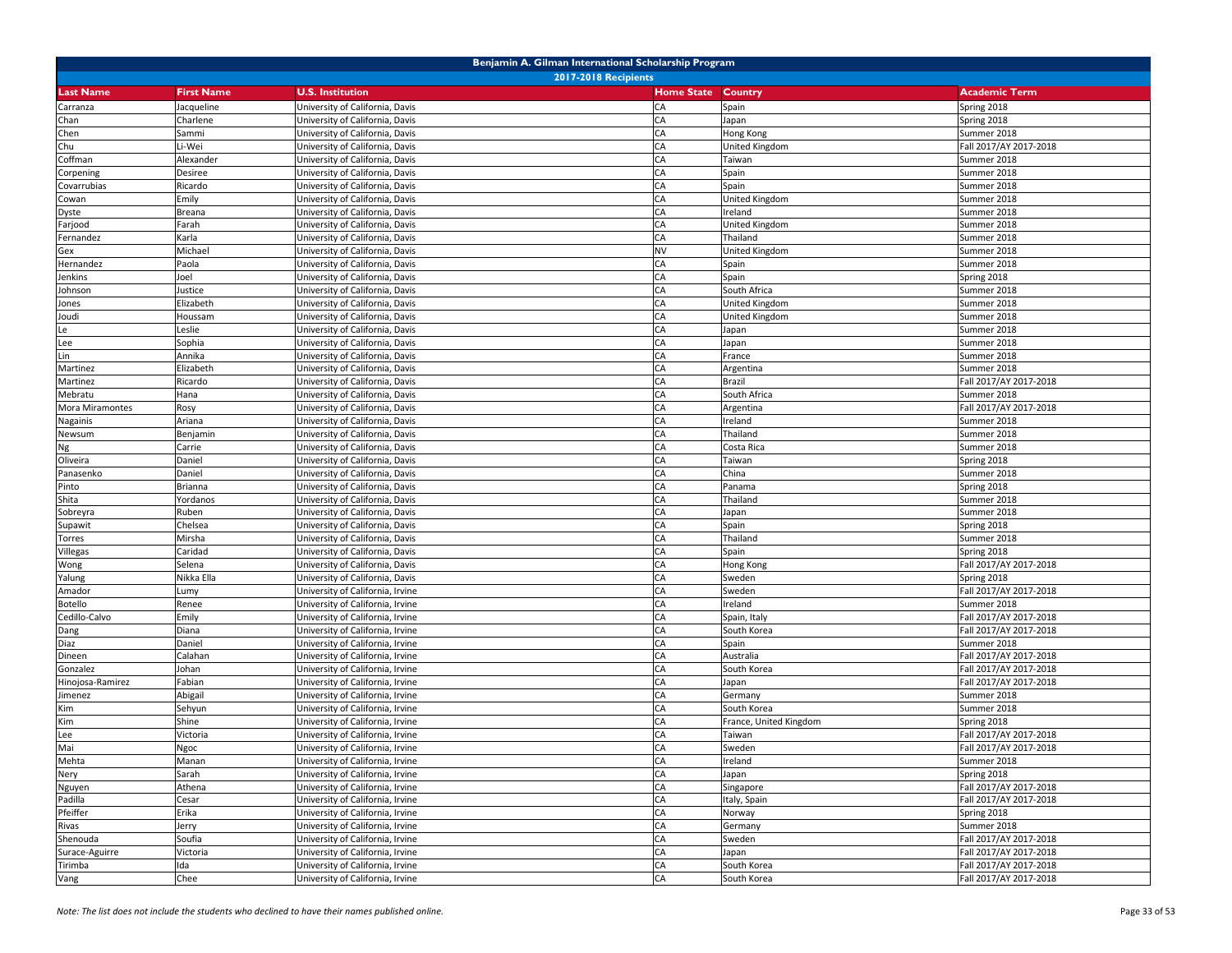|                  | Benjamin A. Gilman International Scholarship Program |                                                                    |                   |                        |                                       |  |  |
|------------------|------------------------------------------------------|--------------------------------------------------------------------|-------------------|------------------------|---------------------------------------|--|--|
|                  | <b>2017-2018 Recipients</b>                          |                                                                    |                   |                        |                                       |  |  |
| <b>Last Name</b> | <b>First Name</b>                                    | <b>U.S. Institution</b>                                            | <b>Home State</b> | <b>Country</b>         | <b>Academic Term</b>                  |  |  |
| Carranza         | Jacqueline                                           | University of California, Davis                                    | CA                | Spain                  | Spring 2018                           |  |  |
| Chan             | Charlene                                             | Jniversity of California, Davis                                    | CA                | Japan                  | Spring 2018                           |  |  |
| Chen             | Sammi                                                | University of California, Davis                                    | CA                | Hong Kong              | Summer 2018                           |  |  |
| Chu              | Li-Wei                                               | University of California, Davis                                    | CA                | United Kingdom         | Fall 2017/AY 2017-2018                |  |  |
| Coffman          | Alexander                                            | University of California, Davis                                    | CA                | Taiwan                 | Summer 2018                           |  |  |
| Corpening        | Desiree                                              | University of California, Davis                                    | CA                | Spain                  | Summer 2018                           |  |  |
| Covarrubias      | Ricardo                                              | University of California, Davis                                    | CA                | Spain                  | Summer 2018                           |  |  |
| Cowan            | Emily                                                | Jniversity of California, Davis                                    | CA                | United Kingdom         | Summer 2018                           |  |  |
| Dyste            | Breana                                               | Jniversity of California, Davis                                    | CA                | Ireland                | Summer 2018                           |  |  |
| Farjood          | Farah                                                | University of California, Davis                                    | CA                | United Kingdom         | Summer 2018                           |  |  |
| Fernandez        | Karla                                                | University of California, Davis                                    | CA                | Thailand               | Summer 2018                           |  |  |
| Gex              | Michael                                              | University of California, Davis                                    | <b>NV</b>         | United Kingdom         | Summer 2018                           |  |  |
| Hernandez        | Paola                                                | University of California, Davis                                    | CA                | Spain                  | Summer 2018                           |  |  |
| Jenkins          | Joel                                                 | University of California, Davis                                    | CA                | Spain                  | Spring 2018                           |  |  |
| Johnson          | Justice                                              | University of California, Davis                                    | CA                | South Africa           | Summer 2018                           |  |  |
| Jones            | Elizabeth                                            | University of California, Davis                                    | CA                | United Kingdom         | Summer 2018                           |  |  |
| Joudi            | Houssam                                              | University of California, Davis                                    | CA                | United Kingdom         | Summer 2018                           |  |  |
| Le               | Leslie                                               | University of California, Davis                                    | CA                | Japan                  | Summer 2018                           |  |  |
| Lee              | Sophia                                               | University of California, Davis                                    | CA                | Japan                  | Summer 2018                           |  |  |
| Lin              | Annika                                               | University of California, Davis                                    | CA                | France                 | Summer 2018                           |  |  |
| Martinez         | Elizabeth                                            | University of California, Davis                                    | CA                | Argentina              | Summer 2018                           |  |  |
| Martinez         | Ricardo                                              | University of California, Davis                                    | CA                | Brazil                 | Fall 2017/AY 2017-2018                |  |  |
| Mebratu          | Hana                                                 | University of California, Davis                                    | CA                | South Africa           | Summer 2018                           |  |  |
| Mora Miramontes  | Rosy                                                 | Jniversity of California, Davis                                    | CA                | Argentina              | Fall 2017/AY 2017-2018                |  |  |
| Nagainis         | Ariana                                               | University of California, Davis                                    | CA                | Ireland                | Summer 2018                           |  |  |
| Newsum           | Benjamin                                             | University of California, Davis                                    | CA                | Thailand               | Summer 2018                           |  |  |
| Ng               | Carrie                                               | University of California, Davis                                    | <b>CA</b>         | Costa Rica             | Summer 2018                           |  |  |
| Oliveira         | Daniel                                               | University of California, Davis                                    | CA                | Taiwan                 | Spring 2018                           |  |  |
| Panasenko        | Daniel                                               | Jniversity of California, Davis                                    | CA                | China                  | Summer 2018                           |  |  |
| Pinto            | Brianna                                              | University of California, Davis                                    | CA                | Panama                 | Spring 2018                           |  |  |
| Shita            | Yordanos                                             | University of California, Davis                                    | CA                | Thailand               | Summer 2018                           |  |  |
| Sobreyra         | Ruben                                                | University of California, Davis                                    | CA                | Japan                  | Summer 2018                           |  |  |
| Supawit          | Chelsea                                              | University of California, Davis                                    | CA                | Spain                  | Spring 2018                           |  |  |
| Torres           | Mirsha                                               | University of California, Davis                                    | CA<br>CA          | Thailand               | Summer 2018                           |  |  |
| Villegas         | Caridad<br>Selena                                    | University of California, Davis                                    | CA                | Spain                  | Spring 2018                           |  |  |
| Wong             | Nikka Ella                                           | University of California, Davis<br>University of California, Davis | CA                | Hong Kong<br>Sweden    | Fall 2017/AY 2017-2018<br>Spring 2018 |  |  |
| Yalung<br>Amador | Lumy                                                 | University of California, Irvine                                   | CA                | Sweden                 | Fall 2017/AY 2017-2018                |  |  |
| Botello          | Renee                                                | Jniversity of California, Irvine                                   | CA                | Ireland                | Summer 2018                           |  |  |
| Cedillo-Calvo    | Emily                                                | University of California, Irvine                                   | CA                | Spain, Italy           | Fall 2017/AY 2017-2018                |  |  |
| Dang             | Diana                                                | University of California, Irvine                                   | CA                | South Korea            | Fall 2017/AY 2017-2018                |  |  |
| Diaz             | Daniel                                               | University of California, Irvine                                   | CA                | Spain                  | Summer 2018                           |  |  |
| Dineen           | Calahan                                              | University of California, Irvine                                   | CA                | Australia              | Fall 2017/AY 2017-2018                |  |  |
| Gonzalez         | Johan                                                | Jniversity of California, Irvine                                   | CA                | South Korea            | Fall 2017/AY 2017-2018                |  |  |
| Hinojosa-Ramirez | Fabian                                               | University of California, Irvine                                   | CA                | Japan                  | Fall 2017/AY 2017-2018                |  |  |
| Jimenez          | Abigail                                              | Jniversity of California, Irvine                                   | CA                | Germany                | Summer 2018                           |  |  |
| Kim              | Sehyun                                               | University of California, Irvine                                   | CA                | South Korea            | Summer 2018                           |  |  |
| Kim              | Shine                                                | University of California, Irvine                                   | CA                | France, United Kingdom | Spring 2018                           |  |  |
| Lee              | Victoria                                             | University of California, Irvine                                   | CA                | Taiwan                 | Fall 2017/AY 2017-2018                |  |  |
| Mai              | Ngoc                                                 | University of California, Irvine                                   | <b>CA</b>         | Sweden                 | Fall 2017/AY 2017-2018                |  |  |
| Mehta            | Manan                                                | University of California, Irvine                                   | CA                | Ireland                | Summer 2018                           |  |  |
| Nery             | Sarah                                                | University of California, Irvine                                   | CA                | Japan                  | Spring 2018                           |  |  |
| Nguyen           | Athena                                               | University of California, Irvine                                   | CA                | Singapore              | Fall 2017/AY 2017-2018                |  |  |
| Padilla          | Cesar                                                | University of California, Irvine                                   | CA                | Italy, Spain           | Fall 2017/AY 2017-2018                |  |  |
| Pfeiffer         | Erika                                                | University of California, Irvine                                   | CA                | Norway                 | Spring 2018                           |  |  |
| Rivas            | Jerry                                                | University of California, Irvine                                   | CA                | Germany                | Summer 2018                           |  |  |
| Shenouda         | Soufia                                               | University of California, Irvine                                   | CA                | Sweden                 | Fall 2017/AY 2017-2018                |  |  |
| Surace-Aguirre   | Victoria                                             | University of California, Irvine                                   | CA                | Japan                  | Fall 2017/AY 2017-2018                |  |  |
| Tirimba          | Ida                                                  | University of California, Irvine                                   | CA                | South Korea            | Fall 2017/AY 2017-2018                |  |  |
| Vang             | Chee                                                 | University of California, Irvine                                   | CA                | South Korea            | Fall 2017/AY 2017-2018                |  |  |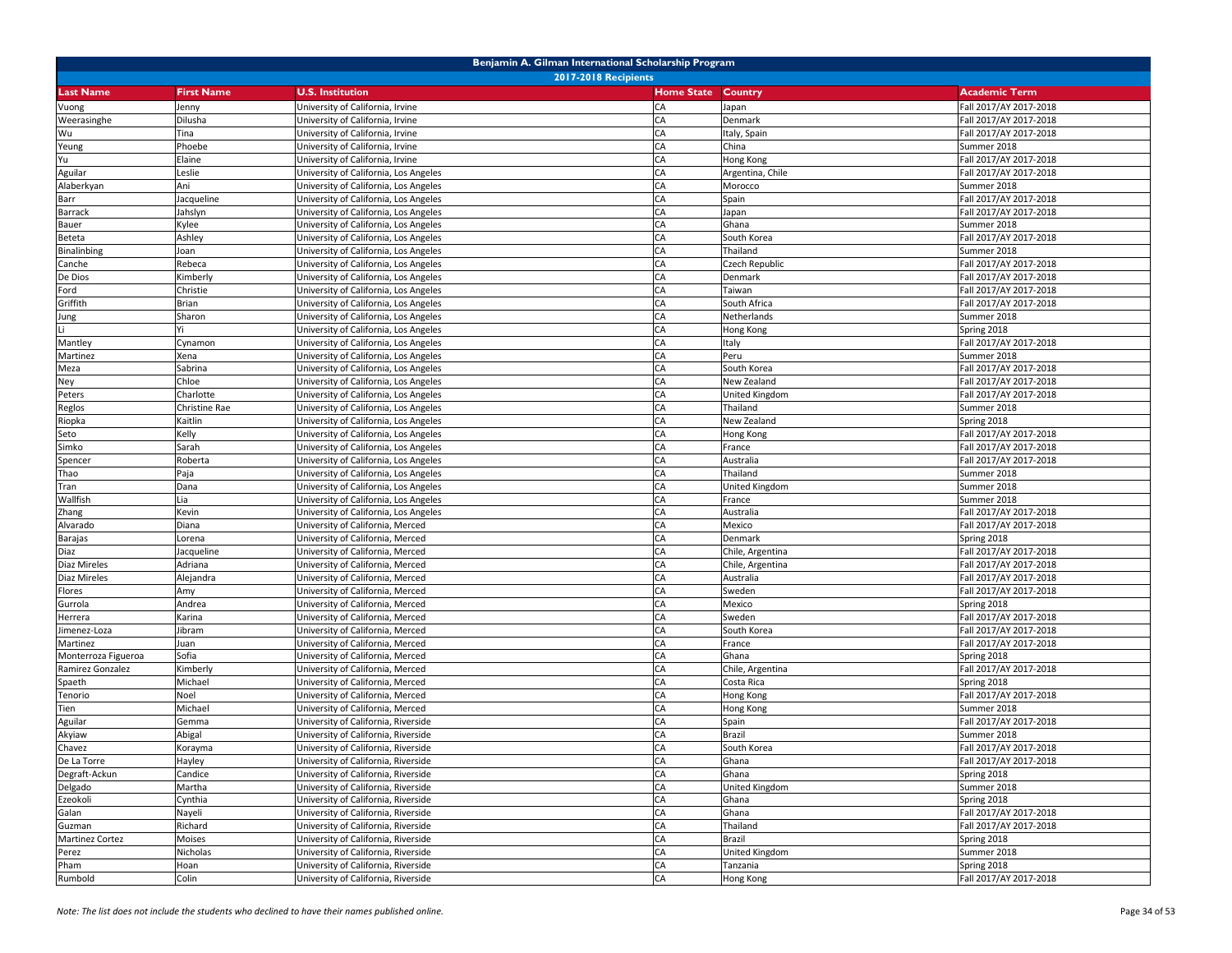| Benjamin A. Gilman International Scholarship Program |                   |                                       |                   |                  |                        |  |
|------------------------------------------------------|-------------------|---------------------------------------|-------------------|------------------|------------------------|--|
|                                                      |                   | <b>2017-2018 Recipients</b>           |                   |                  |                        |  |
| <b>Last Name</b>                                     | <b>First Name</b> | <b>U.S. Institution</b>               | <b>Home State</b> | <b>Country</b>   | <b>Academic Term</b>   |  |
| Vuong                                                | Jenny             | University of California, Irvine      | CA                | Japan            | Fall 2017/AY 2017-2018 |  |
| Weerasinghe                                          | Dilusha           | University of California, Irvine      | CA                | Denmark          | Fall 2017/AY 2017-2018 |  |
| Wu                                                   | Tina              | Jniversity of California, Irvine      | CA                | Italy, Spain     | Fall 2017/AY 2017-2018 |  |
| Yeung                                                | Phoebe            | University of California, Irvine      | CA                | China            | Summer 2018            |  |
| Yu                                                   | Elaine            | University of California, Irvine      | CA                | Hong Kong        | Fall 2017/AY 2017-2018 |  |
| Aguilar                                              | Leslie            | University of California, Los Angeles | CA                | Argentina, Chile | Fall 2017/AY 2017-2018 |  |
| Alaberkyan                                           | Ani               | University of California, Los Angeles | CA                | Morocco          | Summer 2018            |  |
| Barr                                                 | Jacqueline        | University of California, Los Angeles | CA                | Spain            | Fall 2017/AY 2017-2018 |  |
| <b>Barrack</b>                                       | Jahslyn           | University of California, Los Angeles | CA                | Japan            | Fall 2017/AY 2017-2018 |  |
| Bauer                                                | Kylee             | University of California, Los Angeles | CA                | Ghana            | Summer 2018            |  |
| Beteta                                               | Ashley            | Jniversity of California, Los Angeles | CA                | South Korea      | Fall 2017/AY 2017-2018 |  |
| Binalinbing                                          | loan              | Jniversity of California, Los Angeles | CA                | Thailand         | Summer 2018            |  |
| Canche                                               | Rebeca            | University of California, Los Angeles | CA                | Czech Republic   | Fall 2017/AY 2017-2018 |  |
| De Dios                                              | Kimberly          | University of California, Los Angeles | CA                | Denmark          | Fall 2017/AY 2017-2018 |  |
| Ford                                                 | Christie          | University of California, Los Angeles | CA                | Taiwan           | Fall 2017/AY 2017-2018 |  |
| Griffith                                             | Brian             | University of California, Los Angeles | CA                | South Africa     | Fall 2017/AY 2017-2018 |  |
| Jung                                                 | Sharon            | University of California, Los Angeles | CA                | Netherlands      | Summer 2018            |  |
|                                                      |                   | University of California, Los Angeles | CA                | Hong Kong        | Spring 2018            |  |
| Mantley                                              | Cynamon           | University of California, Los Angeles | CA                | Italy            | Fall 2017/AY 2017-2018 |  |
| Martinez                                             | Xena              | University of California, Los Angeles | CA                | Peru             | Summer 2018            |  |
| Meza                                                 | Sabrina           | University of California, Los Angeles | CA                | South Korea      | Fall 2017/AY 2017-2018 |  |
| Ney                                                  | Chloe             | University of California, Los Angeles | CA                | New Zealand      | Fall 2017/AY 2017-2018 |  |
| Peters                                               | Charlotte         | University of California, Los Angeles | CA                | United Kingdom   | Fall 2017/AY 2017-2018 |  |
| Reglos                                               | Christine Rae     | University of California, Los Angeles | CA                | Thailand         | Summer 2018            |  |
| Riopka                                               | Kaitlin           | University of California, Los Angeles | CA                | New Zealand      | Spring 2018            |  |
| Seto                                                 | Kelly             | University of California, Los Angeles | CA                | Hong Kong        | Fall 2017/AY 2017-2018 |  |
| Simko                                                | Sarah             | Jniversity of California, Los Angeles | CA                | France           | Fall 2017/AY 2017-2018 |  |
| Spencer                                              | Roberta           | University of California, Los Angeles | CA                | Australia        | Fall 2017/AY 2017-2018 |  |
| Thao                                                 | Paja              | University of California, Los Angeles | CA                | Thailand         | Summer 2018            |  |
| Tran                                                 | Dana              | University of California, Los Angeles | CA                | United Kingdom   | Summer 2018            |  |
| Wallfish                                             | Lia               | University of California, Los Angeles | CA                | France           | Summer 2018            |  |
| Zhang                                                | Kevin             | University of California, Los Angeles | CA                | Australia        | Fall 2017/AY 2017-2018 |  |
| Alvarado                                             | Diana             | University of California, Merced      | CA                | Mexico           | Fall 2017/AY 2017-2018 |  |
| <b>Barajas</b>                                       | Lorena            | University of California, Merced      | CA                | Denmark          | Spring 2018            |  |
| Diaz                                                 | Jacqueline        | University of California, Merced      | CA                | Chile, Argentina | Fall 2017/AY 2017-2018 |  |
| Diaz Mireles                                         | Adriana           | University of California, Merced      | CA                | Chile, Argentina | Fall 2017/AY 2017-2018 |  |
| Diaz Mireles                                         | Alejandra         | University of California, Merced      | CA                | Australia        | Fall 2017/AY 2017-2018 |  |
| Flores                                               | Amy               | University of California, Merced      | CA                | Sweden           | Fall 2017/AY 2017-2018 |  |
| Gurrola                                              | Andrea            | University of California, Merced      | CA                | Mexico           | Spring 2018            |  |
| Herrera                                              | Karina            | University of California, Merced      | CA                | Sweden           | Fall 2017/AY 2017-2018 |  |
| imenez-Loza                                          | Jibram            | Jniversity of California, Merced      | CA                | South Korea      | Fall 2017/AY 2017-2018 |  |
| Martinez                                             | Juan              | Jniversity of California, Merced      | CA                | France           | Fall 2017/AY 2017-2018 |  |
| Monterroza Figueroa                                  | Sofia             | University of California, Merced      | CA                | Ghana            | Spring 2018            |  |
| Ramirez Gonzalez                                     | Kimberly          | University of California, Merced      | CA                | Chile, Argentina | Fall 2017/AY 2017-2018 |  |
| Spaeth                                               | Michael           | University of California, Merced      | CA                | Costa Rica       | Spring 2018            |  |
| Tenorio                                              | Noel              | Jniversity of California, Merced      | CA                | Hong Kong        | Fall 2017/AY 2017-2018 |  |
| Tien                                                 | Michael           | Jniversity of California, Merced      | CA                | Hong Kong        | Summer 2018            |  |
| Aguilar                                              | Gemma             | Jniversity of California, Riverside   | CA                | Spain            | Fall 2017/AY 2017-2018 |  |
| Akyiaw                                               | Abigal            | University of California, Riverside   | CA                | Brazil           | Summer 2018            |  |
| Chavez                                               | Korayma           | University of California, Riverside   | CA                | South Korea      | Fall 2017/AY 2017-2018 |  |
| De La Torre                                          | Hayley            | University of California, Riverside   | CA                | Ghana            | Fall 2017/AY 2017-2018 |  |
| Degraft-Ackun                                        | Candice           | University of California, Riverside   | CA                | Ghana            | Spring 2018            |  |
| Delgado                                              | Martha            | University of California, Riverside   | CA                | United Kingdom   | Summer 2018            |  |
| Ezeokoli                                             | Cynthia           | University of California, Riverside   | CA                | Ghana            | Spring 2018            |  |
| Galan                                                | Nayeli            | University of California, Riverside   | CA                | Ghana            | Fall 2017/AY 2017-2018 |  |
| Guzman                                               | Richard           | University of California, Riverside   | CA                | Thailand         | Fall 2017/AY 2017-2018 |  |
| <b>Martinez Cortez</b>                               | Moises            | University of California, Riverside   | CA                | Brazil           | Spring 2018            |  |
| Perez                                                | Nicholas          | University of California, Riverside   | CA                | United Kingdom   | Summer 2018            |  |
| Pham                                                 | Hoan              | University of California, Riverside   | CA                | Tanzania         | Spring 2018            |  |
| Rumbold                                              | Colin             | University of California, Riverside   | CA                | Hong Kong        | Fall 2017/AY 2017-2018 |  |
|                                                      |                   |                                       |                   |                  |                        |  |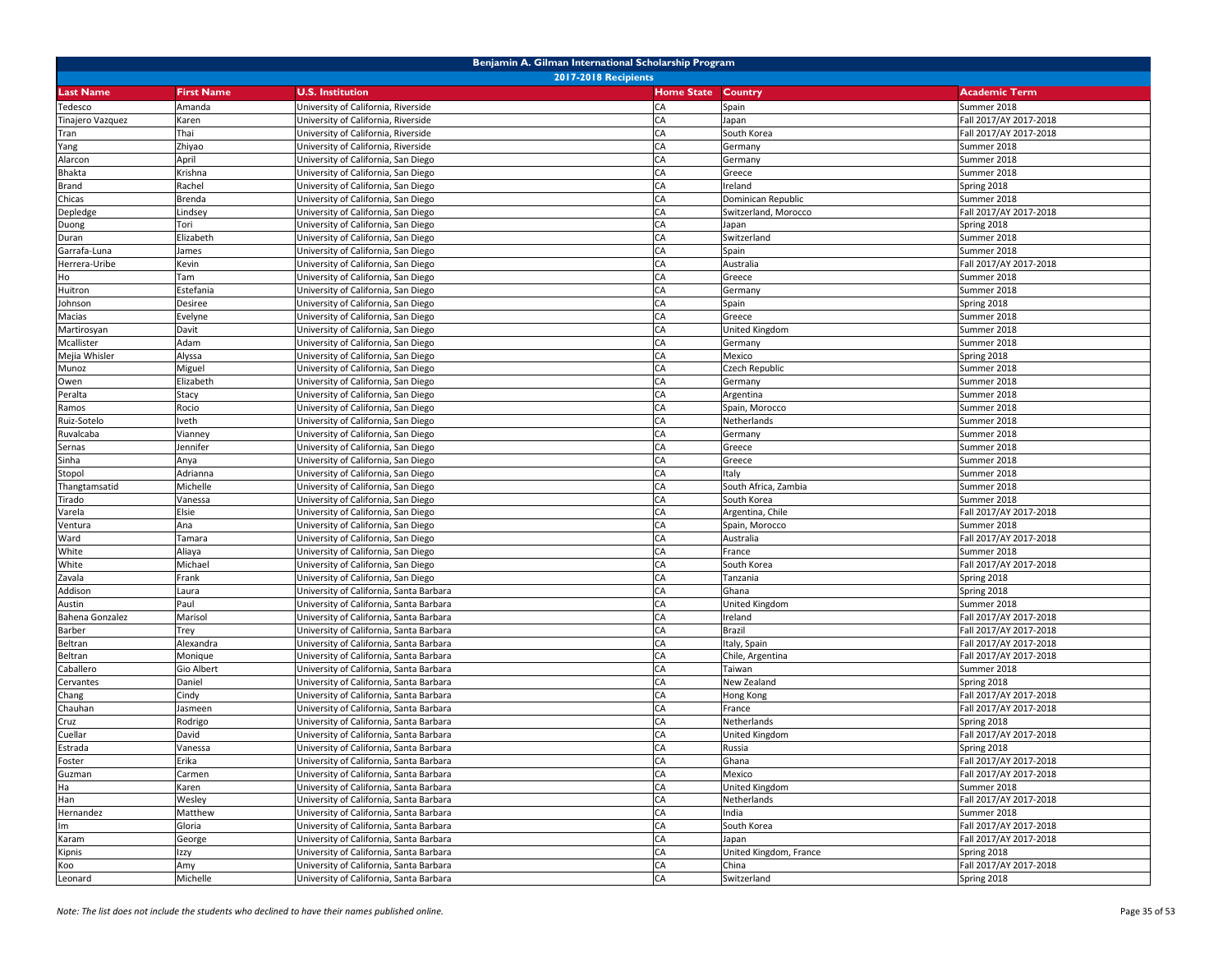| Benjamin A. Gilman International Scholarship Program |                   |                                         |                   |                        |                        |  |
|------------------------------------------------------|-------------------|-----------------------------------------|-------------------|------------------------|------------------------|--|
|                                                      |                   | <b>2017-2018 Recipients</b>             |                   |                        |                        |  |
| <b>Last Name</b>                                     | <b>First Name</b> | <b>U.S. Institution</b>                 | <b>Home State</b> | <b>Country</b>         | <b>Academic Term</b>   |  |
| Tedesco                                              | Amanda            | University of California, Riverside     | CA                | Spain                  | Summer 2018            |  |
| Tinajero Vazquez                                     | Karen             | University of California, Riverside     | CA                | Japan                  | Fall 2017/AY 2017-2018 |  |
| Tran                                                 | Thai              | University of California, Riverside     | CA                | South Korea            | Fall 2017/AY 2017-2018 |  |
| Yang                                                 | Zhiyao            | University of California, Riverside     | CA                | Germany                | Summer 2018            |  |
| Alarcon                                              | April             | University of California, San Diego     | CA                | Germany                | Summer 2018            |  |
| Bhakta                                               | Krishna           | University of California, San Diego     | CA                | Greece                 | Summer 2018            |  |
| Brand                                                | Rachel            | University of California, San Diego     | CA                | Ireland                | Spring 2018            |  |
| Chicas                                               | Brenda            | University of California, San Diego     | CA                | Dominican Republic     | Summer 2018            |  |
| Depledge                                             | Lindsey           | University of California, San Diego     | CA                | Switzerland, Morocco   | Fall 2017/AY 2017-2018 |  |
| Duong                                                | Tori              | University of California, San Diego     | CA                | Japan                  | Spring 2018            |  |
| Duran                                                | Elizabeth         | Jniversity of California, San Diego     | CA                | Switzerland            | Summer 2018            |  |
| Garrafa-Luna                                         | James             | Jniversity of California, San Diego     | CA                | Spain                  | Summer 2018            |  |
| Herrera-Uribe                                        | Kevin             | University of California, San Diego     | CA                | Australia              | Fall 2017/AY 2017-2018 |  |
| Ho                                                   | Tam               | University of California, San Diego     | CA                | Greece                 | Summer 2018            |  |
| Huitron                                              | Estefania         | University of California, San Diego     | CA                | Germany                | Summer 2018            |  |
| Johnson                                              | Desiree           | Jniversity of California, San Diego     | CA                | Spain                  | Spring 2018            |  |
| Macias                                               | Evelyne           | University of California, San Diego     | CA                | Greece                 | Summer 2018            |  |
| Martirosyan                                          | Davit             | University of California, San Diego     | CA                | United Kingdom         | Summer 2018            |  |
| Mcallister                                           | Adam              | University of California, San Diego     | CA                | Germany                | Summer 2018            |  |
| Mejia Whisler                                        | Alyssa            | University of California, San Diego     | CA                | Mexico                 | Spring 2018            |  |
| Munoz                                                | Miguel            | University of California, San Diego     | CA                | Czech Republic         | Summer 2018            |  |
| Owen                                                 | Elizabeth         | University of California, San Diego     | CA                | Germany                | Summer 2018            |  |
| Peralta                                              | Stacy             | University of California, San Diego     | CA                | Argentina              | Summer 2018            |  |
| Ramos                                                | Rocio             | University of California, San Diego     | CA                | Spain, Morocco         | Summer 2018            |  |
| Ruiz-Sotelo                                          | Iveth             | University of California, San Diego     | CA                | Netherlands            | Summer 2018            |  |
| Ruvalcaba                                            | Vianney           | Jniversity of California, San Diego     | CA                | Germany                | Summer 2018            |  |
| Sernas                                               | Jennifer          | University of California, San Diego     | CA                | Greece                 | Summer 2018            |  |
| Sinha                                                | Anya              | University of California, San Diego     | CA                | Greece                 | Summer 2018            |  |
| Stopol                                               | Adrianna          | University of California, San Diego     | CA                | Italy                  | Summer 2018            |  |
| Thangtamsatid                                        | Michelle          | University of California, San Diego     | CA                | South Africa, Zambia   | Summer 2018            |  |
| Tirado                                               | Vanessa           | Jniversity of California, San Diego     | CA                | South Korea            | Summer 2018            |  |
| Varela                                               | Elsie             | University of California, San Diego     | CA                | Argentina, Chile       | Fall 2017/AY 2017-2018 |  |
| Ventura                                              | Ana               | University of California, San Diego     | CA                | Spain, Morocco         | Summer 2018            |  |
| Ward                                                 | Tamara            | University of California, San Diego     | CA                | Australia              | Fall 2017/AY 2017-2018 |  |
| White                                                | Aliaya            | University of California, San Diego     | CA                | France                 | Summer 2018            |  |
| White                                                | Michael           | University of California, San Diego     | CA                | South Korea            | Fall 2017/AY 2017-2018 |  |
| Zavala                                               | Frank             | University of California, San Diego     | CA                | Tanzania               | Spring 2018            |  |
| Addison                                              | Laura             | University of California, Santa Barbara | CA                | Ghana                  | Spring 2018            |  |
| Austin                                               | Paul              | University of California, Santa Barbara | CA                | United Kingdom         | Summer 2018            |  |
| Bahena Gonzalez                                      | Marisol           | University of California, Santa Barbara | CA                | Ireland                | Fall 2017/AY 2017-2018 |  |
| Barber                                               | Trey              | University of California, Santa Barbara | CA                | Brazil                 | Fall 2017/AY 2017-2018 |  |
| Beltran                                              | Alexandra         | University of California, Santa Barbara | CA                | Italy, Spain           | Fall 2017/AY 2017-2018 |  |
| Beltran                                              | Monique           | University of California, Santa Barbara | CA                | Chile, Argentina       | Fall 2017/AY 2017-2018 |  |
| Caballero                                            | Gio Albert        | University of California, Santa Barbara | CA                | Taiwan                 | Summer 2018            |  |
| Cervantes                                            | Daniel            | University of California, Santa Barbara | CA                | New Zealand            | Spring 2018            |  |
| Chang                                                | Cindy             | Jniversity of California, Santa Barbara | CA                | Hong Kong              | Fall 2017/AY 2017-2018 |  |
| Chauhan                                              | Jasmeen           | Jniversity of California, Santa Barbara | CA                | France                 | Fall 2017/AY 2017-2018 |  |
| Cruz                                                 | Rodrigo           | Jniversity of California, Santa Barbara | CA                | Netherlands            | Spring 2018            |  |
| Cuellar                                              | David             | University of California, Santa Barbara | CA                | United Kingdom         | Fall 2017/AY 2017-2018 |  |
| Estrada                                              | Vanessa           | University of California, Santa Barbara | CA                | Russia                 | Spring 2018            |  |
| Foster                                               | Erika             | University of California, Santa Barbara | CA                | Ghana                  | Fall 2017/AY 2017-2018 |  |
| Guzman                                               | Carmen            | University of California, Santa Barbara | CA                | Mexico                 | Fall 2017/AY 2017-2018 |  |
| Ha                                                   | Karen             | University of California, Santa Barbara | CA                | United Kingdom         | Summer 2018            |  |
| Han                                                  | Wesley            | University of California, Santa Barbara | CA                | Netherlands            | Fall 2017/AY 2017-2018 |  |
| Hernandez                                            | Matthew           | University of California, Santa Barbara | CA                | India                  | Summer 2018            |  |
| Im                                                   | Gloria            | University of California, Santa Barbara | CA                | South Korea            | Fall 2017/AY 2017-2018 |  |
| Karam                                                | George            | University of California, Santa Barbara | CA                | Japan                  | Fall 2017/AY 2017-2018 |  |
| Kipnis                                               | Izzy              | University of California, Santa Barbara | CA                | United Kingdom, France | Spring 2018            |  |
| Koo                                                  | Amy               | University of California, Santa Barbara | CA                | China                  | Fall 2017/AY 2017-2018 |  |
| Leonard                                              | Michelle          | University of California, Santa Barbara | CA                | Switzerland            | Spring 2018            |  |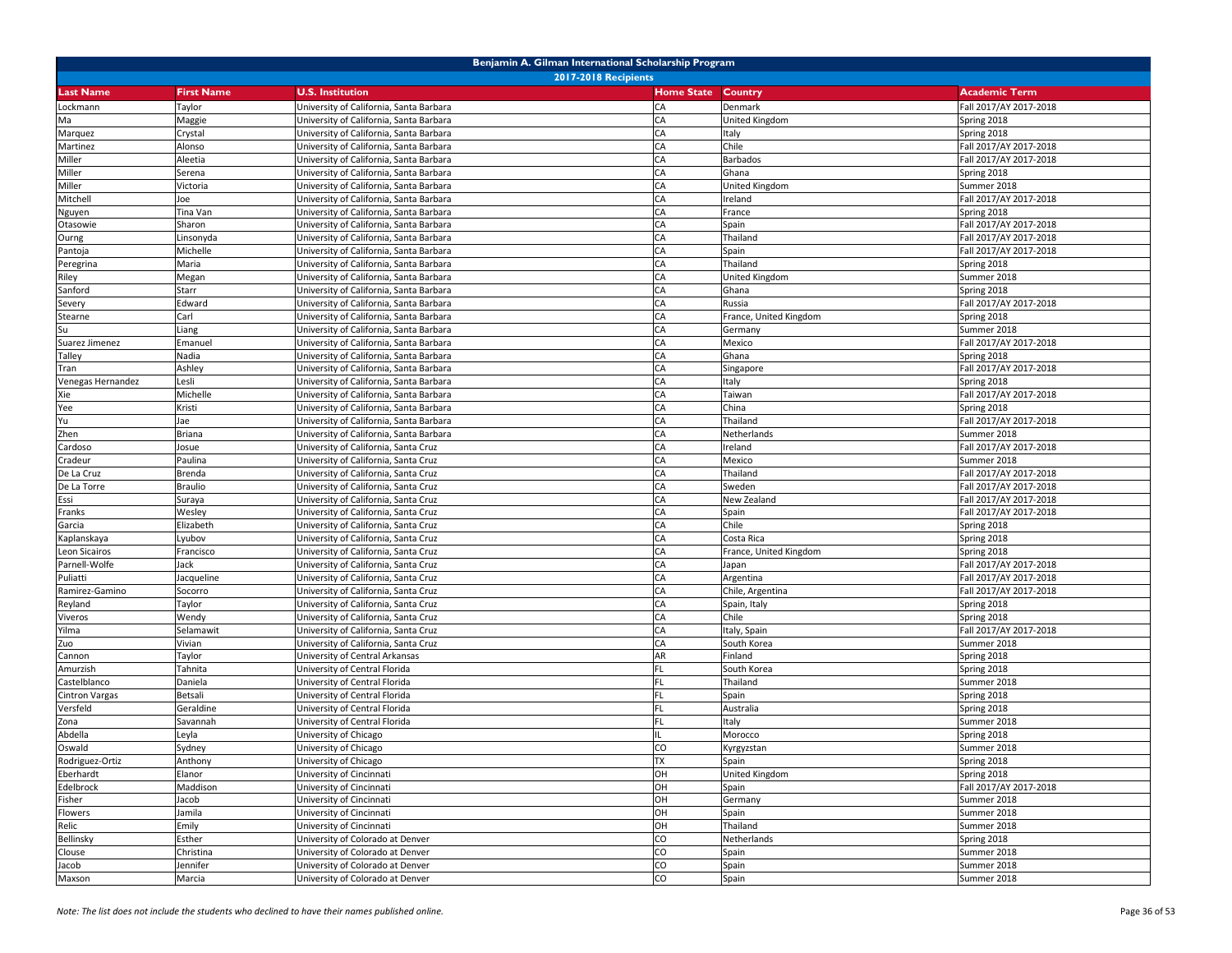|                   |                   | Benjamin A. Gilman International Scholarship Program |                   |                        |                        |
|-------------------|-------------------|------------------------------------------------------|-------------------|------------------------|------------------------|
|                   |                   | <b>2017-2018 Recipients</b>                          |                   |                        |                        |
| <b>Last Name</b>  | <b>First Name</b> | <b>U.S. Institution</b>                              | <b>Home State</b> | Country                | <b>Academic Term</b>   |
| Lockmann          | Taylor            | University of California, Santa Barbara              | CA                | Denmark                | Fall 2017/AY 2017-2018 |
| Ma                | Maggie            | University of California, Santa Barbara              | CA                | United Kingdom         | Spring 2018            |
| Marquez           | Crystal           | University of California, Santa Barbara              | CA                | Italy                  | Spring 2018            |
| Martinez          | Alonso            | University of California, Santa Barbara              | CA                | Chile                  | Fall 2017/AY 2017-2018 |
| Miller            | Aleetia           | University of California, Santa Barbara              | CA                | Barbados               | Fall 2017/AY 2017-2018 |
| Miller            | Serena            | University of California, Santa Barbara              | CA                | Ghana                  | Spring 2018            |
| Miller            | Victoria          | University of California, Santa Barbara              | CA                | United Kingdom         | Summer 2018            |
| Mitchell          | Joe               | University of California, Santa Barbara              | CA                | Ireland                | Fall 2017/AY 2017-2018 |
| Nguyen            | Tina Van          | University of California, Santa Barbara              | CA                | France                 | Spring 2018            |
| Otasowie          | Sharon            | University of California, Santa Barbara              | CA                | Spain                  | Fall 2017/AY 2017-2018 |
| Ourng             | Linsonyda         | Jniversity of California, Santa Barbara              | CA                | Thailand               | Fall 2017/AY 2017-2018 |
| Pantoja           | Michelle          | University of California, Santa Barbara              | CA                | Spain                  | Fall 2017/AY 2017-2018 |
| Peregrina         | Maria             | University of California, Santa Barbara              | CA                | Thailand               | Spring 2018            |
| Riley             | Megan             | University of California, Santa Barbara              | CA                | United Kingdom         | Summer 2018            |
| Sanford           | Starr             | University of California, Santa Barbara              | CA                | Ghana                  | Spring 2018            |
| Severy            | Edward            | University of California, Santa Barbara              | CA                | Russia                 | Fall 2017/AY 2017-2018 |
| Stearne           | Carl              | University of California, Santa Barbara              | CA                | France, United Kingdom | Spring 2018            |
| Su                | Liang             | University of California, Santa Barbara              | CA                | Germany                | Summer 2018            |
| Suarez Jimenez    | Emanuel           | University of California, Santa Barbara              | CA                | Mexico                 | Fall 2017/AY 2017-2018 |
| Talley            | Nadia             | University of California, Santa Barbara              | CA                | Ghana                  | Spring 2018            |
| Tran              | Ashley            | University of California, Santa Barbara              | CA                | Singapore              | Fall 2017/AY 2017-2018 |
| Venegas Hernandez | Lesli             | University of California, Santa Barbara              | CA                | Italy                  | Spring 2018            |
| Xie               | Michelle          | University of California, Santa Barbara              | CA                | Taiwan                 | Fall 2017/AY 2017-2018 |
| Yee               | Kristi            | University of California, Santa Barbara              | CA                | China                  | Spring 2018            |
| Yu                | Jae               | University of California, Santa Barbara              | CA                | Thailand               | Fall 2017/AY 2017-2018 |
| Zhen              | Briana            | Jniversity of California, Santa Barbara              | CA                | Netherlands            | Summer 2018            |
| Cardoso           | Josue             | University of California, Santa Cruz                 | CA                | Ireland                | Fall 2017/AY 2017-2018 |
| Cradeur           | Paulina           | University of California, Santa Cruz                 | CA                | Mexico                 | Summer 2018            |
| De La Cruz        | Brenda            | University of California, Santa Cruz                 | CA                | Thailand               | Fall 2017/AY 2017-2018 |
| De La Torre       | <b>Braulio</b>    | University of California, Santa Cruz                 | CA                | Sweden                 | Fall 2017/AY 2017-2018 |
| Essi              | Suraya            | University of California, Santa Cruz                 | CA                | New Zealand            | Fall 2017/AY 2017-2018 |
| Franks            | Wesley            | University of California, Santa Cruz                 | CA                | Spain                  | Fall 2017/AY 2017-2018 |
| Garcia            | Elizabeth         | University of California, Santa Cruz                 | CA                | Chile                  | Spring 2018            |
| Kaplanskaya       | Lyubov            | University of California, Santa Cruz                 | CA                | Costa Rica             | Spring 2018            |
| Leon Sicairos     | Francisco         | University of California, Santa Cruz                 | CA                | France, United Kingdom | Spring 2018            |
| Parnell-Wolfe     | Jack              | University of California, Santa Cruz                 | CA                | Japan                  | Fall 2017/AY 2017-2018 |
| Puliatti          | Jacqueline        | University of California, Santa Cruz                 | CA                | Argentina              | Fall 2017/AY 2017-2018 |
| Ramirez-Gamino    | Socorro           | University of California, Santa Cruz                 | CA                | Chile, Argentina       | Fall 2017/AY 2017-2018 |
| Reyland           | Taylor            | University of California, Santa Cruz                 | CA                | Spain, Italy           | Spring 2018            |
| Viveros           | Wendy             | University of California, Santa Cruz                 | CA                | Chile                  | Spring 2018            |
| Yilma             | Selamawit         | Jniversity of California, Santa Cruz                 | CA                | Italy, Spain           | Fall 2017/AY 2017-2018 |
| Zuo               | Vivian            | Jniversity of California, Santa Cruz                 | CA                | South Korea            | Summer 2018            |
| Cannon            | Taylor            | University of Central Arkansas                       | AR                | Finland                | Spring 2018            |
| Amurzish          | Tahnita           | University of Central Florida                        | FL                | South Korea            | Spring 2018            |
| Castelblanco      | Daniela           | University of Central Florida                        | FL                | Thailand               | Summer 2018            |
| Cintron Vargas    | Betsali           | Jniversity of Central Florida                        | FL                | Spain                  | Spring 2018            |
| Versfeld          | Geraldine         | Jniversity of Central Florida                        | <b>FL</b>         | Australia              | Spring 2018            |
| Zona              | Savannah          | University of Central Florida                        | <b>FL</b>         | Italy                  | Summer 2018            |
| Abdella           | Leyla             | University of Chicago                                | <b>CO</b>         | Morocco                | Spring 2018            |
| Oswald            | Sydney            | University of Chicago                                |                   | Kyrgyzstan             | Summer 2018            |
| Rodriguez-Ortiz   | Anthony           | University of Chicago                                | <b>TX</b>         | Spain                  | Spring 2018            |
| Eberhardt         | Elanor            | University of Cincinnati                             | OH                | United Kingdom         | Spring 2018            |
| Edelbrock         | Maddison          | University of Cincinnati                             | OH                | Spain                  | Fall 2017/AY 2017-2018 |
| Fisher            | Jacob             | University of Cincinnati                             | OH                | Germany                | Summer 2018            |
| Flowers           | Jamila            | University of Cincinnati                             | OH                | Spain                  | Summer 2018            |
| Relic             | Emily             | University of Cincinnati                             | OH                | Thailand               | Summer 2018            |
| Bellinsky         | Esther            | University of Colorado at Denver                     | CO                | Netherlands            | Spring 2018            |
| Clouse            | Christina         | University of Colorado at Denver                     | CO                | Spain                  | Summer 2018            |
| Jacob             | Jennifer          | University of Colorado at Denver                     | CO                | Spain                  | Summer 2018            |
| Maxson            | Marcia            | University of Colorado at Denver                     | CO                | Spain                  | Summer 2018            |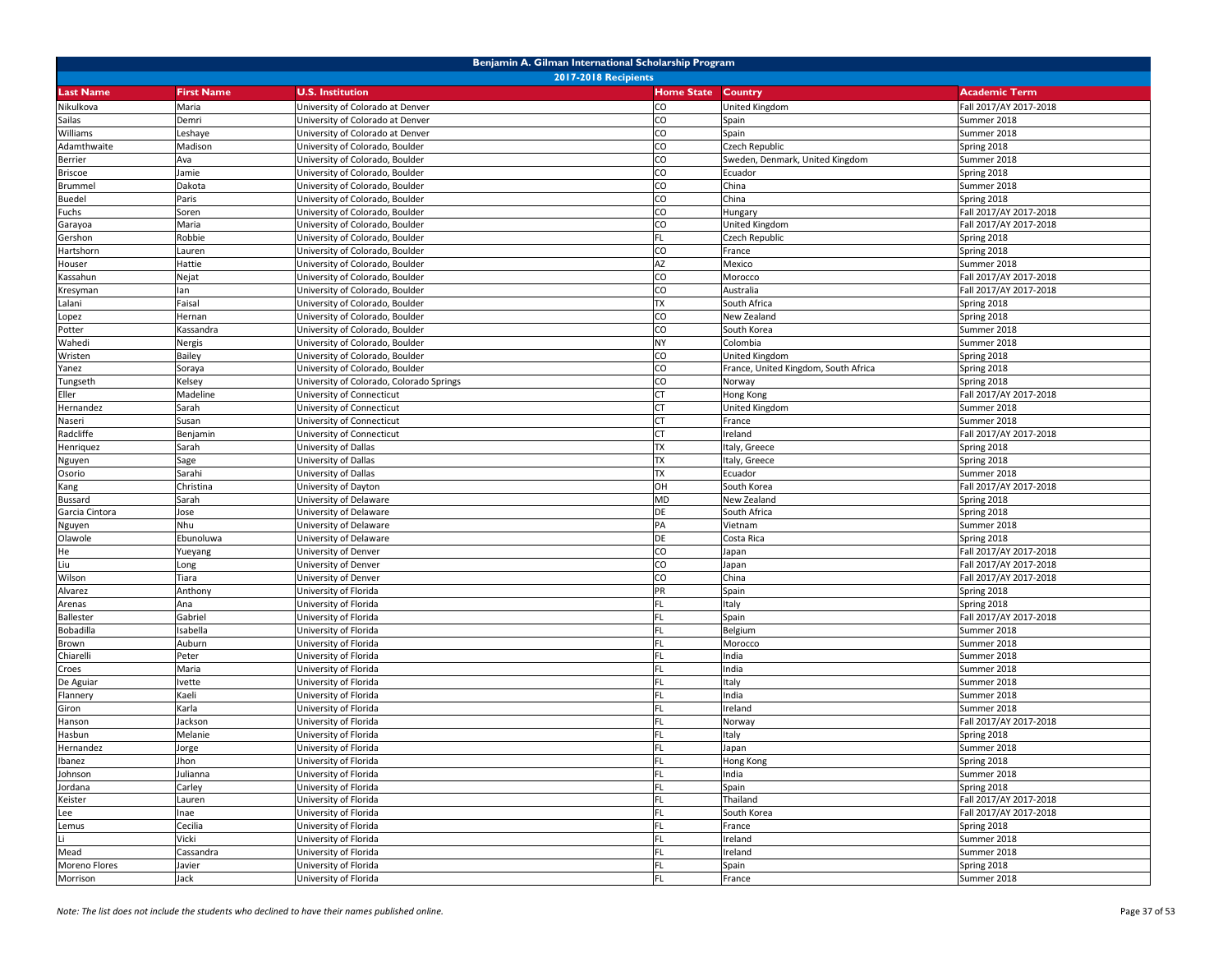| Benjamin A. Gilman International Scholarship Program |                   |                                          |                   |                                      |                        |  |
|------------------------------------------------------|-------------------|------------------------------------------|-------------------|--------------------------------------|------------------------|--|
|                                                      |                   | <b>2017-2018 Recipients</b>              |                   |                                      |                        |  |
| <b>Last Name</b>                                     | <b>First Name</b> | <b>U.S. Institution</b>                  | <b>Home State</b> | Country                              | <b>Academic Term</b>   |  |
| Nikulkova                                            | Maria             | University of Colorado at Denver         | CO                | United Kingdom                       | Fall 2017/AY 2017-2018 |  |
| Sailas                                               | Demri             | University of Colorado at Denver         | CO                | Spain                                | Summer 2018            |  |
| Williams                                             | Leshaye           | Jniversity of Colorado at Denver         | CO                | Spain                                | Summer 2018            |  |
| Adamthwaite                                          | Madison           | University of Colorado, Boulder          | CO                | Czech Republic                       | Spring 2018            |  |
| Berrier                                              | Ava               | University of Colorado, Boulder          | CO                | Sweden, Denmark, United Kingdom      | Summer 2018            |  |
| <b>Briscoe</b>                                       | Jamie             | University of Colorado, Boulder          | CO                | Ecuador                              | Spring 2018            |  |
| <b>Brummel</b>                                       | Dakota            | Jniversity of Colorado, Boulder          | CO                | China                                | Summer 2018            |  |
| <b>Buedel</b>                                        | Paris             | University of Colorado, Boulder          | CO                | China                                | Spring 2018            |  |
| Fuchs                                                | Soren             | University of Colorado, Boulder          | CO                | Hungary                              | Fall 2017/AY 2017-2018 |  |
| Garayoa                                              | Maria             | University of Colorado, Boulder          | CO                | United Kingdom                       | Fall 2017/AY 2017-2018 |  |
| Gershon                                              | Robbie            | Jniversity of Colorado, Boulder          | FL                | Czech Republic                       | Spring 2018            |  |
| Hartshorn                                            | Lauren            | Jniversity of Colorado, Boulder          | CO                | France                               | Spring 2018            |  |
| Houser                                               | Hattie            | Jniversity of Colorado, Boulder          | <b>AZ</b>         | Mexico                               | Summer 2018            |  |
| Kassahun                                             | Nejat             | University of Colorado, Boulder          | CO                | Morocco                              | Fall 2017/AY 2017-2018 |  |
| Kresyman                                             | lan               | University of Colorado, Boulder          | <b>CO</b>         | Australia                            | Fall 2017/AY 2017-2018 |  |
| Lalani                                               | Faisal            | University of Colorado, Boulder          | <b>TX</b>         | South Africa                         | Spring 2018            |  |
| Lopez                                                | Hernan            | University of Colorado, Boulder          | CO                | New Zealand                          | Spring 2018            |  |
| Potter                                               | Kassandra         | Jniversity of Colorado, Boulder          | CO                | South Korea                          | Summer 2018            |  |
| Wahedi                                               | Nergis            | University of Colorado, Boulder          | <b>NY</b>         | Colombia                             | Summer 2018            |  |
| Wristen                                              | Bailey            | University of Colorado, Boulder          | CO                | United Kingdom                       | Spring 2018            |  |
| Yanez                                                | Soraya            | University of Colorado, Boulder          | CO                | France, United Kingdom, South Africa | Spring 2018            |  |
| Tungseth                                             | Kelsey            | University of Colorado, Colorado Springs | CO                | Norway                               | Spring 2018            |  |
| Eller                                                | Madeline          | University of Connecticut                | <b>CT</b>         | Hong Kong                            | Fall 2017/AY 2017-2018 |  |
| Hernandez                                            | Sarah             | University of Connecticut                | <b>CT</b>         | United Kingdom                       | Summer 2018            |  |
| Naseri                                               | Susan             | University of Connecticut                | <b>CT</b>         | France                               | Summer 2018            |  |
| Radcliffe                                            | Benjamin          | Jniversity of Connecticut                | <b>CT</b>         | Ireland                              | Fall 2017/AY 2017-2018 |  |
| Henriquez                                            | Sarah             | Jniversity of Dallas                     | <b>TX</b>         | Italy, Greece                        | Spring 2018            |  |
| Nguyen                                               | Sage              | University of Dallas                     | <b>TX</b>         | Italy, Greece                        | Spring 2018            |  |
| Osorio                                               | Sarahi            | University of Dallas                     | <b>TX</b>         | Ecuador                              | Summer 2018            |  |
| Kang                                                 | Christina         | University of Dayton                     | OH                | South Korea                          | Fall 2017/AY 2017-2018 |  |
| Bussard                                              | Sarah             | Jniversity of Delaware                   | <b>MD</b>         | New Zealand                          | Spring 2018            |  |
| Garcia Cintora                                       | Jose              | University of Delaware                   | DE                | South Africa                         | Spring 2018            |  |
| Nguyen                                               | Nhu               | Jniversity of Delaware                   | PA                | Vietnam                              | Summer 2018            |  |
| Olawole                                              | Ebunoluwa         | University of Delaware                   | DE                | Costa Rica                           | Spring 2018            |  |
| He                                                   | Yueyang           | University of Denver                     | CO                | Japan                                | Fall 2017/AY 2017-2018 |  |
| Liu                                                  | Long              | University of Denver                     | CO                | Japan                                | Fall 2017/AY 2017-2018 |  |
| Wilson                                               | Tiara             | University of Denver                     | CO                | China                                | Fall 2017/AY 2017-2018 |  |
| Alvarez                                              | Anthony           | University of Florida                    | PR                | Spain                                | Spring 2018            |  |
| Arenas                                               | Ana               | University of Florida                    | <b>FL</b>         | Italy                                | Spring 2018            |  |
| Ballester                                            | Gabriel           | University of Florida                    | FL                | Spain                                | Fall 2017/AY 2017-2018 |  |
| Bobadilla                                            | Isabella          | Jniversity of Florida                    | FL                | Belgium                              | Summer 2018            |  |
| Brown                                                | Auburn            | Jniversity of Florida                    | FL                | Morocco                              | Summer 2018            |  |
| Chiarelli                                            | Peter             | University of Florida                    | <b>FL</b>         | India                                | Summer 2018            |  |
| Croes                                                | Maria             | University of Florida                    | FL                | India                                | Summer 2018            |  |
| De Aguiar                                            | lvette            | University of Florida                    | FL                | Italy                                | Summer 2018            |  |
| Flannery                                             | Kaeli             | Jniversity of Florida                    | FL                | India                                | Summer 2018            |  |
| Giron                                                | Karla             | Jniversity of Florida                    | <b>FL</b>         | Ireland                              | Summer 2018            |  |
| Hanson                                               | lackson           | Jniversity of Florida                    | <b>FL</b>         | Norway                               | Fall 2017/AY 2017-2018 |  |
| Hasbun                                               | Melanie           | University of Florida                    | <b>FL</b>         | Italy                                | Spring 2018            |  |
| Hernandez                                            | Jorge             | University of Florida                    | <b>FL</b>         | Japan                                | Summer 2018            |  |
| Ibanez                                               | Jhon              | University of Florida                    | FL                | Hong Kong                            | Spring 2018            |  |
| Johnson                                              | Julianna          | University of Florida                    | FL.               | India                                | Summer 2018            |  |
| Jordana                                              | Carley            | University of Florida                    | FL                | Spain                                | Spring 2018            |  |
| Keister                                              | Lauren            | University of Florida                    | FL                | Thailand                             | Fall 2017/AY 2017-2018 |  |
| Lee                                                  | Inae              | University of Florida                    | FL                | South Korea                          | Fall 2017/AY 2017-2018 |  |
| Lemus                                                | Cecilia           | University of Florida                    | FL                | France                               | Spring 2018            |  |
| Li                                                   | Vicki             | University of Florida                    | FL                | Ireland                              | Summer 2018            |  |
| Mead                                                 | Cassandra         | University of Florida                    | FL                | Ireland                              | Summer 2018            |  |
| Moreno Flores                                        | Javier            | University of Florida                    | FL                | Spain                                | Spring 2018            |  |
| Morrison                                             | Jack              | University of Florida                    | FL                | France                               | Summer 2018            |  |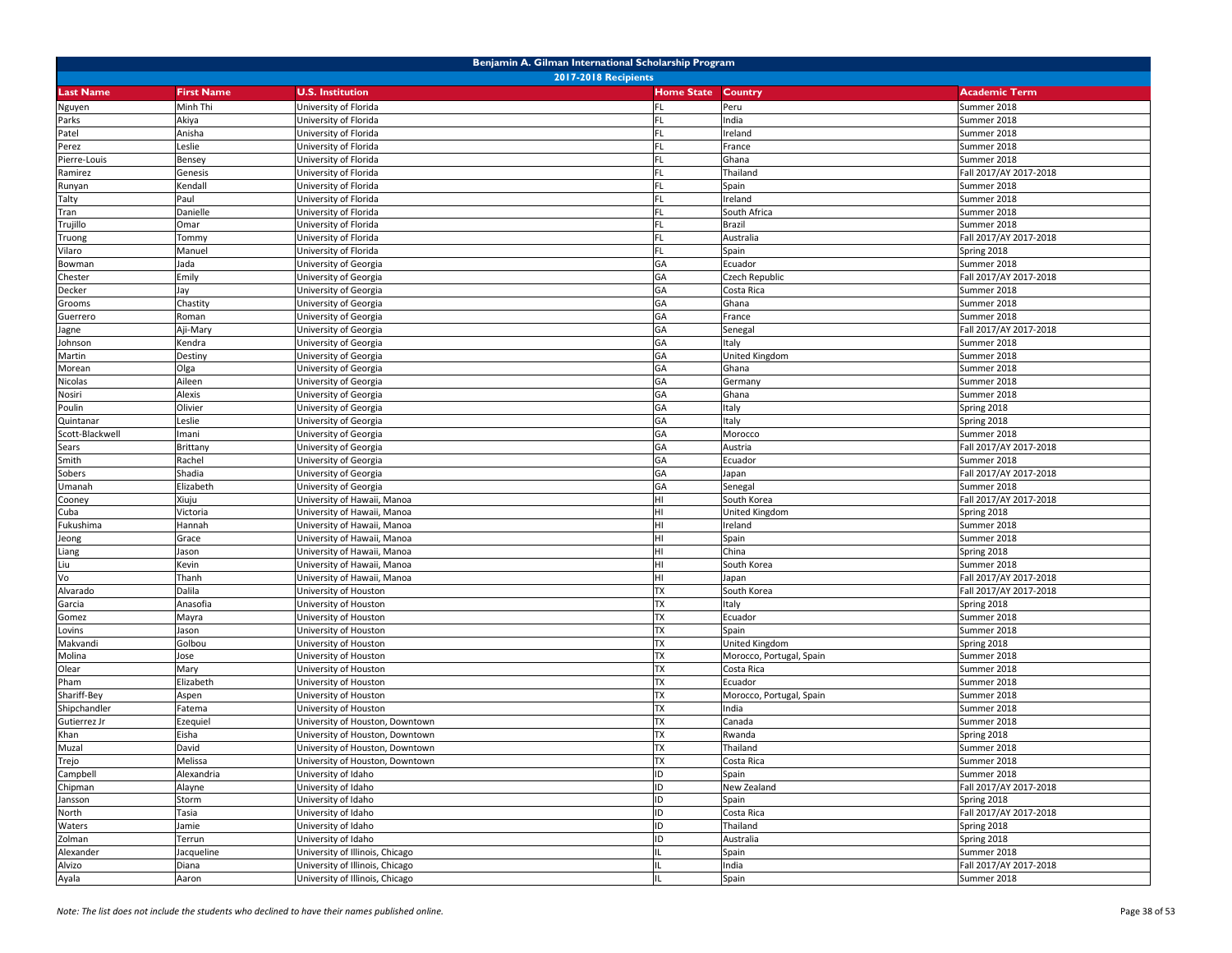| Benjamin A. Gilman International Scholarship Program |                             |                                                |                   |                          |                            |  |  |  |
|------------------------------------------------------|-----------------------------|------------------------------------------------|-------------------|--------------------------|----------------------------|--|--|--|
|                                                      | <b>2017-2018 Recipients</b> |                                                |                   |                          |                            |  |  |  |
| <b>Last Name</b>                                     | <b>First Name</b>           | <b>U.S. Institution</b>                        | <b>Home State</b> | Country                  | <b>Academic Term</b>       |  |  |  |
| Nguyen                                               | Minh Thi                    | University of Florida                          | <b>FL</b>         | Peru                     | Summer 2018                |  |  |  |
| Parks                                                | Akiya                       | University of Florida                          | FL.               | India                    | Summer 2018                |  |  |  |
| Patel                                                | Anisha                      | University of Florida                          |                   | Ireland                  | Summer 2018                |  |  |  |
| Perez                                                | Leslie                      | University of Florida                          |                   | France                   | Summer 2018                |  |  |  |
| Pierre-Louis                                         | Bensey                      | University of Florida                          | FL.               | Ghana                    | Summer 2018                |  |  |  |
| Ramirez                                              | Genesis                     | University of Florida                          | <b>FL</b>         | Thailand                 | Fall 2017/AY 2017-2018     |  |  |  |
| Runyan                                               | Kendall                     | University of Florida                          | <b>FL</b>         | Spain                    | Summer 2018                |  |  |  |
| Talty                                                | Paul                        | University of Florida                          |                   | Ireland                  | Summer 2018                |  |  |  |
| Tran                                                 | Danielle                    | University of Florida                          |                   | South Africa             | Summer 2018                |  |  |  |
| Trujillo                                             | Omar                        | University of Florida                          | FL.               | Brazil                   | Summer 2018                |  |  |  |
| Truong                                               | Tommy                       | University of Florida                          | FL.               | Australia                | Fall 2017/AY 2017-2018     |  |  |  |
| Vilaro                                               | Manuel                      | University of Florida                          | FL.               | Spain                    | Spring 2018                |  |  |  |
| Bowman                                               | Jada                        | University of Georgia                          | GA                | Ecuador                  | Summer 2018                |  |  |  |
| Chester                                              | Emily                       | University of Georgia                          | GА                | Czech Republic           | Fall 2017/AY 2017-2018     |  |  |  |
| Decker                                               | Jay                         | University of Georgia                          | GA                | Costa Rica               | Summer 2018                |  |  |  |
| Grooms                                               | Chastity                    | University of Georgia                          | GA                | Ghana                    | Summer 2018                |  |  |  |
| Guerrero                                             | Roman                       | University of Georgia                          | GA                | France                   | Summer 2018                |  |  |  |
| Jagne                                                | Aji-Mary                    | University of Georgia                          | GA                | Senegal                  | Fall 2017/AY 2017-2018     |  |  |  |
| Johnson                                              | Kendra                      | University of Georgia                          | GA                | Italy                    | Summer 2018                |  |  |  |
| Martin                                               | Destiny                     | University of Georgia                          | GA<br>GA          | <b>United Kingdom</b>    | Summer 2018                |  |  |  |
| Morean                                               | Olga<br>Aileen              | University of Georgia                          | GA                | Ghana                    | Summer 2018<br>Summer 2018 |  |  |  |
| Nicolas                                              |                             | University of Georgia<br>University of Georgia | GA                | Germany                  |                            |  |  |  |
| Nosiri<br>Poulin                                     | Alexis<br>Olivier           | Jniversity of Georgia                          | GА                | Ghana<br>Italy           | Summer 2018<br>Spring 2018 |  |  |  |
| Quintanar                                            | Leslie                      | University of Georgia                          | GA                | Italy                    | Spring 2018                |  |  |  |
| Scott-Blackwell                                      | mani                        | University of Georgia                          | GA                | Morocco                  | Summer 2018                |  |  |  |
| Sears                                                | Brittany                    | University of Georgia                          | GA                | Austria                  | Fall 2017/AY 2017-2018     |  |  |  |
| Smith                                                | Rachel                      | University of Georgia                          | GА                | Ecuador                  | Summer 2018                |  |  |  |
| Sobers                                               | Shadia                      | University of Georgia                          | GА                | Japan                    | Fall 2017/AY 2017-2018     |  |  |  |
| Umanah                                               | Elizabeth                   | University of Georgia                          | GA                | Senegal                  | Summer 2018                |  |  |  |
| Cooney                                               | Xiuju                       | Jniversity of Hawaii, Manoa                    | HI                | South Korea              | Fall 2017/AY 2017-2018     |  |  |  |
| Cuba                                                 | Victoria                    | University of Hawaii, Manoa                    | HI                | United Kingdom           | Spring 2018                |  |  |  |
| Fukushima                                            | Hannah                      | University of Hawaii, Manoa                    | HI                | Ireland                  | Summer 2018                |  |  |  |
| Jeong                                                | Grace                       | University of Hawaii, Manoa                    | HI                | Spain                    | Summer 2018                |  |  |  |
| Liang                                                | Jason                       | University of Hawaii, Manoa                    | HI                | China                    | Spring 2018                |  |  |  |
| Liu                                                  | Kevin                       | University of Hawaii, Manoa                    | HI                | South Korea              | Summer 2018                |  |  |  |
| Vo                                                   | Thanh                       | University of Hawaii, Manoa                    | HI                | Japan                    | Fall 2017/AY 2017-2018     |  |  |  |
| Alvarado                                             | Dalila                      | University of Houston                          | <b>TX</b>         | South Korea              | Fall 2017/AY 2017-2018     |  |  |  |
| Garcia                                               | Anasofia                    | Jniversity of Houston                          | <b>TX</b>         | Italy                    | Spring 2018                |  |  |  |
| Gomez                                                | Mayra                       | University of Houston                          | <b>TX</b>         | Ecuador                  | Summer 2018                |  |  |  |
| Lovins                                               | Jason                       | University of Houston                          | <b>TX</b>         | Spain                    | Summer 2018                |  |  |  |
| Makvandi                                             | Golbou                      | University of Houston                          | <b>TX</b>         | United Kingdom           | Spring 2018                |  |  |  |
| Molina                                               | lose                        | University of Houston                          | <b>TX</b>         | Morocco, Portugal, Spain | Summer 2018                |  |  |  |
| Olear                                                | Mary                        | Jniversity of Houston                          | <b>TX</b>         | Costa Rica               | Summer 2018                |  |  |  |
| Pham                                                 | Elizabeth                   | University of Houston                          | <b>TX</b>         | Ecuador                  | Summer 2018                |  |  |  |
| Shariff-Bey                                          | Aspen                       | Jniversity of Houston                          | <b>TX</b>         | Morocco, Portugal, Spain | Summer 2018                |  |  |  |
| Shipchandler                                         | Fatema                      | University of Houston                          | <b>TX</b>         | India                    | Summer 2018                |  |  |  |
| Gutierrez Jr                                         | Ezequiel                    | University of Houston, Downtown                | <b>TX</b>         | Canada                   | Summer 2018                |  |  |  |
| Khan                                                 | Eisha                       | University of Houston, Downtown                | <b>TX</b>         | Rwanda                   | Spring 2018                |  |  |  |
| Muzal                                                | David                       | University of Houston, Downtown                | <b>TX</b>         | Thailand                 | Summer 2018                |  |  |  |
| Trejo                                                | Melissa                     | University of Houston, Downtown                | <b>TX</b>         | Costa Rica               | Summer 2018                |  |  |  |
| Campbell                                             | Alexandria                  | University of Idaho                            | ID                | Spain                    | Summer 2018                |  |  |  |
| Chipman                                              | Alayne                      | University of Idaho                            | ID                | New Zealand              | Fall 2017/AY 2017-2018     |  |  |  |
| Jansson                                              | Storm                       | University of Idaho                            | ID                | Spain                    | Spring 2018                |  |  |  |
| North                                                | Tasia                       | University of Idaho                            | ID                | Costa Rica               | Fall 2017/AY 2017-2018     |  |  |  |
| Waters                                               | Jamie                       | University of Idaho                            | ID                | Thailand                 | Spring 2018                |  |  |  |
| Zolman                                               | Terrun                      | University of Idaho                            | ID                | Australia                | Spring 2018                |  |  |  |
| Alexander                                            | Jacqueline                  | University of Illinois, Chicago                |                   | Spain                    | Summer 2018                |  |  |  |
| Alvizo                                               | Diana                       | University of Illinois, Chicago                |                   | India                    | Fall 2017/AY 2017-2018     |  |  |  |
| Ayala                                                | Aaron                       | University of Illinois, Chicago                |                   | Spain                    | Summer 2018                |  |  |  |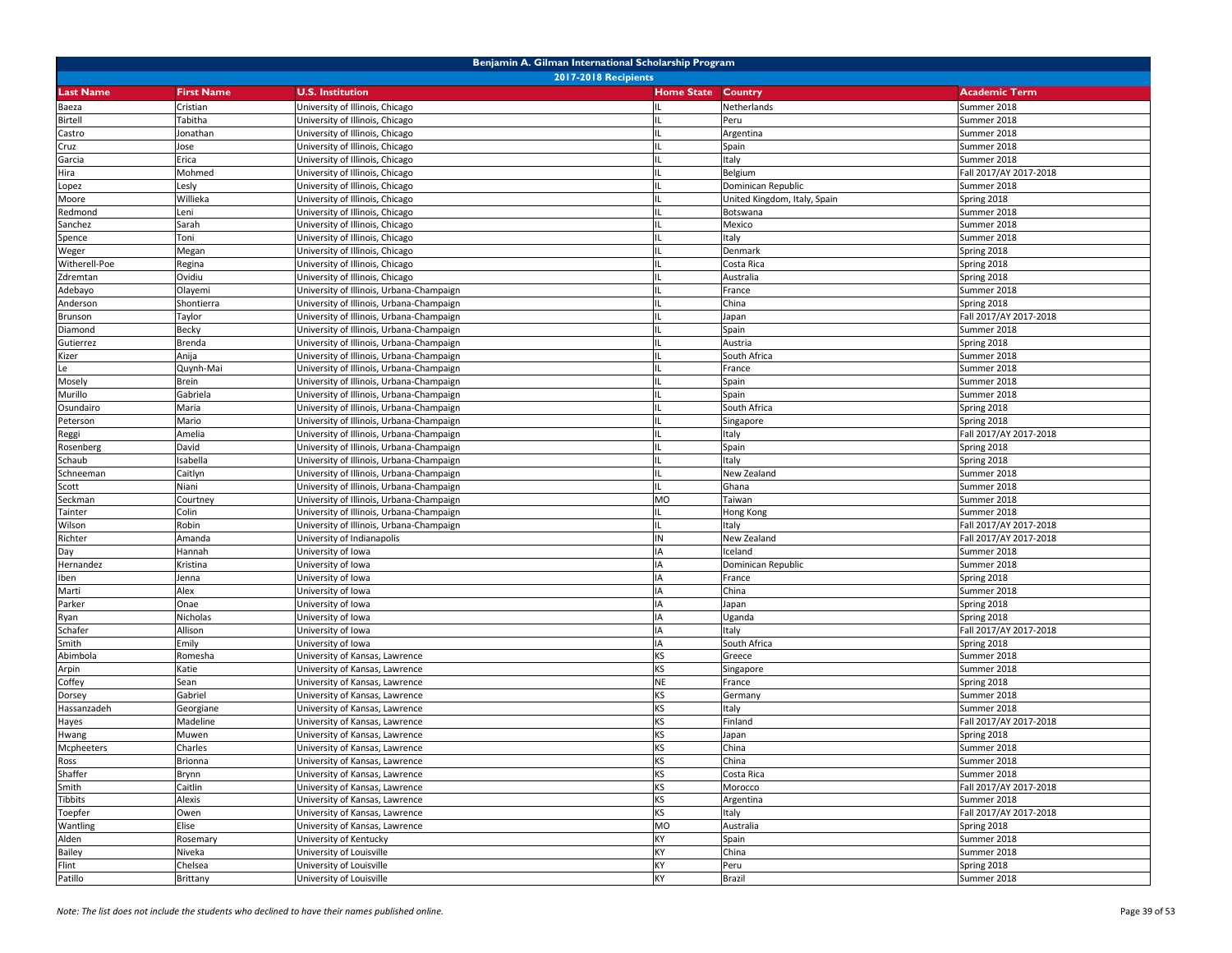| Benjamin A. Gilman International Scholarship Program |                   |                                          |                           |                              |                        |  |
|------------------------------------------------------|-------------------|------------------------------------------|---------------------------|------------------------------|------------------------|--|
|                                                      |                   | <b>2017-2018 Recipients</b>              |                           |                              |                        |  |
| <b>Last Name</b>                                     | <b>First Name</b> | <b>U.S. Institution</b>                  | <b>Home State Country</b> |                              | <b>Academic Term</b>   |  |
| Baeza                                                | Cristian          | University of Illinois, Chicago          | IL                        | Netherlands                  | Summer 2018            |  |
| <b>Birtell</b>                                       | Tabitha           | University of Illinois, Chicago          |                           | Peru                         | Summer 2018            |  |
| Castro                                               | Jonathan          | University of Illinois, Chicago          |                           | Argentina                    | Summer 2018            |  |
| Cruz                                                 | Jose              | University of Illinois, Chicago          |                           | Spain                        | Summer 2018            |  |
| Garcia                                               | Erica             | University of Illinois, Chicago          | IL                        | Italy                        | Summer 2018            |  |
| Hira                                                 | Mohmed            | University of Illinois, Chicago          |                           | Belgium                      | Fall 2017/AY 2017-2018 |  |
| Lopez                                                | Lesly             | University of Illinois, Chicago          |                           | Dominican Republic           | Summer 2018            |  |
| Moore                                                | Willieka          | University of Illinois, Chicago          |                           | United Kingdom, Italy, Spain | Spring 2018            |  |
| Redmond                                              | Leni              | University of Illinois, Chicago          |                           | Botswana                     | Summer 2018            |  |
| Sanchez                                              | Sarah             | University of Illinois, Chicago          | IL                        | Mexico                       | Summer 2018            |  |
| Spence                                               | Toni              | Jniversity of Illinois, Chicago          |                           | Italy                        | Summer 2018            |  |
| Weger                                                | Megan             | Jniversity of Illinois, Chicago          |                           | Denmark                      | Spring 2018            |  |
| Witherell-Poe                                        | Regina            | University of Illinois, Chicago          |                           | Costa Rica                   | Spring 2018            |  |
| Zdremtan                                             | Ovidiu            | University of Illinois, Chicago          |                           | Australia                    | Spring 2018            |  |
| Adebayo                                              | Olayemi           | University of Illinois, Urbana-Champaign | IL.                       | France                       | Summer 2018            |  |
| Anderson                                             | Shontierra        | Jniversity of Illinois, Urbana-Champaign |                           | China                        | Spring 2018            |  |
| Brunson                                              | Taylor            | University of Illinois, Urbana-Champaign |                           | Japan                        | Fall 2017/AY 2017-2018 |  |
| Diamond                                              | Becky             | University of Illinois, Urbana-Champaign |                           | Spain                        | Summer 2018            |  |
| Gutierrez                                            | Brenda            | University of Illinois, Urbana-Champaign |                           | Austria                      | Spring 2018            |  |
| Kizer                                                | Anija             | University of Illinois, Urbana-Champaign | IL                        | South Africa                 | Summer 2018            |  |
| Le                                                   | Quynh-Mai         | University of Illinois, Urbana-Champaign | IL                        | France                       | Summer 2018            |  |
| Mosely                                               | Brein             | University of Illinois, Urbana-Champaign | Ш.                        | Spain                        | Summer 2018            |  |
| Murillo                                              | Gabriela          | University of Illinois, Urbana-Champaign |                           | Spain                        | Summer 2018            |  |
| Osundairo                                            | Maria             | University of Illinois, Urbana-Champaign |                           | South Africa                 | Spring 2018            |  |
| Peterson                                             | Mario             | University of Illinois, Urbana-Champaign | IL                        | Singapore                    | Spring 2018            |  |
| Reggi                                                | Amelia            | Jniversity of Illinois, Urbana-Champaign |                           | Italy                        | Fall 2017/AY 2017-2018 |  |
| Rosenberg                                            | David             | Jniversity of Illinois, Urbana-Champaign |                           | Spain                        | Spring 2018            |  |
| Schaub                                               | Isabella          | University of Illinois, Urbana-Champaign |                           | Italy                        | Spring 2018            |  |
| Schneeman                                            | Caitlyn           | University of Illinois, Urbana-Champaign |                           | New Zealand                  | Summer 2018            |  |
| Scott                                                | Niani             | University of Illinois, Urbana-Champaign | IL                        | Ghana                        | Summer 2018            |  |
| Seckman                                              | Courtney          | University of Illinois, Urbana-Champaign | <b>MO</b>                 | Taiwan                       | Summer 2018            |  |
| Tainter                                              | Colin             | University of Illinois, Urbana-Champaign |                           | Hong Kong                    | Summer 2018            |  |
| Wilson                                               | Robin             | Jniversity of Illinois, Urbana-Champaign |                           | Italy                        | Fall 2017/AY 2017-2018 |  |
| Richter                                              | Amanda            | University of Indianapolis               | IN                        | New Zealand                  | Fall 2017/AY 2017-2018 |  |
| Day                                                  | Hannah            | University of Iowa                       | IA                        | Iceland                      | Summer 2018            |  |
| Hernandez                                            | Kristina          | University of Iowa                       | IA                        | Dominican Republic           | Summer 2018            |  |
| Iben                                                 | Jenna             | University of Iowa                       | IA                        | France                       | Spring 2018            |  |
| Marti                                                | Alex              | University of Iowa                       |                           | China                        | Summer 2018            |  |
| Parker                                               | Onae              | University of Iowa                       | IA                        | Japan                        | Spring 2018            |  |
| Ryan                                                 | Nicholas          | University of Iowa                       | IA                        | Uganda                       | Spring 2018            |  |
| Schafer                                              | Allison           | Jniversity of Iowa                       | IA                        | Italy                        | Fall 2017/AY 2017-2018 |  |
| Smith                                                | Emily             | Jniversity of Iowa                       | IA                        | South Africa                 | Spring 2018            |  |
| Abimbola                                             | Romesha           | University of Kansas, Lawrence           | KS                        | Greece                       | Summer 2018            |  |
| Arpin                                                | Katie             | University of Kansas, Lawrence           | <b>KS</b>                 | Singapore                    | Summer 2018            |  |
| Coffey                                               | Sean              | University of Kansas, Lawrence           | <b>NE</b>                 | France                       | Spring 2018            |  |
| Dorsey                                               | Gabriel           | Jniversity of Kansas, Lawrence           | <b>KS</b>                 | Germany                      | Summer 2018            |  |
| Hassanzadeh                                          | Georgiane         | Jniversity of Kansas, Lawrence           | <b>KS</b>                 | Italy                        | Summer 2018            |  |
| Hayes                                                | Madeline          | Jniversity of Kansas, Lawrence           | KS                        | Finland                      | Fall 2017/AY 2017-2018 |  |
| Hwang                                                | Muwen             | University of Kansas, Lawrence           | <b>KS</b>                 | Japan                        | Spring 2018            |  |
| Mcpheeters                                           | Charles           | University of Kansas, Lawrence           | <b>KS</b>                 | China                        | Summer 2018            |  |
| Ross                                                 | Brionna           | University of Kansas, Lawrence           | KS                        | China                        | Summer 2018            |  |
| Shaffer                                              | Brynn             | University of Kansas, Lawrence           | <b>KS</b>                 | Costa Rica                   | Summer 2018            |  |
| Smith                                                | Caitlin           | University of Kansas, Lawrence           | KS                        | Morocco                      | Fall 2017/AY 2017-2018 |  |
| <b>Tibbits</b>                                       | Alexis            | University of Kansas, Lawrence           | <b>KS</b>                 | Argentina                    | Summer 2018            |  |
| Toepfer                                              | Owen              | University of Kansas, Lawrence           | <b>KS</b>                 | Italy                        | Fall 2017/AY 2017-2018 |  |
| Wantling                                             | Elise             | University of Kansas, Lawrence           | <b>MO</b>                 | Australia                    | Spring 2018            |  |
| Alden                                                | Rosemary          | University of Kentucky                   | KY                        | Spain                        | Summer 2018            |  |
| <b>Bailey</b>                                        | Niveka            | University of Louisville                 | KY                        | China                        | Summer 2018            |  |
| Flint                                                | Chelsea           | University of Louisville                 | KY                        | Peru                         | Spring 2018            |  |
| Patillo                                              | Brittany          | University of Louisville                 | KY                        | Brazil                       | Summer 2018            |  |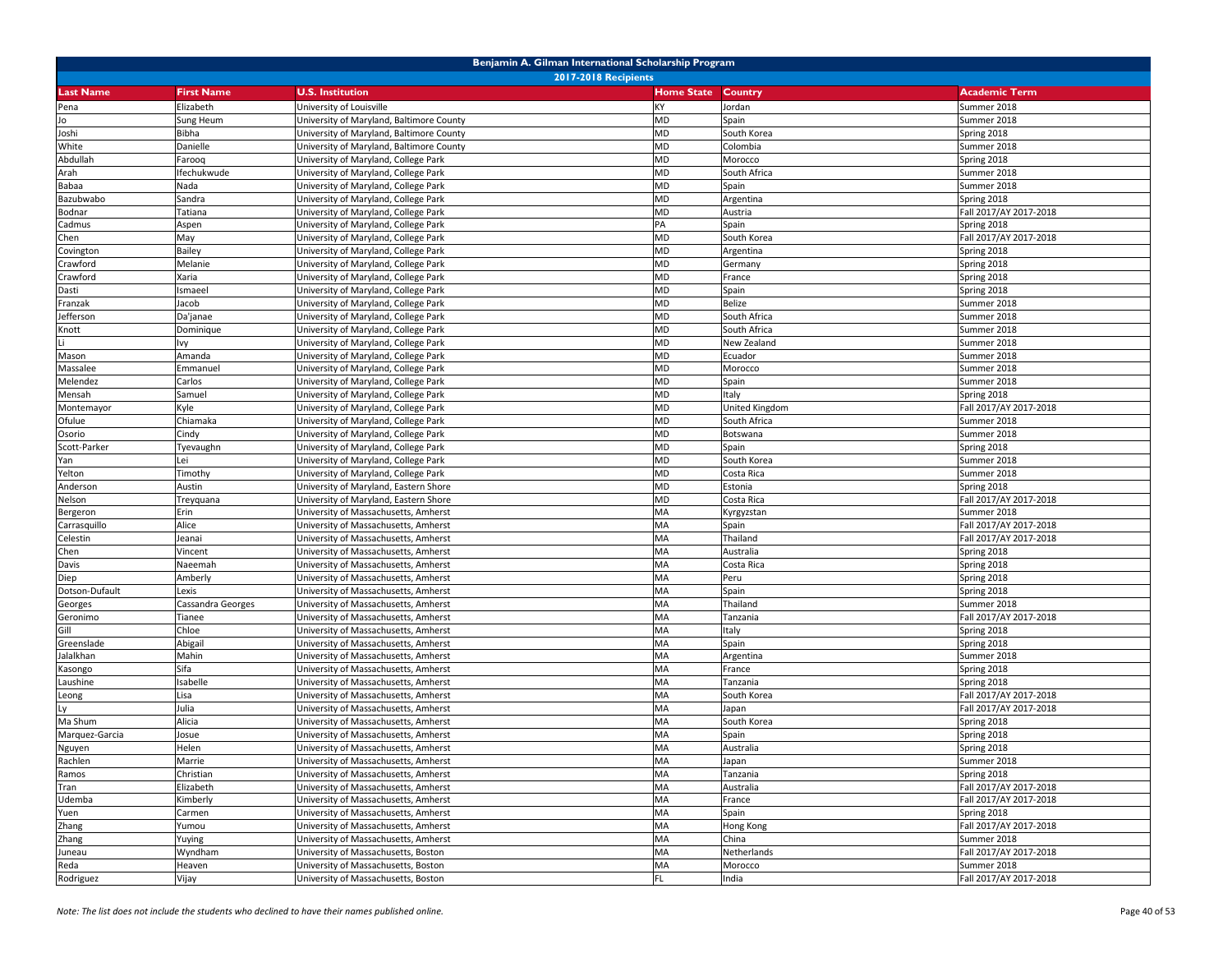| Benjamin A. Gilman International Scholarship Program |                             |                                                                              |                   |                   |                                       |  |  |  |
|------------------------------------------------------|-----------------------------|------------------------------------------------------------------------------|-------------------|-------------------|---------------------------------------|--|--|--|
|                                                      | <b>2017-2018 Recipients</b> |                                                                              |                   |                   |                                       |  |  |  |
| <b>Last Name</b>                                     | <b>First Name</b>           | <b>U.S. Institution</b>                                                      | <b>Home State</b> | Country           | <b>Academic Term</b>                  |  |  |  |
| Pena                                                 | Elizabeth                   | University of Louisville                                                     | KY                | Jordan            | Summer 2018                           |  |  |  |
| Jo                                                   | Sung Heum                   | Jniversity of Maryland, Baltimore County                                     | <b>MD</b>         | Spain             | Summer 2018                           |  |  |  |
| Joshi                                                | Bibha                       | University of Maryland, Baltimore County                                     | <b>MD</b>         | South Korea       | Spring 2018                           |  |  |  |
| White                                                | Danielle                    | University of Maryland, Baltimore County                                     | <b>MD</b>         | Colombia          | Summer 2018                           |  |  |  |
| Abdullah                                             | Farooq                      | University of Maryland, College Park                                         | <b>MD</b>         | Morocco           | Spring 2018                           |  |  |  |
| Arah                                                 | Ifechukwude                 | University of Maryland, College Park                                         | <b>MD</b>         | South Africa      | Summer 2018                           |  |  |  |
| Babaa                                                | Nada                        | University of Maryland, College Park                                         | <b>MD</b>         | Spain             | Summer 2018                           |  |  |  |
| Bazubwabo                                            | Sandra                      | University of Maryland, College Park                                         | <b>MD</b>         | Argentina         | Spring 2018                           |  |  |  |
| Bodnar                                               | Tatiana                     | Jniversity of Maryland, College Park                                         | <b>MD</b>         | Austria           | Fall 2017/AY 2017-2018                |  |  |  |
| Cadmus                                               | Aspen                       | University of Maryland, College Park                                         | PA                | Spain             | Spring 2018                           |  |  |  |
| Chen                                                 | May                         | University of Maryland, College Park                                         | <b>MD</b>         | South Korea       | Fall 2017/AY 2017-2018                |  |  |  |
| Covington                                            | Bailey                      | University of Maryland, College Park                                         | MD                | Argentina         | Spring 2018                           |  |  |  |
| Crawford                                             | Melanie                     | University of Maryland, College Park                                         | <b>MD</b>         | Germany           | Spring 2018                           |  |  |  |
| Crawford                                             | Xaria                       | University of Maryland, College Park                                         | <b>MD</b>         | France            | Spring 2018                           |  |  |  |
| Dasti                                                | Ismaeel                     | University of Maryland, College Park                                         | MD                | Spain             | Spring 2018                           |  |  |  |
| Franzak                                              | Jacob                       | University of Maryland, College Park                                         | <b>MD</b>         | Belize            | Summer 2018                           |  |  |  |
| Jefferson                                            | Da'janae                    | University of Maryland, College Park                                         | <b>MD</b>         | South Africa      | Summer 2018                           |  |  |  |
| Knott                                                | Dominique                   | University of Maryland, College Park                                         | <b>MD</b>         | South Africa      | Summer 2018                           |  |  |  |
|                                                      | lvy                         | University of Maryland, College Park                                         | <b>MD</b>         | New Zealand       | Summer 2018                           |  |  |  |
| Mason                                                | Amanda                      | University of Maryland, College Park                                         | <b>MD</b>         | Ecuador           | Summer 2018                           |  |  |  |
| Massalee                                             | Emmanuel                    | University of Maryland, College Park                                         | <b>MD</b>         | Morocco           | Summer 2018                           |  |  |  |
| Melendez                                             | Carlos                      | University of Maryland, College Park                                         | MD                | Spain             | Summer 2018                           |  |  |  |
| Mensah                                               | Samuel                      | University of Maryland, College Park                                         | <b>MD</b>         | Italy             | Spring 2018                           |  |  |  |
| Montemayor                                           | Kyle                        | Jniversity of Maryland, College Park                                         | <b>MD</b>         | United Kingdom    | Fall 2017/AY 2017-2018                |  |  |  |
| Ofulue                                               | Chiamaka                    | University of Maryland, College Park                                         | <b>MD</b>         | South Africa      | Summer 2018                           |  |  |  |
| Osorio                                               | Cindy                       | University of Maryland, College Park                                         | <b>MD</b>         | Botswana          | Summer 2018                           |  |  |  |
| Scott-Parker                                         | Tyevaughn                   | University of Maryland, College Park                                         | MD                | Spain             | Spring 2018                           |  |  |  |
| Yan                                                  | Lei                         | University of Maryland, College Park                                         | <b>MD</b>         | South Korea       | Summer 2018                           |  |  |  |
| Yelton                                               | Timothy                     | Jniversity of Maryland, College Park                                         | <b>MD</b>         | Costa Rica        | Summer 2018                           |  |  |  |
| Anderson                                             | Austin                      | University of Maryland, Eastern Shore                                        | <b>MD</b>         | Estonia           | Spring 2018                           |  |  |  |
| Nelson                                               | Treyquana                   | University of Maryland, Eastern Shore                                        | <b>MD</b><br>MA   | Costa Rica        | Fall 2017/AY 2017-2018                |  |  |  |
| Bergeron                                             | Erin<br>Alice               | University of Massachusetts, Amherst                                         | MA                | Kyrgyzstan        | Summer 2018<br>Fall 2017/AY 2017-2018 |  |  |  |
| Carrasquillo<br>Celestin                             | leanai                      | University of Massachusetts, Amherst<br>University of Massachusetts, Amherst | MA                | Spain<br>Thailand | Fall 2017/AY 2017-2018                |  |  |  |
| Chen                                                 | Vincent                     | University of Massachusetts, Amherst                                         | MA                | Australia         | Spring 2018                           |  |  |  |
| Davis                                                | Naeemah                     | University of Massachusetts, Amherst                                         | MA                | Costa Rica        | Spring 2018                           |  |  |  |
| Diep                                                 | Amberly                     | University of Massachusetts, Amherst                                         | MA                | Peru              | Spring 2018                           |  |  |  |
| Dotson-Dufault                                       | Lexis                       | University of Massachusetts, Amherst                                         | MA                | Spain             | Spring 2018                           |  |  |  |
| Georges                                              | Cassandra Georges           | University of Massachusetts, Amherst                                         | MA                | Thailand          | Summer 2018                           |  |  |  |
| Geronimo                                             | Tianee                      | University of Massachusetts, Amherst                                         | MA                | Tanzania          | Fall 2017/AY 2017-2018                |  |  |  |
| Gill                                                 | Chloe                       | University of Massachusetts, Amherst                                         | MA                | Italy             | Spring 2018                           |  |  |  |
| Greenslade                                           | Abigail                     | University of Massachusetts, Amherst                                         | MA                | Spain             | Spring 2018                           |  |  |  |
| Jalalkhan                                            | Mahin                       | Jniversity of Massachusetts, Amherst                                         | MA                | Argentina         | Summer 2018                           |  |  |  |
| Kasongo                                              | Sifa                        | Jniversity of Massachusetts, Amherst                                         | MA                | France            | Spring 2018                           |  |  |  |
| Laushine                                             | Isabelle                    | University of Massachusetts, Amherst                                         | MA                | Tanzania          | Spring 2018                           |  |  |  |
| Leong                                                | Lisa                        | Jniversity of Massachusetts, Amherst                                         | MA                | South Korea       | Fall 2017/AY 2017-2018                |  |  |  |
| Ly                                                   | Julia                       | Jniversity of Massachusetts, Amherst                                         | MA                | Japan             | Fall 2017/AY 2017-2018                |  |  |  |
| Ma Shum                                              | Alicia                      | University of Massachusetts, Amherst                                         | MA                | South Korea       | Spring 2018                           |  |  |  |
| Marquez-Garcia                                       | Josue                       | University of Massachusetts, Amherst                                         | MA                | Spain             | Spring 2018                           |  |  |  |
| Nguyen                                               | Helen                       | University of Massachusetts, Amherst                                         | MA                | Australia         | Spring 2018                           |  |  |  |
| Rachlen                                              | Marrie                      | University of Massachusetts, Amherst                                         | MA                | Japan             | Summer 2018                           |  |  |  |
| Ramos                                                | Christian                   | University of Massachusetts, Amherst                                         | MA                | Tanzania          | Spring 2018                           |  |  |  |
| Tran                                                 | Elizabeth                   | University of Massachusetts, Amherst                                         | MA                | Australia         | Fall 2017/AY 2017-2018                |  |  |  |
| Udemba                                               | Kimberly                    | University of Massachusetts, Amherst                                         | MA                | France            | Fall 2017/AY 2017-2018                |  |  |  |
| Yuen                                                 | Carmen                      | University of Massachusetts, Amherst                                         | MA                | Spain             | Spring 2018                           |  |  |  |
| Zhang                                                | Yumou                       | University of Massachusetts, Amherst                                         | MA                | Hong Kong         | Fall 2017/AY 2017-2018                |  |  |  |
| Zhang                                                | Yuying                      | University of Massachusetts, Amherst                                         | MA                | China             | Summer 2018                           |  |  |  |
| uneau                                                | Wyndham                     | University of Massachusetts, Boston                                          | MA                | Netherlands       | Fall 2017/AY 2017-2018                |  |  |  |
| Reda                                                 | Heaven                      | University of Massachusetts, Boston                                          | MA                | Morocco           | Summer 2018                           |  |  |  |
| Rodriguez                                            | Vijay                       | University of Massachusetts, Boston                                          | <b>FL</b>         | India             | Fall 2017/AY 2017-2018                |  |  |  |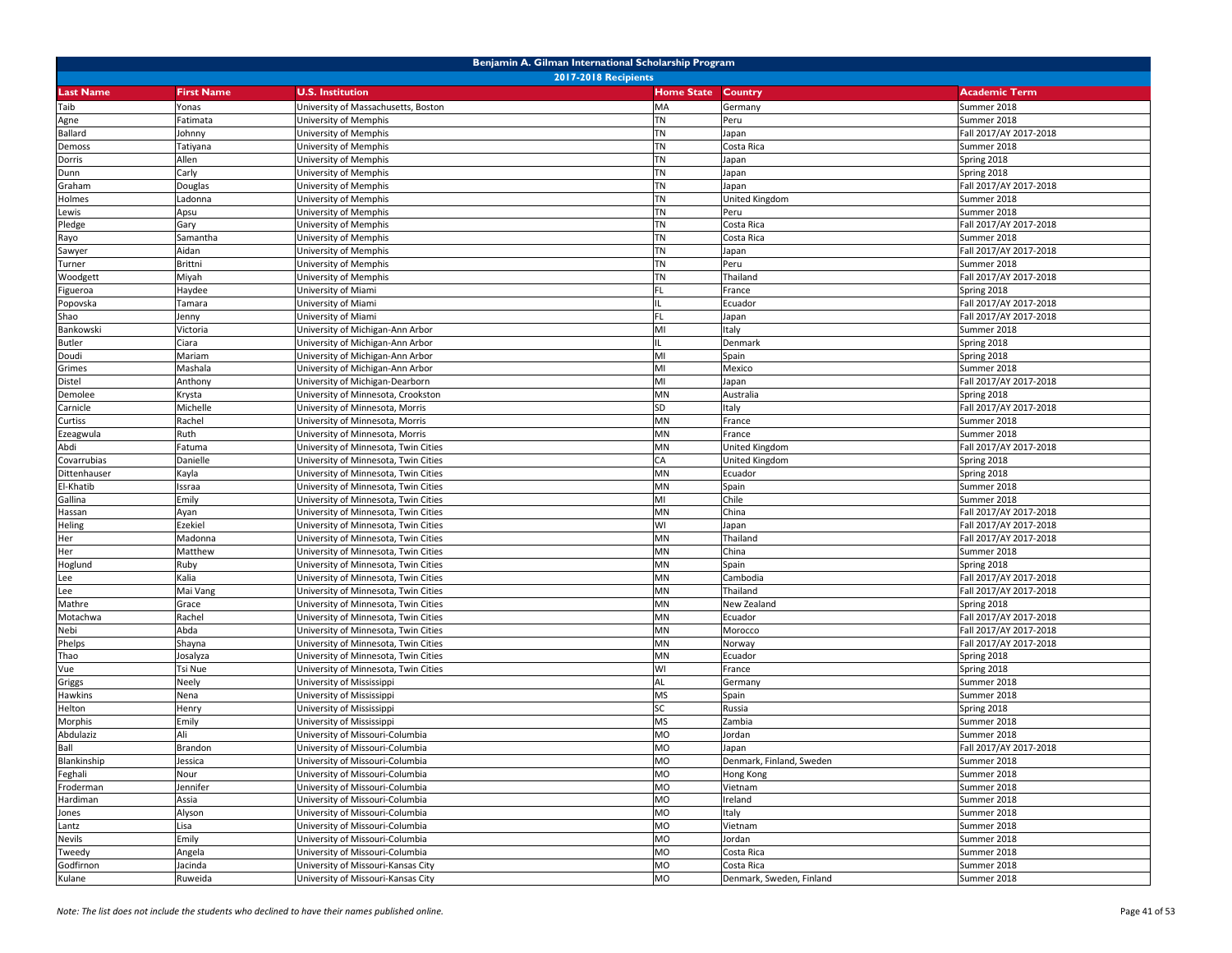| Benjamin A. Gilman International Scholarship Program |                   |                                      |                   |                          |                        |  |
|------------------------------------------------------|-------------------|--------------------------------------|-------------------|--------------------------|------------------------|--|
|                                                      |                   | <b>2017-2018 Recipients</b>          |                   |                          |                        |  |
| <b>Last Name</b>                                     | <b>First Name</b> | <b>U.S. Institution</b>              | <b>Home State</b> | Country                  | <b>Academic Term</b>   |  |
| Taib                                                 | Yonas             | University of Massachusetts, Boston  | MA                | Germany                  | Summer 2018            |  |
| Agne                                                 | Fatimata          | University of Memphis                | <b>TN</b>         | Peru                     | Summer 2018            |  |
| Ballard                                              | Johnny            | Jniversity of Memphis                | <b>TN</b>         | Japan                    | Fall 2017/AY 2017-2018 |  |
| Demoss                                               | Tatiyana          | University of Memphis                | <b>TN</b>         | Costa Rica               | Summer 2018            |  |
| Dorris                                               | Allen             | University of Memphis                | <b>TN</b>         | Japan                    | Spring 2018            |  |
| Dunn                                                 | Carly             | University of Memphis                | <b>TN</b>         | Japan                    | Spring 2018            |  |
| Graham                                               | Douglas           | University of Memphis                | <b>TN</b>         | Japan                    | Fall 2017/AY 2017-2018 |  |
| Holmes                                               | Ladonna           | University of Memphis                | <b>TN</b>         | United Kingdom           | Summer 2018            |  |
| Lewis                                                | Apsu              | University of Memphis                | <b>TN</b>         | Peru                     | Summer 2018            |  |
| Pledge                                               | Gary              | University of Memphis                | <b>TN</b>         | Costa Rica               | Fall 2017/AY 2017-2018 |  |
| Rayo                                                 | Samantha          | Jniversity of Memphis                | <b>TN</b>         | Costa Rica               | Summer 2018            |  |
| Sawyer                                               | Aidan             | Jniversity of Memphis                | <b>TN</b>         | Japan                    | Fall 2017/AY 2017-2018 |  |
| Turner                                               | Brittni           | University of Memphis                | <b>TN</b>         | Peru                     | Summer 2018            |  |
| Woodgett                                             | Miyah             | University of Memphis                | <b>TN</b>         | Thailand                 | Fall 2017/AY 2017-2018 |  |
| Figueroa                                             | Haydee            | University of Miami                  | <b>FL</b>         | France                   | Spring 2018            |  |
| Popovska                                             | Tamara            | University of Miami                  |                   | Ecuador                  | Fall 2017/AY 2017-2018 |  |
| Shao                                                 | lenny             | University of Miami                  | <b>FL</b>         | Japan                    | Fall 2017/AY 2017-2018 |  |
| Bankowski                                            | Victoria          | Jniversity of Michigan-Ann Arbor     | MI                | Italy                    | Summer 2018            |  |
| <b>Butler</b>                                        | Ciara             | University of Michigan-Ann Arbor     |                   | Denmark                  | Spring 2018            |  |
| Doudi                                                | Mariam            | University of Michigan-Ann Arbor     | MI                | Spain                    | Spring 2018            |  |
| Grimes                                               | Mashala           | University of Michigan-Ann Arbor     | MI                | Mexico                   | Summer 2018            |  |
| Distel                                               | Anthony           | University of Michigan-Dearborn      | MI                | Japan                    | Fall 2017/AY 2017-2018 |  |
| Demolee                                              | Krysta            | University of Minnesota, Crookston   | MN                | Australia                | Spring 2018            |  |
| Carnicle                                             | Michelle          | University of Minnesota, Morris      | <b>SD</b>         | Italy                    | Fall 2017/AY 2017-2018 |  |
| Curtiss                                              | Rachel            | University of Minnesota, Morris      | MN                | France                   | Summer 2018            |  |
| Ezeagwula                                            | Ruth              | Jniversity of Minnesota, Morris      | MN                | France                   | Summer 2018            |  |
| Abdi                                                 | Fatuma            | Jniversity of Minnesota, Twin Cities | MN                | United Kingdom           | Fall 2017/AY 2017-2018 |  |
| Covarrubias                                          | Danielle          | University of Minnesota, Twin Cities | CA                | United Kingdom           | Spring 2018            |  |
| Dittenhauser                                         | Kayla             | University of Minnesota, Twin Cities | MN                | Ecuador                  | Spring 2018            |  |
| El-Khatib                                            | Issraa            | University of Minnesota, Twin Cities | MN                | Spain                    | Summer 2018            |  |
| Gallina                                              | Emily             | University of Minnesota, Twin Cities | MI                | Chile                    | Summer 2018            |  |
| Hassan                                               | Ayan              | University of Minnesota, Twin Cities | MN                | China                    | Fall 2017/AY 2017-2018 |  |
| Heling                                               | Ezekiel           | University of Minnesota, Twin Cities | WI                | Japan                    | Fall 2017/AY 2017-2018 |  |
| Her                                                  | Madonna           | University of Minnesota, Twin Cities | MN                | Thailand                 | Fall 2017/AY 2017-2018 |  |
| Her                                                  | Matthew           | University of Minnesota, Twin Cities | MN                | China                    | Summer 2018            |  |
| Hoglund                                              | Ruby              | University of Minnesota, Twin Cities | MN                | Spain                    | Spring 2018            |  |
| Lee                                                  | Kalia             | University of Minnesota, Twin Cities | MN                | Cambodia                 | Fall 2017/AY 2017-2018 |  |
| Lee                                                  | Mai Vang          | University of Minnesota, Twin Cities | MN                | Thailand                 | Fall 2017/AY 2017-2018 |  |
| Mathre                                               | Grace             | University of Minnesota, Twin Cities | MN                | New Zealand              | Spring 2018            |  |
| Motachwa                                             | Rachel            | University of Minnesota, Twin Cities | MN                | Ecuador                  | Fall 2017/AY 2017-2018 |  |
| Nebi                                                 | Abda              | Jniversity of Minnesota, Twin Cities | MN                | Morocco                  | Fall 2017/AY 2017-2018 |  |
| Phelps                                               | Shayna            | Jniversity of Minnesota, Twin Cities | MN                | Norway                   | Fall 2017/AY 2017-2018 |  |
| Thao                                                 | Josalyza          | University of Minnesota, Twin Cities | MN                | Ecuador                  | Spring 2018            |  |
| Vue                                                  | Tsi Nue           | University of Minnesota, Twin Cities | WI                | France                   | Spring 2018            |  |
| Griggs                                               | Neely             | University of Mississippi            | AL                | Germany                  | Summer 2018            |  |
| Hawkins                                              | Nena              | Jniversity of Mississippi            | <b>MS</b>         | Spain                    | Summer 2018            |  |
| Helton                                               | Henry             | Jniversity of Mississippi            | <b>SC</b>         | Russia                   | Spring 2018            |  |
| Morphis                                              | Emily             | Jniversity of Mississippi            | <b>MS</b>         | Zambia                   | Summer 2018            |  |
| Abdulaziz                                            | Ali               | University of Missouri-Columbia      | <b>MO</b>         | Jordan                   | Summer 2018            |  |
| Ball                                                 | Brandon           | University of Missouri-Columbia      | <b>MO</b>         | Japan                    | Fall 2017/AY 2017-2018 |  |
| Blankinship                                          | Jessica           | University of Missouri-Columbia      | MO                | Denmark, Finland, Sweden | Summer 2018            |  |
| Feghali                                              | Nour              | University of Missouri-Columbia      | MO                | Hong Kong                | Summer 2018            |  |
| Froderman                                            | lennifer          | University of Missouri-Columbia      | <b>MO</b>         | Vietnam                  | Summer 2018            |  |
| Hardiman                                             | Assia             | University of Missouri-Columbia      | <b>MO</b>         | Ireland                  | Summer 2018            |  |
| Jones                                                | Alyson            | University of Missouri-Columbia      | <b>MO</b>         | Italy                    | Summer 2018            |  |
| Lantz                                                | Lisa              | University of Missouri-Columbia      | <b>MO</b>         | Vietnam                  | Summer 2018            |  |
| Nevils                                               | Emily             | University of Missouri-Columbia      | <b>MO</b>         | Jordan                   | Summer 2018            |  |
| Tweedy                                               | Angela            | University of Missouri-Columbia      | MO                | Costa Rica               | Summer 2018            |  |
| Godfirnon                                            | Jacinda           | University of Missouri-Kansas City   | <b>MO</b>         | Costa Rica               | Summer 2018            |  |
| Kulane                                               | Ruweida           | University of Missouri-Kansas City   | MO                | Denmark, Sweden, Finland | Summer 2018            |  |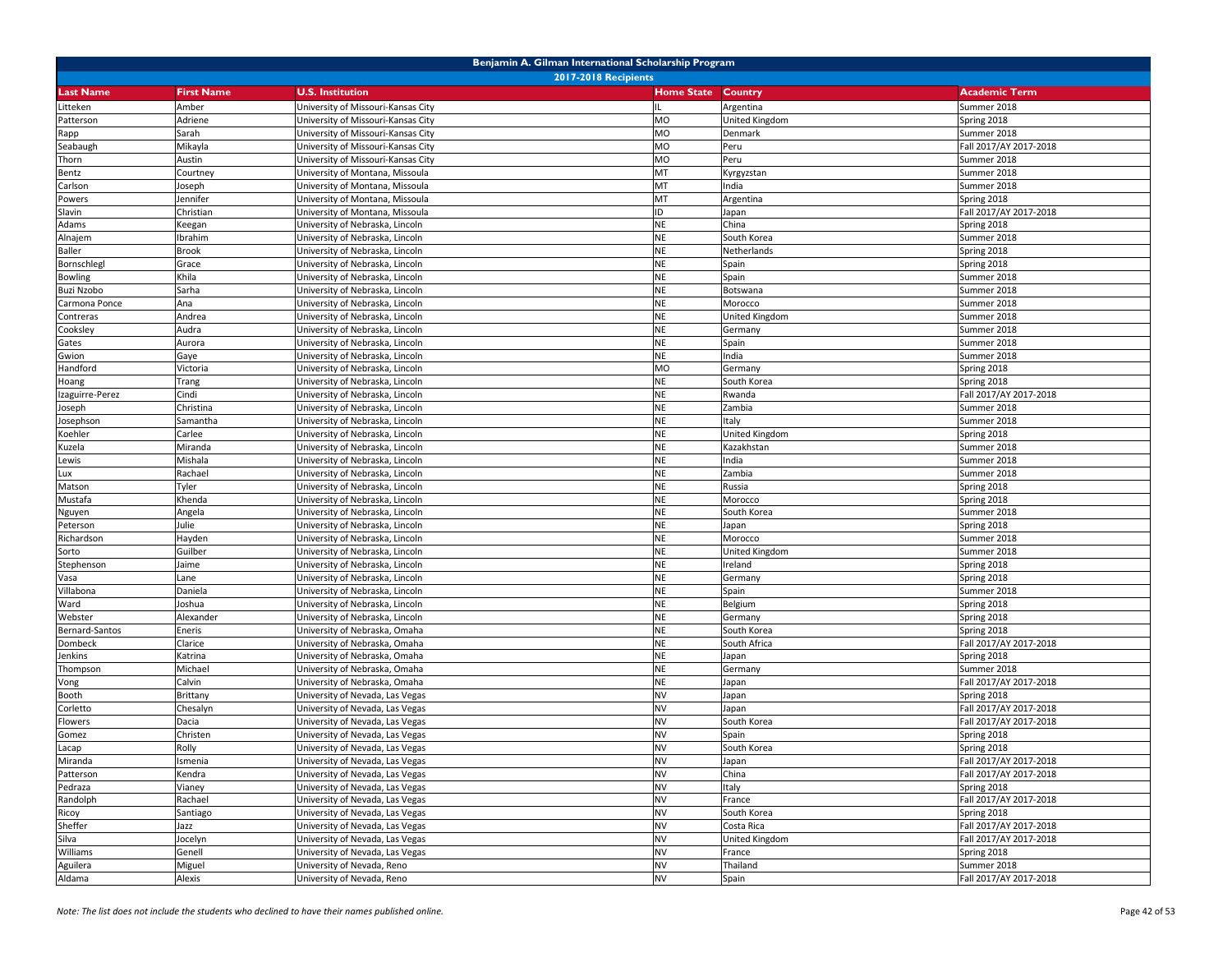| Benjamin A. Gilman International Scholarship Program |                             |                                    |                   |                       |                        |  |  |  |
|------------------------------------------------------|-----------------------------|------------------------------------|-------------------|-----------------------|------------------------|--|--|--|
|                                                      | <b>2017-2018 Recipients</b> |                                    |                   |                       |                        |  |  |  |
| Last Name                                            | <b>First Name</b>           | <b>U.S. Institution</b>            | <b>Home State</b> | Country               | <b>Academic Term</b>   |  |  |  |
| Litteken                                             | Amber                       | Jniversity of Missouri-Kansas City |                   | Argentina             | Summer 2018            |  |  |  |
| Patterson                                            | Adriene                     | Jniversity of Missouri-Kansas City | <b>MO</b>         | United Kingdom        | Spring 2018            |  |  |  |
| Rapp                                                 | Sarah                       | University of Missouri-Kansas City | <b>MO</b>         | Denmark               | Summer 2018            |  |  |  |
| Seabaugh                                             | Mikayla                     | University of Missouri-Kansas City | <b>MO</b>         | Peru                  | Fall 2017/AY 2017-2018 |  |  |  |
| Thorn                                                | Austin                      | University of Missouri-Kansas City | <b>MO</b>         | Peru                  | Summer 2018            |  |  |  |
| Bentz                                                | Courtney                    | University of Montana, Missoula    | MT                | Kyrgyzstan            | Summer 2018            |  |  |  |
| Carlson                                              | Joseph                      | University of Montana, Missoula    | MT                | India                 | Summer 2018            |  |  |  |
| Powers                                               | lennifer                    | Jniversity of Montana, Missoula    | MT                | Argentina             | Spring 2018            |  |  |  |
| Slavin                                               | Christian                   | Jniversity of Montana, Missoula    | ID                | Japan                 | Fall 2017/AY 2017-2018 |  |  |  |
| Adams                                                | Keegan                      | University of Nebraska, Lincoln    | <b>NE</b>         | China                 | Spring 2018            |  |  |  |
| Alnajem                                              | Ibrahim                     | University of Nebraska, Lincoln    | <b>NE</b>         | South Korea           | Summer 2018            |  |  |  |
| Baller                                               | <b>Brook</b>                | University of Nebraska, Lincoln    | <b>NE</b>         | Netherlands           | Spring 2018            |  |  |  |
| Bornschlegl                                          | Grace                       | University of Nebraska, Lincoln    | <b>NE</b>         | Spain                 | Spring 2018            |  |  |  |
| <b>Bowling</b>                                       | Khila                       | University of Nebraska, Lincoln    | <b>NE</b>         | Spain                 | Summer 2018            |  |  |  |
| <b>Buzi Nzobo</b>                                    | Sarha                       | University of Nebraska, Lincoln    | <b>NE</b>         | Botswana              | Summer 2018            |  |  |  |
| Carmona Ponce                                        | Ana                         | University of Nebraska, Lincoln    | <b>NE</b>         | Morocco               | Summer 2018            |  |  |  |
| Contreras                                            | Andrea                      | University of Nebraska, Lincoln    | <b>NE</b>         | United Kingdom        | Summer 2018            |  |  |  |
| Cooksley                                             | Audra                       | University of Nebraska, Lincoln    | <b>NE</b>         | Germany               | Summer 2018            |  |  |  |
| Gates                                                | Aurora                      | University of Nebraska, Lincoln    | <b>NE</b>         | Spain                 | Summer 2018            |  |  |  |
| Gwion                                                | Gaye                        | University of Nebraska, Lincoln    | <b>NE</b>         | India                 | Summer 2018            |  |  |  |
| Handford                                             | Victoria                    | University of Nebraska, Lincoln    | <b>MO</b>         | Germany               | Spring 2018            |  |  |  |
| Hoang                                                | Trang                       | University of Nebraska, Lincoln    | <b>NE</b>         | South Korea           | Spring 2018            |  |  |  |
| Izaguirre-Perez                                      | Cindi                       | University of Nebraska, Lincoln    | <b>NE</b>         | Rwanda                | Fall 2017/AY 2017-2018 |  |  |  |
| loseph                                               | Christina                   | Jniversity of Nebraska, Lincoln    | <b>NE</b>         | Zambia                | Summer 2018            |  |  |  |
| Josephson                                            | Samantha                    | University of Nebraska, Lincoln    | <b>NE</b>         | Italy                 | Summer 2018            |  |  |  |
| Koehler                                              | Carlee                      | University of Nebraska, Lincoln    | <b>NE</b>         | United Kingdom        | Spring 2018            |  |  |  |
| Kuzela                                               | Miranda                     | University of Nebraska, Lincoln    | <b>NE</b>         | Kazakhstan            | Summer 2018            |  |  |  |
| Lewis                                                | Mishala                     | University of Nebraska, Lincoln    | <b>NE</b>         | India                 | Summer 2018            |  |  |  |
| Lux                                                  | Rachael                     | Jniversity of Nebraska, Lincoln    | <b>NE</b>         | Zambia                | Summer 2018            |  |  |  |
| Matson                                               | Tyler                       | University of Nebraska, Lincoln    | <b>NE</b>         | Russia                | Spring 2018            |  |  |  |
| Mustafa                                              | Khenda                      | Jniversity of Nebraska, Lincoln    | <b>NE</b>         | Morocco               | Spring 2018            |  |  |  |
| Nguyen                                               | Angela                      | University of Nebraska, Lincoln    | <b>NE</b>         | South Korea           | Summer 2018            |  |  |  |
| Peterson                                             | Julie                       | University of Nebraska, Lincoln    | <b>NE</b>         | Japan                 | Spring 2018            |  |  |  |
| Richardson                                           | Hayden                      | University of Nebraska, Lincoln    | <b>NE</b>         | Morocco               | Summer 2018            |  |  |  |
| Sorto                                                | Guilber                     | University of Nebraska, Lincoln    | <b>NE</b>         | <b>United Kingdom</b> | Summer 2018            |  |  |  |
| Stephenson                                           | Jaime                       | University of Nebraska, Lincoln    | <b>NE</b>         | Ireland               | Spring 2018            |  |  |  |
| Vasa                                                 | Lane                        | University of Nebraska, Lincoln    | <b>NE</b>         | Germany               | Spring 2018            |  |  |  |
| Villabona                                            | Daniela                     | Jniversity of Nebraska, Lincoln    | <b>NE</b>         | Spain                 | Summer 2018            |  |  |  |
| Ward                                                 | Ioshua                      | Jniversity of Nebraska, Lincoln    | <b>NE</b>         | Belgium               | Spring 2018            |  |  |  |
| Webster                                              | Alexander                   | University of Nebraska, Lincoln    | <b>NE</b>         | Germany               | Spring 2018            |  |  |  |
| Bernard-Santos                                       | Eneris                      | University of Nebraska, Omaha      | <b>NE</b>         | South Korea           | Spring 2018            |  |  |  |
| Dombeck                                              | Clarice                     | University of Nebraska, Omaha      | <b>NE</b>         | South Africa          | Fall 2017/AY 2017-2018 |  |  |  |
| Jenkins                                              | Katrina                     | Jniversity of Nebraska, Omaha      | <b>NE</b>         | Japan                 | Spring 2018            |  |  |  |
| Thompson                                             | Michael                     | Jniversity of Nebraska, Omaha      | <b>NE</b>         | Germany               | Summer 2018            |  |  |  |
| Vong                                                 | Calvin                      | University of Nebraska, Omaha      | <b>NE</b>         | Japan                 | Fall 2017/AY 2017-2018 |  |  |  |
| Booth                                                | Brittany                    | Jniversity of Nevada, Las Vegas    | <b>NV</b>         | Japan                 | Spring 2018            |  |  |  |
| Corletto                                             | Chesalyn                    | Jniversity of Nevada, Las Vegas    | <b>NV</b>         | Japan                 | Fall 2017/AY 2017-2018 |  |  |  |
| Flowers                                              | Dacia                       | University of Nevada, Las Vegas    | <b>NV</b>         | South Korea           | Fall 2017/AY 2017-2018 |  |  |  |
| Gomez                                                | Christen                    | University of Nevada, Las Vegas    | <b>NV</b>         | Spain                 | Spring 2018            |  |  |  |
| Lacap                                                | Rolly                       | University of Nevada, Las Vegas    | <b>NV</b>         | South Korea           | Spring 2018            |  |  |  |
| Miranda                                              | Ismenia                     | University of Nevada, Las Vegas    | <b>NV</b>         | Japan                 | Fall 2017/AY 2017-2018 |  |  |  |
| Patterson                                            | Kendra                      | University of Nevada, Las Vegas    | <b>NV</b>         | China                 | Fall 2017/AY 2017-2018 |  |  |  |
| Pedraza                                              | Vianey                      | University of Nevada, Las Vegas    | <b>NV</b>         | Italy                 | Spring 2018            |  |  |  |
| Randolph                                             | Rachael                     | University of Nevada, Las Vegas    | <b>NV</b>         | France                | Fall 2017/AY 2017-2018 |  |  |  |
| Ricoy                                                | Santiago                    | University of Nevada, Las Vegas    | <b>NV</b>         | South Korea           | Spring 2018            |  |  |  |
| Sheffer                                              | Jazz                        | University of Nevada, Las Vegas    | <b>NV</b>         | Costa Rica            | Fall 2017/AY 2017-2018 |  |  |  |
| Silva                                                | Jocelyn                     | University of Nevada, Las Vegas    | <b>NV</b>         | United Kingdom        | Fall 2017/AY 2017-2018 |  |  |  |
| Williams                                             | Genell                      | University of Nevada, Las Vegas    | <b>NV</b>         | France                | Spring 2018            |  |  |  |
| Aguilera                                             | Miguel                      | University of Nevada, Reno         | <b>NV</b>         | Thailand              | Summer 2018            |  |  |  |
| Aldama                                               | Alexis                      | University of Nevada, Reno         | <b>NV</b>         | Spain                 | Fall 2017/AY 2017-2018 |  |  |  |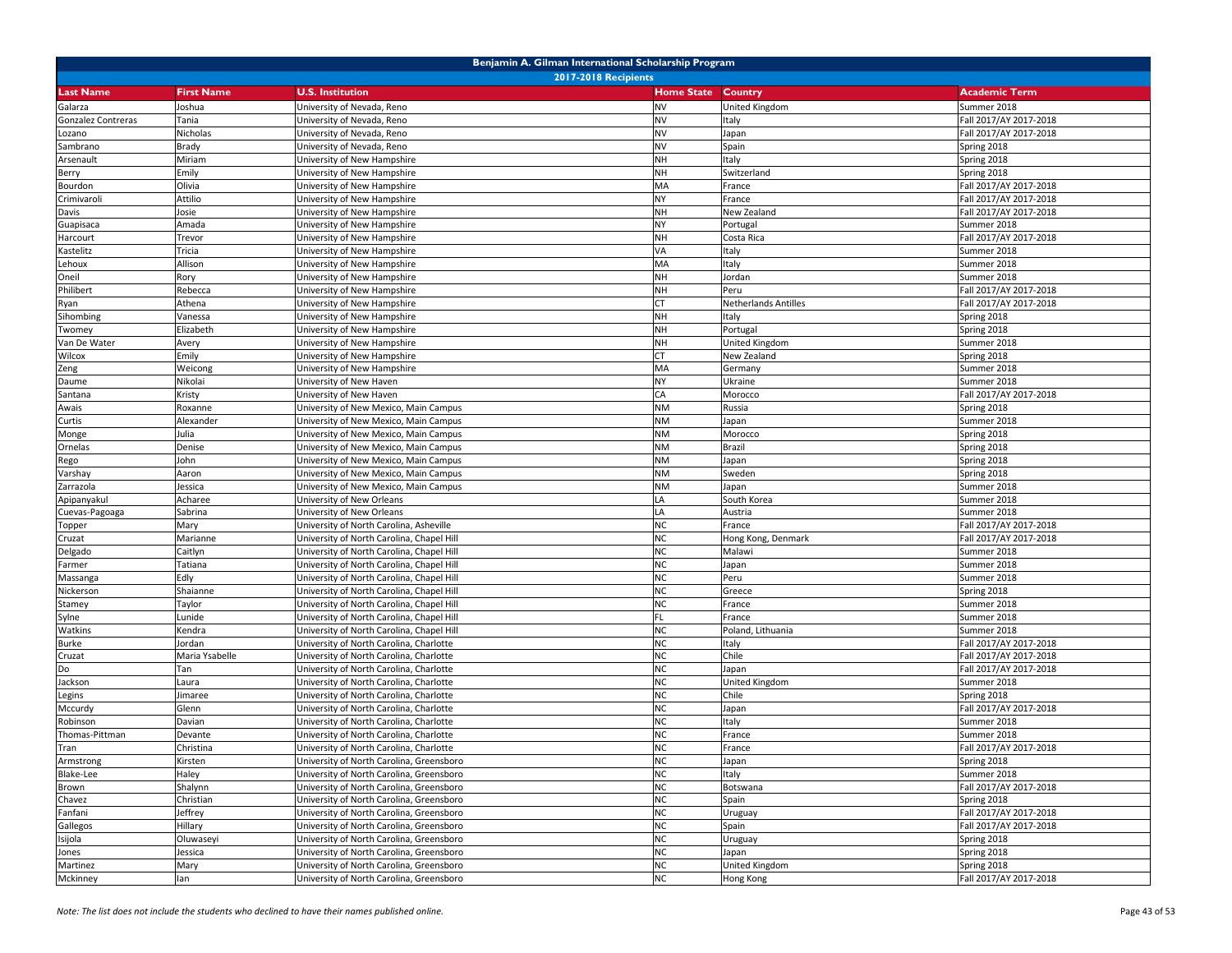| Benjamin A. Gilman International Scholarship Program |                   |                                           |                           |                      |                        |  |
|------------------------------------------------------|-------------------|-------------------------------------------|---------------------------|----------------------|------------------------|--|
|                                                      |                   | <b>2017-2018 Recipients</b>               |                           |                      |                        |  |
| <b>Last Name</b>                                     | <b>First Name</b> | <b>U.S. Institution</b>                   | <b>Home State Country</b> |                      | <b>Academic Term</b>   |  |
| Galarza                                              | Joshua            | University of Nevada, Reno                | <b>NV</b>                 | United Kingdom       | Summer 2018            |  |
| Gonzalez Contreras                                   | Tania             | University of Nevada, Reno                | <b>NV</b>                 | Italy                | Fall 2017/AY 2017-2018 |  |
| Lozano                                               | Nicholas          | University of Nevada, Reno                | <b>NV</b>                 | Japan                | Fall 2017/AY 2017-2018 |  |
| Sambrano                                             | Brady             | University of Nevada, Reno                | <b>NV</b>                 | Spain                | Spring 2018            |  |
| Arsenault                                            | Miriam            | University of New Hampshire               | <b>NH</b>                 | Italy                | Spring 2018            |  |
| Berry                                                | Emily             | University of New Hampshire               | <b>NH</b>                 | Switzerland          | Spring 2018            |  |
| Bourdon                                              | Olivia            | University of New Hampshire               | MA                        | France               | Fall 2017/AY 2017-2018 |  |
| Crimivaroli                                          | Attilio           | University of New Hampshire               | <b>NY</b>                 | France               | Fall 2017/AY 2017-2018 |  |
| Davis                                                | Josie             | University of New Hampshire               | <b>NH</b>                 | New Zealand          | Fall 2017/AY 2017-2018 |  |
| Guapisaca                                            | Amada             | University of New Hampshire               | <b>NY</b>                 | Portugal             | Summer 2018            |  |
| Harcourt                                             | Trevor            | Jniversity of New Hampshire               | <b>NH</b>                 | Costa Rica           | Fall 2017/AY 2017-2018 |  |
| Kastelitz                                            | Tricia            | Jniversity of New Hampshire               | VA                        | Italy                | Summer 2018            |  |
| Lehoux                                               | Allison           | University of New Hampshire               | MA                        | Italy                | Summer 2018            |  |
| Oneil                                                | Rory              | University of New Hampshire               | <b>NH</b>                 | Jordan               | Summer 2018            |  |
| Philibert                                            | Rebecca           | University of New Hampshire               | <b>NH</b>                 | Peru                 | Fall 2017/AY 2017-2018 |  |
| Ryan                                                 | Athena            | University of New Hampshire               | <b>CT</b>                 | Netherlands Antilles | Fall 2017/AY 2017-2018 |  |
| Sihombing                                            | Vanessa           | University of New Hampshire               | <b>NH</b>                 | Italy                | Spring 2018            |  |
| Twomey                                               | Elizabeth         | Jniversity of New Hampshire               | <b>NH</b>                 | Portugal             | Spring 2018            |  |
| Van De Water                                         | Avery             | University of New Hampshire               | <b>NH</b>                 | United Kingdom       | Summer 2018            |  |
| Wilcox                                               | Emily             | University of New Hampshire               | <b>CT</b>                 | New Zealand          | Spring 2018            |  |
| Zeng                                                 | Weicong           | University of New Hampshire               | MA                        | Germany              | Summer 2018            |  |
| Daume                                                | Nikolai           | University of New Haven                   | <b>NY</b>                 | Ukraine              | Summer 2018            |  |
| Santana                                              | Kristy            | University of New Haven                   | CA                        | Morocco              | Fall 2017/AY 2017-2018 |  |
| Awais                                                | Roxanne           | University of New Mexico, Main Campus     | <b>NM</b>                 | Russia               | Spring 2018            |  |
| Curtis                                               | Alexander         | University of New Mexico, Main Campus     | <b>NM</b>                 | Japan                | Summer 2018            |  |
| Monge                                                | Julia             | Jniversity of New Mexico, Main Campus     | <b>NM</b>                 | Morocco              | Spring 2018            |  |
| Ornelas                                              | Denise            | Jniversity of New Mexico, Main Campus     | <b>NM</b>                 | Brazil               | Spring 2018            |  |
| Rego                                                 | lohn              | University of New Mexico, Main Campus     | <b>NM</b>                 | Japan                | Spring 2018            |  |
| Varshay                                              | Aaron             | University of New Mexico, Main Campus     | <b>NM</b>                 | Sweden               | Spring 2018            |  |
| Zarrazola                                            | Jessica           | University of New Mexico, Main Campus     | <b>NM</b>                 | Japan                | Summer 2018            |  |
| Apipanyakul                                          | Acharee           | Jniversity of New Orleans                 | LA                        | South Korea          | Summer 2018            |  |
| Cuevas-Pagoaga                                       | Sabrina           | University of New Orleans                 | LA                        | Austria              | Summer 2018            |  |
| Topper                                               | Mary              | University of North Carolina, Asheville   | <b>NC</b>                 | France               | Fall 2017/AY 2017-2018 |  |
| Cruzat                                               | Marianne          | University of North Carolina, Chapel Hill | <b>NC</b>                 | Hong Kong, Denmark   | Fall 2017/AY 2017-2018 |  |
| Delgado                                              | Caitlyn           | University of North Carolina, Chapel Hill | <b>NC</b>                 | Malawi               | Summer 2018            |  |
| Farmer                                               | Tatiana           | University of North Carolina, Chapel Hill | <b>NC</b>                 | Japan                | Summer 2018            |  |
| Massanga                                             | Edly              | University of North Carolina, Chapel Hill | <b>NC</b>                 | Peru                 | Summer 2018            |  |
| Nickerson                                            | Shaianne          | University of North Carolina, Chapel Hill | <b>NC</b>                 | Greece               | Spring 2018            |  |
| Stamey                                               | Taylor            | University of North Carolina, Chapel Hill | <b>NC</b>                 | France               | Summer 2018            |  |
| Sylne                                                | Lunide            | University of North Carolina, Chapel Hill | FL                        | France               | Summer 2018            |  |
| Watkins                                              | Kendra            | University of North Carolina, Chapel Hill | <b>NC</b>                 | Poland, Lithuania    | Summer 2018            |  |
| Burke                                                | Jordan            | Jniversity of North Carolina, Charlotte   | <b>NC</b>                 | Italy                | Fall 2017/AY 2017-2018 |  |
| Cruzat                                               | Maria Ysabelle    | University of North Carolina, Charlotte   | <b>NC</b>                 | Chile                | Fall 2017/AY 2017-2018 |  |
| Do                                                   | Tan               | University of North Carolina, Charlotte   | <b>NC</b>                 | Japan                | Fall 2017/AY 2017-2018 |  |
| Jackson                                              | Laura             | University of North Carolina, Charlotte   | <b>NC</b>                 | United Kingdom       | Summer 2018            |  |
| Legins                                               | limaree           | Jniversity of North Carolina, Charlotte   | <b>NC</b>                 | Chile                | Spring 2018            |  |
| Mccurdy                                              | Glenn             | Jniversity of North Carolina, Charlotte   | <b>NC</b>                 | Japan                | Fall 2017/AY 2017-2018 |  |
| Robinson                                             | Davian            | Jniversity of North Carolina, Charlotte   | <b>NC</b>                 | Italy                | Summer 2018            |  |
| Thomas-Pittman                                       | Devante           | University of North Carolina, Charlotte   | <b>NC</b>                 | France               | Summer 2018            |  |
| Tran                                                 | Christina         | University of North Carolina, Charlotte   | <b>NC</b>                 | France               | Fall 2017/AY 2017-2018 |  |
| Armstrong                                            | Kirsten           | University of North Carolina, Greensboro  | <b>NC</b>                 | Japan                | Spring 2018            |  |
| Blake-Lee                                            | Haley             | University of North Carolina, Greensboro  | <b>NC</b>                 | Italy                | Summer 2018            |  |
| Brown                                                | Shalynn           | University of North Carolina, Greensboro  | <b>NC</b>                 | Botswana             | Fall 2017/AY 2017-2018 |  |
| Chavez                                               | Christian         | University of North Carolina, Greensboro  | <b>NC</b>                 | Spain                | Spring 2018            |  |
| Fanfani                                              | Jeffrey           | University of North Carolina, Greensboro  | <b>NC</b>                 | Uruguay              | Fall 2017/AY 2017-2018 |  |
| Gallegos                                             | Hillary           | University of North Carolina, Greensboro  | <b>NC</b>                 | Spain                | Fall 2017/AY 2017-2018 |  |
| Isijola                                              | Oluwaseyi         | University of North Carolina, Greensboro  | <b>NC</b>                 | Uruguay              | Spring 2018            |  |
| Jones                                                | Jessica           | University of North Carolina, Greensboro  | NC                        | Japan                | Spring 2018            |  |
| Martinez                                             | Mary              | University of North Carolina, Greensboro  | <b>NC</b>                 | United Kingdom       | Spring 2018            |  |
| Mckinney                                             | lan               | University of North Carolina, Greensboro  | <b>NC</b>                 | Hong Kong            | Fall 2017/AY 2017-2018 |  |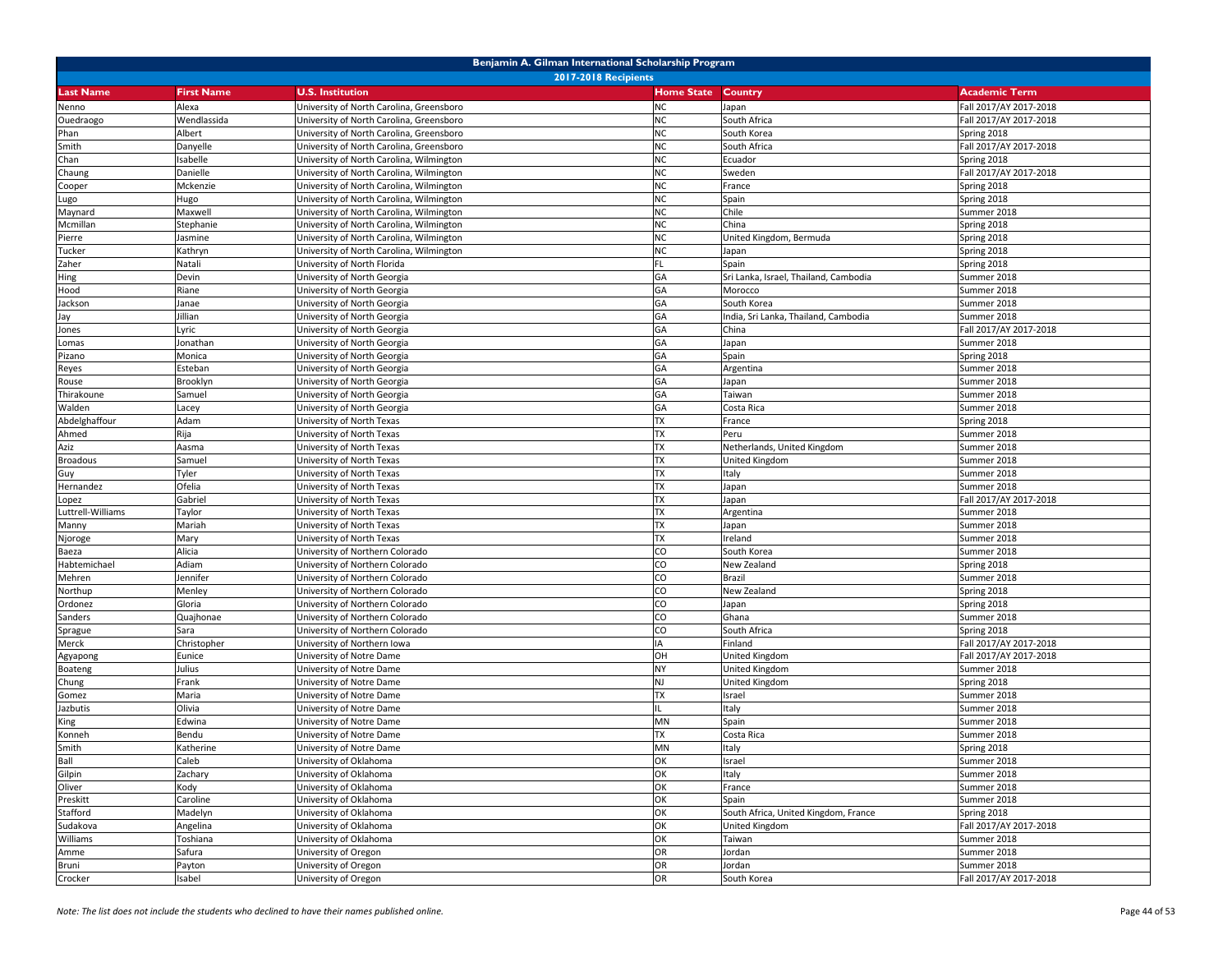|                   | Benjamin A. Gilman International Scholarship Program |                                          |                   |                                       |                        |  |  |
|-------------------|------------------------------------------------------|------------------------------------------|-------------------|---------------------------------------|------------------------|--|--|
|                   |                                                      | <b>2017-2018 Recipients</b>              |                   |                                       |                        |  |  |
| <b>Last Name</b>  | <b>First Name</b>                                    | <b>U.S. Institution</b>                  | <b>Home State</b> | <b>Country</b>                        | <b>Academic Term</b>   |  |  |
| Nenno             | Alexa                                                | University of North Carolina, Greensboro | <b>NC</b>         | Japan                                 | Fall 2017/AY 2017-2018 |  |  |
| Ouedraogo         | Wendlassida                                          | University of North Carolina, Greensboro | <b>NC</b>         | South Africa                          | Fall 2017/AY 2017-2018 |  |  |
| Phan              | Albert                                               | University of North Carolina, Greensboro | <b>NC</b>         | South Korea                           | Spring 2018            |  |  |
| Smith             | Danyelle                                             | University of North Carolina, Greensboro | <b>NC</b>         | South Africa                          | Fall 2017/AY 2017-2018 |  |  |
| Chan              | Isabelle                                             | University of North Carolina, Wilmington | <b>NC</b>         | Ecuador                               | Spring 2018            |  |  |
| Chaung            | Danielle                                             | University of North Carolina, Wilmington | <b>NC</b>         | Sweden                                | Fall 2017/AY 2017-2018 |  |  |
| Cooper            | Mckenzie                                             | University of North Carolina, Wilmington | <b>NC</b>         | France                                | Spring 2018            |  |  |
| Lugo              | Hugo                                                 | University of North Carolina, Wilmington | <b>NC</b>         | Spain                                 | Spring 2018            |  |  |
| Maynard           | Maxwell                                              | University of North Carolina, Wilmington | <b>NC</b>         | Chile                                 | Summer 2018            |  |  |
| Mcmillan          | Stephanie                                            | University of North Carolina, Wilmington | <b>NC</b>         | China                                 | Spring 2018            |  |  |
| Pierre            | Jasmine                                              | Jniversity of North Carolina, Wilmington | <b>NC</b>         | United Kingdom, Bermuda               | Spring 2018            |  |  |
| Tucker            | Kathryn                                              | Jniversity of North Carolina, Wilmington | <b>NC</b>         | Japan                                 | Spring 2018            |  |  |
| Zaher             | Natali                                               | University of North Florida              | <b>FL</b>         | Spain                                 | Spring 2018            |  |  |
| Hing              | Devin                                                | University of North Georgia              | GA                | Sri Lanka, Israel, Thailand, Cambodia | Summer 2018            |  |  |
| Hood              | Riane                                                | University of North Georgia              | GA                | Morocco                               | Summer 2018            |  |  |
| Jackson           | Janae                                                | University of North Georgia              | GA                | South Korea                           | Summer 2018            |  |  |
| Jay               | Jillian                                              | University of North Georgia              | GA                | India, Sri Lanka, Thailand, Cambodia  | Summer 2018            |  |  |
| Jones             | Lyric                                                | University of North Georgia              | GA                | China                                 | Fall 2017/AY 2017-2018 |  |  |
| Lomas             | Jonathan                                             | University of North Georgia              | GA                | Japan                                 | Summer 2018            |  |  |
| Pizano            | Monica                                               | University of North Georgia              | GA                | Spain                                 | Spring 2018            |  |  |
| Reyes             | Esteban                                              | University of North Georgia              | GA                | Argentina                             | Summer 2018            |  |  |
| Rouse             | Brooklyn                                             | University of North Georgia              | GA                | Japan                                 | Summer 2018            |  |  |
| Thirakoune        | Samuel                                               | University of North Georgia              | GA                | Taiwan                                | Summer 2018            |  |  |
| Walden            |                                                      | University of North Georgia              | GA                | Costa Rica                            | Summer 2018            |  |  |
|                   | Lacey                                                | University of North Texas                | <b>TX</b>         | France                                |                        |  |  |
| Abdelghaffour     | Adam                                                 |                                          |                   |                                       | Spring 2018            |  |  |
| Ahmed             | Rija                                                 | Jniversity of North Texas                | <b>TX</b>         | Peru                                  | Summer 2018            |  |  |
| Aziz              | Aasma                                                | Jniversity of North Texas                | <b>TX</b>         | Netherlands, United Kingdom           | Summer 2018            |  |  |
| <b>Broadous</b>   | Samuel                                               | University of North Texas                | <b>TX</b>         | United Kingdom                        | Summer 2018            |  |  |
| Guy               | Tyler                                                | University of North Texas                | <b>TX</b>         | Italy                                 | Summer 2018            |  |  |
| Hernandez         | Ofelia                                               | University of North Texas                | <b>TX</b>         | Japan                                 | Summer 2018            |  |  |
| Lopez             | Gabriel                                              | Jniversity of North Texas                | <b>TX</b>         | Japan                                 | Fall 2017/AY 2017-2018 |  |  |
| Luttrell-Williams | Taylor                                               | University of North Texas                | <b>TX</b>         | Argentina                             | Summer 2018            |  |  |
| Manny             | Mariah                                               | University of North Texas                | TX                | Japan                                 | Summer 2018            |  |  |
| Njoroge           | Mary                                                 | University of North Texas                | <b>TX</b>         | Ireland                               | Summer 2018            |  |  |
| Baeza             | Alicia                                               | University of Northern Colorado          | CO                | South Korea                           | Summer 2018            |  |  |
| Habtemichael      | Adiam                                                | University of Northern Colorado          | CO                | New Zealand                           | Spring 2018            |  |  |
| Mehren            | Jennifer                                             | University of Northern Colorado          | CO                | Brazil                                | Summer 2018            |  |  |
| Northup           | Menley                                               | University of Northern Colorado          | CO                | New Zealand                           | Spring 2018            |  |  |
| Ordonez           | Gloria                                               | University of Northern Colorado          | CO                | Japan                                 | Spring 2018            |  |  |
| Sanders           | Quajhonae                                            | University of Northern Colorado          | CO                | Ghana                                 | Summer 2018            |  |  |
| Sprague           | Sara                                                 | Jniversity of Northern Colorado          | CO                | South Africa                          | Spring 2018            |  |  |
| Merck             | Christopher                                          | Jniversity of Northern Iowa              | IA                | Finland                               | Fall 2017/AY 2017-2018 |  |  |
| Agyapong          | Eunice                                               | University of Notre Dame                 | OH                | United Kingdom                        | Fall 2017/AY 2017-2018 |  |  |
| Boateng           | Julius                                               | University of Notre Dame                 | <b>NY</b>         | <b>United Kingdom</b>                 | Summer 2018            |  |  |
| Chung             | Frank                                                | University of Notre Dame                 | <b>NJ</b>         | United Kingdom                        | Spring 2018            |  |  |
| Gomez             | Maria                                                | Jniversity of Notre Dame                 | <b>TX</b>         | Israel                                | Summer 2018            |  |  |
| Jazbutis          | Olivia                                               | Jniversity of Notre Dame                 | IL                | Italy                                 | Summer 2018            |  |  |
| King              | Edwina                                               | University of Notre Dame                 | MN                | Spain                                 | Summer 2018            |  |  |
| Konneh            | Bendu                                                | University of Notre Dame                 | <b>TX</b>         | Costa Rica                            | Summer 2018            |  |  |
| Smith             | Katherine                                            | University of Notre Dame                 | <b>MN</b>         | Italy                                 | Spring 2018            |  |  |
| Ball              | Caleb                                                | University of Oklahoma                   | OK                | Israel                                | Summer 2018            |  |  |
| Gilpin            | Zachary                                              | University of Oklahoma                   | OK                | Italy                                 | Summer 2018            |  |  |
| Oliver            | Kody                                                 | University of Oklahoma                   | OK                | France                                | Summer 2018            |  |  |
| Preskitt          | Caroline                                             | University of Oklahoma                   | OK                | Spain                                 | Summer 2018            |  |  |
| Stafford          | Madelyn                                              | University of Oklahoma                   | OK                | South Africa, United Kingdom, France  | Spring 2018            |  |  |
| Sudakova          | Angelina                                             | University of Oklahoma                   | OK                | United Kingdom                        | Fall 2017/AY 2017-2018 |  |  |
| Williams          | Toshiana                                             | University of Oklahoma                   | OK                | Taiwan                                | Summer 2018            |  |  |
| Amme              | Safura                                               | University of Oregon                     | OR                | Jordan                                | Summer 2018            |  |  |
| Bruni             | Payton                                               | University of Oregon                     | OR                | Jordan                                | Summer 2018            |  |  |
| Crocker           | Isabel                                               | University of Oregon                     | OR                | South Korea                           | Fall 2017/AY 2017-2018 |  |  |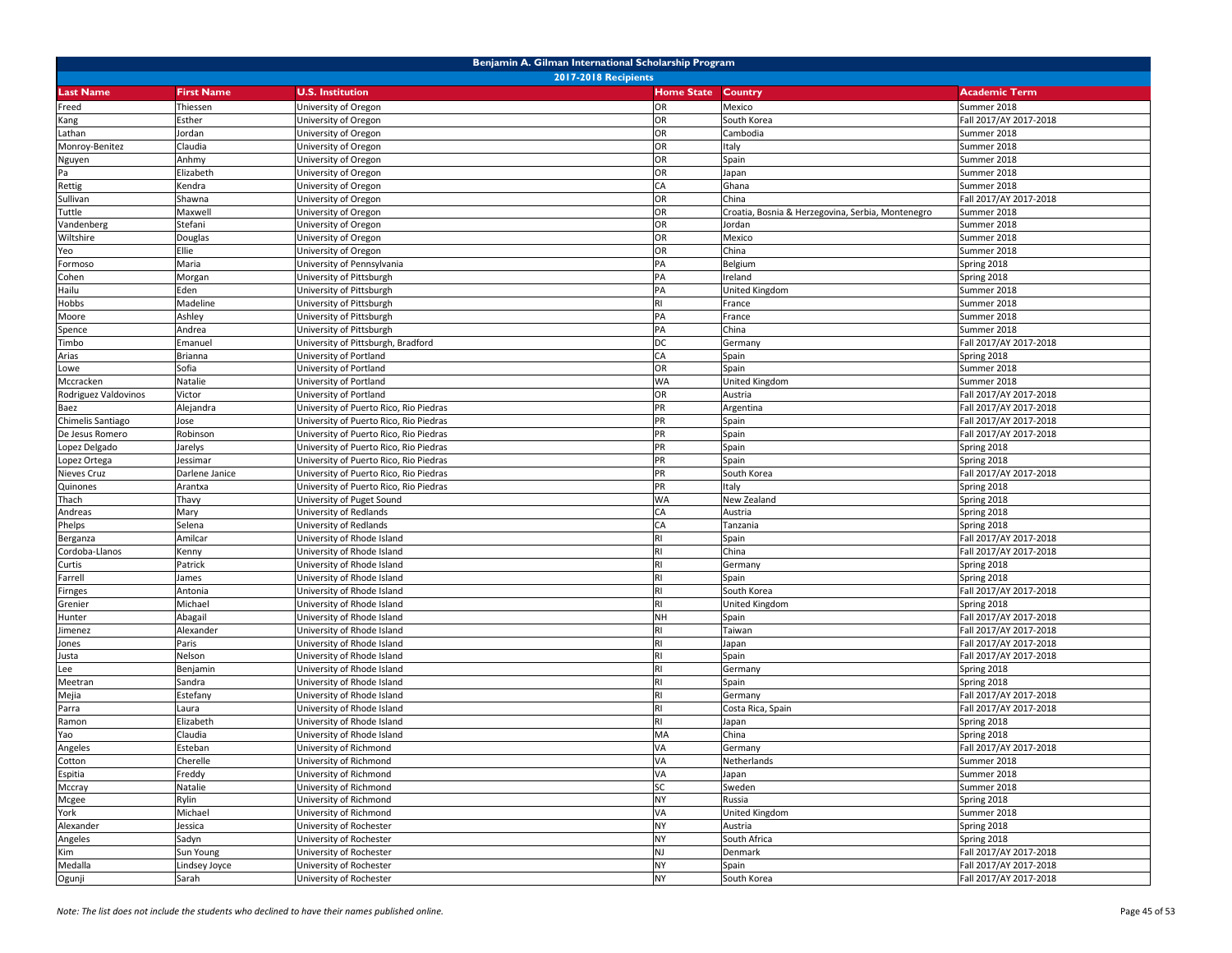| <b>2017-2018 Recipients</b><br><b>Last Name</b><br><b>U.S. Institution</b><br><b>Home State</b><br>Country<br><b>Academic Term</b><br><b>First Name</b><br>Thiessen<br>Jniversity of Oregon<br>OR<br>Mexico<br>Summer 2018<br>Freed<br>OR<br>South Korea<br>Fall 2017/AY 2017-2018<br>Esther<br>Jniversity of Oregon<br>Kang<br>OR<br>Jordan<br>University of Oregon<br>Cambodia<br>Summer 2018<br>Lathan<br>Claudia<br>OR<br>Summer 2018<br>Monroy-Benitez<br>University of Oregon<br>Italy<br>OR<br>Anhmy<br>University of Oregon<br>Spain<br>Summer 2018<br>Nguyen<br>OR<br>Pa<br>Elizabeth<br>Japan<br>Summer 2018<br>University of Oregon<br>Rettig<br>CA<br>Ghana<br>Summer 2018<br>Kendra<br>University of Oregon<br>Sullivan<br>Shawna<br>OR<br>China<br>Fall 2017/AY 2017-2018<br>Jniversity of Oregon<br>Jniversity of Oregon<br>OR<br>Croatia, Bosnia & Herzegovina, Serbia, Montenegro<br>Tuttle<br>Maxwell<br>Summer 2018<br>OR<br>Stefani<br>Summer 2018<br>Vandenberg<br>University of Oregon<br>Jordan<br>OR<br>Wiltshire<br>Summer 2018<br>Douglas<br>University of Oregon<br>Mexico<br>OR<br>Ellie<br>China<br>Summer 2018<br>Yeo<br>University of Oregon<br>Maria<br>University of Pennsylvania<br>PA<br>Belgium<br>Spring 2018<br>Formoso<br>PA<br>Ireland<br>Spring 2018<br>Cohen<br>Morgan<br>University of Pittsburgh<br>PA<br>Hailu<br>Eden<br>University of Pittsburgh<br>United Kingdom<br>Summer 2018<br>Hobbs<br>Madeline<br>University of Pittsburgh<br><b>RI</b><br>Summer 2018<br>France<br>Ashley<br>PA<br>Summer 2018<br>Moore<br>University of Pittsburgh<br>France<br>Andrea<br>University of Pittsburgh<br>PA<br>China<br>Summer 2018<br>Spence<br>Jniversity of Pittsburgh, Bradford<br>DC<br>Fall 2017/AY 2017-2018<br>Timbo<br>Emanuel<br>Germany<br>Arias<br>Brianna<br>University of Portland<br>CA<br>Spain<br>Spring 2018<br>OR<br>Sofia<br>University of Portland<br>Spain<br>Summer 2018<br>Lowe<br><b>WA</b><br>Mccracken<br>Natalie<br>University of Portland<br>United Kingdom<br>Summer 2018<br>Fall 2017/AY 2017-2018<br>Rodriguez Valdovinos<br>Victor<br>Jniversity of Portland<br>OR<br>Austria<br>PR<br>Alejandra<br>Fall 2017/AY 2017-2018<br>Jniversity of Puerto Rico, Rio Piedras<br>Argentina<br>Baez<br>PR<br>Chimelis Santiago<br>University of Puerto Rico, Rio Piedras<br>Fall 2017/AY 2017-2018<br>Jose<br>Spain<br>PR<br>De Jesus Romero<br>Robinson<br>Fall 2017/AY 2017-2018<br>University of Puerto Rico, Rio Piedras<br>Spain<br>PR<br>Spring 2018<br>Lopez Delgado<br>Jarelys<br>University of Puerto Rico, Rio Piedras<br>Spain<br>Lopez Ortega<br>Jniversity of Puerto Rico, Rio Piedras<br>PR<br>Spain<br>Spring 2018<br>lessimar<br>PR<br>Nieves Cruz<br>Fall 2017/AY 2017-2018<br>Darlene Janice<br>Jniversity of Puerto Rico, Rio Piedras<br>South Korea<br>PR<br>Quinones<br>Italy<br>Spring 2018<br>Arantxa<br>University of Puerto Rico, Rio Piedras<br><b>WA</b><br>University of Puget Sound<br>Spring 2018<br>Thach<br>Thavy<br>New Zealand<br>University of Redlands<br>CA<br>Spring 2018<br>Andreas<br>Mary<br>Austria<br>Spring 2018<br>Phelps<br>Selena<br>University of Redlands<br>CA<br>Tanzania<br>Amilcar<br>University of Rhode Island<br>Spain<br>Fall 2017/AY 2017-2018<br>Berganza<br>RI<br>Cordoba-Llanos<br>University of Rhode Island<br>China<br>Fall 2017/AY 2017-2018<br>Kenny<br>University of Rhode Island<br><b>RI</b><br>Spring 2018<br>Curtis<br>Patrick<br>Germany<br>University of Rhode Island<br>RI<br>Spring 2018<br>Farrell<br>James<br>Spain<br>Fall 2017/AY 2017-2018<br>Antonia<br>Jniversity of Rhode Island<br>Firnges<br>South Korea<br>Michael<br>Jniversity of Rhode Island<br>United Kingdom<br>Spring 2018<br>Grenier<br><b>NH</b><br>Abagail<br>University of Rhode Island<br>Fall 2017/AY 2017-2018<br>Hunter<br>Spain<br>Alexander<br><b>RI</b><br>Fall 2017/AY 2017-2018<br>imenez<br>University of Rhode Island<br>Taiwan<br>Paris<br>University of Rhode Island<br>RI<br>Fall 2017/AY 2017-2018<br>Japan<br>Jones<br>Nelson<br>Jniversity of Rhode Island<br>Spain<br>Fall 2017/AY 2017-2018<br>usta<br>Jniversity of Rhode Island<br>Benjamin<br>Spring 2018<br>Lee<br>Germany<br>University of Rhode Island<br><b>RI</b><br>Spring 2018<br>Meetran<br>Sandra<br>Spain<br><b>RI</b><br>Fall 2017/AY 2017-2018<br>Estefany<br>Jniversity of Rhode Island<br>Mejia<br>Germany<br>Fall 2017/AY 2017-2018<br>Jniversity of Rhode Island<br>RI<br>Parra<br>Laura<br>Costa Rica, Spain<br>Elizabeth<br>University of Rhode Island<br><b>RI</b><br>Spring 2018<br>Ramon<br>Japan<br>Claudia<br>MA<br>China<br>Yao<br>University of Rhode Island<br>Spring 2018<br>Angeles<br>Esteban<br>University of Richmond<br>VA<br>Germany<br>Fall 2017/AY 2017-2018<br>Cherelle<br>VA<br>Cotton<br>University of Richmond<br>Netherlands<br>Summer 2018<br>VA<br>Summer 2018<br>Freddy<br>University of Richmond<br>Espitia<br>Japan<br>SC<br>University of Richmond<br>Mccray<br>Natalie<br>Sweden<br>Summer 2018<br>Rylin<br>Mcgee<br>University of Richmond<br><b>NY</b><br>Spring 2018<br>Russia<br>York<br>Michael<br>VA<br>University of Richmond<br>United Kingdom<br>Summer 2018<br>Alexander<br><b>NY</b><br>Spring 2018<br>Jessica<br>University of Rochester<br>Austria<br><b>NY</b><br>Angeles<br>Sadyn<br>University of Rochester<br>South Africa<br>Spring 2018<br>Kim<br><b>NJ</b><br>Fall 2017/AY 2017-2018<br>Sun Young<br>University of Rochester<br>Denmark<br>Fall 2017/AY 2017-2018<br>Medalla<br>University of Rochester<br><b>NY</b><br>Lindsey Joyce<br>Spain | Benjamin A. Gilman International Scholarship Program |       |                         |           |             |                        |  |
|-------------------------------------------------------------------------------------------------------------------------------------------------------------------------------------------------------------------------------------------------------------------------------------------------------------------------------------------------------------------------------------------------------------------------------------------------------------------------------------------------------------------------------------------------------------------------------------------------------------------------------------------------------------------------------------------------------------------------------------------------------------------------------------------------------------------------------------------------------------------------------------------------------------------------------------------------------------------------------------------------------------------------------------------------------------------------------------------------------------------------------------------------------------------------------------------------------------------------------------------------------------------------------------------------------------------------------------------------------------------------------------------------------------------------------------------------------------------------------------------------------------------------------------------------------------------------------------------------------------------------------------------------------------------------------------------------------------------------------------------------------------------------------------------------------------------------------------------------------------------------------------------------------------------------------------------------------------------------------------------------------------------------------------------------------------------------------------------------------------------------------------------------------------------------------------------------------------------------------------------------------------------------------------------------------------------------------------------------------------------------------------------------------------------------------------------------------------------------------------------------------------------------------------------------------------------------------------------------------------------------------------------------------------------------------------------------------------------------------------------------------------------------------------------------------------------------------------------------------------------------------------------------------------------------------------------------------------------------------------------------------------------------------------------------------------------------------------------------------------------------------------------------------------------------------------------------------------------------------------------------------------------------------------------------------------------------------------------------------------------------------------------------------------------------------------------------------------------------------------------------------------------------------------------------------------------------------------------------------------------------------------------------------------------------------------------------------------------------------------------------------------------------------------------------------------------------------------------------------------------------------------------------------------------------------------------------------------------------------------------------------------------------------------------------------------------------------------------------------------------------------------------------------------------------------------------------------------------------------------------------------------------------------------------------------------------------------------------------------------------------------------------------------------------------------------------------------------------------------------------------------------------------------------------------------------------------------------------------------------------------------------------------------------------------------------------------------------------------------------------------------------------------------------------------------------------------------------------------------------------------------------------------------------------------------------------------------------------------------------------------------------------------------------------------------------------------------------------------------------------------------------------------------------------------------------------------------------------------------------------------------------------------------------------------------------------------------------------------------------------------------------------------------------------------------------------------------------------------------------------------------------------------------------------------------------------------------------------------------|------------------------------------------------------|-------|-------------------------|-----------|-------------|------------------------|--|
|                                                                                                                                                                                                                                                                                                                                                                                                                                                                                                                                                                                                                                                                                                                                                                                                                                                                                                                                                                                                                                                                                                                                                                                                                                                                                                                                                                                                                                                                                                                                                                                                                                                                                                                                                                                                                                                                                                                                                                                                                                                                                                                                                                                                                                                                                                                                                                                                                                                                                                                                                                                                                                                                                                                                                                                                                                                                                                                                                                                                                                                                                                                                                                                                                                                                                                                                                                                                                                                                                                                                                                                                                                                                                                                                                                                                                                                                                                                                                                                                                                                                                                                                                                                                                                                                                                                                                                                                                                                                                                                                                                                                                                                                                                                                                                                                                                                                                                                                                                                                                                                                                                                                                                                                                                                                                                                                                                                                                                                                                                                                                                                                       |                                                      |       |                         |           |             |                        |  |
|                                                                                                                                                                                                                                                                                                                                                                                                                                                                                                                                                                                                                                                                                                                                                                                                                                                                                                                                                                                                                                                                                                                                                                                                                                                                                                                                                                                                                                                                                                                                                                                                                                                                                                                                                                                                                                                                                                                                                                                                                                                                                                                                                                                                                                                                                                                                                                                                                                                                                                                                                                                                                                                                                                                                                                                                                                                                                                                                                                                                                                                                                                                                                                                                                                                                                                                                                                                                                                                                                                                                                                                                                                                                                                                                                                                                                                                                                                                                                                                                                                                                                                                                                                                                                                                                                                                                                                                                                                                                                                                                                                                                                                                                                                                                                                                                                                                                                                                                                                                                                                                                                                                                                                                                                                                                                                                                                                                                                                                                                                                                                                                                       |                                                      |       |                         |           |             |                        |  |
|                                                                                                                                                                                                                                                                                                                                                                                                                                                                                                                                                                                                                                                                                                                                                                                                                                                                                                                                                                                                                                                                                                                                                                                                                                                                                                                                                                                                                                                                                                                                                                                                                                                                                                                                                                                                                                                                                                                                                                                                                                                                                                                                                                                                                                                                                                                                                                                                                                                                                                                                                                                                                                                                                                                                                                                                                                                                                                                                                                                                                                                                                                                                                                                                                                                                                                                                                                                                                                                                                                                                                                                                                                                                                                                                                                                                                                                                                                                                                                                                                                                                                                                                                                                                                                                                                                                                                                                                                                                                                                                                                                                                                                                                                                                                                                                                                                                                                                                                                                                                                                                                                                                                                                                                                                                                                                                                                                                                                                                                                                                                                                                                       |                                                      |       |                         |           |             |                        |  |
|                                                                                                                                                                                                                                                                                                                                                                                                                                                                                                                                                                                                                                                                                                                                                                                                                                                                                                                                                                                                                                                                                                                                                                                                                                                                                                                                                                                                                                                                                                                                                                                                                                                                                                                                                                                                                                                                                                                                                                                                                                                                                                                                                                                                                                                                                                                                                                                                                                                                                                                                                                                                                                                                                                                                                                                                                                                                                                                                                                                                                                                                                                                                                                                                                                                                                                                                                                                                                                                                                                                                                                                                                                                                                                                                                                                                                                                                                                                                                                                                                                                                                                                                                                                                                                                                                                                                                                                                                                                                                                                                                                                                                                                                                                                                                                                                                                                                                                                                                                                                                                                                                                                                                                                                                                                                                                                                                                                                                                                                                                                                                                                                       |                                                      |       |                         |           |             |                        |  |
|                                                                                                                                                                                                                                                                                                                                                                                                                                                                                                                                                                                                                                                                                                                                                                                                                                                                                                                                                                                                                                                                                                                                                                                                                                                                                                                                                                                                                                                                                                                                                                                                                                                                                                                                                                                                                                                                                                                                                                                                                                                                                                                                                                                                                                                                                                                                                                                                                                                                                                                                                                                                                                                                                                                                                                                                                                                                                                                                                                                                                                                                                                                                                                                                                                                                                                                                                                                                                                                                                                                                                                                                                                                                                                                                                                                                                                                                                                                                                                                                                                                                                                                                                                                                                                                                                                                                                                                                                                                                                                                                                                                                                                                                                                                                                                                                                                                                                                                                                                                                                                                                                                                                                                                                                                                                                                                                                                                                                                                                                                                                                                                                       |                                                      |       |                         |           |             |                        |  |
|                                                                                                                                                                                                                                                                                                                                                                                                                                                                                                                                                                                                                                                                                                                                                                                                                                                                                                                                                                                                                                                                                                                                                                                                                                                                                                                                                                                                                                                                                                                                                                                                                                                                                                                                                                                                                                                                                                                                                                                                                                                                                                                                                                                                                                                                                                                                                                                                                                                                                                                                                                                                                                                                                                                                                                                                                                                                                                                                                                                                                                                                                                                                                                                                                                                                                                                                                                                                                                                                                                                                                                                                                                                                                                                                                                                                                                                                                                                                                                                                                                                                                                                                                                                                                                                                                                                                                                                                                                                                                                                                                                                                                                                                                                                                                                                                                                                                                                                                                                                                                                                                                                                                                                                                                                                                                                                                                                                                                                                                                                                                                                                                       |                                                      |       |                         |           |             |                        |  |
|                                                                                                                                                                                                                                                                                                                                                                                                                                                                                                                                                                                                                                                                                                                                                                                                                                                                                                                                                                                                                                                                                                                                                                                                                                                                                                                                                                                                                                                                                                                                                                                                                                                                                                                                                                                                                                                                                                                                                                                                                                                                                                                                                                                                                                                                                                                                                                                                                                                                                                                                                                                                                                                                                                                                                                                                                                                                                                                                                                                                                                                                                                                                                                                                                                                                                                                                                                                                                                                                                                                                                                                                                                                                                                                                                                                                                                                                                                                                                                                                                                                                                                                                                                                                                                                                                                                                                                                                                                                                                                                                                                                                                                                                                                                                                                                                                                                                                                                                                                                                                                                                                                                                                                                                                                                                                                                                                                                                                                                                                                                                                                                                       |                                                      |       |                         |           |             |                        |  |
|                                                                                                                                                                                                                                                                                                                                                                                                                                                                                                                                                                                                                                                                                                                                                                                                                                                                                                                                                                                                                                                                                                                                                                                                                                                                                                                                                                                                                                                                                                                                                                                                                                                                                                                                                                                                                                                                                                                                                                                                                                                                                                                                                                                                                                                                                                                                                                                                                                                                                                                                                                                                                                                                                                                                                                                                                                                                                                                                                                                                                                                                                                                                                                                                                                                                                                                                                                                                                                                                                                                                                                                                                                                                                                                                                                                                                                                                                                                                                                                                                                                                                                                                                                                                                                                                                                                                                                                                                                                                                                                                                                                                                                                                                                                                                                                                                                                                                                                                                                                                                                                                                                                                                                                                                                                                                                                                                                                                                                                                                                                                                                                                       |                                                      |       |                         |           |             |                        |  |
|                                                                                                                                                                                                                                                                                                                                                                                                                                                                                                                                                                                                                                                                                                                                                                                                                                                                                                                                                                                                                                                                                                                                                                                                                                                                                                                                                                                                                                                                                                                                                                                                                                                                                                                                                                                                                                                                                                                                                                                                                                                                                                                                                                                                                                                                                                                                                                                                                                                                                                                                                                                                                                                                                                                                                                                                                                                                                                                                                                                                                                                                                                                                                                                                                                                                                                                                                                                                                                                                                                                                                                                                                                                                                                                                                                                                                                                                                                                                                                                                                                                                                                                                                                                                                                                                                                                                                                                                                                                                                                                                                                                                                                                                                                                                                                                                                                                                                                                                                                                                                                                                                                                                                                                                                                                                                                                                                                                                                                                                                                                                                                                                       |                                                      |       |                         |           |             |                        |  |
|                                                                                                                                                                                                                                                                                                                                                                                                                                                                                                                                                                                                                                                                                                                                                                                                                                                                                                                                                                                                                                                                                                                                                                                                                                                                                                                                                                                                                                                                                                                                                                                                                                                                                                                                                                                                                                                                                                                                                                                                                                                                                                                                                                                                                                                                                                                                                                                                                                                                                                                                                                                                                                                                                                                                                                                                                                                                                                                                                                                                                                                                                                                                                                                                                                                                                                                                                                                                                                                                                                                                                                                                                                                                                                                                                                                                                                                                                                                                                                                                                                                                                                                                                                                                                                                                                                                                                                                                                                                                                                                                                                                                                                                                                                                                                                                                                                                                                                                                                                                                                                                                                                                                                                                                                                                                                                                                                                                                                                                                                                                                                                                                       |                                                      |       |                         |           |             |                        |  |
|                                                                                                                                                                                                                                                                                                                                                                                                                                                                                                                                                                                                                                                                                                                                                                                                                                                                                                                                                                                                                                                                                                                                                                                                                                                                                                                                                                                                                                                                                                                                                                                                                                                                                                                                                                                                                                                                                                                                                                                                                                                                                                                                                                                                                                                                                                                                                                                                                                                                                                                                                                                                                                                                                                                                                                                                                                                                                                                                                                                                                                                                                                                                                                                                                                                                                                                                                                                                                                                                                                                                                                                                                                                                                                                                                                                                                                                                                                                                                                                                                                                                                                                                                                                                                                                                                                                                                                                                                                                                                                                                                                                                                                                                                                                                                                                                                                                                                                                                                                                                                                                                                                                                                                                                                                                                                                                                                                                                                                                                                                                                                                                                       |                                                      |       |                         |           |             |                        |  |
|                                                                                                                                                                                                                                                                                                                                                                                                                                                                                                                                                                                                                                                                                                                                                                                                                                                                                                                                                                                                                                                                                                                                                                                                                                                                                                                                                                                                                                                                                                                                                                                                                                                                                                                                                                                                                                                                                                                                                                                                                                                                                                                                                                                                                                                                                                                                                                                                                                                                                                                                                                                                                                                                                                                                                                                                                                                                                                                                                                                                                                                                                                                                                                                                                                                                                                                                                                                                                                                                                                                                                                                                                                                                                                                                                                                                                                                                                                                                                                                                                                                                                                                                                                                                                                                                                                                                                                                                                                                                                                                                                                                                                                                                                                                                                                                                                                                                                                                                                                                                                                                                                                                                                                                                                                                                                                                                                                                                                                                                                                                                                                                                       |                                                      |       |                         |           |             |                        |  |
|                                                                                                                                                                                                                                                                                                                                                                                                                                                                                                                                                                                                                                                                                                                                                                                                                                                                                                                                                                                                                                                                                                                                                                                                                                                                                                                                                                                                                                                                                                                                                                                                                                                                                                                                                                                                                                                                                                                                                                                                                                                                                                                                                                                                                                                                                                                                                                                                                                                                                                                                                                                                                                                                                                                                                                                                                                                                                                                                                                                                                                                                                                                                                                                                                                                                                                                                                                                                                                                                                                                                                                                                                                                                                                                                                                                                                                                                                                                                                                                                                                                                                                                                                                                                                                                                                                                                                                                                                                                                                                                                                                                                                                                                                                                                                                                                                                                                                                                                                                                                                                                                                                                                                                                                                                                                                                                                                                                                                                                                                                                                                                                                       |                                                      |       |                         |           |             |                        |  |
|                                                                                                                                                                                                                                                                                                                                                                                                                                                                                                                                                                                                                                                                                                                                                                                                                                                                                                                                                                                                                                                                                                                                                                                                                                                                                                                                                                                                                                                                                                                                                                                                                                                                                                                                                                                                                                                                                                                                                                                                                                                                                                                                                                                                                                                                                                                                                                                                                                                                                                                                                                                                                                                                                                                                                                                                                                                                                                                                                                                                                                                                                                                                                                                                                                                                                                                                                                                                                                                                                                                                                                                                                                                                                                                                                                                                                                                                                                                                                                                                                                                                                                                                                                                                                                                                                                                                                                                                                                                                                                                                                                                                                                                                                                                                                                                                                                                                                                                                                                                                                                                                                                                                                                                                                                                                                                                                                                                                                                                                                                                                                                                                       |                                                      |       |                         |           |             |                        |  |
|                                                                                                                                                                                                                                                                                                                                                                                                                                                                                                                                                                                                                                                                                                                                                                                                                                                                                                                                                                                                                                                                                                                                                                                                                                                                                                                                                                                                                                                                                                                                                                                                                                                                                                                                                                                                                                                                                                                                                                                                                                                                                                                                                                                                                                                                                                                                                                                                                                                                                                                                                                                                                                                                                                                                                                                                                                                                                                                                                                                                                                                                                                                                                                                                                                                                                                                                                                                                                                                                                                                                                                                                                                                                                                                                                                                                                                                                                                                                                                                                                                                                                                                                                                                                                                                                                                                                                                                                                                                                                                                                                                                                                                                                                                                                                                                                                                                                                                                                                                                                                                                                                                                                                                                                                                                                                                                                                                                                                                                                                                                                                                                                       |                                                      |       |                         |           |             |                        |  |
|                                                                                                                                                                                                                                                                                                                                                                                                                                                                                                                                                                                                                                                                                                                                                                                                                                                                                                                                                                                                                                                                                                                                                                                                                                                                                                                                                                                                                                                                                                                                                                                                                                                                                                                                                                                                                                                                                                                                                                                                                                                                                                                                                                                                                                                                                                                                                                                                                                                                                                                                                                                                                                                                                                                                                                                                                                                                                                                                                                                                                                                                                                                                                                                                                                                                                                                                                                                                                                                                                                                                                                                                                                                                                                                                                                                                                                                                                                                                                                                                                                                                                                                                                                                                                                                                                                                                                                                                                                                                                                                                                                                                                                                                                                                                                                                                                                                                                                                                                                                                                                                                                                                                                                                                                                                                                                                                                                                                                                                                                                                                                                                                       |                                                      |       |                         |           |             |                        |  |
|                                                                                                                                                                                                                                                                                                                                                                                                                                                                                                                                                                                                                                                                                                                                                                                                                                                                                                                                                                                                                                                                                                                                                                                                                                                                                                                                                                                                                                                                                                                                                                                                                                                                                                                                                                                                                                                                                                                                                                                                                                                                                                                                                                                                                                                                                                                                                                                                                                                                                                                                                                                                                                                                                                                                                                                                                                                                                                                                                                                                                                                                                                                                                                                                                                                                                                                                                                                                                                                                                                                                                                                                                                                                                                                                                                                                                                                                                                                                                                                                                                                                                                                                                                                                                                                                                                                                                                                                                                                                                                                                                                                                                                                                                                                                                                                                                                                                                                                                                                                                                                                                                                                                                                                                                                                                                                                                                                                                                                                                                                                                                                                                       |                                                      |       |                         |           |             |                        |  |
|                                                                                                                                                                                                                                                                                                                                                                                                                                                                                                                                                                                                                                                                                                                                                                                                                                                                                                                                                                                                                                                                                                                                                                                                                                                                                                                                                                                                                                                                                                                                                                                                                                                                                                                                                                                                                                                                                                                                                                                                                                                                                                                                                                                                                                                                                                                                                                                                                                                                                                                                                                                                                                                                                                                                                                                                                                                                                                                                                                                                                                                                                                                                                                                                                                                                                                                                                                                                                                                                                                                                                                                                                                                                                                                                                                                                                                                                                                                                                                                                                                                                                                                                                                                                                                                                                                                                                                                                                                                                                                                                                                                                                                                                                                                                                                                                                                                                                                                                                                                                                                                                                                                                                                                                                                                                                                                                                                                                                                                                                                                                                                                                       |                                                      |       |                         |           |             |                        |  |
|                                                                                                                                                                                                                                                                                                                                                                                                                                                                                                                                                                                                                                                                                                                                                                                                                                                                                                                                                                                                                                                                                                                                                                                                                                                                                                                                                                                                                                                                                                                                                                                                                                                                                                                                                                                                                                                                                                                                                                                                                                                                                                                                                                                                                                                                                                                                                                                                                                                                                                                                                                                                                                                                                                                                                                                                                                                                                                                                                                                                                                                                                                                                                                                                                                                                                                                                                                                                                                                                                                                                                                                                                                                                                                                                                                                                                                                                                                                                                                                                                                                                                                                                                                                                                                                                                                                                                                                                                                                                                                                                                                                                                                                                                                                                                                                                                                                                                                                                                                                                                                                                                                                                                                                                                                                                                                                                                                                                                                                                                                                                                                                                       |                                                      |       |                         |           |             |                        |  |
|                                                                                                                                                                                                                                                                                                                                                                                                                                                                                                                                                                                                                                                                                                                                                                                                                                                                                                                                                                                                                                                                                                                                                                                                                                                                                                                                                                                                                                                                                                                                                                                                                                                                                                                                                                                                                                                                                                                                                                                                                                                                                                                                                                                                                                                                                                                                                                                                                                                                                                                                                                                                                                                                                                                                                                                                                                                                                                                                                                                                                                                                                                                                                                                                                                                                                                                                                                                                                                                                                                                                                                                                                                                                                                                                                                                                                                                                                                                                                                                                                                                                                                                                                                                                                                                                                                                                                                                                                                                                                                                                                                                                                                                                                                                                                                                                                                                                                                                                                                                                                                                                                                                                                                                                                                                                                                                                                                                                                                                                                                                                                                                                       |                                                      |       |                         |           |             |                        |  |
|                                                                                                                                                                                                                                                                                                                                                                                                                                                                                                                                                                                                                                                                                                                                                                                                                                                                                                                                                                                                                                                                                                                                                                                                                                                                                                                                                                                                                                                                                                                                                                                                                                                                                                                                                                                                                                                                                                                                                                                                                                                                                                                                                                                                                                                                                                                                                                                                                                                                                                                                                                                                                                                                                                                                                                                                                                                                                                                                                                                                                                                                                                                                                                                                                                                                                                                                                                                                                                                                                                                                                                                                                                                                                                                                                                                                                                                                                                                                                                                                                                                                                                                                                                                                                                                                                                                                                                                                                                                                                                                                                                                                                                                                                                                                                                                                                                                                                                                                                                                                                                                                                                                                                                                                                                                                                                                                                                                                                                                                                                                                                                                                       |                                                      |       |                         |           |             |                        |  |
|                                                                                                                                                                                                                                                                                                                                                                                                                                                                                                                                                                                                                                                                                                                                                                                                                                                                                                                                                                                                                                                                                                                                                                                                                                                                                                                                                                                                                                                                                                                                                                                                                                                                                                                                                                                                                                                                                                                                                                                                                                                                                                                                                                                                                                                                                                                                                                                                                                                                                                                                                                                                                                                                                                                                                                                                                                                                                                                                                                                                                                                                                                                                                                                                                                                                                                                                                                                                                                                                                                                                                                                                                                                                                                                                                                                                                                                                                                                                                                                                                                                                                                                                                                                                                                                                                                                                                                                                                                                                                                                                                                                                                                                                                                                                                                                                                                                                                                                                                                                                                                                                                                                                                                                                                                                                                                                                                                                                                                                                                                                                                                                                       |                                                      |       |                         |           |             |                        |  |
|                                                                                                                                                                                                                                                                                                                                                                                                                                                                                                                                                                                                                                                                                                                                                                                                                                                                                                                                                                                                                                                                                                                                                                                                                                                                                                                                                                                                                                                                                                                                                                                                                                                                                                                                                                                                                                                                                                                                                                                                                                                                                                                                                                                                                                                                                                                                                                                                                                                                                                                                                                                                                                                                                                                                                                                                                                                                                                                                                                                                                                                                                                                                                                                                                                                                                                                                                                                                                                                                                                                                                                                                                                                                                                                                                                                                                                                                                                                                                                                                                                                                                                                                                                                                                                                                                                                                                                                                                                                                                                                                                                                                                                                                                                                                                                                                                                                                                                                                                                                                                                                                                                                                                                                                                                                                                                                                                                                                                                                                                                                                                                                                       |                                                      |       |                         |           |             |                        |  |
|                                                                                                                                                                                                                                                                                                                                                                                                                                                                                                                                                                                                                                                                                                                                                                                                                                                                                                                                                                                                                                                                                                                                                                                                                                                                                                                                                                                                                                                                                                                                                                                                                                                                                                                                                                                                                                                                                                                                                                                                                                                                                                                                                                                                                                                                                                                                                                                                                                                                                                                                                                                                                                                                                                                                                                                                                                                                                                                                                                                                                                                                                                                                                                                                                                                                                                                                                                                                                                                                                                                                                                                                                                                                                                                                                                                                                                                                                                                                                                                                                                                                                                                                                                                                                                                                                                                                                                                                                                                                                                                                                                                                                                                                                                                                                                                                                                                                                                                                                                                                                                                                                                                                                                                                                                                                                                                                                                                                                                                                                                                                                                                                       |                                                      |       |                         |           |             |                        |  |
|                                                                                                                                                                                                                                                                                                                                                                                                                                                                                                                                                                                                                                                                                                                                                                                                                                                                                                                                                                                                                                                                                                                                                                                                                                                                                                                                                                                                                                                                                                                                                                                                                                                                                                                                                                                                                                                                                                                                                                                                                                                                                                                                                                                                                                                                                                                                                                                                                                                                                                                                                                                                                                                                                                                                                                                                                                                                                                                                                                                                                                                                                                                                                                                                                                                                                                                                                                                                                                                                                                                                                                                                                                                                                                                                                                                                                                                                                                                                                                                                                                                                                                                                                                                                                                                                                                                                                                                                                                                                                                                                                                                                                                                                                                                                                                                                                                                                                                                                                                                                                                                                                                                                                                                                                                                                                                                                                                                                                                                                                                                                                                                                       |                                                      |       |                         |           |             |                        |  |
|                                                                                                                                                                                                                                                                                                                                                                                                                                                                                                                                                                                                                                                                                                                                                                                                                                                                                                                                                                                                                                                                                                                                                                                                                                                                                                                                                                                                                                                                                                                                                                                                                                                                                                                                                                                                                                                                                                                                                                                                                                                                                                                                                                                                                                                                                                                                                                                                                                                                                                                                                                                                                                                                                                                                                                                                                                                                                                                                                                                                                                                                                                                                                                                                                                                                                                                                                                                                                                                                                                                                                                                                                                                                                                                                                                                                                                                                                                                                                                                                                                                                                                                                                                                                                                                                                                                                                                                                                                                                                                                                                                                                                                                                                                                                                                                                                                                                                                                                                                                                                                                                                                                                                                                                                                                                                                                                                                                                                                                                                                                                                                                                       |                                                      |       |                         |           |             |                        |  |
|                                                                                                                                                                                                                                                                                                                                                                                                                                                                                                                                                                                                                                                                                                                                                                                                                                                                                                                                                                                                                                                                                                                                                                                                                                                                                                                                                                                                                                                                                                                                                                                                                                                                                                                                                                                                                                                                                                                                                                                                                                                                                                                                                                                                                                                                                                                                                                                                                                                                                                                                                                                                                                                                                                                                                                                                                                                                                                                                                                                                                                                                                                                                                                                                                                                                                                                                                                                                                                                                                                                                                                                                                                                                                                                                                                                                                                                                                                                                                                                                                                                                                                                                                                                                                                                                                                                                                                                                                                                                                                                                                                                                                                                                                                                                                                                                                                                                                                                                                                                                                                                                                                                                                                                                                                                                                                                                                                                                                                                                                                                                                                                                       |                                                      |       |                         |           |             |                        |  |
|                                                                                                                                                                                                                                                                                                                                                                                                                                                                                                                                                                                                                                                                                                                                                                                                                                                                                                                                                                                                                                                                                                                                                                                                                                                                                                                                                                                                                                                                                                                                                                                                                                                                                                                                                                                                                                                                                                                                                                                                                                                                                                                                                                                                                                                                                                                                                                                                                                                                                                                                                                                                                                                                                                                                                                                                                                                                                                                                                                                                                                                                                                                                                                                                                                                                                                                                                                                                                                                                                                                                                                                                                                                                                                                                                                                                                                                                                                                                                                                                                                                                                                                                                                                                                                                                                                                                                                                                                                                                                                                                                                                                                                                                                                                                                                                                                                                                                                                                                                                                                                                                                                                                                                                                                                                                                                                                                                                                                                                                                                                                                                                                       |                                                      |       |                         |           |             |                        |  |
|                                                                                                                                                                                                                                                                                                                                                                                                                                                                                                                                                                                                                                                                                                                                                                                                                                                                                                                                                                                                                                                                                                                                                                                                                                                                                                                                                                                                                                                                                                                                                                                                                                                                                                                                                                                                                                                                                                                                                                                                                                                                                                                                                                                                                                                                                                                                                                                                                                                                                                                                                                                                                                                                                                                                                                                                                                                                                                                                                                                                                                                                                                                                                                                                                                                                                                                                                                                                                                                                                                                                                                                                                                                                                                                                                                                                                                                                                                                                                                                                                                                                                                                                                                                                                                                                                                                                                                                                                                                                                                                                                                                                                                                                                                                                                                                                                                                                                                                                                                                                                                                                                                                                                                                                                                                                                                                                                                                                                                                                                                                                                                                                       |                                                      |       |                         |           |             |                        |  |
|                                                                                                                                                                                                                                                                                                                                                                                                                                                                                                                                                                                                                                                                                                                                                                                                                                                                                                                                                                                                                                                                                                                                                                                                                                                                                                                                                                                                                                                                                                                                                                                                                                                                                                                                                                                                                                                                                                                                                                                                                                                                                                                                                                                                                                                                                                                                                                                                                                                                                                                                                                                                                                                                                                                                                                                                                                                                                                                                                                                                                                                                                                                                                                                                                                                                                                                                                                                                                                                                                                                                                                                                                                                                                                                                                                                                                                                                                                                                                                                                                                                                                                                                                                                                                                                                                                                                                                                                                                                                                                                                                                                                                                                                                                                                                                                                                                                                                                                                                                                                                                                                                                                                                                                                                                                                                                                                                                                                                                                                                                                                                                                                       |                                                      |       |                         |           |             |                        |  |
|                                                                                                                                                                                                                                                                                                                                                                                                                                                                                                                                                                                                                                                                                                                                                                                                                                                                                                                                                                                                                                                                                                                                                                                                                                                                                                                                                                                                                                                                                                                                                                                                                                                                                                                                                                                                                                                                                                                                                                                                                                                                                                                                                                                                                                                                                                                                                                                                                                                                                                                                                                                                                                                                                                                                                                                                                                                                                                                                                                                                                                                                                                                                                                                                                                                                                                                                                                                                                                                                                                                                                                                                                                                                                                                                                                                                                                                                                                                                                                                                                                                                                                                                                                                                                                                                                                                                                                                                                                                                                                                                                                                                                                                                                                                                                                                                                                                                                                                                                                                                                                                                                                                                                                                                                                                                                                                                                                                                                                                                                                                                                                                                       |                                                      |       |                         |           |             |                        |  |
|                                                                                                                                                                                                                                                                                                                                                                                                                                                                                                                                                                                                                                                                                                                                                                                                                                                                                                                                                                                                                                                                                                                                                                                                                                                                                                                                                                                                                                                                                                                                                                                                                                                                                                                                                                                                                                                                                                                                                                                                                                                                                                                                                                                                                                                                                                                                                                                                                                                                                                                                                                                                                                                                                                                                                                                                                                                                                                                                                                                                                                                                                                                                                                                                                                                                                                                                                                                                                                                                                                                                                                                                                                                                                                                                                                                                                                                                                                                                                                                                                                                                                                                                                                                                                                                                                                                                                                                                                                                                                                                                                                                                                                                                                                                                                                                                                                                                                                                                                                                                                                                                                                                                                                                                                                                                                                                                                                                                                                                                                                                                                                                                       |                                                      |       |                         |           |             |                        |  |
|                                                                                                                                                                                                                                                                                                                                                                                                                                                                                                                                                                                                                                                                                                                                                                                                                                                                                                                                                                                                                                                                                                                                                                                                                                                                                                                                                                                                                                                                                                                                                                                                                                                                                                                                                                                                                                                                                                                                                                                                                                                                                                                                                                                                                                                                                                                                                                                                                                                                                                                                                                                                                                                                                                                                                                                                                                                                                                                                                                                                                                                                                                                                                                                                                                                                                                                                                                                                                                                                                                                                                                                                                                                                                                                                                                                                                                                                                                                                                                                                                                                                                                                                                                                                                                                                                                                                                                                                                                                                                                                                                                                                                                                                                                                                                                                                                                                                                                                                                                                                                                                                                                                                                                                                                                                                                                                                                                                                                                                                                                                                                                                                       |                                                      |       |                         |           |             |                        |  |
|                                                                                                                                                                                                                                                                                                                                                                                                                                                                                                                                                                                                                                                                                                                                                                                                                                                                                                                                                                                                                                                                                                                                                                                                                                                                                                                                                                                                                                                                                                                                                                                                                                                                                                                                                                                                                                                                                                                                                                                                                                                                                                                                                                                                                                                                                                                                                                                                                                                                                                                                                                                                                                                                                                                                                                                                                                                                                                                                                                                                                                                                                                                                                                                                                                                                                                                                                                                                                                                                                                                                                                                                                                                                                                                                                                                                                                                                                                                                                                                                                                                                                                                                                                                                                                                                                                                                                                                                                                                                                                                                                                                                                                                                                                                                                                                                                                                                                                                                                                                                                                                                                                                                                                                                                                                                                                                                                                                                                                                                                                                                                                                                       |                                                      |       |                         |           |             |                        |  |
|                                                                                                                                                                                                                                                                                                                                                                                                                                                                                                                                                                                                                                                                                                                                                                                                                                                                                                                                                                                                                                                                                                                                                                                                                                                                                                                                                                                                                                                                                                                                                                                                                                                                                                                                                                                                                                                                                                                                                                                                                                                                                                                                                                                                                                                                                                                                                                                                                                                                                                                                                                                                                                                                                                                                                                                                                                                                                                                                                                                                                                                                                                                                                                                                                                                                                                                                                                                                                                                                                                                                                                                                                                                                                                                                                                                                                                                                                                                                                                                                                                                                                                                                                                                                                                                                                                                                                                                                                                                                                                                                                                                                                                                                                                                                                                                                                                                                                                                                                                                                                                                                                                                                                                                                                                                                                                                                                                                                                                                                                                                                                                                                       |                                                      |       |                         |           |             |                        |  |
|                                                                                                                                                                                                                                                                                                                                                                                                                                                                                                                                                                                                                                                                                                                                                                                                                                                                                                                                                                                                                                                                                                                                                                                                                                                                                                                                                                                                                                                                                                                                                                                                                                                                                                                                                                                                                                                                                                                                                                                                                                                                                                                                                                                                                                                                                                                                                                                                                                                                                                                                                                                                                                                                                                                                                                                                                                                                                                                                                                                                                                                                                                                                                                                                                                                                                                                                                                                                                                                                                                                                                                                                                                                                                                                                                                                                                                                                                                                                                                                                                                                                                                                                                                                                                                                                                                                                                                                                                                                                                                                                                                                                                                                                                                                                                                                                                                                                                                                                                                                                                                                                                                                                                                                                                                                                                                                                                                                                                                                                                                                                                                                                       |                                                      |       |                         |           |             |                        |  |
|                                                                                                                                                                                                                                                                                                                                                                                                                                                                                                                                                                                                                                                                                                                                                                                                                                                                                                                                                                                                                                                                                                                                                                                                                                                                                                                                                                                                                                                                                                                                                                                                                                                                                                                                                                                                                                                                                                                                                                                                                                                                                                                                                                                                                                                                                                                                                                                                                                                                                                                                                                                                                                                                                                                                                                                                                                                                                                                                                                                                                                                                                                                                                                                                                                                                                                                                                                                                                                                                                                                                                                                                                                                                                                                                                                                                                                                                                                                                                                                                                                                                                                                                                                                                                                                                                                                                                                                                                                                                                                                                                                                                                                                                                                                                                                                                                                                                                                                                                                                                                                                                                                                                                                                                                                                                                                                                                                                                                                                                                                                                                                                                       |                                                      |       |                         |           |             |                        |  |
|                                                                                                                                                                                                                                                                                                                                                                                                                                                                                                                                                                                                                                                                                                                                                                                                                                                                                                                                                                                                                                                                                                                                                                                                                                                                                                                                                                                                                                                                                                                                                                                                                                                                                                                                                                                                                                                                                                                                                                                                                                                                                                                                                                                                                                                                                                                                                                                                                                                                                                                                                                                                                                                                                                                                                                                                                                                                                                                                                                                                                                                                                                                                                                                                                                                                                                                                                                                                                                                                                                                                                                                                                                                                                                                                                                                                                                                                                                                                                                                                                                                                                                                                                                                                                                                                                                                                                                                                                                                                                                                                                                                                                                                                                                                                                                                                                                                                                                                                                                                                                                                                                                                                                                                                                                                                                                                                                                                                                                                                                                                                                                                                       |                                                      |       |                         |           |             |                        |  |
|                                                                                                                                                                                                                                                                                                                                                                                                                                                                                                                                                                                                                                                                                                                                                                                                                                                                                                                                                                                                                                                                                                                                                                                                                                                                                                                                                                                                                                                                                                                                                                                                                                                                                                                                                                                                                                                                                                                                                                                                                                                                                                                                                                                                                                                                                                                                                                                                                                                                                                                                                                                                                                                                                                                                                                                                                                                                                                                                                                                                                                                                                                                                                                                                                                                                                                                                                                                                                                                                                                                                                                                                                                                                                                                                                                                                                                                                                                                                                                                                                                                                                                                                                                                                                                                                                                                                                                                                                                                                                                                                                                                                                                                                                                                                                                                                                                                                                                                                                                                                                                                                                                                                                                                                                                                                                                                                                                                                                                                                                                                                                                                                       |                                                      |       |                         |           |             |                        |  |
|                                                                                                                                                                                                                                                                                                                                                                                                                                                                                                                                                                                                                                                                                                                                                                                                                                                                                                                                                                                                                                                                                                                                                                                                                                                                                                                                                                                                                                                                                                                                                                                                                                                                                                                                                                                                                                                                                                                                                                                                                                                                                                                                                                                                                                                                                                                                                                                                                                                                                                                                                                                                                                                                                                                                                                                                                                                                                                                                                                                                                                                                                                                                                                                                                                                                                                                                                                                                                                                                                                                                                                                                                                                                                                                                                                                                                                                                                                                                                                                                                                                                                                                                                                                                                                                                                                                                                                                                                                                                                                                                                                                                                                                                                                                                                                                                                                                                                                                                                                                                                                                                                                                                                                                                                                                                                                                                                                                                                                                                                                                                                                                                       |                                                      |       |                         |           |             |                        |  |
|                                                                                                                                                                                                                                                                                                                                                                                                                                                                                                                                                                                                                                                                                                                                                                                                                                                                                                                                                                                                                                                                                                                                                                                                                                                                                                                                                                                                                                                                                                                                                                                                                                                                                                                                                                                                                                                                                                                                                                                                                                                                                                                                                                                                                                                                                                                                                                                                                                                                                                                                                                                                                                                                                                                                                                                                                                                                                                                                                                                                                                                                                                                                                                                                                                                                                                                                                                                                                                                                                                                                                                                                                                                                                                                                                                                                                                                                                                                                                                                                                                                                                                                                                                                                                                                                                                                                                                                                                                                                                                                                                                                                                                                                                                                                                                                                                                                                                                                                                                                                                                                                                                                                                                                                                                                                                                                                                                                                                                                                                                                                                                                                       |                                                      |       |                         |           |             |                        |  |
|                                                                                                                                                                                                                                                                                                                                                                                                                                                                                                                                                                                                                                                                                                                                                                                                                                                                                                                                                                                                                                                                                                                                                                                                                                                                                                                                                                                                                                                                                                                                                                                                                                                                                                                                                                                                                                                                                                                                                                                                                                                                                                                                                                                                                                                                                                                                                                                                                                                                                                                                                                                                                                                                                                                                                                                                                                                                                                                                                                                                                                                                                                                                                                                                                                                                                                                                                                                                                                                                                                                                                                                                                                                                                                                                                                                                                                                                                                                                                                                                                                                                                                                                                                                                                                                                                                                                                                                                                                                                                                                                                                                                                                                                                                                                                                                                                                                                                                                                                                                                                                                                                                                                                                                                                                                                                                                                                                                                                                                                                                                                                                                                       |                                                      |       |                         |           |             |                        |  |
|                                                                                                                                                                                                                                                                                                                                                                                                                                                                                                                                                                                                                                                                                                                                                                                                                                                                                                                                                                                                                                                                                                                                                                                                                                                                                                                                                                                                                                                                                                                                                                                                                                                                                                                                                                                                                                                                                                                                                                                                                                                                                                                                                                                                                                                                                                                                                                                                                                                                                                                                                                                                                                                                                                                                                                                                                                                                                                                                                                                                                                                                                                                                                                                                                                                                                                                                                                                                                                                                                                                                                                                                                                                                                                                                                                                                                                                                                                                                                                                                                                                                                                                                                                                                                                                                                                                                                                                                                                                                                                                                                                                                                                                                                                                                                                                                                                                                                                                                                                                                                                                                                                                                                                                                                                                                                                                                                                                                                                                                                                                                                                                                       |                                                      |       |                         |           |             |                        |  |
|                                                                                                                                                                                                                                                                                                                                                                                                                                                                                                                                                                                                                                                                                                                                                                                                                                                                                                                                                                                                                                                                                                                                                                                                                                                                                                                                                                                                                                                                                                                                                                                                                                                                                                                                                                                                                                                                                                                                                                                                                                                                                                                                                                                                                                                                                                                                                                                                                                                                                                                                                                                                                                                                                                                                                                                                                                                                                                                                                                                                                                                                                                                                                                                                                                                                                                                                                                                                                                                                                                                                                                                                                                                                                                                                                                                                                                                                                                                                                                                                                                                                                                                                                                                                                                                                                                                                                                                                                                                                                                                                                                                                                                                                                                                                                                                                                                                                                                                                                                                                                                                                                                                                                                                                                                                                                                                                                                                                                                                                                                                                                                                                       |                                                      |       |                         |           |             |                        |  |
|                                                                                                                                                                                                                                                                                                                                                                                                                                                                                                                                                                                                                                                                                                                                                                                                                                                                                                                                                                                                                                                                                                                                                                                                                                                                                                                                                                                                                                                                                                                                                                                                                                                                                                                                                                                                                                                                                                                                                                                                                                                                                                                                                                                                                                                                                                                                                                                                                                                                                                                                                                                                                                                                                                                                                                                                                                                                                                                                                                                                                                                                                                                                                                                                                                                                                                                                                                                                                                                                                                                                                                                                                                                                                                                                                                                                                                                                                                                                                                                                                                                                                                                                                                                                                                                                                                                                                                                                                                                                                                                                                                                                                                                                                                                                                                                                                                                                                                                                                                                                                                                                                                                                                                                                                                                                                                                                                                                                                                                                                                                                                                                                       |                                                      |       |                         |           |             |                        |  |
|                                                                                                                                                                                                                                                                                                                                                                                                                                                                                                                                                                                                                                                                                                                                                                                                                                                                                                                                                                                                                                                                                                                                                                                                                                                                                                                                                                                                                                                                                                                                                                                                                                                                                                                                                                                                                                                                                                                                                                                                                                                                                                                                                                                                                                                                                                                                                                                                                                                                                                                                                                                                                                                                                                                                                                                                                                                                                                                                                                                                                                                                                                                                                                                                                                                                                                                                                                                                                                                                                                                                                                                                                                                                                                                                                                                                                                                                                                                                                                                                                                                                                                                                                                                                                                                                                                                                                                                                                                                                                                                                                                                                                                                                                                                                                                                                                                                                                                                                                                                                                                                                                                                                                                                                                                                                                                                                                                                                                                                                                                                                                                                                       |                                                      |       |                         |           |             |                        |  |
|                                                                                                                                                                                                                                                                                                                                                                                                                                                                                                                                                                                                                                                                                                                                                                                                                                                                                                                                                                                                                                                                                                                                                                                                                                                                                                                                                                                                                                                                                                                                                                                                                                                                                                                                                                                                                                                                                                                                                                                                                                                                                                                                                                                                                                                                                                                                                                                                                                                                                                                                                                                                                                                                                                                                                                                                                                                                                                                                                                                                                                                                                                                                                                                                                                                                                                                                                                                                                                                                                                                                                                                                                                                                                                                                                                                                                                                                                                                                                                                                                                                                                                                                                                                                                                                                                                                                                                                                                                                                                                                                                                                                                                                                                                                                                                                                                                                                                                                                                                                                                                                                                                                                                                                                                                                                                                                                                                                                                                                                                                                                                                                                       |                                                      |       |                         |           |             |                        |  |
|                                                                                                                                                                                                                                                                                                                                                                                                                                                                                                                                                                                                                                                                                                                                                                                                                                                                                                                                                                                                                                                                                                                                                                                                                                                                                                                                                                                                                                                                                                                                                                                                                                                                                                                                                                                                                                                                                                                                                                                                                                                                                                                                                                                                                                                                                                                                                                                                                                                                                                                                                                                                                                                                                                                                                                                                                                                                                                                                                                                                                                                                                                                                                                                                                                                                                                                                                                                                                                                                                                                                                                                                                                                                                                                                                                                                                                                                                                                                                                                                                                                                                                                                                                                                                                                                                                                                                                                                                                                                                                                                                                                                                                                                                                                                                                                                                                                                                                                                                                                                                                                                                                                                                                                                                                                                                                                                                                                                                                                                                                                                                                                                       |                                                      |       |                         |           |             |                        |  |
|                                                                                                                                                                                                                                                                                                                                                                                                                                                                                                                                                                                                                                                                                                                                                                                                                                                                                                                                                                                                                                                                                                                                                                                                                                                                                                                                                                                                                                                                                                                                                                                                                                                                                                                                                                                                                                                                                                                                                                                                                                                                                                                                                                                                                                                                                                                                                                                                                                                                                                                                                                                                                                                                                                                                                                                                                                                                                                                                                                                                                                                                                                                                                                                                                                                                                                                                                                                                                                                                                                                                                                                                                                                                                                                                                                                                                                                                                                                                                                                                                                                                                                                                                                                                                                                                                                                                                                                                                                                                                                                                                                                                                                                                                                                                                                                                                                                                                                                                                                                                                                                                                                                                                                                                                                                                                                                                                                                                                                                                                                                                                                                                       |                                                      |       |                         |           |             |                        |  |
|                                                                                                                                                                                                                                                                                                                                                                                                                                                                                                                                                                                                                                                                                                                                                                                                                                                                                                                                                                                                                                                                                                                                                                                                                                                                                                                                                                                                                                                                                                                                                                                                                                                                                                                                                                                                                                                                                                                                                                                                                                                                                                                                                                                                                                                                                                                                                                                                                                                                                                                                                                                                                                                                                                                                                                                                                                                                                                                                                                                                                                                                                                                                                                                                                                                                                                                                                                                                                                                                                                                                                                                                                                                                                                                                                                                                                                                                                                                                                                                                                                                                                                                                                                                                                                                                                                                                                                                                                                                                                                                                                                                                                                                                                                                                                                                                                                                                                                                                                                                                                                                                                                                                                                                                                                                                                                                                                                                                                                                                                                                                                                                                       |                                                      |       |                         |           |             |                        |  |
|                                                                                                                                                                                                                                                                                                                                                                                                                                                                                                                                                                                                                                                                                                                                                                                                                                                                                                                                                                                                                                                                                                                                                                                                                                                                                                                                                                                                                                                                                                                                                                                                                                                                                                                                                                                                                                                                                                                                                                                                                                                                                                                                                                                                                                                                                                                                                                                                                                                                                                                                                                                                                                                                                                                                                                                                                                                                                                                                                                                                                                                                                                                                                                                                                                                                                                                                                                                                                                                                                                                                                                                                                                                                                                                                                                                                                                                                                                                                                                                                                                                                                                                                                                                                                                                                                                                                                                                                                                                                                                                                                                                                                                                                                                                                                                                                                                                                                                                                                                                                                                                                                                                                                                                                                                                                                                                                                                                                                                                                                                                                                                                                       |                                                      |       |                         |           |             |                        |  |
|                                                                                                                                                                                                                                                                                                                                                                                                                                                                                                                                                                                                                                                                                                                                                                                                                                                                                                                                                                                                                                                                                                                                                                                                                                                                                                                                                                                                                                                                                                                                                                                                                                                                                                                                                                                                                                                                                                                                                                                                                                                                                                                                                                                                                                                                                                                                                                                                                                                                                                                                                                                                                                                                                                                                                                                                                                                                                                                                                                                                                                                                                                                                                                                                                                                                                                                                                                                                                                                                                                                                                                                                                                                                                                                                                                                                                                                                                                                                                                                                                                                                                                                                                                                                                                                                                                                                                                                                                                                                                                                                                                                                                                                                                                                                                                                                                                                                                                                                                                                                                                                                                                                                                                                                                                                                                                                                                                                                                                                                                                                                                                                                       |                                                      |       |                         |           |             |                        |  |
|                                                                                                                                                                                                                                                                                                                                                                                                                                                                                                                                                                                                                                                                                                                                                                                                                                                                                                                                                                                                                                                                                                                                                                                                                                                                                                                                                                                                                                                                                                                                                                                                                                                                                                                                                                                                                                                                                                                                                                                                                                                                                                                                                                                                                                                                                                                                                                                                                                                                                                                                                                                                                                                                                                                                                                                                                                                                                                                                                                                                                                                                                                                                                                                                                                                                                                                                                                                                                                                                                                                                                                                                                                                                                                                                                                                                                                                                                                                                                                                                                                                                                                                                                                                                                                                                                                                                                                                                                                                                                                                                                                                                                                                                                                                                                                                                                                                                                                                                                                                                                                                                                                                                                                                                                                                                                                                                                                                                                                                                                                                                                                                                       |                                                      |       |                         |           |             |                        |  |
|                                                                                                                                                                                                                                                                                                                                                                                                                                                                                                                                                                                                                                                                                                                                                                                                                                                                                                                                                                                                                                                                                                                                                                                                                                                                                                                                                                                                                                                                                                                                                                                                                                                                                                                                                                                                                                                                                                                                                                                                                                                                                                                                                                                                                                                                                                                                                                                                                                                                                                                                                                                                                                                                                                                                                                                                                                                                                                                                                                                                                                                                                                                                                                                                                                                                                                                                                                                                                                                                                                                                                                                                                                                                                                                                                                                                                                                                                                                                                                                                                                                                                                                                                                                                                                                                                                                                                                                                                                                                                                                                                                                                                                                                                                                                                                                                                                                                                                                                                                                                                                                                                                                                                                                                                                                                                                                                                                                                                                                                                                                                                                                                       |                                                      |       |                         |           |             |                        |  |
|                                                                                                                                                                                                                                                                                                                                                                                                                                                                                                                                                                                                                                                                                                                                                                                                                                                                                                                                                                                                                                                                                                                                                                                                                                                                                                                                                                                                                                                                                                                                                                                                                                                                                                                                                                                                                                                                                                                                                                                                                                                                                                                                                                                                                                                                                                                                                                                                                                                                                                                                                                                                                                                                                                                                                                                                                                                                                                                                                                                                                                                                                                                                                                                                                                                                                                                                                                                                                                                                                                                                                                                                                                                                                                                                                                                                                                                                                                                                                                                                                                                                                                                                                                                                                                                                                                                                                                                                                                                                                                                                                                                                                                                                                                                                                                                                                                                                                                                                                                                                                                                                                                                                                                                                                                                                                                                                                                                                                                                                                                                                                                                                       |                                                      |       |                         |           |             |                        |  |
|                                                                                                                                                                                                                                                                                                                                                                                                                                                                                                                                                                                                                                                                                                                                                                                                                                                                                                                                                                                                                                                                                                                                                                                                                                                                                                                                                                                                                                                                                                                                                                                                                                                                                                                                                                                                                                                                                                                                                                                                                                                                                                                                                                                                                                                                                                                                                                                                                                                                                                                                                                                                                                                                                                                                                                                                                                                                                                                                                                                                                                                                                                                                                                                                                                                                                                                                                                                                                                                                                                                                                                                                                                                                                                                                                                                                                                                                                                                                                                                                                                                                                                                                                                                                                                                                                                                                                                                                                                                                                                                                                                                                                                                                                                                                                                                                                                                                                                                                                                                                                                                                                                                                                                                                                                                                                                                                                                                                                                                                                                                                                                                                       |                                                      |       |                         |           |             |                        |  |
|                                                                                                                                                                                                                                                                                                                                                                                                                                                                                                                                                                                                                                                                                                                                                                                                                                                                                                                                                                                                                                                                                                                                                                                                                                                                                                                                                                                                                                                                                                                                                                                                                                                                                                                                                                                                                                                                                                                                                                                                                                                                                                                                                                                                                                                                                                                                                                                                                                                                                                                                                                                                                                                                                                                                                                                                                                                                                                                                                                                                                                                                                                                                                                                                                                                                                                                                                                                                                                                                                                                                                                                                                                                                                                                                                                                                                                                                                                                                                                                                                                                                                                                                                                                                                                                                                                                                                                                                                                                                                                                                                                                                                                                                                                                                                                                                                                                                                                                                                                                                                                                                                                                                                                                                                                                                                                                                                                                                                                                                                                                                                                                                       |                                                      |       |                         |           |             |                        |  |
|                                                                                                                                                                                                                                                                                                                                                                                                                                                                                                                                                                                                                                                                                                                                                                                                                                                                                                                                                                                                                                                                                                                                                                                                                                                                                                                                                                                                                                                                                                                                                                                                                                                                                                                                                                                                                                                                                                                                                                                                                                                                                                                                                                                                                                                                                                                                                                                                                                                                                                                                                                                                                                                                                                                                                                                                                                                                                                                                                                                                                                                                                                                                                                                                                                                                                                                                                                                                                                                                                                                                                                                                                                                                                                                                                                                                                                                                                                                                                                                                                                                                                                                                                                                                                                                                                                                                                                                                                                                                                                                                                                                                                                                                                                                                                                                                                                                                                                                                                                                                                                                                                                                                                                                                                                                                                                                                                                                                                                                                                                                                                                                                       |                                                      |       |                         |           |             |                        |  |
|                                                                                                                                                                                                                                                                                                                                                                                                                                                                                                                                                                                                                                                                                                                                                                                                                                                                                                                                                                                                                                                                                                                                                                                                                                                                                                                                                                                                                                                                                                                                                                                                                                                                                                                                                                                                                                                                                                                                                                                                                                                                                                                                                                                                                                                                                                                                                                                                                                                                                                                                                                                                                                                                                                                                                                                                                                                                                                                                                                                                                                                                                                                                                                                                                                                                                                                                                                                                                                                                                                                                                                                                                                                                                                                                                                                                                                                                                                                                                                                                                                                                                                                                                                                                                                                                                                                                                                                                                                                                                                                                                                                                                                                                                                                                                                                                                                                                                                                                                                                                                                                                                                                                                                                                                                                                                                                                                                                                                                                                                                                                                                                                       |                                                      |       |                         |           |             |                        |  |
|                                                                                                                                                                                                                                                                                                                                                                                                                                                                                                                                                                                                                                                                                                                                                                                                                                                                                                                                                                                                                                                                                                                                                                                                                                                                                                                                                                                                                                                                                                                                                                                                                                                                                                                                                                                                                                                                                                                                                                                                                                                                                                                                                                                                                                                                                                                                                                                                                                                                                                                                                                                                                                                                                                                                                                                                                                                                                                                                                                                                                                                                                                                                                                                                                                                                                                                                                                                                                                                                                                                                                                                                                                                                                                                                                                                                                                                                                                                                                                                                                                                                                                                                                                                                                                                                                                                                                                                                                                                                                                                                                                                                                                                                                                                                                                                                                                                                                                                                                                                                                                                                                                                                                                                                                                                                                                                                                                                                                                                                                                                                                                                                       |                                                      |       |                         |           |             |                        |  |
|                                                                                                                                                                                                                                                                                                                                                                                                                                                                                                                                                                                                                                                                                                                                                                                                                                                                                                                                                                                                                                                                                                                                                                                                                                                                                                                                                                                                                                                                                                                                                                                                                                                                                                                                                                                                                                                                                                                                                                                                                                                                                                                                                                                                                                                                                                                                                                                                                                                                                                                                                                                                                                                                                                                                                                                                                                                                                                                                                                                                                                                                                                                                                                                                                                                                                                                                                                                                                                                                                                                                                                                                                                                                                                                                                                                                                                                                                                                                                                                                                                                                                                                                                                                                                                                                                                                                                                                                                                                                                                                                                                                                                                                                                                                                                                                                                                                                                                                                                                                                                                                                                                                                                                                                                                                                                                                                                                                                                                                                                                                                                                                                       | Ogunji                                               | Sarah | University of Rochester | <b>NY</b> | South Korea | Fall 2017/AY 2017-2018 |  |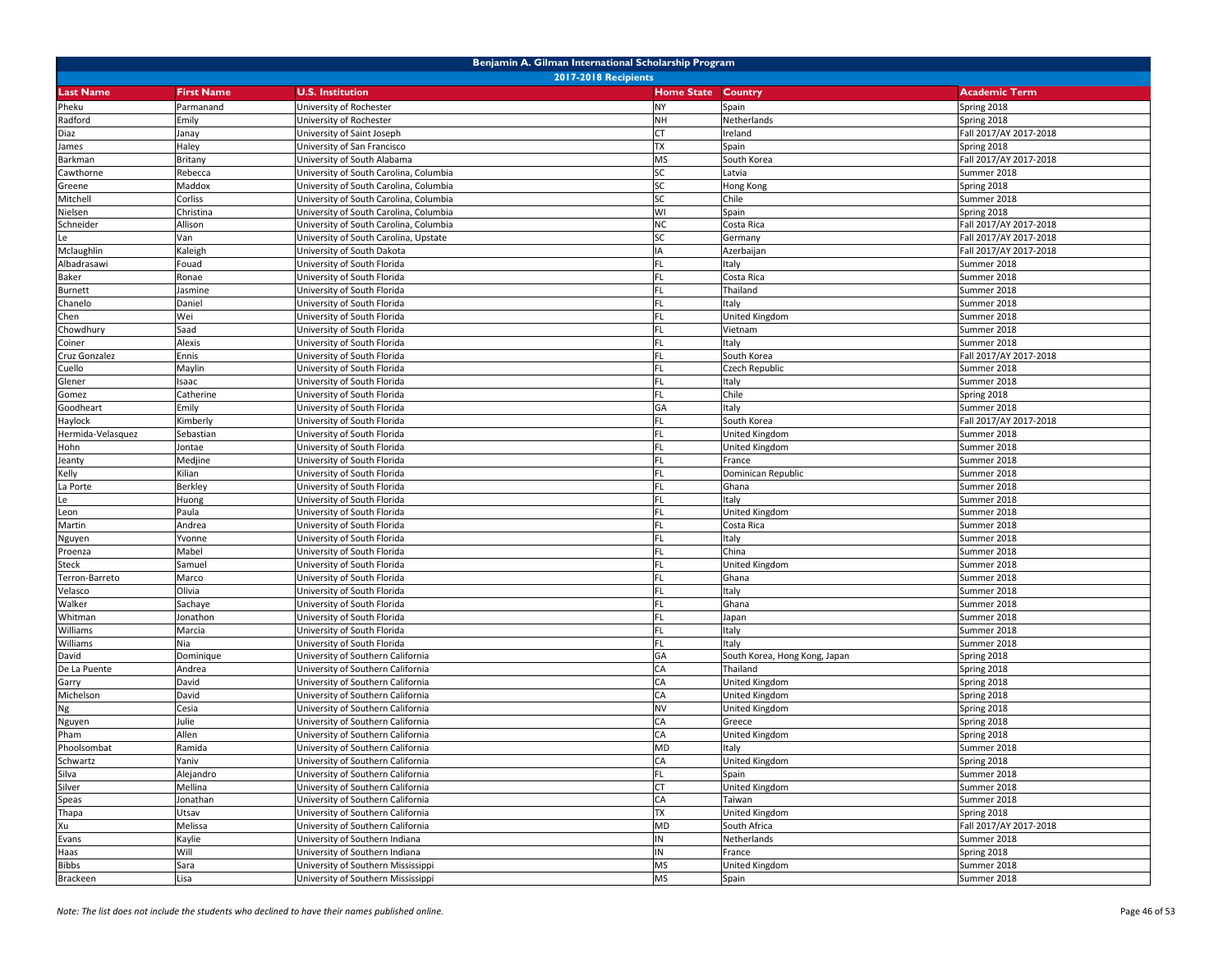| Benjamin A. Gilman International Scholarship Program |                             |                                        |                   |                               |                        |  |  |  |
|------------------------------------------------------|-----------------------------|----------------------------------------|-------------------|-------------------------------|------------------------|--|--|--|
|                                                      | <b>2017-2018 Recipients</b> |                                        |                   |                               |                        |  |  |  |
| Last Name                                            | <b>First Name</b>           | <b>U.S. Institution</b>                | <b>Home State</b> | Country                       | <b>Academic Term</b>   |  |  |  |
| Pheku                                                | Parmanand                   | University of Rochester                | <b>NY</b>         | Spain                         | Spring 2018            |  |  |  |
| Radford                                              | Emily                       | University of Rochester                | NH                | Netherlands                   | Spring 2018            |  |  |  |
| Diaz                                                 | Janay                       | University of Saint Joseph             |                   | Ireland                       | Fall 2017/AY 2017-2018 |  |  |  |
| James                                                | Haley                       | University of San Francisco            | <b>TX</b>         | Spain                         | Spring 2018            |  |  |  |
| Barkman                                              | Britany                     | University of South Alabama            | <b>MS</b>         | South Korea                   | Fall 2017/AY 2017-2018 |  |  |  |
| Cawthorne                                            | Rebecca                     | University of South Carolina, Columbia | <b>SC</b>         | Latvia                        | Summer 2018            |  |  |  |
| Greene                                               | Maddox                      | University of South Carolina, Columbia | <b>SC</b>         | Hong Kong                     | Spring 2018            |  |  |  |
| Mitchell                                             | Corliss                     | University of South Carolina, Columbia | SC                | Chile                         | Summer 2018            |  |  |  |
| Nielsen                                              | Christina                   | University of South Carolina, Columbia | WI                | Spain                         | Spring 2018            |  |  |  |
| Schneider                                            | Allison                     | University of South Carolina, Columbia | ΝC                | Costa Rica                    | Fall 2017/AY 2017-2018 |  |  |  |
| Le                                                   | Van                         | University of South Carolina, Upstate  | <b>SC</b>         | Germany                       | Fall 2017/AY 2017-2018 |  |  |  |
| Mclaughlin                                           | Kaleigh                     | University of South Dakota             | IA                | Azerbaijan                    | Fall 2017/AY 2017-2018 |  |  |  |
| Albadrasawi                                          | Fouad                       | University of South Florida            |                   | Italy                         | Summer 2018            |  |  |  |
| Baker                                                | Ronae                       | University of South Florida            |                   | Costa Rica                    | Summer 2018            |  |  |  |
| <b>Burnett</b>                                       | Jasmine                     | University of South Florida            | FL.               | Thailand                      | Summer 2018            |  |  |  |
| Chanelo                                              | Daniel                      | University of South Florida            | <b>FL</b>         | Italy                         | Summer 2018            |  |  |  |
| Chen                                                 | Wei                         | University of South Florida            | FL.               | United Kingdom                | Summer 2018            |  |  |  |
| Chowdhury                                            | Saad                        | University of South Florida            |                   | Vietnam                       | Summer 2018            |  |  |  |
| Coiner                                               | Alexis                      | University of South Florida            | FL.               | Italy                         | Summer 2018            |  |  |  |
| Cruz Gonzalez                                        | Ennis                       | University of South Florida            | <b>FL</b>         | South Korea                   | Fall 2017/AY 2017-2018 |  |  |  |
| Cuello                                               | Maylin                      | University of South Florida            | <b>FL</b>         | Czech Republic                | Summer 2018            |  |  |  |
| Glener                                               | Isaac                       | University of South Florida            | FL.               | Italy                         | Summer 2018            |  |  |  |
| Gomez                                                | Catherine                   | University of South Florida            |                   | Chile                         | Spring 2018            |  |  |  |
| Goodheart                                            | Emily                       | Jniversity of South Florida            | GA                | Italy                         | Summer 2018            |  |  |  |
| Haylock                                              | Kimberly                    | University of South Florida            | FL.               | South Korea                   | Fall 2017/AY 2017-2018 |  |  |  |
| Hermida-Velasquez                                    | Sebastiar                   | University of South Florida            | <b>FL</b>         | United Kingdom                | Summer 2018            |  |  |  |
| Hohn                                                 | Jontae                      | University of South Florida            | FL.               | United Kingdom                | Summer 2018            |  |  |  |
| Jeanty                                               | Medjine                     | University of South Florida            |                   | France                        | Summer 2018            |  |  |  |
| Kelly                                                | Kilian                      | University of South Florida            | FL                | Dominican Republic            | Summer 2018            |  |  |  |
| La Porte                                             | Berkley                     | University of South Florida            | FL.               | Ghana                         | Summer 2018            |  |  |  |
| Le                                                   | Huong                       | Jniversity of South Florida            | <b>FL</b>         | Italy                         | Summer 2018            |  |  |  |
| Leon                                                 | Paula                       | University of South Florida            | FL.               | United Kingdom                | Summer 2018            |  |  |  |
| Martin                                               | Andrea                      | University of South Florida            |                   | Costa Rica                    | Summer 2018            |  |  |  |
| Nguyen                                               | Yvonne                      | University of South Florida            | <b>FL</b>         | Italy                         | Summer 2018            |  |  |  |
| Proenza                                              | Mabel                       | University of South Florida            | <b>FL</b>         | China                         | Summer 2018            |  |  |  |
| Steck                                                | Samuel                      | University of South Florida            | FL                | United Kingdom                | Summer 2018            |  |  |  |
| Terron-Barreto                                       | Marco                       | University of South Florida            | FL.               | Ghana                         | Summer 2018            |  |  |  |
| Velasco                                              | Olivia                      | University of South Florida            |                   | Italy                         | Summer 2018            |  |  |  |
| Walker                                               | Sachaye                     | Jniversity of South Florida            | FL                | Ghana                         | Summer 2018            |  |  |  |
| Whitman                                              | Jonathon                    | University of South Florida            | FL.               | Japan                         | Summer 2018            |  |  |  |
| Williams                                             | Marcia                      | University of South Florida            | <b>FL</b>         | Italy                         | Summer 2018            |  |  |  |
| Williams                                             | Nia                         | University of South Florida            | <b>FL</b>         | Italy                         | Summer 2018            |  |  |  |
| David                                                | Dominique                   | University of Southern California      | GА                | South Korea, Hong Kong, Japan | Spring 2018            |  |  |  |
| De La Puente                                         | Andrea                      | University of Southern California      | СA                | Thailand                      | Spring 2018            |  |  |  |
| Garry                                                | David                       | University of Southern California      | CA                | United Kingdom                | Spring 2018            |  |  |  |
| Michelson                                            | David                       | University of Southern California      | CA                | United Kingdom                | Spring 2018            |  |  |  |
| Ng                                                   | Cesia                       | University of Southern California      | NV                | United Kingdom                | Spring 2018            |  |  |  |
| Nguyen                                               | Julie                       | University of Southern California      | СA                | Greece                        | Spring 2018            |  |  |  |
| Pham                                                 | Allen                       | University of Southern California      | CA                | United Kingdom                | Spring 2018            |  |  |  |
| Phoolsombat                                          | Ramida                      | University of Southern California      | <b>MD</b>         | Italy                         | Summer 2018            |  |  |  |
| Schwartz                                             | Yaniv                       | University of Southern California      | CA                | United Kingdom                | Spring 2018            |  |  |  |
| Silva                                                | Alejandro                   | University of Southern California      | FL.               | Spain                         | Summer 2018            |  |  |  |
| Silver                                               | Mellina                     | University of Southern California      | СT                | United Kingdom                | Summer 2018            |  |  |  |
| Speas                                                | Jonathan                    | University of Southern California      | CA                | Taiwan                        | Summer 2018            |  |  |  |
| Thapa                                                | Utsav                       | University of Southern California      | TX                | United Kingdom                | Spring 2018            |  |  |  |
| Xu                                                   | Melissa                     | University of Southern California      | <b>MD</b>         | South Africa                  | Fall 2017/AY 2017-2018 |  |  |  |
| Evans                                                | Kaylie                      | University of Southern Indiana         | ΙN                | Netherlands                   | Summer 2018            |  |  |  |
| Haas                                                 | Will                        | University of Southern Indiana         | IN                | France                        | Spring 2018            |  |  |  |
| Bibbs                                                | Sara                        | University of Southern Mississippi     | <b>MS</b>         | United Kingdom                | Summer 2018            |  |  |  |
| Brackeen                                             | Lisa                        | University of Southern Mississippi     | <b>MS</b>         | Spain                         | Summer 2018            |  |  |  |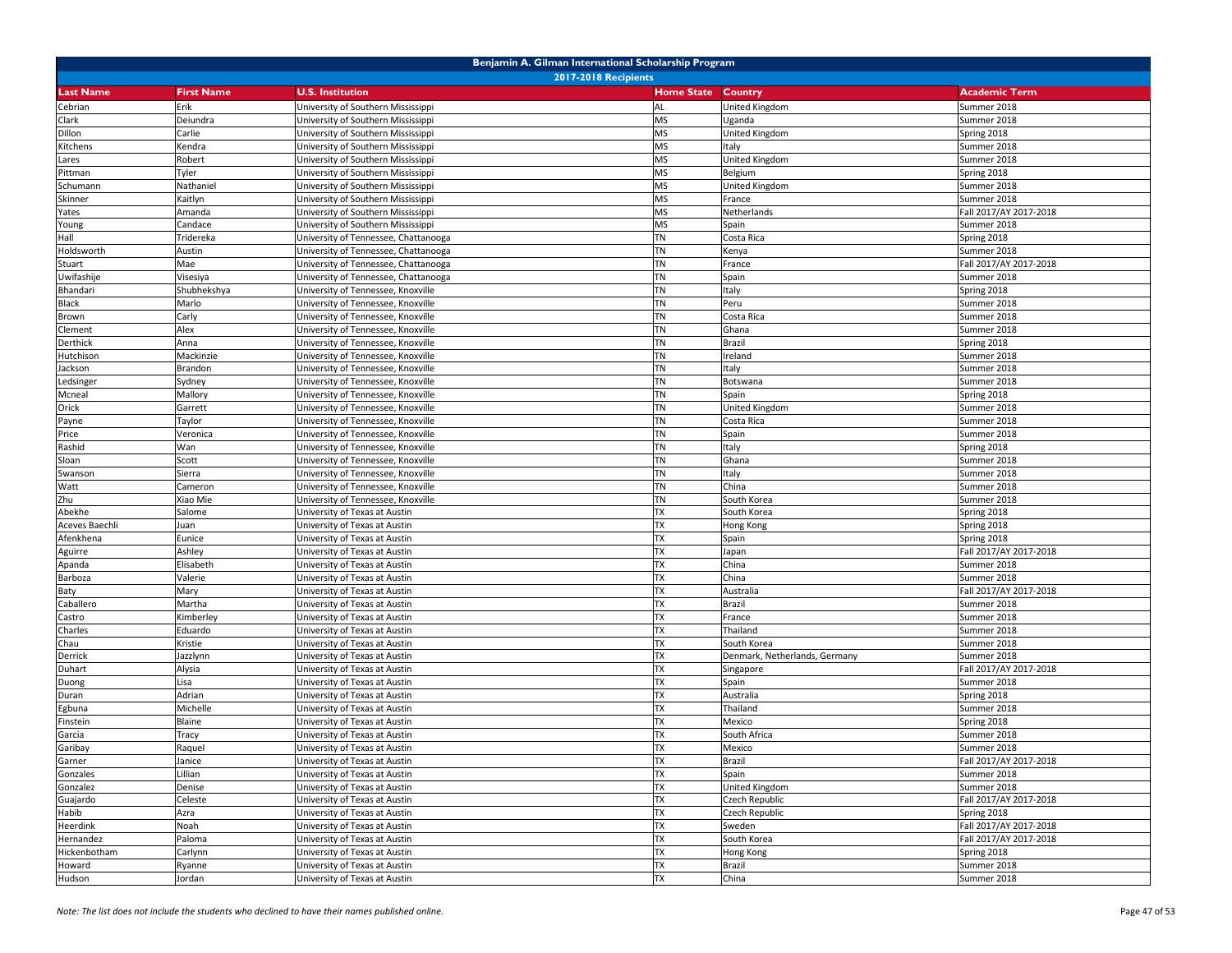|                  | Benjamin A. Gilman International Scholarship Program |                                      |                           |                               |                        |  |  |
|------------------|------------------------------------------------------|--------------------------------------|---------------------------|-------------------------------|------------------------|--|--|
|                  |                                                      | <b>2017-2018 Recipients</b>          |                           |                               |                        |  |  |
| <b>Last Name</b> | <b>First Name</b>                                    | <b>U.S. Institution</b>              | <b>Home State Country</b> |                               | <b>Academic Term</b>   |  |  |
| Cebrian          | Erik                                                 | University of Southern Mississippi   | <b>AL</b>                 | United Kingdom                | Summer 2018            |  |  |
| Clark            | Deiundra                                             | University of Southern Mississippi   | <b>MS</b>                 | Uganda                        | Summer 2018            |  |  |
| Dillon           | Carlie                                               | University of Southern Mississippi   | <b>MS</b>                 | United Kingdom                | Spring 2018            |  |  |
| Kitchens         | Kendra                                               | University of Southern Mississippi   | <b>MS</b>                 | Italy                         | Summer 2018            |  |  |
| Lares            | Robert                                               | University of Southern Mississippi   | <b>MS</b>                 | United Kingdom                | Summer 2018            |  |  |
| Pittman          | Tyler                                                | University of Southern Mississippi   | <b>MS</b>                 | Belgium                       | Spring 2018            |  |  |
| Schumann         | Nathaniel                                            | University of Southern Mississippi   | <b>MS</b>                 | United Kingdom                | Summer 2018            |  |  |
| Skinner          | Kaitlyn                                              | University of Southern Mississippi   | <b>MS</b>                 | France                        | Summer 2018            |  |  |
| Yates            | Amanda                                               | University of Southern Mississippi   | <b>MS</b>                 | Netherlands                   | Fall 2017/AY 2017-2018 |  |  |
| Young            | Candace                                              | University of Southern Mississippi   | <b>MS</b>                 | Spain                         | Summer 2018            |  |  |
| Hall             | Tridereka                                            | Jniversity of Tennessee, Chattanooga | <b>TN</b>                 | Costa Rica                    | Spring 2018            |  |  |
| Holdsworth       | Austin                                               | Jniversity of Tennessee, Chattanooga | TN                        | Kenya                         | Summer 2018            |  |  |
| Stuart           | Mae                                                  | University of Tennessee, Chattanooga | <b>TN</b>                 | France                        | Fall 2017/AY 2017-2018 |  |  |
| Uwifashije       | Visesiya                                             | University of Tennessee, Chattanooga | <b>TN</b>                 | Spain                         | Summer 2018            |  |  |
| Bhandari         | Shubhekshya                                          | University of Tennessee, Knoxville   | <b>TN</b>                 | Italy                         | Spring 2018            |  |  |
| Black            | Marlo                                                | University of Tennessee, Knoxville   | <b>TN</b>                 | Peru                          | Summer 2018            |  |  |
| Brown            | Carly                                                | University of Tennessee, Knoxville   | TN                        | Costa Rica                    | Summer 2018            |  |  |
| Clement          | Alex                                                 | University of Tennessee, Knoxville   | <b>TN</b>                 | Ghana                         | Summer 2018            |  |  |
| Derthick         | Anna                                                 | University of Tennessee, Knoxville   | <b>TN</b>                 | Brazil                        | Spring 2018            |  |  |
| Hutchison        | Mackinzie                                            | University of Tennessee, Knoxville   | <b>TN</b>                 | Ireland                       | Summer 2018            |  |  |
| Jackson          | Brandon                                              | University of Tennessee, Knoxville   | <b>TN</b>                 | Italy                         | Summer 2018            |  |  |
| Ledsinger        | Sydney                                               | University of Tennessee, Knoxville   | <b>TN</b>                 | Botswana                      | Summer 2018            |  |  |
| Mcneal           | Mallory                                              | University of Tennessee, Knoxville   | <b>TN</b>                 | Spain                         | Spring 2018            |  |  |
| Orick            | Garrett                                              | University of Tennessee, Knoxville   | <b>TN</b>                 | United Kingdom                | Summer 2018            |  |  |
| Payne            | Taylor                                               | University of Tennessee, Knoxville   | <b>TN</b>                 | Costa Rica                    | Summer 2018            |  |  |
| Price            | Veronica                                             | Jniversity of Tennessee, Knoxville   | <b>TN</b>                 | Spain                         | Summer 2018            |  |  |
| Rashid           | Wan                                                  | Jniversity of Tennessee, Knoxville   | <b>TN</b>                 | Italy                         | Spring 2018            |  |  |
| Sloan            | Scott                                                | University of Tennessee, Knoxville   | <b>TN</b>                 | Ghana                         | Summer 2018            |  |  |
| Swanson          | Sierra                                               | University of Tennessee, Knoxville   | <b>TN</b>                 | Italy                         | Summer 2018            |  |  |
| Watt             | Cameron                                              | University of Tennessee, Knoxville   | <b>TN</b>                 | China                         | Summer 2018            |  |  |
| Zhu              | Xiao Mie                                             | Jniversity of Tennessee, Knoxville   | <b>TN</b>                 | South Korea                   | Summer 2018            |  |  |
| Abekhe           | Salome                                               | University of Texas at Austin        | <b>TX</b>                 | South Korea                   | Spring 2018            |  |  |
| Aceves Baechli   | Juan                                                 | University of Texas at Austin        | TX                        | Hong Kong                     | Spring 2018            |  |  |
| Afenkhena        | Eunice                                               | University of Texas at Austin        | <b>TX</b>                 | Spain                         | Spring 2018            |  |  |
| Aguirre          | Ashley                                               | University of Texas at Austin        | <b>TX</b>                 | Japan                         | Fall 2017/AY 2017-2018 |  |  |
| Apanda           | Elisabeth                                            | University of Texas at Austin        | <b>TX</b>                 | China                         | Summer 2018            |  |  |
| Barboza          | Valerie                                              | University of Texas at Austin        | <b>TX</b>                 | China                         | Summer 2018            |  |  |
| Baty             | Mary                                                 | University of Texas at Austin        | <b>TX</b>                 | Australia                     | Fall 2017/AY 2017-2018 |  |  |
| Caballero        | Martha                                               | University of Texas at Austin        | <b>TX</b>                 | Brazil                        | Summer 2018            |  |  |
| Castro           | Kimberley                                            | University of Texas at Austin        | <b>TX</b>                 | France                        | Summer 2018            |  |  |
| Charles          | Eduardo                                              | Jniversity of Texas at Austin        | <b>TX</b>                 | Thailand                      | Summer 2018            |  |  |
| Chau             | Kristie                                              | Jniversity of Texas at Austin        | <b>TX</b>                 | South Korea                   | Summer 2018            |  |  |
| Derrick          | Jazzlynn                                             | University of Texas at Austin        | <b>TX</b>                 | Denmark, Netherlands, Germany | Summer 2018            |  |  |
| Duhart           | Alysia                                               | University of Texas at Austin        | <b>TX</b>                 | Singapore                     | Fall 2017/AY 2017-2018 |  |  |
| Duong            | Lisa                                                 | University of Texas at Austin        | <b>TX</b>                 | Spain                         | Summer 2018            |  |  |
| Duran            | Adrian                                               | Jniversity of Texas at Austin        | <b>TX</b>                 | Australia                     | Spring 2018            |  |  |
| Egbuna           | Michelle                                             | Jniversity of Texas at Austin        | <b>TX</b>                 | Thailand                      | Summer 2018            |  |  |
| Finstein         | Blaine                                               | Jniversity of Texas at Austin        | <b>TX</b>                 | Mexico                        | Spring 2018            |  |  |
| Garcia           | Tracy                                                | University of Texas at Austin        | <b>TX</b>                 | South Africa                  | Summer 2018            |  |  |
| Garibay          | Raquel                                               | University of Texas at Austin        | <b>TX</b>                 | Mexico                        | Summer 2018            |  |  |
| Garner           | Janice                                               | University of Texas at Austin        | <b>TX</b>                 | Brazil                        | Fall 2017/AY 2017-2018 |  |  |
| Gonzales         | Lillian                                              | University of Texas at Austin        | <b>TX</b>                 | Spain                         | Summer 2018            |  |  |
| Gonzalez         | Denise                                               | University of Texas at Austin        | <b>TX</b>                 | United Kingdom                | Summer 2018            |  |  |
| Guajardo         | Celeste                                              | University of Texas at Austin        | <b>TX</b>                 | Czech Republic                | Fall 2017/AY 2017-2018 |  |  |
| Habib            | Azra                                                 | University of Texas at Austin        | <b>TX</b>                 | Czech Republic                | Spring 2018            |  |  |
| Heerdink         | Noah                                                 | University of Texas at Austin        | <b>TX</b>                 | Sweden                        | Fall 2017/AY 2017-2018 |  |  |
| Hernandez        | Paloma                                               | University of Texas at Austin        | <b>TX</b>                 | South Korea                   | Fall 2017/AY 2017-2018 |  |  |
| Hickenbotham     | Carlynn                                              | University of Texas at Austin        | <b>TX</b>                 | Hong Kong                     | Spring 2018            |  |  |
| Howard           | Ryanne                                               | University of Texas at Austin        | <b>TX</b>                 | Brazil                        | Summer 2018            |  |  |
| Hudson           | Jordan                                               | University of Texas at Austin        | <b>TX</b>                 | China                         | Summer 2018            |  |  |
|                  |                                                      |                                      |                           |                               |                        |  |  |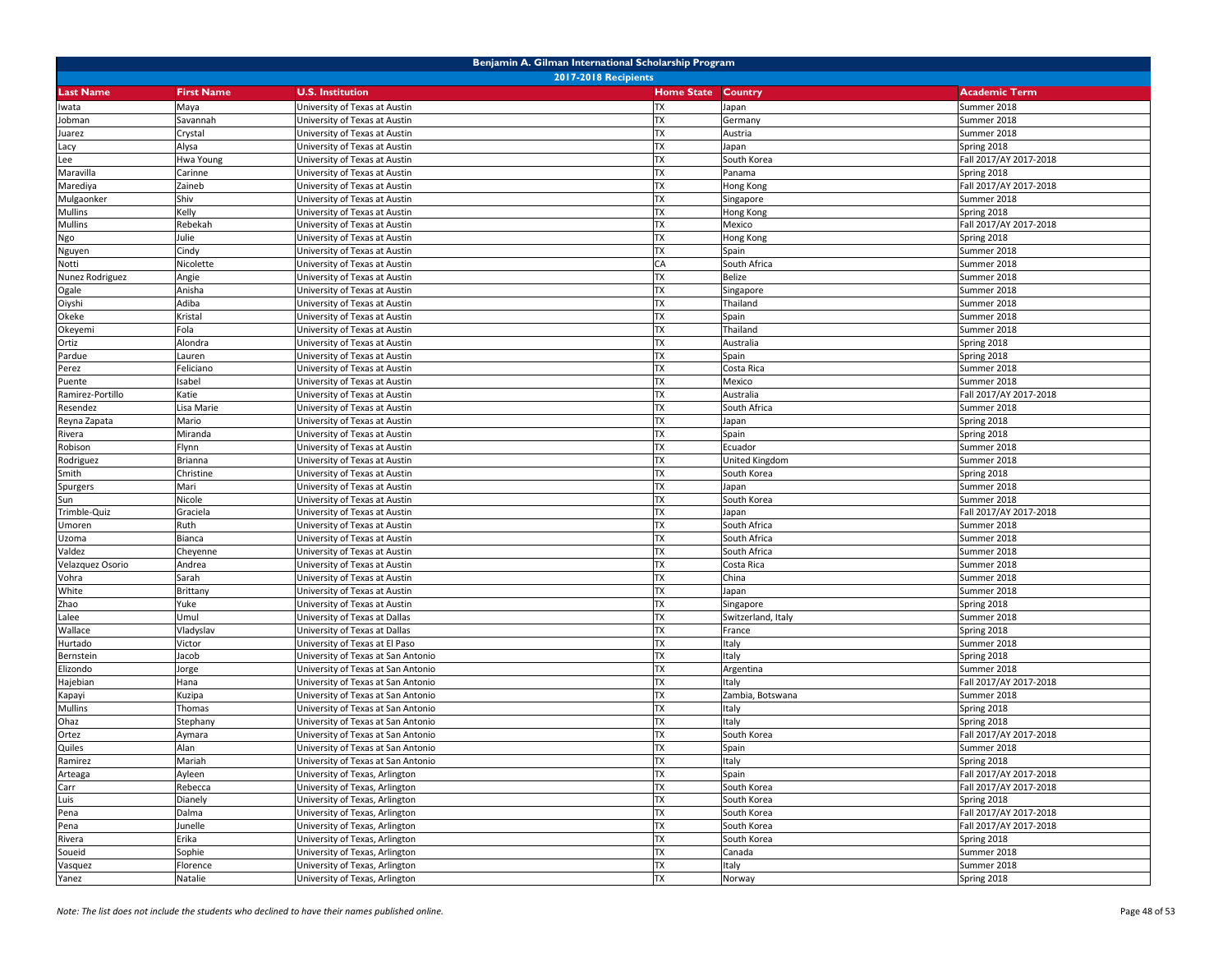|                  | Benjamin A. Gilman International Scholarship Program |                                    |                   |                    |                        |  |  |  |
|------------------|------------------------------------------------------|------------------------------------|-------------------|--------------------|------------------------|--|--|--|
|                  | <b>2017-2018 Recipients</b>                          |                                    |                   |                    |                        |  |  |  |
| <b>Last Name</b> | <b>First Name</b>                                    | <b>U.S. Institution</b>            | <b>Home State</b> | Country            | <b>Academic Term</b>   |  |  |  |
| Iwata            | Maya                                                 | University of Texas at Austin      | TX                | Japan              | Summer 2018            |  |  |  |
| Jobman           | Savannah                                             | Jniversity of Texas at Austin      | <b>TX</b>         | Germany            | Summer 2018            |  |  |  |
| Juarez           | Crystal                                              | University of Texas at Austin      | <b>TX</b>         | Austria            | Summer 2018            |  |  |  |
| Lacy             | Alysa                                                | Jniversity of Texas at Austin      | <b>TX</b>         | Japan              | Spring 2018            |  |  |  |
| Lee              | Hwa Young                                            | University of Texas at Austin      | <b>TX</b>         | South Korea        | Fall 2017/AY 2017-2018 |  |  |  |
| Maravilla        | Carinne                                              | University of Texas at Austin      | <b>TX</b>         | Panama             | Spring 2018            |  |  |  |
| Marediya         | Zaineb                                               | University of Texas at Austin      | <b>TX</b>         | Hong Kong          | Fall 2017/AY 2017-2018 |  |  |  |
| Mulgaonker       | Shiv                                                 | Jniversity of Texas at Austin      | <b>TX</b>         | Singapore          | Summer 2018            |  |  |  |
| Mullins          | Kelly                                                | Jniversity of Texas at Austin      | <b>TX</b>         | Hong Kong          | Spring 2018            |  |  |  |
| <b>Mullins</b>   | Rebekah                                              | University of Texas at Austin      | <b>TX</b>         | Mexico             | Fall 2017/AY 2017-2018 |  |  |  |
| Ngo              | Julie                                                | University of Texas at Austin      | <b>TX</b>         | Hong Kong          | Spring 2018            |  |  |  |
| Nguyen           | Cindy                                                | University of Texas at Austin      | <b>TX</b>         | Spain              | Summer 2018            |  |  |  |
| Notti            | Nicolette                                            | University of Texas at Austin      | CA                | South Africa       | Summer 2018            |  |  |  |
| Nunez Rodriguez  | Angie                                                | University of Texas at Austin      | <b>TX</b>         | Belize             | Summer 2018            |  |  |  |
| Ogale            | Anisha                                               | University of Texas at Austin      | <b>TX</b>         | Singapore          | Summer 2018            |  |  |  |
| Oiyshi           | Adiba                                                | University of Texas at Austin      | <b>TX</b>         | Thailand           | Summer 2018            |  |  |  |
| Okeke            | Kristal                                              | University of Texas at Austin      | <b>TX</b>         | Spain              | Summer 2018            |  |  |  |
| Okeyemi          | Fola                                                 | University of Texas at Austin      | <b>TX</b>         | Thailand           | Summer 2018            |  |  |  |
| Ortiz            | Alondra                                              | University of Texas at Austin      | <b>TX</b>         | Australia          | Spring 2018            |  |  |  |
| Pardue           | Lauren                                               | University of Texas at Austin      | <b>TX</b>         | Spain              | Spring 2018            |  |  |  |
| Perez            | Feliciano                                            | University of Texas at Austin      | <b>TX</b>         | Costa Rica         | Summer 2018            |  |  |  |
| Puente           | Isabel                                               | University of Texas at Austin      | <b>TX</b>         | Mexico             | Summer 2018            |  |  |  |
| Ramirez-Portillo | Katie                                                | University of Texas at Austin      | <b>TX</b>         | Australia          | Fall 2017/AY 2017-2018 |  |  |  |
| Resendez         | Lisa Marie                                           | Jniversity of Texas at Austin      | <b>TX</b>         | South Africa       | Summer 2018            |  |  |  |
| Reyna Zapata     | Mario                                                | University of Texas at Austin      | <b>TX</b>         | Japan              | Spring 2018            |  |  |  |
| Rivera           | Miranda                                              | University of Texas at Austin      | <b>TX</b>         | Spain              | Spring 2018            |  |  |  |
| Robison          | Flynn                                                | University of Texas at Austin      | <b>TX</b>         | Ecuador            | Summer 2018            |  |  |  |
| Rodriguez        | Brianna                                              | University of Texas at Austin      | <b>TX</b>         | United Kingdom     | Summer 2018            |  |  |  |
| Smith            | Christine                                            | Jniversity of Texas at Austin      | <b>TX</b>         | South Korea        | Spring 2018            |  |  |  |
| Spurgers         | Mari                                                 | University of Texas at Austin      | <b>TX</b>         | Japan              | Summer 2018            |  |  |  |
| Sun              | Nicole                                               | University of Texas at Austin      | <b>TX</b>         | South Korea        | Summer 2018            |  |  |  |
| Trimble-Quiz     | Graciela                                             | University of Texas at Austin      | <b>TX</b>         | Japan              | Fall 2017/AY 2017-2018 |  |  |  |
| Umoren           | Ruth                                                 | University of Texas at Austin      | <b>TX</b>         | South Africa       | Summer 2018            |  |  |  |
| Uzoma            | Bianca                                               | University of Texas at Austin      | <b>TX</b>         | South Africa       | Summer 2018            |  |  |  |
| Valdez           | Cheyenne                                             | University of Texas at Austin      | TX                | South Africa       | Summer 2018            |  |  |  |
| Velazquez Osorio | Andrea                                               | University of Texas at Austin      | <b>TX</b>         | Costa Rica         | Summer 2018            |  |  |  |
| Vohra            | Sarah                                                | University of Texas at Austin      | <b>TX</b>         | China              | Summer 2018            |  |  |  |
| White            | Brittany                                             | Jniversity of Texas at Austin      | <b>TX</b>         | Japan              | Summer 2018            |  |  |  |
| Zhao             | Yuke                                                 | Jniversity of Texas at Austin      | <b>TX</b>         | Singapore          | Spring 2018            |  |  |  |
| Lalee            | Umul                                                 | University of Texas at Dallas      | <b>TX</b>         | Switzerland, Italy | Summer 2018            |  |  |  |
| Wallace          | Vladyslav                                            | University of Texas at Dallas      | <b>TX</b>         | France             | Spring 2018            |  |  |  |
| Hurtado          | Victor                                               | University of Texas at El Paso     | <b>TX</b>         | Italy              | Summer 2018            |  |  |  |
| Bernstein        | Jacob                                                | University of Texas at San Antonio | <b>TX</b>         | Italy              | Spring 2018            |  |  |  |
| Elizondo         | orge                                                 | Jniversity of Texas at San Antonio | <b>TX</b>         | Argentina          | Summer 2018            |  |  |  |
| Hajebian         | Hana                                                 | University of Texas at San Antonio | <b>TX</b>         | Italy              | Fall 2017/AY 2017-2018 |  |  |  |
| Kapayi           | Kuzipa                                               | University of Texas at San Antonio | <b>TX</b>         | Zambia, Botswana   | Summer 2018            |  |  |  |
| Mullins          | Thomas                                               | Jniversity of Texas at San Antonio | <b>TX</b>         | Italy              | Spring 2018            |  |  |  |
| Ohaz             | Stephany                                             | University of Texas at San Antonio | <b>TX</b>         | Italy              | Spring 2018            |  |  |  |
| Ortez            | Aymara                                               | University of Texas at San Antonio | <b>TX</b>         | South Korea        | Fall 2017/AY 2017-2018 |  |  |  |
| Quiles           | Alan                                                 | University of Texas at San Antonio | <b>TX</b>         | Spain              | Summer 2018            |  |  |  |
| Ramirez          | Mariah                                               | University of Texas at San Antonio | TX                | Italy              | Spring 2018            |  |  |  |
| Arteaga          | Ayleen                                               | University of Texas, Arlington     | <b>TX</b>         | Spain              | Fall 2017/AY 2017-2018 |  |  |  |
| Carr             | Rebecca                                              | University of Texas, Arlington     | <b>TX</b>         | South Korea        | Fall 2017/AY 2017-2018 |  |  |  |
| Luis             | Dianely                                              | University of Texas, Arlington     | <b>TX</b>         | South Korea        | Spring 2018            |  |  |  |
| Pena             | Dalma                                                | University of Texas, Arlington     | <b>TX</b>         | South Korea        | Fall 2017/AY 2017-2018 |  |  |  |
| Pena             | Junelle                                              | University of Texas, Arlington     | <b>TX</b>         | South Korea        | Fall 2017/AY 2017-2018 |  |  |  |
| Rivera           | Erika                                                | University of Texas, Arlington     | <b>TX</b>         | South Korea        | Spring 2018            |  |  |  |
| Soueid           | Sophie                                               | University of Texas, Arlington     | <b>TX</b>         | Canada             | Summer 2018            |  |  |  |
| Vasquez          | Florence                                             | University of Texas, Arlington     | <b>TX</b>         | Italy              | Summer 2018            |  |  |  |
| Yanez            | Natalie                                              | University of Texas, Arlington     | <b>TX</b>         | Norway             | Spring 2018            |  |  |  |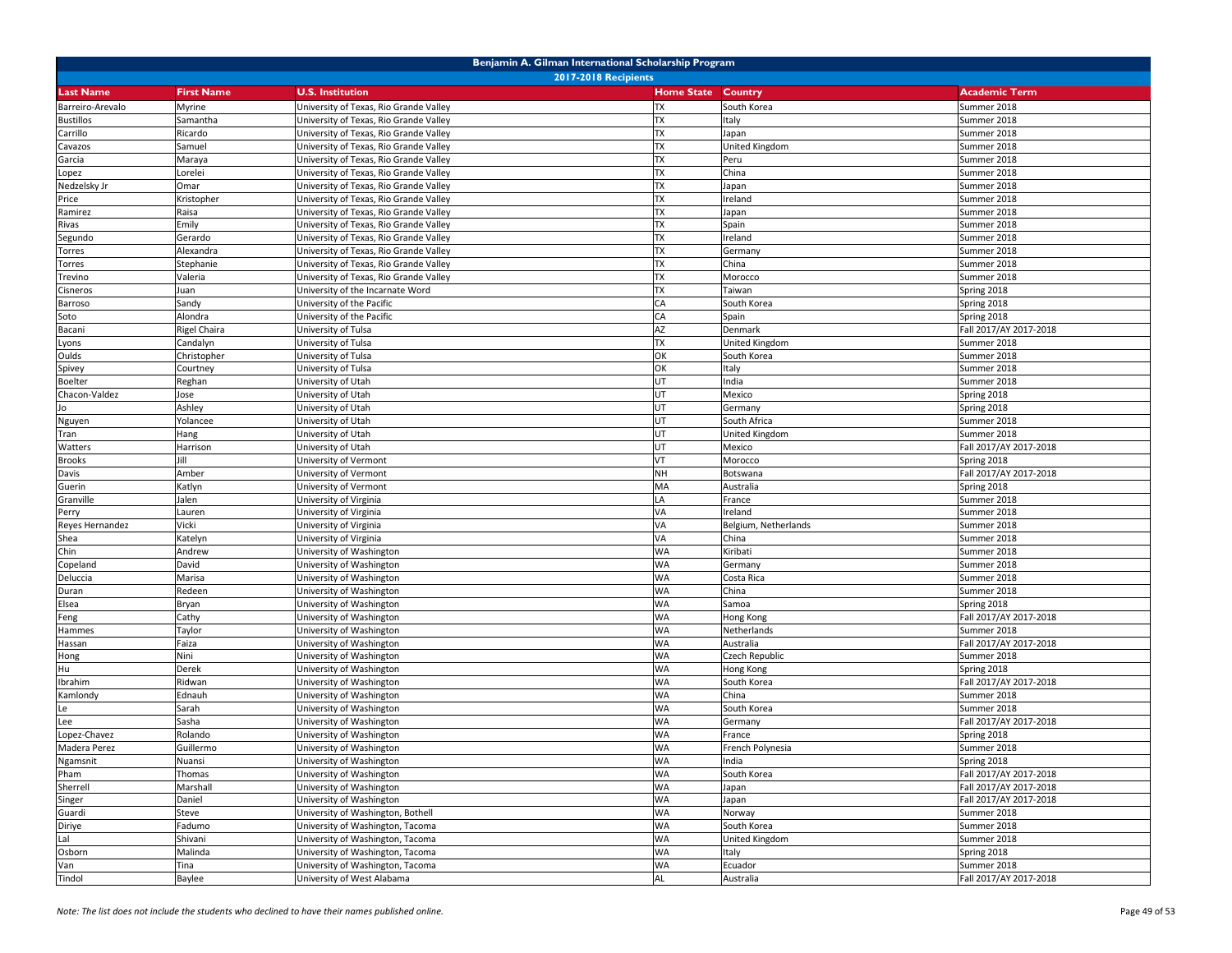| Benjamin A. Gilman International Scholarship Program |                     |                                        |                   |                       |                        |  |
|------------------------------------------------------|---------------------|----------------------------------------|-------------------|-----------------------|------------------------|--|
| <b>2017-2018 Recipients</b>                          |                     |                                        |                   |                       |                        |  |
| <b>Last Name</b>                                     | <b>First Name</b>   | <b>U.S. Institution</b>                | <b>Home State</b> | Country               | <b>Academic Term</b>   |  |
| Barreiro-Arevalo                                     | Myrine              | University of Texas, Rio Grande Valley | <b>TX</b>         | South Korea           | Summer 2018            |  |
| Bustillos                                            | Samantha            | University of Texas, Rio Grande Valley | <b>TX</b>         | Italy                 | Summer 2018            |  |
| Carrillo                                             | Ricardo             | University of Texas, Rio Grande Valley | TX                | Japan                 | Summer 2018            |  |
| Cavazos                                              | Samuel              | University of Texas, Rio Grande Valley | TX                | United Kingdom        | Summer 2018            |  |
| Garcia                                               | Maraya              | University of Texas, Rio Grande Valley | <b>TX</b>         | Peru                  | Summer 2018            |  |
| Lopez                                                | Lorelei             | University of Texas, Rio Grande Valley | <b>TX</b>         | China                 | Summer 2018            |  |
| Nedzelsky Jr                                         | Omar                | University of Texas, Rio Grande Valley | <b>TX</b>         | Japan                 | Summer 2018            |  |
| Price                                                | Kristopher          | University of Texas, Rio Grande Valley | TX                | Ireland               | Summer 2018            |  |
| Ramirez                                              | Raisa               | University of Texas, Rio Grande Valley | TX                | Japan                 | Summer 2018            |  |
| Rivas                                                | Emily               | University of Texas, Rio Grande Valley | <b>TX</b>         | Spain                 | Summer 2018            |  |
| Segundo                                              | Gerardo             | University of Texas, Rio Grande Valley | <b>TX</b>         | Ireland               | Summer 2018            |  |
| Torres                                               | Alexandra           | University of Texas, Rio Grande Valley | <b>TX</b>         | Germany               | Summer 2018            |  |
| Torres                                               | Stephanie           | University of Texas, Rio Grande Valley | TX                | China                 | Summer 2018            |  |
| Trevino                                              | Valeria             | University of Texas, Rio Grande Valley | TX                | Morocco               | Summer 2018            |  |
| Cisneros                                             | Juan                | University of the Incarnate Word       | <b>TX</b>         | Taiwan                | Spring 2018            |  |
| Barroso                                              | Sandy               | University of the Pacific              | CA                | South Korea           | Spring 2018            |  |
| Soto                                                 | Alondra             | University of the Pacific              | CA                | Spain                 | Spring 2018            |  |
| Bacani                                               | <b>Rigel Chaira</b> | University of Tulsa                    | AZ                | Denmark               | Fall 2017/AY 2017-2018 |  |
| Lyons                                                | Candalyn            | University of Tulsa                    | <b>TX</b>         | United Kingdom        | Summer 2018            |  |
| Oulds                                                | Christopher         | University of Tulsa                    | OK                | South Korea           | Summer 2018            |  |
| Spivey                                               | Courtney            | University of Tulsa                    | OK                | Italy                 | Summer 2018            |  |
| <b>Boelter</b>                                       | Reghan              | University of Utah                     | UT                | India                 | Summer 2018            |  |
| Chacon-Valdez                                        | Jose                | University of Utah                     | UT                | Mexico                | Spring 2018            |  |
|                                                      | Ashley              | University of Utah                     | UT                | Germany               | Spring 2018            |  |
| Nguyen                                               | Yolancee            | University of Utah                     | UT                | South Africa          | Summer 2018            |  |
| Tran                                                 | Hang                | University of Utah                     | UT                | <b>United Kingdom</b> | Summer 2018            |  |
| Watters                                              | Harrison            | University of Utah                     | UT                | Mexico                | Fall 2017/AY 2017-2018 |  |
| <b>Brooks</b>                                        |                     | University of Vermont                  | VT                | Morocco               | Spring 2018            |  |
| Davis                                                | Amber               | University of Vermont                  | <b>NH</b>         | Botswana              | Fall 2017/AY 2017-2018 |  |
| Guerin                                               | Katlyn              | University of Vermont                  | MA                | Australia             | Spring 2018            |  |
| Granville                                            | Jalen               | University of Virginia                 | LA                | France                | Summer 2018            |  |
| Perry                                                | Lauren              | University of Virginia                 | VA                | Ireland               | Summer 2018            |  |
| Reyes Hernandez                                      | Vicki               | University of Virginia                 | VA                | Belgium, Netherlands  | Summer 2018            |  |
| Shea                                                 | Katelyn             | University of Virginia                 | VA                | China                 | Summer 2018            |  |
| Chin                                                 | Andrew              | University of Washington               | <b>WA</b>         | Kiribati              | Summer 2018            |  |
| Copeland                                             | David               | University of Washington               | <b>WA</b>         | Germany               | Summer 2018            |  |
| Deluccia                                             | Marisa              | University of Washington               | <b>WA</b>         | Costa Rica            | Summer 2018            |  |
| Duran                                                | Redeen              | University of Washington               | <b>WA</b>         | China                 | Summer 2018            |  |
| Elsea                                                | Bryan               | University of Washington               | <b>WA</b>         | Samoa                 | Spring 2018            |  |
| Feng                                                 | Cathy               | University of Washington               | <b>WA</b>         | Hong Kong             | Fall 2017/AY 2017-2018 |  |
| Hammes                                               | Taylor              | University of Washington               | <b>WA</b>         | Netherlands           | Summer 2018            |  |
| Hassan                                               | Faiza               | University of Washington               | <b>WA</b>         | Australia             | Fall 2017/AY 2017-2018 |  |
| Hong                                                 | Nini                | University of Washington               | <b>WA</b>         | Czech Republic        | Summer 2018            |  |
| Hu                                                   | Derek               | University of Washington               | <b>WA</b>         | Hong Kong             | Spring 2018            |  |
| Ibrahim                                              | Ridwan              | University of Washington               | <b>WA</b>         | South Korea           | Fall 2017/AY 2017-2018 |  |
| Kamlondy                                             | Ednauh              | University of Washington               | <b>WA</b>         | China                 | Summer 2018            |  |
| Le                                                   | Sarah               | University of Washington               | <b>WA</b>         | South Korea           | Summer 2018            |  |
| Lee                                                  | Sasha               | University of Washington               | <b>WA</b>         | Germany               | Fall 2017/AY 2017-2018 |  |
| Lopez-Chavez                                         | Rolando             | University of Washington               | <b>WA</b>         | France                | Spring 2018            |  |
| Madera Perez                                         | Guillermo           | University of Washington               | <b>WA</b>         | French Polynesia      | Summer 2018            |  |
| Ngamsnit                                             | Nuansi              | University of Washington               | WA                | India                 | Spring 2018            |  |
| Pham                                                 | Thomas              | University of Washington               | WA                | South Korea           | Fall 2017/AY 2017-2018 |  |
| Sherrell                                             | Marshall            | University of Washington               | <b>WA</b>         | Japan                 | Fall 2017/AY 2017-2018 |  |
|                                                      | Daniel              | University of Washington               | <b>WA</b>         | Japan                 | Fall 2017/AY 2017-2018 |  |
| Singer<br>Guardi                                     | Steve               | University of Washington, Bothell      | <b>WA</b>         |                       | Summer 2018            |  |
|                                                      |                     | University of Washington, Tacoma       | WA                | Norway                | Summer 2018            |  |
| Diriye<br>Lal                                        | Fadumo<br>Shivani   | University of Washington, Tacoma       | <b>WA</b>         | South Korea           |                        |  |
|                                                      |                     |                                        |                   | United Kingdom        | Summer 2018            |  |
| Osborn                                               | Malinda             | University of Washington, Tacoma       | <b>WA</b>         | Italy                 | Spring 2018            |  |
| Van                                                  | Tina                | University of Washington, Tacoma       | <b>WA</b>         | Ecuador               | Summer 2018            |  |
| Tindol                                               | Baylee              | University of West Alabama             | AL                | Australia             | Fall 2017/AY 2017-2018 |  |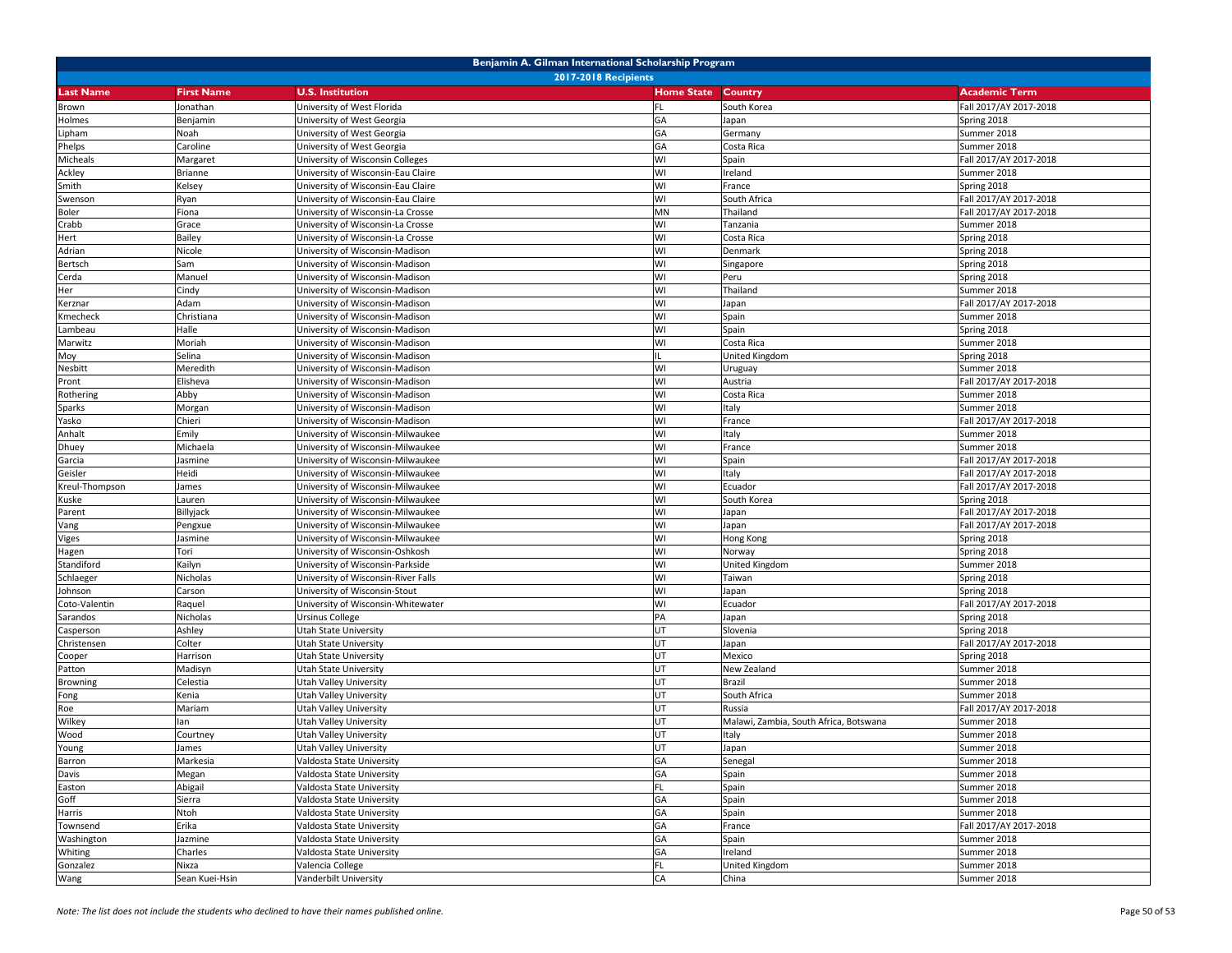| Benjamin A. Gilman International Scholarship Program |                   |                                                        |                           |                                        |                        |  |
|------------------------------------------------------|-------------------|--------------------------------------------------------|---------------------------|----------------------------------------|------------------------|--|
| <b>2017-2018 Recipients</b>                          |                   |                                                        |                           |                                        |                        |  |
| Last Name                                            | <b>First Name</b> | <b>U.S. Institution</b>                                | <b>Home State Country</b> |                                        | <b>Academic Term</b>   |  |
| Brown                                                | Jonathan          | University of West Florida                             | FL.                       | South Korea                            | Fall 2017/AY 2017-2018 |  |
| Holmes                                               | Benjamin          | University of West Georgia                             | GA                        | Japan                                  | Spring 2018            |  |
| Lipham                                               | Noah              | University of West Georgia                             | GA                        | Germany                                | Summer 2018            |  |
| Phelps                                               | Caroline          | University of West Georgia                             | GA                        | Costa Rica                             | Summer 2018            |  |
| Micheals                                             | Margaret          | University of Wisconsin Colleges                       | WI                        | Spain                                  | Fall 2017/AY 2017-2018 |  |
| Ackley                                               | <b>Brianne</b>    | University of Wisconsin-Eau Claire                     | WI                        | Ireland                                | Summer 2018            |  |
| Smith                                                | Kelsey            | University of Wisconsin-Eau Claire                     | WI                        | France                                 | Spring 2018            |  |
| Swenson                                              | Ryan              | University of Wisconsin-Eau Claire                     | WI                        | South Africa                           | Fall 2017/AY 2017-2018 |  |
| Boler                                                | Fiona             | University of Wisconsin-La Crosse                      | MΝ                        | Thailand                               | Fall 2017/AY 2017-2018 |  |
| Crabb                                                | Grace             | University of Wisconsin-La Crosse                      | WI                        | Tanzania                               | Summer 2018            |  |
| Hert                                                 | Bailey            | Jniversity of Wisconsin-La Crosse                      | WI                        | Costa Rica                             | Spring 2018            |  |
| Adrian                                               | Nicole            | Jniversity of Wisconsin-Madison                        | WI                        | Denmark                                | Spring 2018            |  |
| Bertsch                                              | Sam               | University of Wisconsin-Madison                        | WI                        | Singapore                              | Spring 2018            |  |
| Cerda                                                | Manuel            | University of Wisconsin-Madison                        | WI                        | Peru                                   | Spring 2018            |  |
| Her                                                  | Cindy             | University of Wisconsin-Madison                        | WI                        | Thailand                               | Summer 2018            |  |
| Kerznar                                              | Adam              | University of Wisconsin-Madison                        | WI                        | Japan                                  | Fall 2017/AY 2017-2018 |  |
| Kmecheck                                             | Christiana        | University of Wisconsin-Madison                        | WI                        | Spain                                  | Summer 2018            |  |
| Lambeau                                              | Halle             | University of Wisconsin-Madison                        | WI                        | Spain                                  | Spring 2018            |  |
| Marwitz                                              | Moriah            | University of Wisconsin-Madison                        | WI                        | Costa Rica                             | Summer 2018            |  |
| Moy                                                  | Selina            | University of Wisconsin-Madison                        |                           | United Kingdom                         | Spring 2018            |  |
| Nesbitt                                              | Meredith          | University of Wisconsin-Madison                        | WI                        | Uruguay                                | Summer 2018            |  |
| Pront                                                | Elisheva          | University of Wisconsin-Madison                        | WI                        | Austria                                | Fall 2017/AY 2017-2018 |  |
| Rothering                                            | Abby              | University of Wisconsin-Madison                        | WI                        | Costa Rica                             | Summer 2018            |  |
| Sparks                                               | Morgan            | University of Wisconsin-Madison                        | WI                        | Italy                                  | Summer 2018            |  |
| Yasko                                                | Chieri            | University of Wisconsin-Madison                        | WI                        | France                                 | Fall 2017/AY 2017-2018 |  |
| Anhalt                                               | Emily             | University of Wisconsin-Milwaukee                      | WI                        | Italy                                  | Summer 2018            |  |
| Dhuey                                                | Michaela          | University of Wisconsin-Milwaukee                      | WI                        | France                                 | Summer 2018            |  |
| Garcia                                               | Jasmine           | University of Wisconsin-Milwaukee                      | WI                        | Spain                                  | Fall 2017/AY 2017-2018 |  |
| Geisler                                              | Heidi             | University of Wisconsin-Milwaukee                      | WI                        | Italy                                  | Fall 2017/AY 2017-2018 |  |
| Kreul-Thompson                                       | James             | University of Wisconsin-Milwaukee                      | WI                        | Ecuador                                | Fall 2017/AY 2017-2018 |  |
| Kuske                                                | Lauren            | University of Wisconsin-Milwaukee                      | WI                        | South Korea                            | Spring 2018            |  |
| Parent                                               | Billyjack         | University of Wisconsin-Milwaukee                      | WI                        | Japan                                  | Fall 2017/AY 2017-2018 |  |
| Vang                                                 | Pengxue           | Jniversity of Wisconsin-Milwaukee                      | WI                        | Japan                                  | Fall 2017/AY 2017-2018 |  |
| Viges                                                | Jasmine           | University of Wisconsin-Milwaukee                      | WI                        | Hong Kong                              | Spring 2018            |  |
| Hagen                                                | Tori              | University of Wisconsin-Oshkosh                        | WI                        | Norway                                 | Spring 2018            |  |
| Standiford                                           | Kailyn            | University of Wisconsin-Parkside                       | WI                        | United Kingdom                         | Summer 2018            |  |
| Schlaeger                                            | Nicholas          | University of Wisconsin-River Falls                    | WI                        | Taiwan                                 | Spring 2018            |  |
| Johnson                                              | Carson            | University of Wisconsin-Stout                          | WI                        | Japan                                  | Spring 2018            |  |
| Coto-Valentin                                        | Raquel            | University of Wisconsin-Whitewater                     | WI                        | Ecuador                                | Fall 2017/AY 2017-2018 |  |
| Sarandos                                             | Nicholas          | Ursinus College                                        | PA                        | Japan                                  | Spring 2018            |  |
| Casperson                                            | Ashley            | Utah State University                                  | UT                        | Slovenia                               | Spring 2018            |  |
| Christensen                                          | Colter            | Utah State University                                  | UT                        | Japan                                  | Fall 2017/AY 2017-2018 |  |
| Cooper                                               | Harrison          | Utah State University                                  | UT                        | Mexico                                 | Spring 2018            |  |
| Patton                                               | Madisyn           | Utah State University                                  | UT                        | New Zealand                            | Summer 2018            |  |
| Browning                                             | Celestia          | Utah Valley University                                 | UT                        | Brazil                                 | Summer 2018            |  |
|                                                      | Kenia             | <b>Jtah Valley University</b>                          | UT                        | South Africa                           | Summer 2018            |  |
| Fong<br>Roe                                          | Mariam            | Utah Valley University                                 | UT                        | Russia                                 | Fall 2017/AY 2017-2018 |  |
| Wilkey                                               | an                | Jtah Valley University                                 | UT                        | Malawi, Zambia, South Africa, Botswana | Summer 2018            |  |
| Wood                                                 | Courtney          | Utah Valley University                                 | UT                        | Italy                                  | Summer 2018            |  |
|                                                      | James             | Utah Valley University                                 | UT                        | Japan                                  | Summer 2018            |  |
| Young                                                |                   |                                                        |                           |                                        | Summer 2018            |  |
| Barron<br>Davis                                      | Markesia          | Valdosta State University<br>Valdosta State University | GA<br>GA                  | Senegal                                | Summer 2018            |  |
|                                                      | Megan             |                                                        | FL                        | Spain                                  |                        |  |
| Easton                                               | Abigail           | Valdosta State University                              |                           | Spain                                  | Summer 2018            |  |
| Goff                                                 | Sierra            | Valdosta State University                              | GA                        | Spain                                  | Summer 2018            |  |
| Harris                                               | Ntoh              | Valdosta State University                              | GA                        | Spain                                  | Summer 2018            |  |
| Townsend                                             | Erika             | Valdosta State University                              | GA                        | France                                 | Fall 2017/AY 2017-2018 |  |
| Washington                                           | Jazmine           | Valdosta State University                              | GA                        | Spain                                  | Summer 2018            |  |
| Whiting                                              | Charles           | Valdosta State University                              | GA                        | Ireland                                | Summer 2018            |  |
| Gonzalez                                             | Nixza             | Valencia College                                       | FL.                       | <b>United Kingdom</b>                  | Summer 2018            |  |
| Wang                                                 | Sean Kuei-Hsin    | Vanderbilt University                                  | CA                        | China                                  | Summer 2018            |  |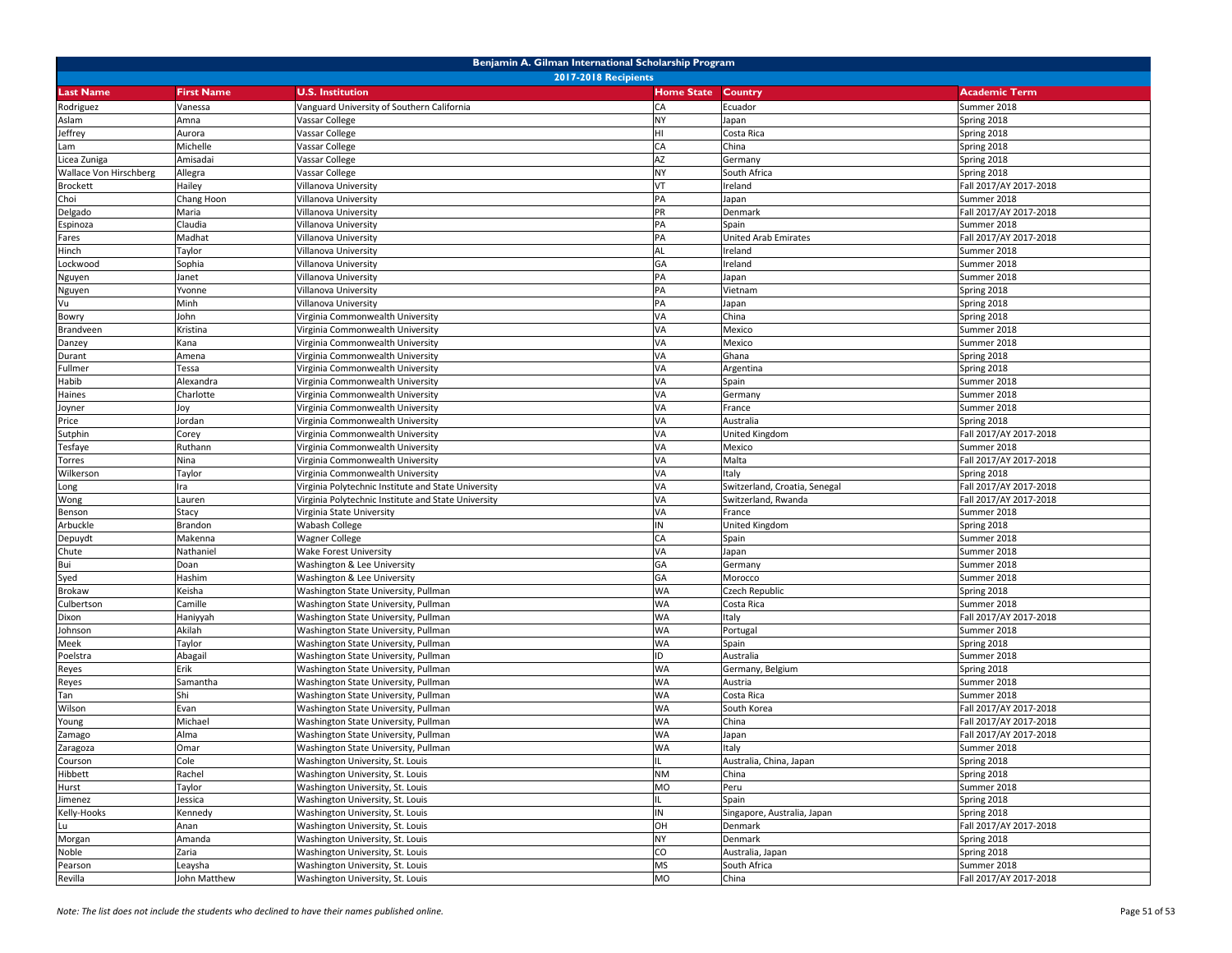| Benjamin A. Gilman International Scholarship Program |                   |                                                     |                   |                               |                        |  |
|------------------------------------------------------|-------------------|-----------------------------------------------------|-------------------|-------------------------------|------------------------|--|
| <b>2017-2018 Recipients</b>                          |                   |                                                     |                   |                               |                        |  |
| <b>Last Name</b>                                     | <b>First Name</b> | <b>U.S. Institution</b>                             | <b>Home State</b> | <b>Country</b>                | <b>Academic Term</b>   |  |
| Rodriguez                                            | Vanessa           | Vanguard University of Southern California          | CA                | Ecuador                       | Summer 2018            |  |
| Aslam                                                | Amna              | Vassar College                                      | <b>NY</b>         | Japan                         | Spring 2018            |  |
| Jeffrey                                              | Aurora            | Vassar College                                      | HI                | Costa Rica                    | Spring 2018            |  |
| Lam                                                  | Michelle          | Vassar College                                      | CA                | China                         | Spring 2018            |  |
| Licea Zuniga                                         | Amisadai          | Vassar College                                      | AZ                | Germany                       | Spring 2018            |  |
| Wallace Von Hirschberg                               | Allegra           | Vassar College                                      | <b>NY</b>         | South Africa                  | Spring 2018            |  |
| <b>Brockett</b>                                      | Hailey            | Villanova University                                | VT                | Ireland                       | Fall 2017/AY 2017-2018 |  |
| Choi                                                 | Chang Hoon        | Villanova University                                | PA                | Japan                         | Summer 2018            |  |
| Delgado                                              | Maria             | Villanova University                                | PR                | Denmark                       | Fall 2017/AY 2017-2018 |  |
| Espinoza                                             | Claudia           | Villanova University                                | PA                | Spain                         | Summer 2018            |  |
| Fares                                                | Madhat            | Villanova University                                | PA                | United Arab Emirates          | Fall 2017/AY 2017-2018 |  |
| Hinch                                                | Taylor            | Villanova University                                | <b>AL</b>         | Ireland                       | Summer 2018            |  |
| Lockwood                                             | Sophia            | Villanova University                                | GA                | Ireland                       | Summer 2018            |  |
| Nguyen                                               | Janet             | Villanova University                                | PA                | Japan                         | Summer 2018            |  |
| Nguyen                                               | Yvonne            | Villanova University                                | PA                | Vietnam                       | Spring 2018            |  |
| Vu                                                   | Minh              | Villanova University                                | PA                | Japan                         | Spring 2018            |  |
| Bowry                                                | John              | Virginia Commonwealth University                    | VA                | China                         | Spring 2018            |  |
| Brandveen                                            | Kristina          | Virginia Commonwealth University                    | VA                | Mexico                        | Summer 2018            |  |
| Danzey                                               | Kana              | Virginia Commonwealth University                    | VA                | Mexico                        | Summer 2018            |  |
| Durant                                               | Amena             | Virginia Commonwealth University                    | VA                | Ghana                         | Spring 2018            |  |
| Fullmer                                              | Tessa             | Virginia Commonwealth University                    | VA                | Argentina                     | Spring 2018            |  |
| Habib                                                | Alexandra         | Virginia Commonwealth University                    | VA                | Spain                         | Summer 2018            |  |
| Haines                                               | Charlotte         | Virginia Commonwealth University                    | VA                | Germany                       | Summer 2018            |  |
| Joyner                                               | loy               | Virginia Commonwealth University                    | VA                | France                        | Summer 2018            |  |
| Price                                                | Jordan            | Virginia Commonwealth University                    | VA                | Australia                     | Spring 2018            |  |
| Sutphin                                              | Corey             | Virginia Commonwealth University                    | VA                | <b>United Kingdom</b>         | Fall 2017/AY 2017-2018 |  |
| Tesfaye                                              | Ruthann           | Virginia Commonwealth University                    | VA                | Mexico                        | Summer 2018            |  |
| Torres                                               | Nina              | Virginia Commonwealth University                    | VA                | Malta                         | Fall 2017/AY 2017-2018 |  |
| Wilkerson                                            | Taylor            | Virginia Commonwealth University                    | VA                | Italy                         | Spring 2018            |  |
| Long                                                 | Ira               | Virginia Polytechnic Institute and State University | VA                | Switzerland, Croatia, Senegal | Fall 2017/AY 2017-2018 |  |
| Wong                                                 | Lauren            | Virginia Polytechnic Institute and State University | VA                | Switzerland, Rwanda           | Fall 2017/AY 2017-2018 |  |
| Benson                                               | Stacy             | Virginia State University                           | VA                | France                        | Summer 2018            |  |
| Arbuckle                                             | Brandon           | Wabash College                                      | IN                | United Kingdom                | Spring 2018            |  |
| Depuydt                                              | Makenna           | Wagner College                                      | CA                | Spain                         | Summer 2018            |  |
| Chute                                                | Nathaniel         | Wake Forest University                              | VA                | Japan                         | Summer 2018            |  |
| Bui                                                  | Doan              | Washington & Lee University                         | GA                | Germany                       | Summer 2018            |  |
| Syed                                                 | Hashim            | Washington & Lee University                         | GA                | Morocco                       | Summer 2018            |  |
| <b>Brokaw</b>                                        | Keisha            | Washington State University, Pullman                | <b>WA</b>         | Czech Republic                | Spring 2018            |  |
| Culbertson                                           | Camille           | Washington State University, Pullman                | <b>WA</b>         | Costa Rica                    | Summer 2018            |  |
| Dixon                                                | Haniyyah          | Washington State University, Pullman                | <b>WA</b>         | Italy                         | Fall 2017/AY 2017-2018 |  |
| Johnson                                              | Akilah            | Washington State University, Pullman                | <b>WA</b>         | Portugal                      | Summer 2018            |  |
| Meek                                                 | Taylor            | Washington State University, Pullman                | <b>WA</b>         | Spain                         | Spring 2018            |  |
| Poelstra                                             | Abagail           | Washington State University, Pullman                | ID                | Australia                     | Summer 2018            |  |
| Reyes                                                | Erik              | Washington State University, Pullman                | <b>WA</b>         | Germany, Belgium              | Spring 2018            |  |
| Reyes                                                | Samantha          | Washington State University, Pullman                | <b>WA</b>         | Austria                       | Summer 2018            |  |
| Tan                                                  | Shi               | Washington State University, Pullman                | <b>WA</b>         | Costa Rica                    | Summer 2018            |  |
| Wilson                                               | Evan              | Washington State University, Pullman                | <b>WA</b>         | South Korea                   | Fall 2017/AY 2017-2018 |  |
| Young                                                | Michael           | Washington State University, Pullman                | <b>WA</b>         | China                         | Fall 2017/AY 2017-2018 |  |
| Zamago                                               | Alma              | Washington State University, Pullman                | <b>WA</b>         | Japan                         | Fall 2017/AY 2017-2018 |  |
| Zaragoza                                             | Omar              | Washington State University, Pullman                | <b>WA</b>         | Italy                         | Summer 2018            |  |
| Courson                                              | Cole              | Washington University, St. Louis                    | IL.               | Australia, China, Japan       | Spring 2018            |  |
| Hibbett                                              | Rachel            | Washington University, St. Louis                    | <b>NM</b>         | China                         | Spring 2018            |  |
| Hurst                                                | Taylor            | Washington University, St. Louis                    | MO                | Peru                          | Summer 2018            |  |
| Jimenez                                              | Jessica           | Washington University, St. Louis                    |                   | Spain                         | Spring 2018            |  |
| Kelly-Hooks                                          | Kennedy           | Washington University, St. Louis                    | IN                | Singapore, Australia, Japan   | Spring 2018            |  |
| Lu                                                   | Anan              | Washington University, St. Louis                    | OH                | Denmark                       | Fall 2017/AY 2017-2018 |  |
| Morgan                                               | Amanda            | Washington University, St. Louis                    | <b>NY</b>         | Denmark                       | Spring 2018            |  |
| Noble                                                | Zaria             | Washington University, St. Louis                    | CO                | Australia, Japan              | Spring 2018            |  |
| Pearson                                              | Leaysha           | Washington University, St. Louis                    | <b>MS</b>         | South Africa                  | Summer 2018            |  |
| Revilla                                              | John Matthew      | Washington University, St. Louis                    | MO                | China                         | Fall 2017/AY 2017-2018 |  |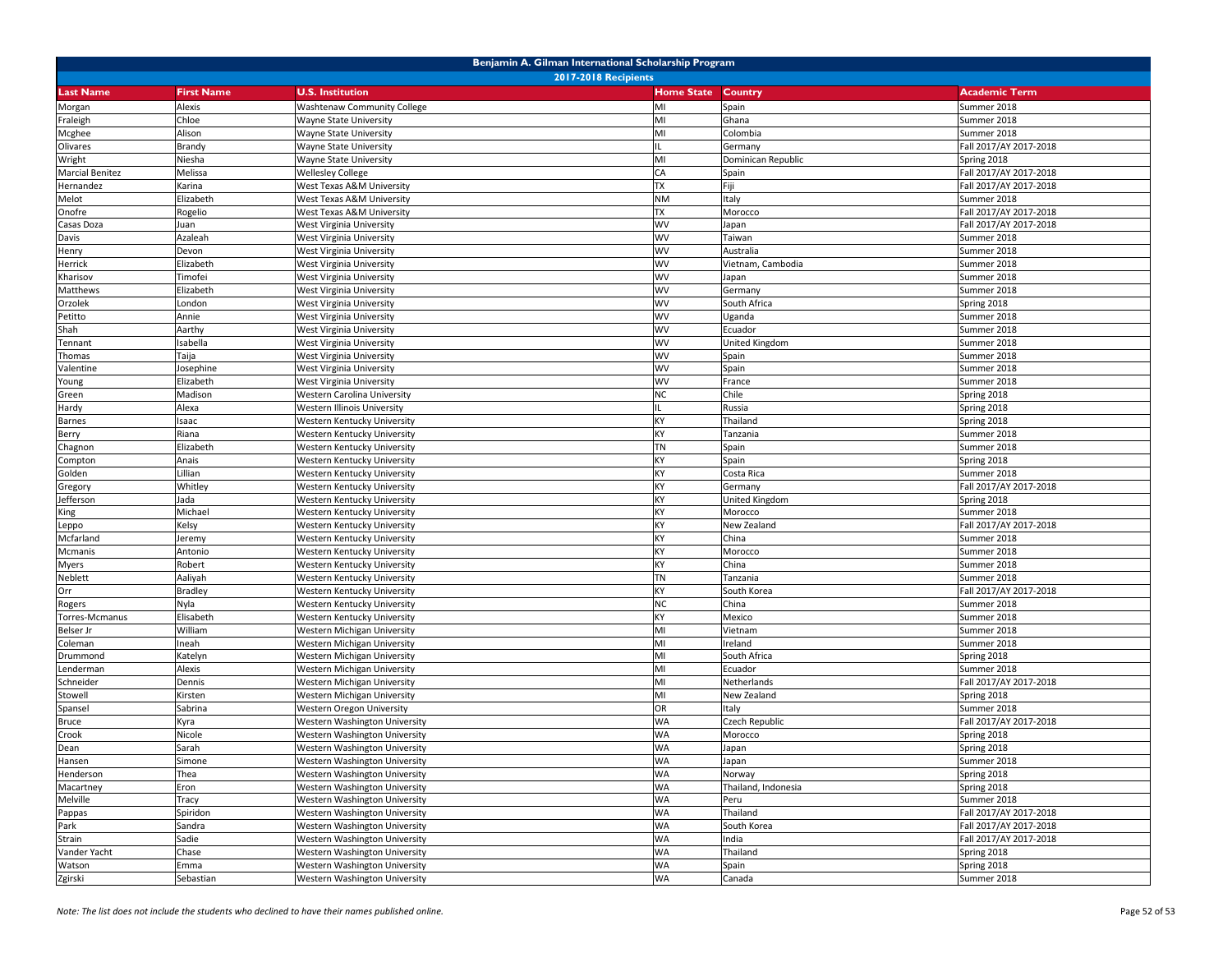| Benjamin A. Gilman International Scholarship Program<br><b>2017-2018 Recipients</b> |                   |                                                                |                        |                     |                                                  |  |
|-------------------------------------------------------------------------------------|-------------------|----------------------------------------------------------------|------------------------|---------------------|--------------------------------------------------|--|
| <b>Last Name</b>                                                                    | <b>First Name</b> | <b>U.S. Institution</b>                                        | <b>Home State</b>      | <b>Country</b>      | <b>Academic Term</b>                             |  |
|                                                                                     | Alexis            | <b>Washtenaw Community College</b>                             | MI                     | Spain               | Summer 2018                                      |  |
| Morgan<br>Fraleigh                                                                  | Chloe             | Wayne State University                                         | MI                     | Ghana               | Summer 2018                                      |  |
| Mcghee                                                                              | Alison            | <b>Wayne State University</b>                                  | MI                     | Colombia            | Summer 2018                                      |  |
| Olivares                                                                            | Brandy            | Wayne State University                                         |                        | Germany             | Fall 2017/AY 2017-2018                           |  |
| Wright                                                                              | Niesha            | Wayne State University                                         | MI                     | Dominican Republic  | Spring 2018                                      |  |
| <b>Marcial Benitez</b>                                                              | Melissa           | <b>Wellesley College</b>                                       | CA                     | Spain               | Fall 2017/AY 2017-2018                           |  |
| Hernandez                                                                           | Karina            | West Texas A&M University                                      | <b>TX</b>              | Fiji                | Fall 2017/AY 2017-2018                           |  |
| Melot                                                                               | Elizabeth         | West Texas A&M University                                      | <b>NM</b>              | Italy               | Summer 2018                                      |  |
| Onofre                                                                              | Rogelio           | West Texas A&M University                                      | <b>TX</b>              | Morocco             | Fall 2017/AY 2017-2018                           |  |
| Casas Doza                                                                          | Juan              | West Virginia University                                       | <b>WV</b>              | Japan               | Fall 2017/AY 2017-2018                           |  |
| Davis                                                                               | Azaleah           | West Virginia University                                       | <b>WV</b>              | Taiwan              | Summer 2018                                      |  |
| Henry                                                                               | Devon             | West Virginia University                                       | <b>WV</b>              | Australia           | Summer 2018                                      |  |
| Herrick                                                                             | Elizabeth         | West Virginia University                                       | WV                     | Vietnam, Cambodia   | Summer 2018                                      |  |
| Kharisov                                                                            | Timofei           | West Virginia University                                       | <b>WV</b>              | Japan               | Summer 2018                                      |  |
| Matthews                                                                            | Elizabeth         | West Virginia University                                       | <b>WV</b>              | Germany             | Summer 2018                                      |  |
| Orzolek                                                                             | London            | West Virginia University                                       | <b>WV</b>              | South Africa        | Spring 2018                                      |  |
| Petitto                                                                             | Annie             | West Virginia University                                       | <b>WV</b>              | Uganda              | Summer 2018                                      |  |
| Shah                                                                                | Aarthy            | West Virginia University                                       | WV                     | Ecuador             | Summer 2018                                      |  |
| Tennant                                                                             | Isabella          | West Virginia University                                       | <b>WV</b>              | United Kingdom      | Summer 2018                                      |  |
| Thomas                                                                              | Taija             | West Virginia University                                       | <b>WV</b>              | Spain               | Summer 2018                                      |  |
| Valentine                                                                           | Josephine         | West Virginia University                                       | <b>WV</b>              | Spain               | Summer 2018                                      |  |
| Young                                                                               | Elizabeth         | West Virginia University                                       | <b>WV</b>              | France              | Summer 2018                                      |  |
| Green                                                                               | Madison           | Western Carolina University                                    | <b>NC</b>              | Chile               | Spring 2018                                      |  |
| Hardy                                                                               | Alexa             | Western Illinois University                                    |                        | Russia              | Spring 2018                                      |  |
| <b>Barnes</b>                                                                       | Isaac             | Western Kentucky University                                    | KY                     | Thailand            | Spring 2018                                      |  |
| Berry                                                                               | Riana             | Western Kentucky University                                    | KY                     | Tanzania            | Summer 2018                                      |  |
| Chagnon                                                                             | Elizabeth         | Western Kentucky University                                    | <b>TN</b>              | Spain               | Summer 2018                                      |  |
| Compton                                                                             | Anais             | Western Kentucky University                                    | KY                     | Spain               | Spring 2018                                      |  |
| Golden                                                                              | Lillian           | Western Kentucky University                                    | KY                     | Costa Rica          | Summer 2018                                      |  |
| Gregory                                                                             | Whitley           | Western Kentucky University                                    | KY                     | Germany             | Fall 2017/AY 2017-2018                           |  |
| Jefferson                                                                           | Jada              | Western Kentucky University                                    | KY                     | United Kingdom      | Spring 2018                                      |  |
| King                                                                                | Michael           | Western Kentucky University                                    | KY                     | Morocco             | Summer 2018                                      |  |
| Leppo                                                                               | Kelsy             | Western Kentucky University                                    | KY                     | New Zealand         | Fall 2017/AY 2017-2018                           |  |
| Mcfarland                                                                           | leremy            | Western Kentucky University                                    | KY                     | China               | Summer 2018                                      |  |
| Mcmanis                                                                             | Antonio           | Western Kentucky University                                    | KY                     | Morocco             | Summer 2018                                      |  |
| Myers                                                                               | Robert            | Western Kentucky University                                    | KY                     | China               | Summer 2018                                      |  |
| Neblett                                                                             | Aaliyah           | Western Kentucky University                                    | <b>TN</b>              | Tanzania            | Summer 2018                                      |  |
| Orr                                                                                 | <b>Bradley</b>    | Western Kentucky University                                    | KY                     | South Korea         | Fall 2017/AY 2017-2018                           |  |
| Rogers                                                                              | Nyla              | Western Kentucky University                                    | <b>NC</b>              | China               | Summer 2018                                      |  |
| Torres-Mcmanus                                                                      | Elisabeth         | Western Kentucky University                                    | KY                     | Mexico              | Summer 2018                                      |  |
| Belser Jr                                                                           | William           | Western Michigan University                                    | MI                     | Vietnam             | Summer 2018                                      |  |
| Coleman                                                                             | Ineah             | Western Michigan University                                    | MI                     | Ireland             | Summer 2018                                      |  |
| Drummond                                                                            | Katelyn           | Western Michigan University                                    | MI                     | South Africa        | Spring 2018                                      |  |
| Lenderman                                                                           | Alexis            | Western Michigan University                                    | MI                     | Ecuador             | Summer 2018                                      |  |
| Schneider                                                                           | Dennis            | Western Michigan University                                    | MI                     | Netherlands         | Fall 2017/AY 2017-2018                           |  |
| Stowell                                                                             | Kirsten           | Western Michigan University                                    | MI                     | New Zealand         | Spring 2018                                      |  |
| Spansel                                                                             | Sabrina           | Western Oregon University                                      | OR                     | Italy               | Summer 2018                                      |  |
| Bruce                                                                               | Kyra              | Western Washington University                                  | <b>WA</b>              | Czech Republic      | Fall 2017/AY 2017-2018                           |  |
| Crook                                                                               | Nicole            | Western Washington University                                  | <b>WA</b><br><b>WA</b> | Morocco             | Spring 2018                                      |  |
| Dean                                                                                | Sarah             | Western Washington University                                  |                        | Japan               | Spring 2018                                      |  |
| Hansen                                                                              | Simone            | Western Washington University                                  | WA                     | Japan               | Summer 2018                                      |  |
| Henderson                                                                           | Thea              | Western Washington University                                  | <b>WA</b>              | Norway              | Spring 2018                                      |  |
| Macartney                                                                           | Eron              | Western Washington University                                  | <b>WA</b>              | Thailand, Indonesia | Spring 2018                                      |  |
| Melville                                                                            | Tracy             | Western Washington University                                  | <b>WA</b>              | Peru                | Summer 2018                                      |  |
| Pappas                                                                              | Spiridon          | Western Washington University                                  | <b>WA</b>              | Thailand            | Fall 2017/AY 2017-2018                           |  |
| Park                                                                                | Sandra            | Western Washington University<br>Western Washington University | <b>WA</b>              | South Korea         | Fall 2017/AY 2017-2018<br>Fall 2017/AY 2017-2018 |  |
| Strain                                                                              | Sadie<br>Chase    | Western Washington University                                  | <b>WA</b><br><b>WA</b> | India               |                                                  |  |
| Vander Yacht<br>Watson                                                              | Emma              | Western Washington University                                  | WA                     | Thailand<br>Spain   | Spring 2018<br>Spring 2018                       |  |
| Zgirski                                                                             | Sebastian         | Western Washington University                                  | WA                     | Canada              | Summer 2018                                      |  |
|                                                                                     |                   |                                                                |                        |                     |                                                  |  |